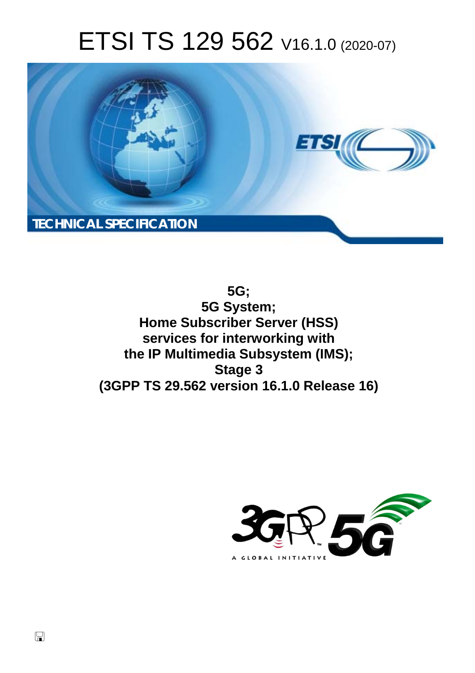# ETSI TS 129 562 V16.1.0 (2020-07)



**5G; 5G System; Home Subscriber Server (HSS) services for interworking with the IP Multimedia Subsystem (IMS); Stage 3 (3GPP TS 29.562 version 16.1.0 Release 16)** 

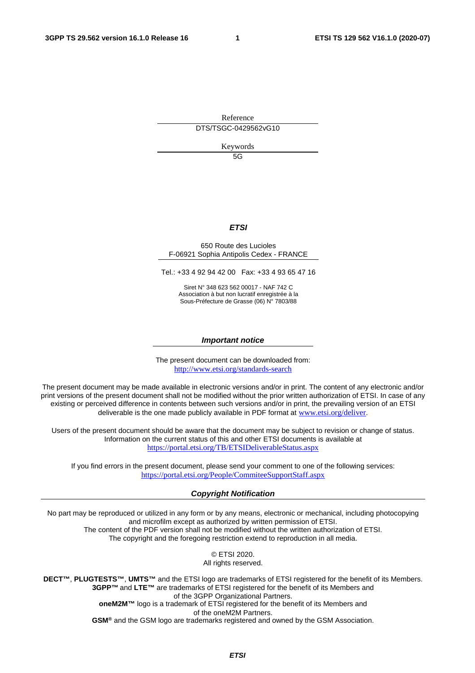Reference DTS/TSGC-0429562vG10

Keywords

5G

#### *ETSI*

#### 650 Route des Lucioles F-06921 Sophia Antipolis Cedex - FRANCE

Tel.: +33 4 92 94 42 00 Fax: +33 4 93 65 47 16

Siret N° 348 623 562 00017 - NAF 742 C Association à but non lucratif enregistrée à la Sous-Préfecture de Grasse (06) N° 7803/88

#### *Important notice*

The present document can be downloaded from: <http://www.etsi.org/standards-search>

The present document may be made available in electronic versions and/or in print. The content of any electronic and/or print versions of the present document shall not be modified without the prior written authorization of ETSI. In case of any existing or perceived difference in contents between such versions and/or in print, the prevailing version of an ETSI deliverable is the one made publicly available in PDF format at [www.etsi.org/deliver](http://www.etsi.org/deliver).

Users of the present document should be aware that the document may be subject to revision or change of status. Information on the current status of this and other ETSI documents is available at <https://portal.etsi.org/TB/ETSIDeliverableStatus.aspx>

If you find errors in the present document, please send your comment to one of the following services: <https://portal.etsi.org/People/CommiteeSupportStaff.aspx>

#### *Copyright Notification*

No part may be reproduced or utilized in any form or by any means, electronic or mechanical, including photocopying and microfilm except as authorized by written permission of ETSI. The content of the PDF version shall not be modified without the written authorization of ETSI.

The copyright and the foregoing restriction extend to reproduction in all media.

© ETSI 2020. All rights reserved.

**DECT™**, **PLUGTESTS™**, **UMTS™** and the ETSI logo are trademarks of ETSI registered for the benefit of its Members. **3GPP™** and **LTE™** are trademarks of ETSI registered for the benefit of its Members and of the 3GPP Organizational Partners. **oneM2M™** logo is a trademark of ETSI registered for the benefit of its Members and of the oneM2M Partners.

**GSM®** and the GSM logo are trademarks registered and owned by the GSM Association.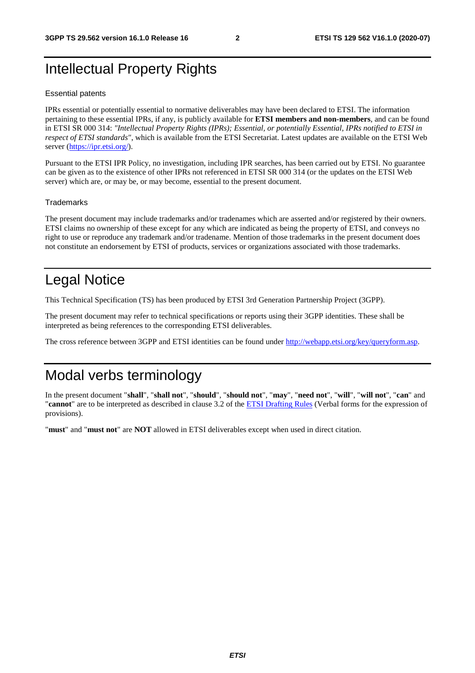# Intellectual Property Rights

#### Essential patents

IPRs essential or potentially essential to normative deliverables may have been declared to ETSI. The information pertaining to these essential IPRs, if any, is publicly available for **ETSI members and non-members**, and can be found in ETSI SR 000 314: *"Intellectual Property Rights (IPRs); Essential, or potentially Essential, IPRs notified to ETSI in respect of ETSI standards"*, which is available from the ETSI Secretariat. Latest updates are available on the ETSI Web server [\(https://ipr.etsi.org/](https://ipr.etsi.org/)).

Pursuant to the ETSI IPR Policy, no investigation, including IPR searches, has been carried out by ETSI. No guarantee can be given as to the existence of other IPRs not referenced in ETSI SR 000 314 (or the updates on the ETSI Web server) which are, or may be, or may become, essential to the present document.

#### **Trademarks**

The present document may include trademarks and/or tradenames which are asserted and/or registered by their owners. ETSI claims no ownership of these except for any which are indicated as being the property of ETSI, and conveys no right to use or reproduce any trademark and/or tradename. Mention of those trademarks in the present document does not constitute an endorsement by ETSI of products, services or organizations associated with those trademarks.

# Legal Notice

This Technical Specification (TS) has been produced by ETSI 3rd Generation Partnership Project (3GPP).

The present document may refer to technical specifications or reports using their 3GPP identities. These shall be interpreted as being references to the corresponding ETSI deliverables.

The cross reference between 3GPP and ETSI identities can be found under<http://webapp.etsi.org/key/queryform.asp>.

# Modal verbs terminology

In the present document "**shall**", "**shall not**", "**should**", "**should not**", "**may**", "**need not**", "**will**", "**will not**", "**can**" and "**cannot**" are to be interpreted as described in clause 3.2 of the [ETSI Drafting Rules](https://portal.etsi.org/Services/editHelp!/Howtostart/ETSIDraftingRules.aspx) (Verbal forms for the expression of provisions).

"**must**" and "**must not**" are **NOT** allowed in ETSI deliverables except when used in direct citation.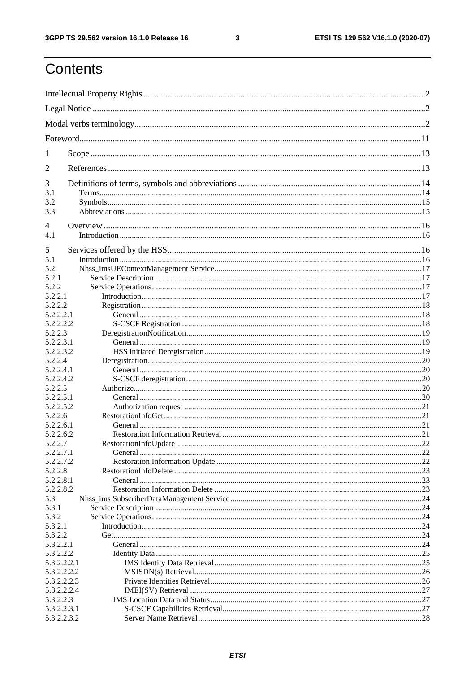$\mathbf{3}$ 

# Contents

| 1                    |             |     |  |
|----------------------|-------------|-----|--|
| 2                    |             |     |  |
| 3                    |             |     |  |
| 3.1                  |             |     |  |
| 3.2<br>3.3           |             |     |  |
|                      |             |     |  |
| $\overline{4}$       |             |     |  |
| 4.1                  |             |     |  |
| 5                    |             |     |  |
| 5.1                  |             |     |  |
| 5.2                  |             |     |  |
| 5.2.1                |             |     |  |
| 5.2.2                |             |     |  |
| 5.2.2.1              |             |     |  |
| 5.2.2.2              |             |     |  |
| 5.2.2.2.1            |             |     |  |
| 5.2.2.2.2            |             |     |  |
| 5.2.2.3              |             |     |  |
| 5.2.2.3.1            |             |     |  |
| 5.2.2.3.2            |             |     |  |
| 5.2.2.4              |             |     |  |
| 5.2.2.4.1            |             |     |  |
| 5.2.2.4.2            |             |     |  |
| 5.2.2.5<br>5.2.2.5.1 |             |     |  |
| 5.2.2.5.2            |             |     |  |
| 5.2.2.6              |             |     |  |
| 5.2.2.6.1            |             |     |  |
| 5.2.2.6.2            |             |     |  |
| 5.2.2.7              |             | .22 |  |
| 5.2.2.7.1            |             |     |  |
| 5.2.2.7.2            |             |     |  |
| 5.2.2.8              |             |     |  |
| 5.2.2.8.1            |             |     |  |
| 5.2.2.8.2            |             |     |  |
| 5.3                  |             |     |  |
| 5.3.1                |             |     |  |
| 5.3.2                |             |     |  |
| 5.3.2.1              |             |     |  |
| 5.3.2.2<br>5.3.2.2.1 |             |     |  |
| 5.3.2.2.2            |             |     |  |
| 5.3.2.2.2.1          |             |     |  |
| 5.3.2.2.2.2          |             |     |  |
| 5.3.2.2.2.3          |             |     |  |
| 5.3.2.2.2.4          |             |     |  |
| 5.3.2.2.3            |             |     |  |
| 5.3.2.2.3.1          |             |     |  |
|                      | 5.3.2.2.3.2 |     |  |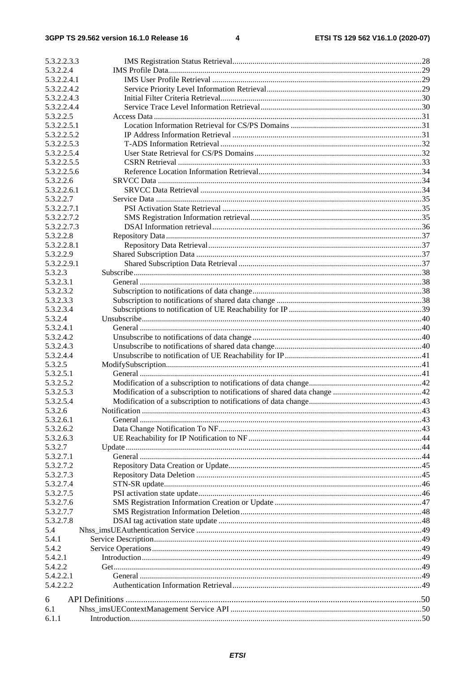| 5.3.2.2.3.3            |  |
|------------------------|--|
| 5.3.2.2.4              |  |
| 5.3.2.2.4.1            |  |
| 5.3.2.2.4.2            |  |
| 5.3.2.2.4.3            |  |
| 5.3.2.2.4.4            |  |
| 5.3.2.2.5              |  |
| 5.3.2.2.5.1            |  |
| 5.3.2.2.5.2            |  |
| 5.3.2.2.5.3            |  |
| 5.3.2.2.5.4            |  |
| 5.3.2.2.5.5            |  |
| 5.3.2.2.5.6            |  |
| 5.3.2.2.6              |  |
| 5.3.2.2.6.1            |  |
| 5.3.2.2.7              |  |
| 5.3.2.2.7.1            |  |
| 5.3.2.2.7.2            |  |
| 5.3.2.2.7.3            |  |
| 5.3.2.2.8              |  |
| 5.3.2.2.8.1            |  |
| 5.3.2.2.9              |  |
| 5.3.2.2.9.1            |  |
| 5.3.2.3                |  |
|                        |  |
| 5.3.2.3.1<br>5.3.2.3.2 |  |
| 5.3.2.3.3              |  |
|                        |  |
| 5.3.2.3.4              |  |
| 5.3.2.4                |  |
| 5.3.2.4.1              |  |
| 5.3.2.4.2              |  |
| 5.3.2.4.3              |  |
| 5.3.2.4.4              |  |
| 5.3.2.5                |  |
| 5.3.2.5.1              |  |
| 5.3.2.5.2              |  |
| 5.3.2.5.3              |  |
| 5.3.2.5.4              |  |
| 5.3.2.6                |  |
| 5.3.2.6.1              |  |
| 5.3.2.6.2              |  |
| 5.3.2.6.3              |  |
| 5.3.2.7                |  |
| 5.3.2.7.1              |  |
| 5.3.2.7.2              |  |
| 5.3.2.7.3              |  |
| 5.3.2.7.4              |  |
| 5.3.2.7.5              |  |
| 5.3.2.7.6              |  |
| 5.3.2.7.7              |  |
| 5.3.2.7.8              |  |
| 5.4                    |  |
| 5.4.1                  |  |
| 5.4.2                  |  |
| 5.4.2.1                |  |
| 5.4.2.2                |  |
| 5.4.2.2.1              |  |
| 5.4.2.2.2              |  |
|                        |  |
| 6                      |  |
| 6.1                    |  |
| 6.1.1                  |  |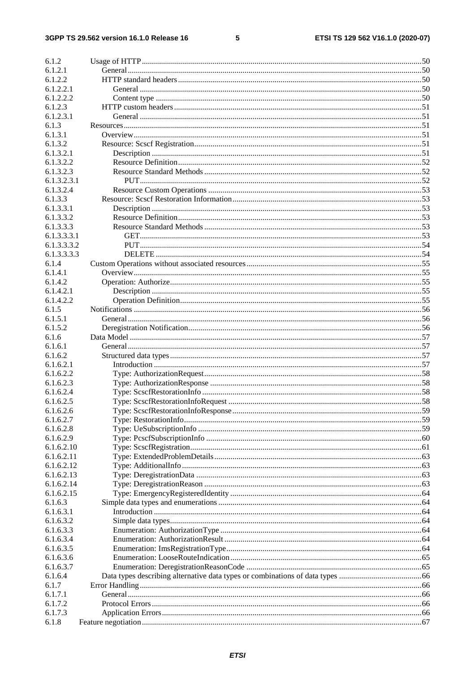#### $5\phantom{a}$

| 6.1.2                |  |
|----------------------|--|
| 6.1.2.1              |  |
| 6.1.2.2              |  |
| 6.1.2.2.1            |  |
| 6.1.2.2.2            |  |
| 6.1.2.3              |  |
| 6.1.2.3.1            |  |
| 6.1.3                |  |
| 6.1.3.1              |  |
| 6.1.3.2              |  |
| 6.1.3.2.1            |  |
| 6.1.3.2.2            |  |
| 6.1.3.2.3            |  |
| 6.1.3.2.3.1          |  |
| 6.1.3.2.4            |  |
| 6.1.3.3              |  |
| 6.1.3.3.1            |  |
| 6.1.3.3.2            |  |
| 6.1.3.3.3            |  |
| 6.1.3.3.3.1          |  |
| 6.1.3.3.3.2          |  |
| 6.1.3.3.3.3          |  |
| 6.1.4                |  |
| 6.1.4.1              |  |
| 6.1.4.2              |  |
| 6.1.4.2.1            |  |
| 6.1.4.2.2            |  |
| 6.1.5                |  |
| 6.1.5.1              |  |
| 6.1.5.2              |  |
| 6.1.6                |  |
| 6.1.6.1              |  |
|                      |  |
| 6.1.6.2<br>6.1.6.2.1 |  |
|                      |  |
| 6.1.6.2.2            |  |
| 6.1.6.2.3            |  |
| 6.1.6.2.4            |  |
| 6.1.6.2.5            |  |
| 6.1.6.2.6            |  |
| 6.1.6.2.7            |  |
| 6.1.6.2.8            |  |
| 6.1.6.2.9            |  |
| 6.1.6.2.10           |  |
| 6.1.6.2.11           |  |
| 6.1.6.2.12           |  |
| 6.1.6.2.13           |  |
| 6.1.6.2.14           |  |
| 6.1.6.2.15           |  |
| 6.1.6.3              |  |
| 6.1.6.3.1            |  |
| 6.1.6.3.2            |  |
| 6.1.6.3.3            |  |
| 6.1.6.3.4            |  |
| 6.1.6.3.5            |  |
| 6.1.6.3.6            |  |
| 6.1.6.3.7            |  |
| 6.1.6.4              |  |
| 6.1.7                |  |
| 6.1.7.1              |  |
| 6.1.7.2              |  |
| 6.1.7.3              |  |
| 6.1.8                |  |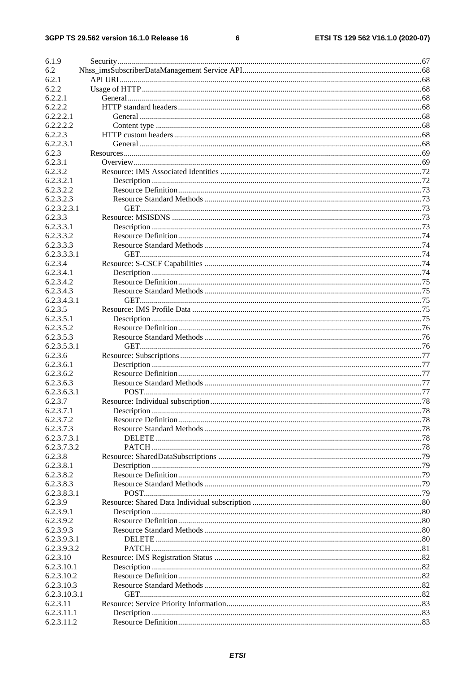#### $\bf 6$

| 6.1.9        |  |
|--------------|--|
| 6.2          |  |
| 6.2.1        |  |
| 6.2.2        |  |
| 6.2.2.1      |  |
| 6.2.2.2      |  |
| 6.2.2.2.1    |  |
| 6.2.2.2.2    |  |
| 6.2.2.3      |  |
| 6.2.2.3.1    |  |
| 6.2.3        |  |
| 6.2.3.1      |  |
| 6.2.3.2      |  |
| 6.2.3.2.1    |  |
| 6.2.3.2.2    |  |
| 6.2.3.2.3    |  |
| 6.2.3.2.3.1  |  |
| 6.2.3.3      |  |
| 6.2.3.3.1    |  |
| 6.2.3.3.2    |  |
| 6.2.3.3.3    |  |
| 6.2.3.3.3.1  |  |
| 6.2.3.4      |  |
| 6.2.3.4.1    |  |
| 6.2.3.4.2    |  |
| 6.2.3.4.3    |  |
| 6.2.3.4.3.1  |  |
| 6.2.3.5      |  |
| 6.2.3.5.1    |  |
| 6.2.3.5.2    |  |
| 6.2.3.5.3    |  |
| 6.2.3.5.3.1  |  |
| 6.2.3.6      |  |
| 6.2.3.6.1    |  |
| 6.2.3.6.2    |  |
| 6.2.3.6.3    |  |
| 6.2.3.6.3.1  |  |
| 6.2.3.7      |  |
| 6.2.3.7.1    |  |
| 6.2.3.7.2    |  |
| 6.2.3.7.3    |  |
| 6.2.3.7.3.1  |  |
| 6.2.3.7.3.2  |  |
| 6.2.3.8      |  |
| 6.2.3.8.1    |  |
| 6.2.3.8.2    |  |
| 6.2.3.8.3    |  |
| 6.2.3.8.3.1  |  |
| 6.2.3.9      |  |
| 6.2.3.9.1    |  |
| 6.2.3.9.2    |  |
| 6.2.3.9.3    |  |
| 6.2.3.9.3.1  |  |
| 6.2.3.9.3.2  |  |
| 6.2.3.10     |  |
| 6.2.3.10.1   |  |
| 6.2.3.10.2   |  |
| 6.2.3.10.3   |  |
| 6.2.3.10.3.1 |  |
| 6.2.3.11     |  |
| 6.2.3.11.1   |  |
| 6.2.3.11.2   |  |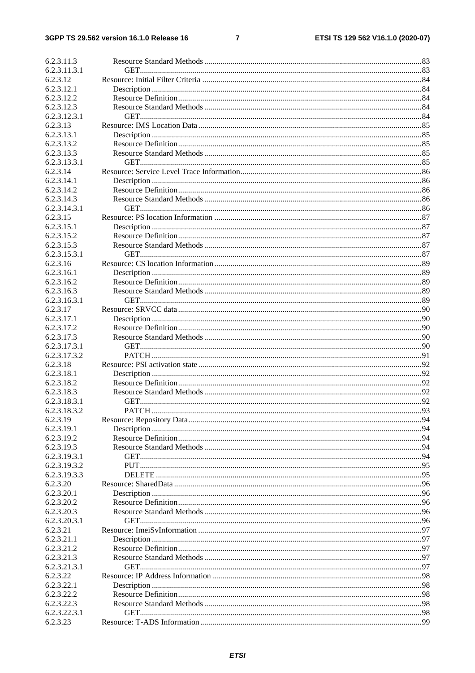#### $\overline{7}$

| 6.2.3.11.3               |  |
|--------------------------|--|
| 6.2.3.11.3.1             |  |
| 6.2.3.12                 |  |
| 6.2.3.12.1               |  |
| 6.2.3.12.2               |  |
| 6.2.3.12.3               |  |
| 6.2.3.12.3.1             |  |
| 6.2.3.13                 |  |
| 6.2.3.13.1               |  |
| 6.2.3.13.2               |  |
| 6.2.3.13.3               |  |
| 6.2.3.13.3.1             |  |
| 6.2.3.14                 |  |
| 6.2.3.14.1               |  |
| 6.2.3.14.2               |  |
| 6.2.3.14.3               |  |
| 6.2.3.14.3.1             |  |
| 6.2.3.15                 |  |
| 6.2.3.15.1               |  |
| 6.2.3.15.2               |  |
| 6.2.3.15.3               |  |
| 6.2.3.15.3.1             |  |
| 6.2.3.16                 |  |
| 6.2.3.16.1               |  |
| 6.2.3.16.2               |  |
| 6.2.3.16.3               |  |
| 6.2.3.16.3.1             |  |
| 6.2.3.17                 |  |
| 6.2.3.17.1               |  |
| 6.2.3.17.2               |  |
| 6.2.3.17.3               |  |
| 6.2.3.17.3.1             |  |
| 6.2.3.17.3.2             |  |
| 6.2.3.18                 |  |
| 6.2.3.18.1               |  |
| 6.2.3.18.2               |  |
| 6.2.3.18.3               |  |
| 6.2.3.18.3.1             |  |
| 6.2.3.18.3.2             |  |
| 6.2.3.19                 |  |
| 6.2.3.19.1               |  |
| 6.2.3.19.2               |  |
| 6.2.3.19.3               |  |
| 6.2.3.19.3.1             |  |
| 6.2.3.19.3.2             |  |
|                          |  |
| 6.2.3.19.3.3<br>6.2.3.20 |  |
| 6.2.3.20.1               |  |
| 6.2.3.20.2               |  |
| 6.2.3.20.3               |  |
| 6.2.3.20.3.1             |  |
| 6.2.3.21                 |  |
| 6.2.3.21.1               |  |
|                          |  |
| 6.2.3.21.2               |  |
| 6.2.3.21.3               |  |
| 6.2.3.21.3.1             |  |
| 6.2.3.22                 |  |
| 6.2.3.22.1               |  |
| 6.2.3.22.2               |  |
| 6.2.3.22.3               |  |
| 6.2.3.22.3.1             |  |
| 6.2.3.23                 |  |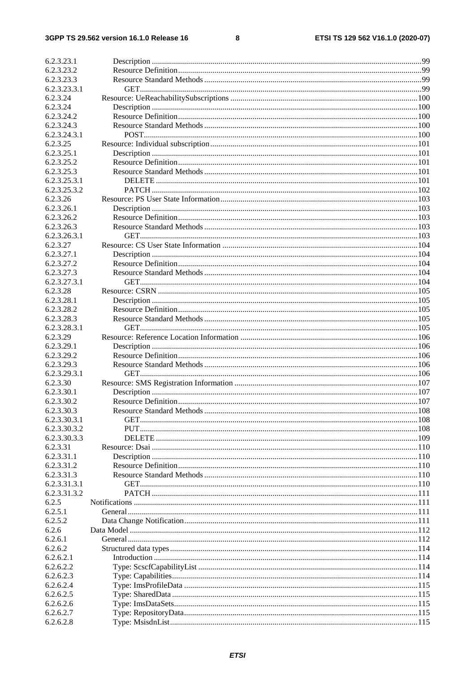#### $\bf8$

| 6.2.3.23.1                 |  |
|----------------------------|--|
| 6.2.3.23.2                 |  |
| 6.2.3.23.3                 |  |
| 6.2.3.23.3.1               |  |
| 6.2.3.24                   |  |
| 6.2.3.24                   |  |
|                            |  |
| 6.2.3.24.2                 |  |
| 6.2.3.24.3                 |  |
| 6.2.3.24.3.1               |  |
| 6.2.3.25                   |  |
| 6.2.3.25.1                 |  |
| 6.2.3.25.2                 |  |
| 6.2.3.25.3                 |  |
| 6.2.3.25.3.1               |  |
| 6.2.3.25.3.2               |  |
| 6.2.3.26                   |  |
| 6.2.3.26.1                 |  |
| 6.2.3.26.2                 |  |
| 6.2.3.26.3                 |  |
| 6.2.3.26.3.1               |  |
| 6.2.3.27                   |  |
| 6.2.3.27.1                 |  |
|                            |  |
| 6.2.3.27.2                 |  |
| 6.2.3.27.3                 |  |
| 6.2.3.27.3.1               |  |
| 6.2.3.28                   |  |
| 6.2.3.28.1                 |  |
| 6.2.3.28.2                 |  |
| 6.2.3.28.3                 |  |
| 6.2.3.28.3.1               |  |
| 6.2.3.29                   |  |
| 6.2.3.29.1                 |  |
| 6.2.3.29.2                 |  |
| 6.2.3.29.3                 |  |
| 6.2.3.29.3.1               |  |
| 6.2.3.30                   |  |
| 6.2.3.30.1                 |  |
| 6.2.3.30.2                 |  |
|                            |  |
| 6.2.3.30.3<br>6.2.3.30.3.1 |  |
|                            |  |
| 6.2.3.30.3.2               |  |
| 6.2.3.30.3.3               |  |
| 6.2.3.31                   |  |
| 6.2.3.31.1                 |  |
| 6.2.3.31.2                 |  |
| 6.2.3.31.3                 |  |
| 6.2.3.31.3.1               |  |
| 6.2.3.31.3.2               |  |
| 6.2.5                      |  |
| 6.2.5.1                    |  |
| 6.2.5.2                    |  |
| 6.2.6                      |  |
| 6.2.6.1                    |  |
| 6.2.6.2                    |  |
| 6.2.6.2.1                  |  |
| 6.2.6.2.2                  |  |
| 6.2.6.2.3                  |  |
| 6.2.6.2.4                  |  |
| 6.2.6.2.5                  |  |
| 6.2.6.2.6                  |  |
|                            |  |
| 6.2.6.2.7                  |  |
| 6.2.6.2.8                  |  |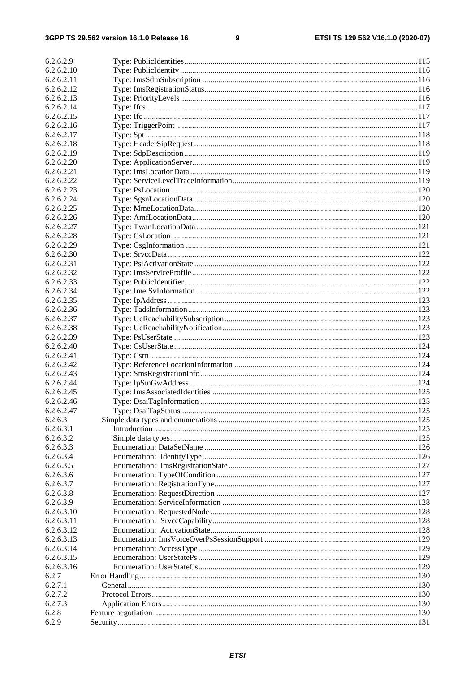#### $\boldsymbol{9}$

| 6.2.6.2.9                |  |
|--------------------------|--|
| 6.2.6.2.10               |  |
| 6.2.6.2.11               |  |
| 6.2.6.2.12               |  |
| 6.2.6.2.13               |  |
| 6.2.6.2.14               |  |
| 6.2.6.2.15               |  |
| 6.2.6.2.16               |  |
| 6.2.6.2.17               |  |
| 6.2.6.2.18               |  |
| 6.2.6.2.19               |  |
| 6.2.6.2.20               |  |
| 6.2.6.2.21               |  |
| 6.2.6.2.22               |  |
| 6.2.6.2.23               |  |
| 6.2.6.2.24               |  |
| 6.2.6.2.25               |  |
| 6.2.6.2.26               |  |
| 6.2.6.2.27               |  |
| 6.2.6.2.28               |  |
| 6.2.6.2.29               |  |
| 6.2.6.2.30               |  |
| 6.2.6.2.31               |  |
| 6.2.6.2.32               |  |
| 6.2.6.2.33               |  |
| 6.2.6.2.34               |  |
| 6.2.6.2.35               |  |
| 6.2.6.2.36               |  |
| 6.2.6.2.37               |  |
| 6.2.6.2.38               |  |
| 6.2.6.2.39               |  |
| 6.2.6.2.40               |  |
|                          |  |
| 6.2.6.2.41<br>6.2.6.2.42 |  |
| 6.2.6.2.43               |  |
|                          |  |
| 6.2.6.2.44<br>6.2.6.2.45 |  |
|                          |  |
| 6.2.6.2.46               |  |
| 6.2.6.2.47<br>6.2.6.3    |  |
| 6.2.6.3.1                |  |
|                          |  |
| 6.2.6.3.2                |  |
| 6.2.6.3.3                |  |
| 6.2.6.3.4                |  |
| 6.2.6.3.5                |  |
| 6.2.6.3.6                |  |
| 6.2.6.3.7                |  |
| 6.2.6.3.8                |  |
| 6.2.6.3.9                |  |
| 6.2.6.3.10               |  |
| 6.2.6.3.11               |  |
| 6.2.6.3.12               |  |
| 6.2.6.3.13               |  |
| 6.2.6.3.14               |  |
| 6.2.6.3.15               |  |
| 6.2.6.3.16               |  |
| 6.2.7                    |  |
| 6.2.7.1                  |  |
| 6.2.7.2                  |  |
| 6.2.7.3                  |  |
| 6.2.8                    |  |
| 6.2.9                    |  |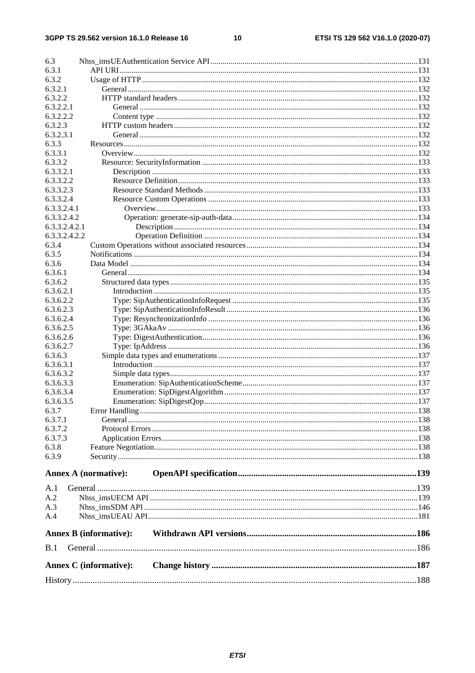$10$ 

| 6.3                |                               |  |
|--------------------|-------------------------------|--|
| 6.3.1              |                               |  |
| 6.3.2              |                               |  |
| 6.3.2.1            |                               |  |
| 6.3.2.2            |                               |  |
| 6.3.2.2.1          |                               |  |
| 6.3.2.2.2          |                               |  |
| 6.3.2.3            |                               |  |
| 6.3.2.3.1          |                               |  |
| 6.3.3              |                               |  |
| 6.3.3.1            |                               |  |
| 6.3.3.2            |                               |  |
| 6.3.3.2.1          |                               |  |
| 6.3.3.2.2          |                               |  |
| 6.3.3.2.3          |                               |  |
| 6.3.3.2.4          |                               |  |
| 6.3.3.2.4.1        |                               |  |
| 6.3.3.2.4.2        |                               |  |
| 6.3.3.2.4.2.1      |                               |  |
| 6.3.3.2.4.2.2      |                               |  |
| 6.3.4              |                               |  |
| 6.3.5<br>6.3.6     |                               |  |
|                    |                               |  |
| 6.3.6.1<br>6.3.6.2 |                               |  |
| 6.3.6.2.1          |                               |  |
| 6.3.6.2.2          |                               |  |
| 6.3.6.2.3          |                               |  |
| 6.3.6.2.4          |                               |  |
| 6.3.6.2.5          |                               |  |
| 6.3.6.2.6          |                               |  |
| 6.3.6.2.7          |                               |  |
| 6.3.6.3            |                               |  |
| 6.3.6.3.1          |                               |  |
| 6.3.6.3.2          |                               |  |
| 6.3.6.3.3          |                               |  |
| 6.3.6.3.4          |                               |  |
| 6.3.6.3.5          |                               |  |
| 6.3.7              |                               |  |
| 6.3.7.1            |                               |  |
| 6.3.7.2            |                               |  |
| 6.3.7.3            |                               |  |
| 6.3.8              |                               |  |
| 6.3.9              |                               |  |
|                    |                               |  |
|                    | <b>Annex A (normative):</b>   |  |
|                    |                               |  |
| A.1                |                               |  |
| A.2                |                               |  |
| A.3                |                               |  |
| A.4                |                               |  |
|                    | <b>Annex B</b> (informative): |  |
|                    |                               |  |
| B.1                |                               |  |
|                    |                               |  |
|                    | <b>Annex C</b> (informative): |  |
|                    |                               |  |
|                    |                               |  |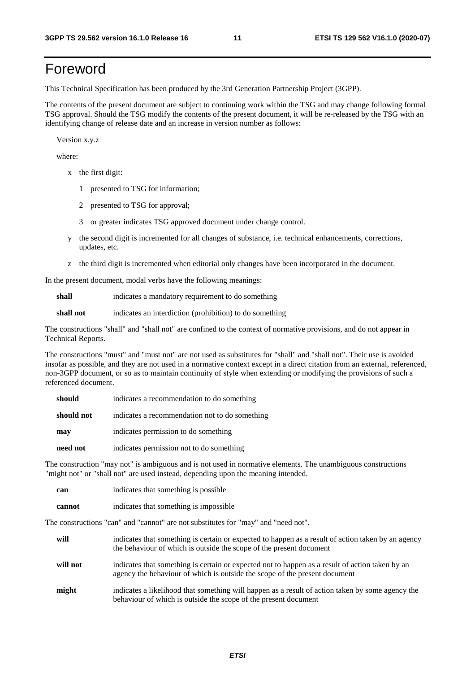# Foreword

This Technical Specification has been produced by the 3rd Generation Partnership Project (3GPP).

The contents of the present document are subject to continuing work within the TSG and may change following formal TSG approval. Should the TSG modify the contents of the present document, it will be re-released by the TSG with an identifying change of release date and an increase in version number as follows:

Version x.y.z

where:

- x the first digit:
	- 1 presented to TSG for information;
	- 2 presented to TSG for approval;
	- 3 or greater indicates TSG approved document under change control.
- y the second digit is incremented for all changes of substance, i.e. technical enhancements, corrections, updates, etc.
- z the third digit is incremented when editorial only changes have been incorporated in the document.

In the present document, modal verbs have the following meanings:

**shall** indicates a mandatory requirement to do something

**shall not** indicates an interdiction (prohibition) to do something

The constructions "shall" and "shall not" are confined to the context of normative provisions, and do not appear in Technical Reports.

The constructions "must" and "must not" are not used as substitutes for "shall" and "shall not". Their use is avoided insofar as possible, and they are not used in a normative context except in a direct citation from an external, referenced, non-3GPP document, or so as to maintain continuity of style when extending or modifying the provisions of such a referenced document.

| should     | indicates a recommendation to do something     |
|------------|------------------------------------------------|
| should not | indicates a recommendation not to do something |
| may        | indicates permission to do something           |
| need not   | indicates permission not to do something       |

The construction "may not" is ambiguous and is not used in normative elements. The unambiguous constructions "might not" or "shall not" are used instead, depending upon the meaning intended.

| can    | indicates that something is possible.  |
|--------|----------------------------------------|
| cannot | indicates that something is impossible |

The constructions "can" and "cannot" are not substitutes for "may" and "need not".

| will     | indicates that something is certain or expected to happen as a result of action taken by an agency<br>the behaviour of which is outside the scope of the present document     |
|----------|-------------------------------------------------------------------------------------------------------------------------------------------------------------------------------|
| will not | indicates that something is certain or expected not to happen as a result of action taken by an<br>agency the behaviour of which is outside the scope of the present document |
| might    | indicates a likelihood that something will happen as a result of action taken by some agency the<br>behaviour of which is outside the scope of the present document           |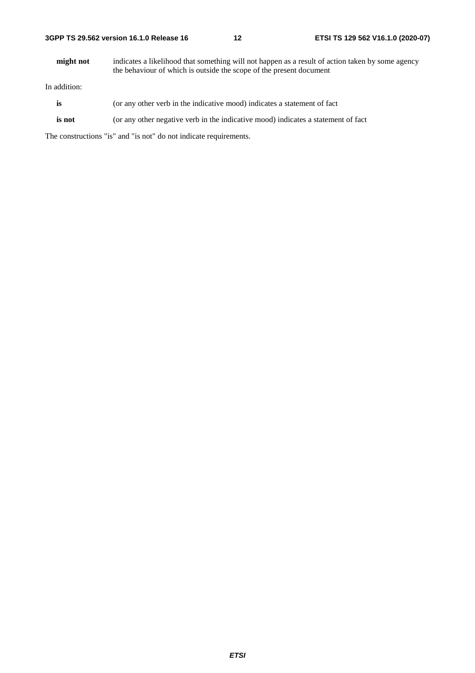**might not** indicates a likelihood that something will not happen as a result of action taken by some agency the behaviour of which is outside the scope of the present document

In addition:

- **is** (or any other verb in the indicative mood) indicates a statement of fact
- **is not** (or any other negative verb in the indicative mood) indicates a statement of fact

The constructions "is" and "is not" do not indicate requirements.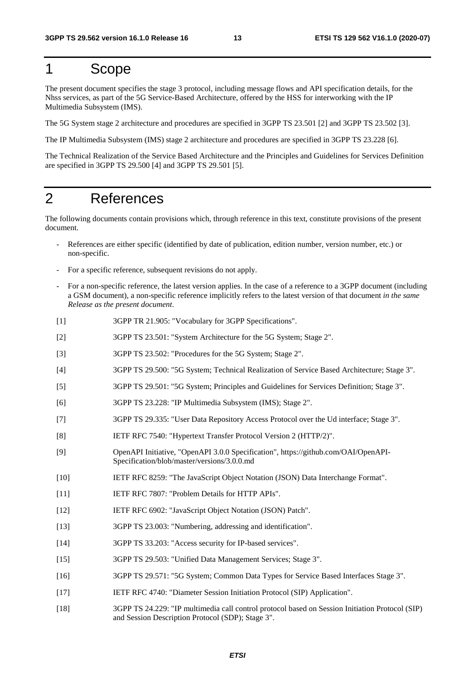# 1 Scope

The present document specifies the stage 3 protocol, including message flows and API specification details, for the Nhss services, as part of the 5G Service-Based Architecture, offered by the HSS for interworking with the IP Multimedia Subsystem (IMS).

The 5G System stage 2 architecture and procedures are specified in 3GPP TS 23.501 [2] and 3GPP TS 23.502 [3].

The IP Multimedia Subsystem (IMS) stage 2 architecture and procedures are specified in 3GPP TS 23.228 [6].

The Technical Realization of the Service Based Architecture and the Principles and Guidelines for Services Definition are specified in 3GPP TS 29.500 [4] and 3GPP TS 29.501 [5].

# 2 References

The following documents contain provisions which, through reference in this text, constitute provisions of the present document.

- References are either specific (identified by date of publication, edition number, version number, etc.) or non-specific.
- For a specific reference, subsequent revisions do not apply.
- For a non-specific reference, the latest version applies. In the case of a reference to a 3GPP document (including a GSM document), a non-specific reference implicitly refers to the latest version of that document *in the same Release as the present document*.
- [1] 3GPP TR 21.905: "Vocabulary for 3GPP Specifications".
- [2] 3GPP TS 23.501: "System Architecture for the 5G System; Stage 2".
- [3] 3GPP TS 23.502: "Procedures for the 5G System; Stage 2".
- [4] 3GPP TS 29.500: "5G System; Technical Realization of Service Based Architecture; Stage 3".
- [5] 3GPP TS 29.501: "5G System; Principles and Guidelines for Services Definition; Stage 3".
- [6] 3GPP TS 23.228: "IP Multimedia Subsystem (IMS); Stage 2".
- [7] 3GPP TS 29.335: "User Data Repository Access Protocol over the Ud interface; Stage 3".
- [8] IETF RFC 7540: "Hypertext Transfer Protocol Version 2 (HTTP/2)".
- [9] OpenAPI Initiative, "OpenAPI 3.0.0 Specification", https://github.com/OAI/OpenAPI-Specification/blob/master/versions/3.0.0.md
- [10] IETF RFC 8259: "The JavaScript Object Notation (JSON) Data Interchange Format".
- [11] IETF RFC 7807: "Problem Details for HTTP APIs".
- [12] IETF RFC 6902: "JavaScript Object Notation (JSON) Patch".
- [13] 3GPP TS 23.003: "Numbering, addressing and identification".
- [14] 3GPP TS 33.203: "Access security for IP-based services".
- [15] 3GPP TS 29.503: "Unified Data Management Services; Stage 3".
- [16] 3GPP TS 29.571: "5G System; Common Data Types for Service Based Interfaces Stage 3".
- [17] IETF RFC 4740: "Diameter Session Initiation Protocol (SIP) Application".
- [18] 3GPP TS 24.229: "IP multimedia call control protocol based on Session Initiation Protocol (SIP) and Session Description Protocol (SDP); Stage 3".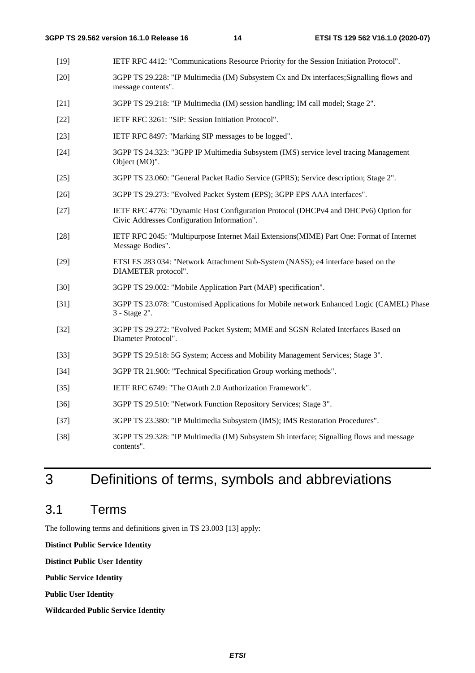- [19] IETF RFC 4412: "Communications Resource Priority for the Session Initiation Protocol".
- [20] 3GPP TS 29.228: "IP Multimedia (IM) Subsystem Cx and Dx interfaces;Signalling flows and message contents".
- [21] 3GPP TS 29.218: "IP Multimedia (IM) session handling; IM call model; Stage 2".
- [22] IETF RFC 3261: "SIP: Session Initiation Protocol".
- [23] IETF RFC 8497: "Marking SIP messages to be logged".
- [24] 3GPP TS 24.323: "3GPP IP Multimedia Subsystem (IMS) service level tracing Management Object (MO)".
- [25] 3GPP TS 23.060: "General Packet Radio Service (GPRS); Service description; Stage 2".
- [26] 3GPP TS 29.273: "Evolved Packet System (EPS); 3GPP EPS AAA interfaces".
- [27] IETF RFC 4776: "Dynamic Host Configuration Protocol (DHCPv4 and DHCPv6) Option for Civic Addresses Configuration Information".
- [28] IETF RFC 2045: "Multipurpose Internet Mail Extensions(MIME) Part One: Format of Internet Message Bodies".
- [29] ETSI ES 283 034: "Network Attachment Sub-System (NASS); e4 interface based on the DIAMETER protocol".
- [30] 3GPP TS 29.002: "Mobile Application Part (MAP) specification".
- [31] 3GPP TS 23.078: "Customised Applications for Mobile network Enhanced Logic (CAMEL) Phase 3 - Stage 2".
- [32] 3GPP TS 29.272: "Evolved Packet System; MME and SGSN Related Interfaces Based on Diameter Protocol".
- [33] 3GPP TS 29.518: 5G System; Access and Mobility Management Services; Stage 3".
- [34] 3GPP TR 21.900: "Technical Specification Group working methods".
- [35] IETF RFC 6749: "The OAuth 2.0 Authorization Framework".
- [36] 3GPP TS 29.510: "Network Function Repository Services; Stage 3".
- [37] 3GPP TS 23.380: "IP Multimedia Subsystem (IMS); IMS Restoration Procedures".
- [38] 3GPP TS 29.328: "IP Multimedia (IM) Subsystem Sh interface; Signalling flows and message contents".

# 3 Definitions of terms, symbols and abbreviations

## 3.1 Terms

The following terms and definitions given in TS 23.003 [13] apply:

**Distinct Public Service Identity** 

**Distinct Public User Identity** 

**Public Service Identity** 

**Public User Identity** 

**Wildcarded Public Service Identity**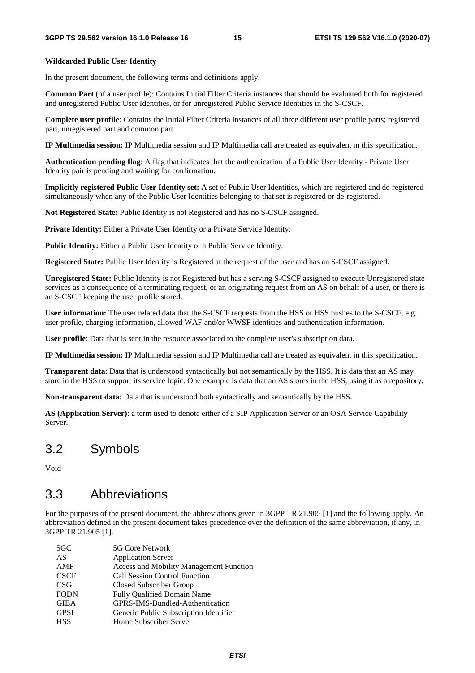#### **Wildcarded Public User Identity**

In the present document, the following terms and definitions apply.

**Common Part** (of a user profile): Contains Initial Filter Criteria instances that should be evaluated both for registered and unregistered Public User Identities, or for unregistered Public Service Identities in the S-CSCF.

**Complete user profile**: Contains the Initial Filter Criteria instances of all three different user profile parts; registered part, unregistered part and common part.

**IP Multimedia session:** IP Multimedia session and IP Multimedia call are treated as equivalent in this specification.

**Authentication pending flag**: A flag that indicates that the authentication of a Public User Identity - Private User Identity pair is pending and waiting for confirmation.

**Implicitly registered Public User Identity set:** A set of Public User Identities, which are registered and de-registered simultaneously when any of the Public User Identities belonging to that set is registered or de-registered.

**Not Registered State:** Public Identity is not Registered and has no S-CSCF assigned.

Private Identity: Either a Private User Identity or a Private Service Identity.

Public Identity: Either a Public User Identity or a Public Service Identity.

**Registered State:** Public User Identity is Registered at the request of the user and has an S-CSCF assigned.

**Unregistered State:** Public Identity is not Registered but has a serving S-CSCF assigned to execute Unregistered state services as a consequence of a terminating request, or an originating request from an AS on behalf of a user, or there is an S-CSCF keeping the user profile stored.

**User information:** The user related data that the S-CSCF requests from the HSS or HSS pushes to the S-CSCF, e.g. user profile, charging information, allowed WAF and/or WWSF identities and authentication information.

**User profile**: Data that is sent in the resource associated to the complete user's subscription data.

**IP Multimedia session:** IP Multimedia session and IP Multimedia call are treated as equivalent in this specification.

**Transparent data**: Data that is understood syntactically but not semantically by the HSS. It is data that an AS may store in the HSS to support its service logic. One example is data that an AS stores in the HSS, using it as a repository.

**Non-transparent data**: Data that is understood both syntactically and semantically by the HSS.

**AS (Application Server)**: a term used to denote either of a SIP Application Server or an OSA Service Capability Server.

## 3.2 Symbols

Void

# 3.3 Abbreviations

For the purposes of the present document, the abbreviations given in 3GPP TR 21.905 [1] and the following apply. An abbreviation defined in the present document takes precedence over the definition of the same abbreviation, if any, in 3GPP TR 21.905 [1].

| 5G Core Network                                |
|------------------------------------------------|
| <b>Application Server</b>                      |
| <b>Access and Mobility Management Function</b> |
| <b>Call Session Control Function</b>           |
| Closed Subscriber Group                        |
| Fully Qualified Domain Name                    |
| GPRS-IMS-Bundled-Authentication                |
| Generic Public Subscription Identifier         |
| Home Subscriber Server                         |
|                                                |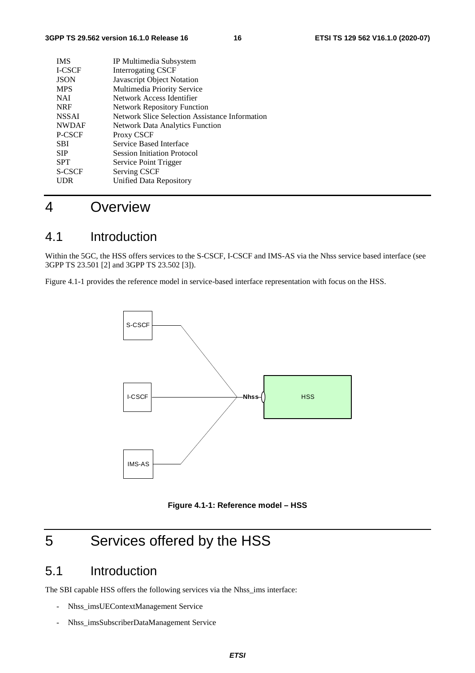| <b>IMS</b>    | IP Multimedia Subsystem                        |
|---------------|------------------------------------------------|
| <b>I-CSCF</b> | <b>Interrogating CSCF</b>                      |
| <b>JSON</b>   | Javascript Object Notation                     |
| <b>MPS</b>    | Multimedia Priority Service                    |
| <b>NAI</b>    | Network Access Identifier                      |
| <b>NRF</b>    | <b>Network Repository Function</b>             |
| <b>NSSAI</b>  | Network Slice Selection Assistance Information |
| <b>NWDAF</b>  | <b>Network Data Analytics Function</b>         |
| P-CSCF        | Proxy CSCF                                     |
| <b>SBI</b>    | Service Based Interface                        |
| <b>SIP</b>    | <b>Session Initiation Protocol</b>             |
| <b>SPT</b>    | Service Point Trigger                          |
| S-CSCF        | Serving CSCF                                   |
| UDR           | Unified Data Repository                        |
|               |                                                |

# 4 Overview

# 4.1 Introduction

Within the 5GC, the HSS offers services to the S-CSCF, I-CSCF and IMS-AS via the Nhss service based interface (see 3GPP TS 23.501 [2] and 3GPP TS 23.502 [3]).

Figure 4.1-1 provides the reference model in service-based interface representation with focus on the HSS.



**Figure 4.1-1: Reference model – HSS** 

# 5 Services offered by the HSS

# 5.1 Introduction

The SBI capable HSS offers the following services via the Nhss\_ims interface:

- Nhss\_imsUEContextManagement Service
- Nhss\_imsSubscriberDataManagement Service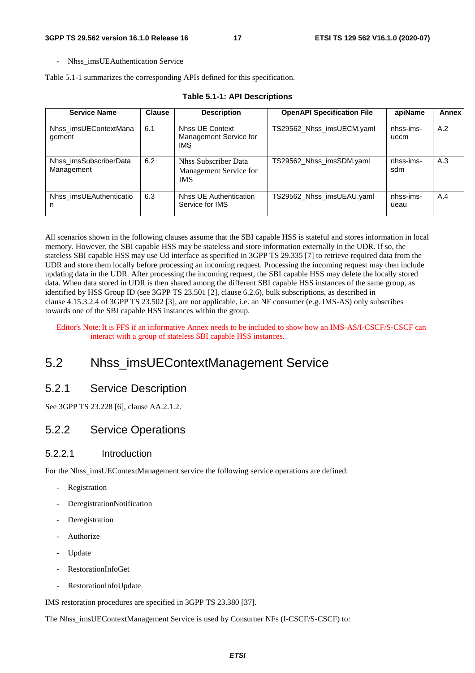- Nhss\_imsUEAuthentication Service

Table 5.1-1 summarizes the corresponding APIs defined for this specification.

| <b>Service Name</b>                  | <b>Clause</b> | <b>Description</b>                                                  | <b>OpenAPI Specification File</b> | apiName           | Annex |
|--------------------------------------|---------------|---------------------------------------------------------------------|-----------------------------------|-------------------|-------|
| Nhss imsUEContextMana<br>gement      | 6.1           | <b>Nhss UE Context</b><br>Management Service for<br><b>IMS</b>      | TS29562_Nhss_imsUECM.yaml         | nhss-ims-<br>uecm | A.2   |
| Nhss imsSubscriberData<br>Management | 6.2           | <b>Nhss Subscriber Data</b><br>Management Service for<br><b>IMS</b> | TS29562_Nhss_imsSDM.yaml          | nhss-ims-<br>sdm  | A.3   |
| Nhss imsUEAuthenticatio<br>n         | 6.3           | Nhss UE Authentication<br>Service for IMS                           | TS29562_Nhss_imsUEAU.yaml         | nhss-ims-<br>ueau | A.4   |

#### **Table 5.1-1: API Descriptions**

All scenarios shown in the following clauses assume that the SBI capable HSS is stateful and stores information in local memory. However, the SBI capable HSS may be stateless and store information externally in the UDR. If so, the stateless SBI capable HSS may use Ud interface as specified in 3GPP TS 29.335 [7] to retrieve required data from the UDR and store them locally before processing an incoming request. Processing the incoming request may then include updating data in the UDR. After processing the incoming request, the SBI capable HSS may delete the locally stored data. When data stored in UDR is then shared among the different SBI capable HSS instances of the same group, as identified by HSS Group ID (see 3GPP TS 23.501 [2], clause 6.2.6), bulk subscriptions, as described in clause 4.15.3.2.4 of 3GPP TS 23.502 [3], are not applicable, i.e. an NF consumer (e.g. IMS-AS) only subscribes towards one of the SBI capable HSS instances within the group.

Editor's Note: It is FFS if an informative Annex needs to be included to show how an IMS-AS/I-CSCF/S-CSCF can interact with a group of stateless SBI capable HSS instances.

# 5.2 Nhss\_imsUEContextManagement Service

### 5.2.1 Service Description

See 3GPP TS 23.228 [6], clause AA.2.1.2.

### 5.2.2 Service Operations

### 5.2.2.1 Introduction

For the Nhss imsUEContextManagement service the following service operations are defined:

- Registration
- DeregistrationNotification
- **Deregistration**
- Authorize
- Update
- RestorationInfoGet
- RestorationInfoUpdate

IMS restoration procedures are specified in 3GPP TS 23.380 [37].

The Nhss\_imsUEContextManagement Service is used by Consumer NFs (I-CSCF/S-CSCF) to: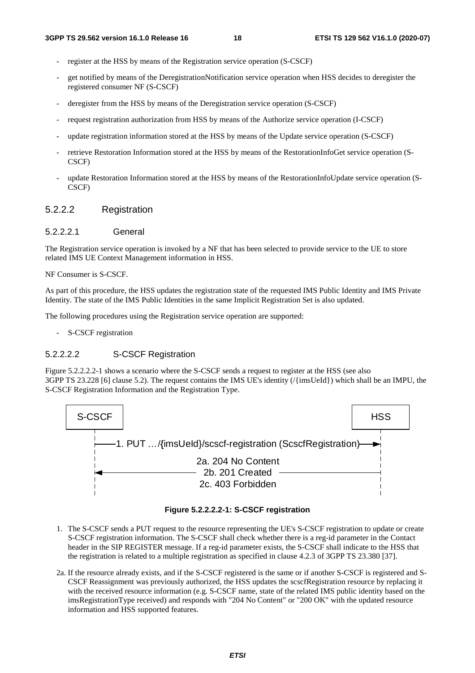- register at the HSS by means of the Registration service operation (S-CSCF)
- get notified by means of the DeregistrationNotification service operation when HSS decides to deregister the registered consumer NF (S-CSCF)
- deregister from the HSS by means of the Deregistration service operation (S-CSCF)
- request registration authorization from HSS by means of the Authorize service operation (I-CSCF)
- update registration information stored at the HSS by means of the Update service operation (S-CSCF)
- retrieve Restoration Information stored at the HSS by means of the RestorationInfoGet service operation (S-CSCF)
- update Restoration Information stored at the HSS by means of the RestorationInfoUpdate service operation (S-CSCF)

### 5.2.2.2 Registration

#### 5.2.2.2.1 General

The Registration service operation is invoked by a NF that has been selected to provide service to the UE to store related IMS UE Context Management information in HSS.

#### NF Consumer is S-CSCF.

As part of this procedure, the HSS updates the registration state of the requested IMS Public Identity and IMS Private Identity. The state of the IMS Public Identities in the same Implicit Registration Set is also updated.

The following procedures using the Registration service operation are supported:

- S-CSCF registration

#### 5.2.2.2.2 S-CSCF Registration

Figure 5.2.2.2.2-1 shows a scenario where the S-CSCF sends a request to register at the HSS (see also 3GPP TS 23.228 [6] clause 5.2). The request contains the IMS UE's identity (/{imsUeId}) which shall be an IMPU, the S-CSCF Registration Information and the Registration Type.





- 1. The S-CSCF sends a PUT request to the resource representing the UE's S-CSCF registration to update or create S-CSCF registration information. The S-CSCF shall check whether there is a reg-id parameter in the Contact header in the SIP REGISTER message. If a reg-id parameter exists, the S-CSCF shall indicate to the HSS that the registration is related to a multiple registration as specified in clause 4.2.3 of 3GPP TS 23.380 [37].
- 2a. If the resource already exists, and if the S-CSCF registered is the same or if another S-CSCF is registered and S-CSCF Reassignment was previously authorized, the HSS updates the scscfRegistration resource by replacing it with the received resource information (e.g. S-CSCF name, state of the related IMS public identity based on the imsRegistrationType received) and responds with "204 No Content" or "200 OK" with the updated resource information and HSS supported features.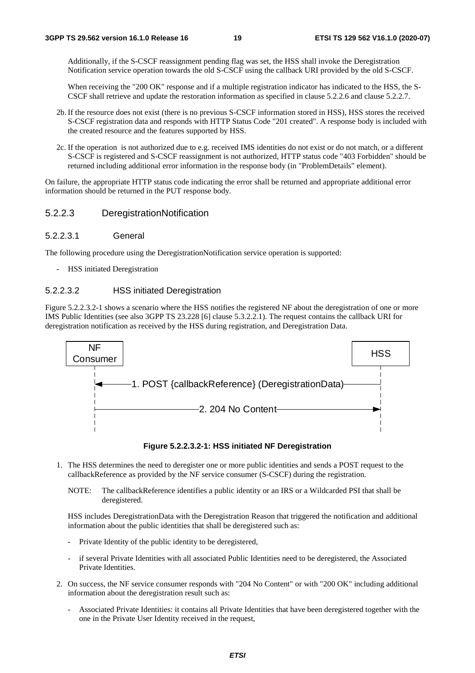Additionally, if the S-CSCF reassignment pending flag was set, the HSS shall invoke the Deregistration Notification service operation towards the old S-CSCF using the callback URI provided by the old S-CSCF.

When receiving the "200 OK" response and if a multiple registration indicator has indicated to the HSS, the S-CSCF shall retrieve and update the restoration information as specified in clause 5.2.2.6 and clause 5.2.2.7.

- 2b. If the resource does not exist (there is no previous S-CSCF information stored in HSS), HSS stores the received S-CSCF registration data and responds with HTTP Status Code "201 created". A response body is included with the created resource and the features supported by HSS.
- 2c. If the operation is not authorized due to e.g. received IMS identities do not exist or do not match, or a different S-CSCF is registered and S-CSCF reassignment is not authorized, HTTP status code "403 Forbidden" should be returned including additional error information in the response body (in "ProblemDetails" element).

On failure, the appropriate HTTP status code indicating the error shall be returned and appropriate additional error information should be returned in the PUT response body.

### 5.2.2.3 DeregistrationNotification

#### 5.2.2.3.1 General

The following procedure using the DeregistrationNotification service operation is supported:

- HSS initiated Deregistration

#### 5.2.2.3.2 HSS initiated Deregistration

Figure 5.2.2.3.2-1 shows a scenario where the HSS notifies the registered NF about the deregistration of one or more IMS Public Identities (see also 3GPP TS 23.228 [6] clause 5.3.2.2.1). The request contains the callback URI for deregistration notification as received by the HSS during registration, and Deregistration Data.



**Figure 5.2.2.3.2-1: HSS initiated NF Deregistration** 

- 1. The HSS determines the need to deregister one or more public identities and sends a POST request to the callbackReference as provided by the NF service consumer (S-CSCF) during the registration.
	- NOTE: The callbackReference identifies a public identity or an IRS or a Wildcarded PSI that shall be deregistered.

HSS includes DeregistrationData with the Deregistration Reason that triggered the notification and additional information about the public identities that shall be deregistered such as:

- Private Identity of the public identity to be deregistered,
- if several Private Identities with all associated Public Identities need to be deregistered, the Associated Private Identities.
- 2. On success, the NF service consumer responds with "204 No Content" or with "200 OK" including additional information about the deregistration result such as:
	- Associated Private Identities: it contains all Private Identities that have been deregistered together with the one in the Private User Identity received in the request,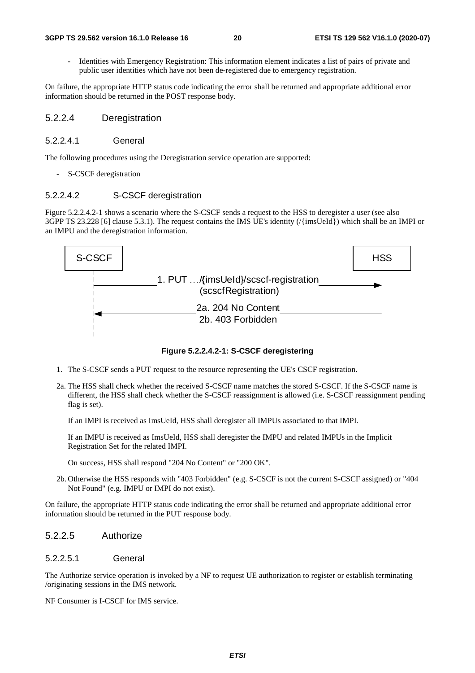Identities with Emergency Registration: This information element indicates a list of pairs of private and public user identities which have not been de-registered due to emergency registration.

On failure, the appropriate HTTP status code indicating the error shall be returned and appropriate additional error information should be returned in the POST response body.

#### 5.2.2.4 Deregistration

#### 5.2.2.4.1 General

The following procedures using the Deregistration service operation are supported:

S-CSCF deregistration

#### 5.2.2.4.2 S-CSCF deregistration

Figure 5.2.2.4.2-1 shows a scenario where the S-CSCF sends a request to the HSS to deregister a user (see also 3GPP TS 23.228 [6] clause 5.3.1). The request contains the IMS UE's identity (/{imsUeId}) which shall be an IMPI or an IMPU and the deregistration information.



**Figure 5.2.2.4.2-1: S-CSCF deregistering** 

- 1. The S-CSCF sends a PUT request to the resource representing the UE's CSCF registration.
- 2a. The HSS shall check whether the received S-CSCF name matches the stored S-CSCF. If the S-CSCF name is different, the HSS shall check whether the S-CSCF reassignment is allowed (i.e. S-CSCF reassignment pending flag is set).

If an IMPI is received as ImsUeId, HSS shall deregister all IMPUs associated to that IMPI.

If an IMPU is received as ImsUeId, HSS shall deregister the IMPU and related IMPUs in the Implicit Registration Set for the related IMPI.

On success, HSS shall respond "204 No Content" or "200 OK".

2b. Otherwise the HSS responds with "403 Forbidden" (e.g. S-CSCF is not the current S-CSCF assigned) or "404 Not Found" (e.g. IMPU or IMPI do not exist).

On failure, the appropriate HTTP status code indicating the error shall be returned and appropriate additional error information should be returned in the PUT response body.

#### 5.2.2.5 Authorize

#### 5.2.2.5.1 General

The Authorize service operation is invoked by a NF to request UE authorization to register or establish terminating /originating sessions in the IMS network.

NF Consumer is I-CSCF for IMS service.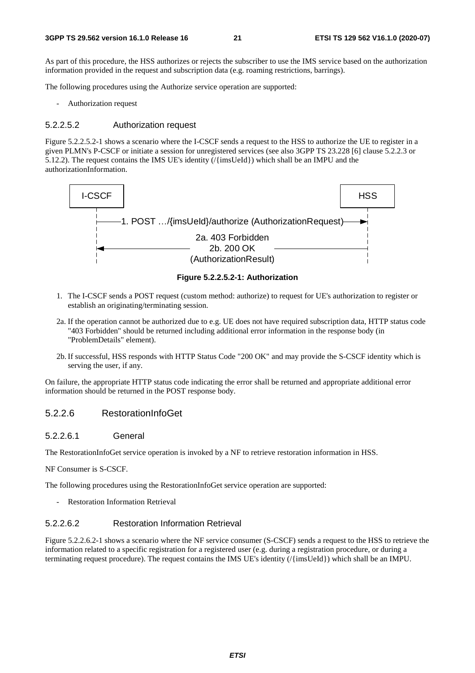As part of this procedure, the HSS authorizes or rejects the subscriber to use the IMS service based on the authorization information provided in the request and subscription data (e.g. roaming restrictions, barrings).

The following procedures using the Authorize service operation are supported:

- Authorization request

#### 5.2.2.5.2 Authorization request

Figure 5.2.2.5.2-1 shows a scenario where the I-CSCF sends a request to the HSS to authorize the UE to register in a given PLMN's P-CSCF or initiate a session for unregistered services (see also 3GPP TS 23.228 [6] clause 5.2.2.3 or 5.12.2). The request contains the IMS UE's identity (/{imsUeId}) which shall be an IMPU and the authorizationInformation.



#### **Figure 5.2.2.5.2-1: Authorization**

- 1. The I-CSCF sends a POST request (custom method: authorize) to request for UE's authorization to register or establish an originating/terminating session.
- 2a. If the operation cannot be authorized due to e.g. UE does not have required subscription data, HTTP status code "403 Forbidden" should be returned including additional error information in the response body (in "ProblemDetails" element).
- 2b. If successful, HSS responds with HTTP Status Code "200 OK" and may provide the S-CSCF identity which is serving the user, if any.

On failure, the appropriate HTTP status code indicating the error shall be returned and appropriate additional error information should be returned in the POST response body.

#### 5.2.2.6 RestorationInfoGet

#### 5.2.2.6.1 General

The RestorationInfoGet service operation is invoked by a NF to retrieve restoration information in HSS.

NF Consumer is S-CSCF.

The following procedures using the RestorationInfoGet service operation are supported:

Restoration Information Retrieval

#### 5.2.2.6.2 Restoration Information Retrieval

Figure 5.2.2.6.2-1 shows a scenario where the NF service consumer (S-CSCF) sends a request to the HSS to retrieve the information related to a specific registration for a registered user (e.g. during a registration procedure, or during a terminating request procedure). The request contains the IMS UE's identity (/{imsUeId}) which shall be an IMPU.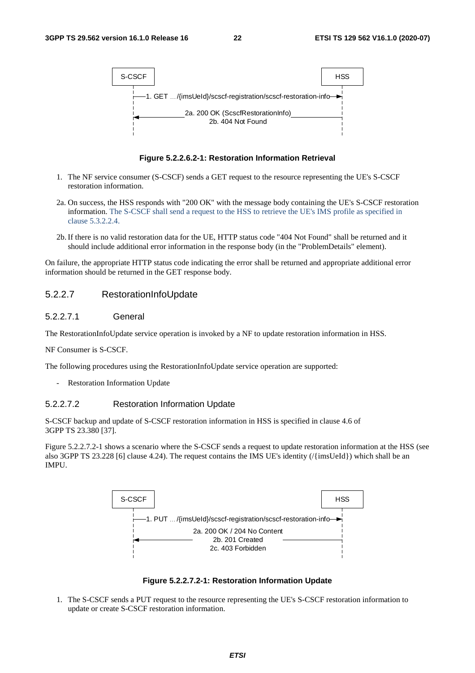

**Figure 5.2.2.6.2-1: Restoration Information Retrieval** 

- 1. The NF service consumer (S-CSCF) sends a GET request to the resource representing the UE's S-CSCF restoration information.
- 2a. On success, the HSS responds with "200 OK" with the message body containing the UE's S-CSCF restoration information. The S-CSCF shall send a request to the HSS to retrieve the UE's IMS profile as specified in clause 5.3.2.2.4.
- 2b. If there is no valid restoration data for the UE, HTTP status code "404 Not Found" shall be returned and it should include additional error information in the response body (in the "ProblemDetails" element).

### 5.2.2.7 RestorationInfoUpdate

#### 5.2.2.7.1 General

The RestorationInfoUpdate service operation is invoked by a NF to update restoration information in HSS.

NF Consumer is S-CSCF.

The following procedures using the RestorationInfoUpdate service operation are supported:

Restoration Information Update

#### 5.2.2.7.2 Restoration Information Update

S-CSCF backup and update of S-CSCF restoration information in HSS is specified in clause 4.6 of 3GPP TS 23.380 [37].

Figure 5.2.2.7.2-1 shows a scenario where the S-CSCF sends a request to update restoration information at the HSS (see also 3GPP TS 23.228 [6] clause 4.24). The request contains the IMS UE's identity (/{imsUeId}) which shall be an IMPU.





1. The S-CSCF sends a PUT request to the resource representing the UE's S-CSCF restoration information to update or create S-CSCF restoration information.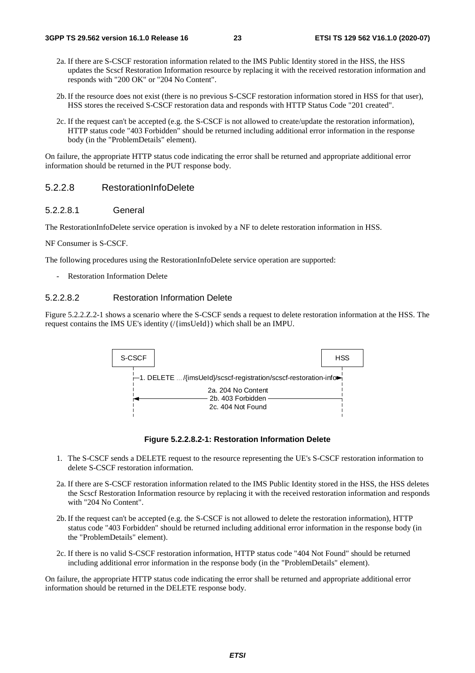- 2a. If there are S-CSCF restoration information related to the IMS Public Identity stored in the HSS, the HSS updates the Scscf Restoration Information resource by replacing it with the received restoration information and responds with "200 OK" or "204 No Content".
- 2b. If the resource does not exist (there is no previous S-CSCF restoration information stored in HSS for that user), HSS stores the received S-CSCF restoration data and responds with HTTP Status Code "201 created".
- 2c. If the request can't be accepted (e.g. the S-CSCF is not allowed to create/update the restoration information), HTTP status code "403 Forbidden" should be returned including additional error information in the response body (in the "ProblemDetails" element).

#### 5.2.2.8 RestorationInfoDelete

#### 5.2.2.8.1 General

The RestorationInfoDelete service operation is invoked by a NF to delete restoration information in HSS.

NF Consumer is S-CSCF.

The following procedures using the RestorationInfoDelete service operation are supported:

Restoration Information Delete

#### 5.2.2.8.2 Restoration Information Delete

Figure 5.2.2.Z.2-1 shows a scenario where the S-CSCF sends a request to delete restoration information at the HSS. The request contains the IMS UE's identity (/{imsUeId}) which shall be an IMPU.





- 1. The S-CSCF sends a DELETE request to the resource representing the UE's S-CSCF restoration information to delete S-CSCF restoration information.
- 2a. If there are S-CSCF restoration information related to the IMS Public Identity stored in the HSS, the HSS deletes the Scscf Restoration Information resource by replacing it with the received restoration information and responds with "204 No Content".
- 2b. If the request can't be accepted (e.g. the S-CSCF is not allowed to delete the restoration information), HTTP status code "403 Forbidden" should be returned including additional error information in the response body (in the "ProblemDetails" element).
- 2c. If there is no valid S-CSCF restoration information, HTTP status code "404 Not Found" should be returned including additional error information in the response body (in the "ProblemDetails" element).

On failure, the appropriate HTTP status code indicating the error shall be returned and appropriate additional error information should be returned in the DELETE response body.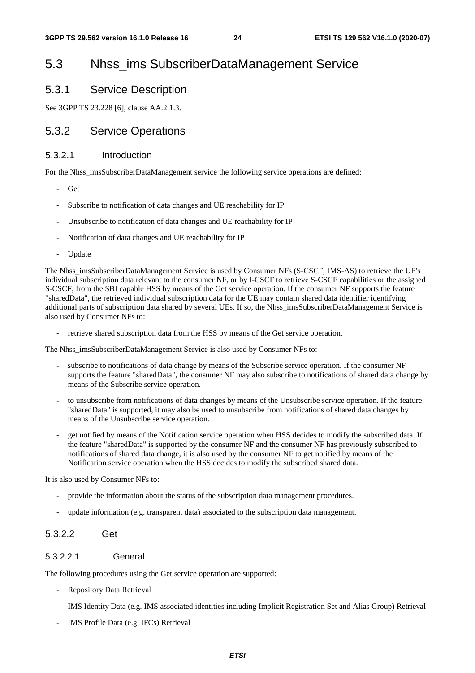# 5.3 Nhss\_ims SubscriberDataManagement Service

### 5.3.1 Service Description

See 3GPP TS 23.228 [6], clause AA.2.1.3.

### 5.3.2 Service Operations

### 5.3.2.1 Introduction

For the Nhss imsSubscriberDataManagement service the following service operations are defined:

- Get
- Subscribe to notification of data changes and UE reachability for IP
- Unsubscribe to notification of data changes and UE reachability for IP
- Notification of data changes and UE reachability for IP
- **Update**

The Nhss\_imsSubscriberDataManagement Service is used by Consumer NFs (S-CSCF, IMS-AS) to retrieve the UE's individual subscription data relevant to the consumer NF, or by I-CSCF to retrieve S-CSCF capabilities or the assigned S-CSCF, from the SBI capable HSS by means of the Get service operation. If the consumer NF supports the feature "sharedData", the retrieved individual subscription data for the UE may contain shared data identifier identifying additional parts of subscription data shared by several UEs. If so, the Nhss\_imsSubscriberDataManagement Service is also used by Consumer NFs to:

retrieve shared subscription data from the HSS by means of the Get service operation.

The Nhss\_imsSubscriberDataManagement Service is also used by Consumer NFs to:

- subscribe to notifications of data change by means of the Subscribe service operation. If the consumer NF supports the feature "sharedData", the consumer NF may also subscribe to notifications of shared data change by means of the Subscribe service operation.
- to unsubscribe from notifications of data changes by means of the Unsubscribe service operation. If the feature "sharedData" is supported, it may also be used to unsubscribe from notifications of shared data changes by means of the Unsubscribe service operation.
- get notified by means of the Notification service operation when HSS decides to modify the subscribed data. If the feature "sharedData" is supported by the consumer NF and the consumer NF has previously subscribed to notifications of shared data change, it is also used by the consumer NF to get notified by means of the Notification service operation when the HSS decides to modify the subscribed shared data.

It is also used by Consumer NFs to:

- provide the information about the status of the subscription data management procedures.
- update information (e.g. transparent data) associated to the subscription data management.

### 5.3.2.2 Get

#### 5.3.2.2.1 General

The following procedures using the Get service operation are supported:

- Repository Data Retrieval
- IMS Identity Data (e.g. IMS associated identities including Implicit Registration Set and Alias Group) Retrieval
- IMS Profile Data (e.g. IFCs) Retrieval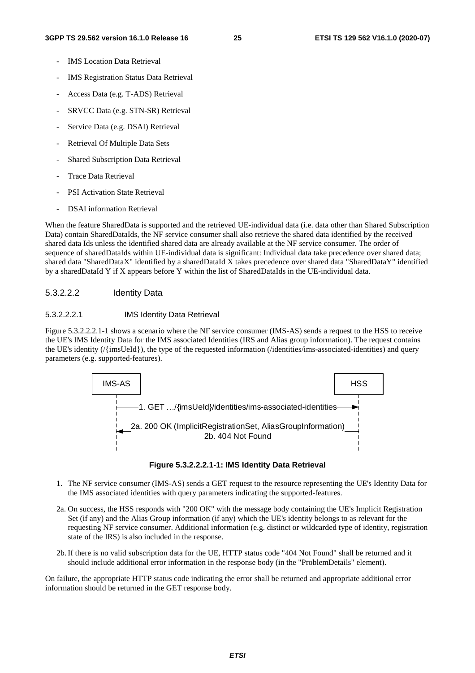- IMS Location Data Retrieval
- IMS Registration Status Data Retrieval
- Access Data (e.g. T-ADS) Retrieval
- SRVCC Data (e.g. STN-SR) Retrieval
- Service Data (e.g. DSAI) Retrieval
- Retrieval Of Multiple Data Sets
- Shared Subscription Data Retrieval
- Trace Data Retrieval
- PSI Activation State Retrieval
- DSAI information Retrieval

When the feature SharedData is supported and the retrieved UE-individual data (i.e. data other than Shared Subscription Data) contain SharedDataIds, the NF service consumer shall also retrieve the shared data identified by the received shared data Ids unless the identified shared data are already available at the NF service consumer. The order of sequence of sharedDataIds within UE-individual data is significant: Individual data take precedence over shared data; shared data "SharedDataX" identified by a sharedDataId X takes precedence over shared data "SharedDataY" identified by a sharedDataId Y if X appears before Y within the list of SharedDataIds in the UE-individual data.

#### 5.3.2.2.2 Identity Data

#### 5.3.2.2.2.1 IMS Identity Data Retrieval

Figure 5.3.2.2.2.1-1 shows a scenario where the NF service consumer (IMS-AS) sends a request to the HSS to receive the UE's IMS Identity Data for the IMS associated Identities (IRS and Alias group information). The request contains the UE's identity (/{imsUeId}), the type of the requested information (/identities/ims-associated-identities) and query parameters (e.g. supported-features).





- 1. The NF service consumer (IMS-AS) sends a GET request to the resource representing the UE's Identity Data for the IMS associated identities with query parameters indicating the supported-features.
- 2a. On success, the HSS responds with "200 OK" with the message body containing the UE's Implicit Registration Set (if any) and the Alias Group information (if any) which the UE's identity belongs to as relevant for the requesting NF service consumer. Additional information (e.g. distinct or wildcarded type of identity, registration state of the IRS) is also included in the response.
- 2b. If there is no valid subscription data for the UE, HTTP status code "404 Not Found" shall be returned and it should include additional error information in the response body (in the "ProblemDetails" element).

On failure, the appropriate HTTP status code indicating the error shall be returned and appropriate additional error information should be returned in the GET response body.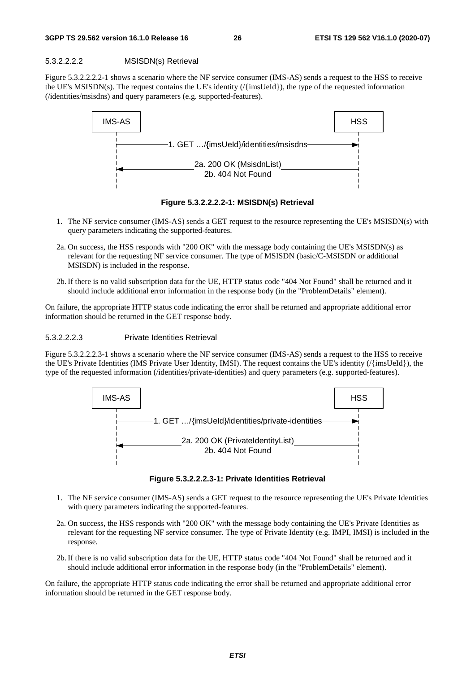#### 5.3.2.2.2.2 MSISDN(s) Retrieval

Figure 5.3.2.2.2.2-1 shows a scenario where the NF service consumer (IMS-AS) sends a request to the HSS to receive the UE's MSISDN(s). The request contains the UE's identity (/{imsUeId}), the type of the requested information (/identities/msisdns) and query parameters (e.g. supported-features).



**Figure 5.3.2.2.2.2-1: MSISDN(s) Retrieval** 

- 1. The NF service consumer (IMS-AS) sends a GET request to the resource representing the UE's MSISDN(s) with query parameters indicating the supported-features.
- 2a. On success, the HSS responds with "200 OK" with the message body containing the UE's MSISDN(s) as relevant for the requesting NF service consumer. The type of MSISDN (basic/C-MSISDN or additional MSISDN) is included in the response.
- 2b. If there is no valid subscription data for the UE, HTTP status code "404 Not Found" shall be returned and it should include additional error information in the response body (in the "ProblemDetails" element).

On failure, the appropriate HTTP status code indicating the error shall be returned and appropriate additional error information should be returned in the GET response body.

#### 5.3.2.2.2.3 Private Identities Retrieval

Figure 5.3.2.2.2.3-1 shows a scenario where the NF service consumer (IMS-AS) sends a request to the HSS to receive the UE's Private Identities (IMS Private User Identity, IMSI). The request contains the UE's identity (/{imsUeId}), the type of the requested information (/identities/private-identities) and query parameters (e.g. supported-features).



**Figure 5.3.2.2.2.3-1: Private Identities Retrieval** 

- 1. The NF service consumer (IMS-AS) sends a GET request to the resource representing the UE's Private Identities with query parameters indicating the supported-features.
- 2a. On success, the HSS responds with "200 OK" with the message body containing the UE's Private Identities as relevant for the requesting NF service consumer. The type of Private Identity (e.g. IMPI, IMSI) is included in the response.
- 2b. If there is no valid subscription data for the UE, HTTP status code "404 Not Found" shall be returned and it should include additional error information in the response body (in the "ProblemDetails" element).

On failure, the appropriate HTTP status code indicating the error shall be returned and appropriate additional error information should be returned in the GET response body.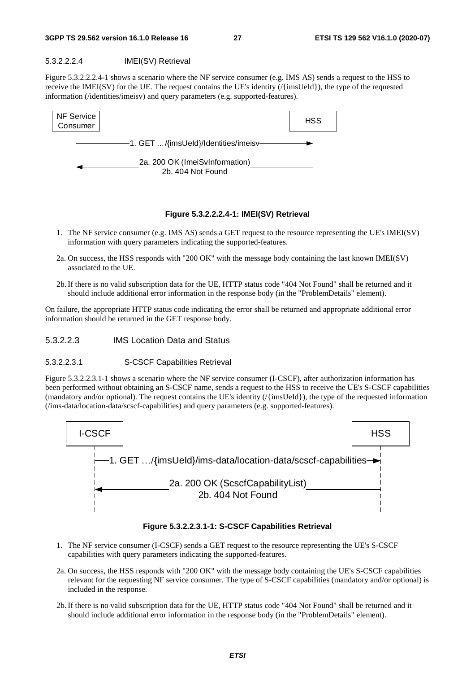#### 5.3.2.2.2.4 IMEI(SV) Retrieval

Figure 5.3.2.2.2.4-1 shows a scenario where the NF service consumer (e.g. IMS AS) sends a request to the HSS to receive the IMEI(SV) for the UE. The request contains the UE's identity (/{imsUeId}), the type of the requested information (/identities/imeisv) and query parameters (e.g. supported-features).



#### **Figure 5.3.2.2.2.4-1: IMEI(SV) Retrieval**

- 1. The NF service consumer (e.g. IMS AS) sends a GET request to the resource representing the UE's IMEI(SV) information with query parameters indicating the supported-features.
- 2a. On success, the HSS responds with "200 OK" with the message body containing the last known IMEI(SV) associated to the UE.
- 2b. If there is no valid subscription data for the UE, HTTP status code "404 Not Found" shall be returned and it should include additional error information in the response body (in the "ProblemDetails" element).

On failure, the appropriate HTTP status code indicating the error shall be returned and appropriate additional error information should be returned in the GET response body.

#### 5.3.2.2.3 IMS Location Data and Status

#### 5.3.2.2.3.1 S-CSCF Capabilities Retrieval

Figure 5.3.2.2.3.1-1 shows a scenario where the NF service consumer (I-CSCF), after authorization information has been performed without obtaining an S-CSCF name, sends a request to the HSS to receive the UE's S-CSCF capabilities (mandatory and/or optional). The request contains the UE's identity (/{imsUeId}), the type of the requested information (/ims-data/location-data/scscf-capabilities) and query parameters (e.g. supported-features).



#### **Figure 5.3.2.2.3.1-1: S-CSCF Capabilities Retrieval**

- 1. The NF service consumer (I-CSCF) sends a GET request to the resource representing the UE's S-CSCF capabilities with query parameters indicating the supported-features.
- 2a. On success, the HSS responds with "200 OK" with the message body containing the UE's S-CSCF capabilities relevant for the requesting NF service consumer. The type of S-CSCF capabilities (mandatory and/or optional) is included in the response.
- 2b. If there is no valid subscription data for the UE, HTTP status code "404 Not Found" shall be returned and it should include additional error information in the response body (in the "ProblemDetails" element).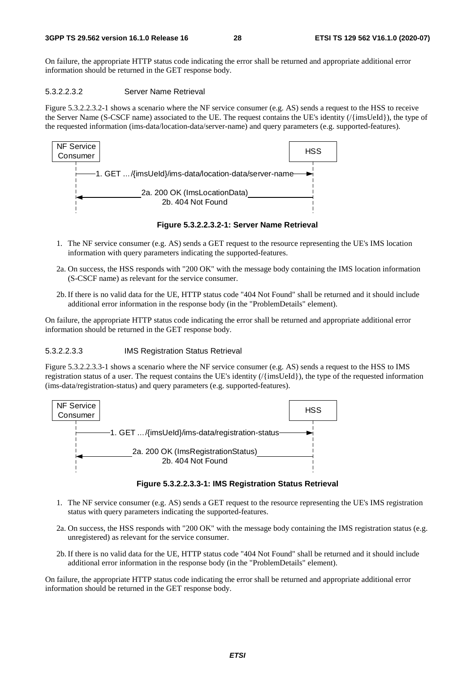#### 5.3.2.2.3.2 Server Name Retrieval

Figure 5.3.2.2.3.2-1 shows a scenario where the NF service consumer (e.g. AS) sends a request to the HSS to receive the Server Name (S-CSCF name) associated to the UE. The request contains the UE's identity (/{imsUeId}), the type of the requested information (ims-data/location-data/server-name) and query parameters (e.g. supported-features).



**Figure 5.3.2.2.3.2-1: Server Name Retrieval** 

- 1. The NF service consumer (e.g. AS) sends a GET request to the resource representing the UE's IMS location information with query parameters indicating the supported-features.
- 2a. On success, the HSS responds with "200 OK" with the message body containing the IMS location information (S-CSCF name) as relevant for the service consumer.
- 2b. If there is no valid data for the UE, HTTP status code "404 Not Found" shall be returned and it should include additional error information in the response body (in the "ProblemDetails" element).

On failure, the appropriate HTTP status code indicating the error shall be returned and appropriate additional error information should be returned in the GET response body.

#### 5.3.2.2.3.3 IMS Registration Status Retrieval

Figure 5.3.2.2.3.3-1 shows a scenario where the NF service consumer (e.g. AS) sends a request to the HSS to IMS registration status of a user. The request contains the UE's identity (/{imsUeId}), the type of the requested information (ims-data/registration-status) and query parameters (e.g. supported-features).



**Figure 5.3.2.2.3.3-1: IMS Registration Status Retrieval** 

- 1. The NF service consumer (e.g. AS) sends a GET request to the resource representing the UE's IMS registration status with query parameters indicating the supported-features.
- 2a. On success, the HSS responds with "200 OK" with the message body containing the IMS registration status (e.g. unregistered) as relevant for the service consumer.
- 2b. If there is no valid data for the UE, HTTP status code "404 Not Found" shall be returned and it should include additional error information in the response body (in the "ProblemDetails" element).

On failure, the appropriate HTTP status code indicating the error shall be returned and appropriate additional error information should be returned in the GET response body.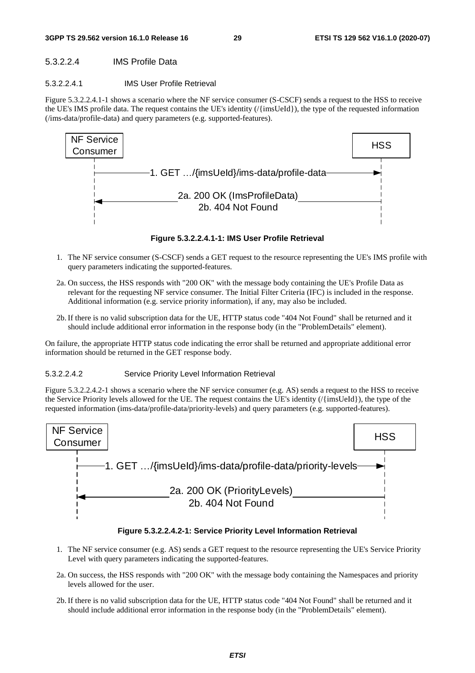#### **3GPP TS 29.562 version 16.1.0 Release 16 29 ETSI TS 129 562 V16.1.0 (2020-07)**

### 5.3.2.2.4 IMS Profile Data

### 5.3.2.2.4.1 IMS User Profile Retrieval

Figure 5.3.2.2.4.1-1 shows a scenario where the NF service consumer (S-CSCF) sends a request to the HSS to receive the UE's IMS profile data. The request contains the UE's identity (/{imsUeId}), the type of the requested information (/ims-data/profile-data) and query parameters (e.g. supported-features).



**Figure 5.3.2.2.4.1-1: IMS User Profile Retrieval** 

- 1. The NF service consumer (S-CSCF) sends a GET request to the resource representing the UE's IMS profile with query parameters indicating the supported-features.
- 2a. On success, the HSS responds with "200 OK" with the message body containing the UE's Profile Data as relevant for the requesting NF service consumer. The Initial Filter Criteria (IFC) is included in the response. Additional information (e.g. service priority information), if any, may also be included.
- 2b. If there is no valid subscription data for the UE, HTTP status code "404 Not Found" shall be returned and it should include additional error information in the response body (in the "ProblemDetails" element).

On failure, the appropriate HTTP status code indicating the error shall be returned and appropriate additional error information should be returned in the GET response body.

### 5.3.2.2.4.2 Service Priority Level Information Retrieval

Figure 5.3.2.2.4.2-1 shows a scenario where the NF service consumer (e.g. AS) sends a request to the HSS to receive the Service Priority levels allowed for the UE. The request contains the UE's identity (/{imsUeId}), the type of the requested information (ims-data/profile-data/priority-levels) and query parameters (e.g. supported-features).



**Figure 5.3.2.2.4.2-1: Service Priority Level Information Retrieval** 

- 1. The NF service consumer (e.g. AS) sends a GET request to the resource representing the UE's Service Priority Level with query parameters indicating the supported-features.
- 2a. On success, the HSS responds with "200 OK" with the message body containing the Namespaces and priority levels allowed for the user.
- 2b. If there is no valid subscription data for the UE, HTTP status code "404 Not Found" shall be returned and it should include additional error information in the response body (in the "ProblemDetails" element).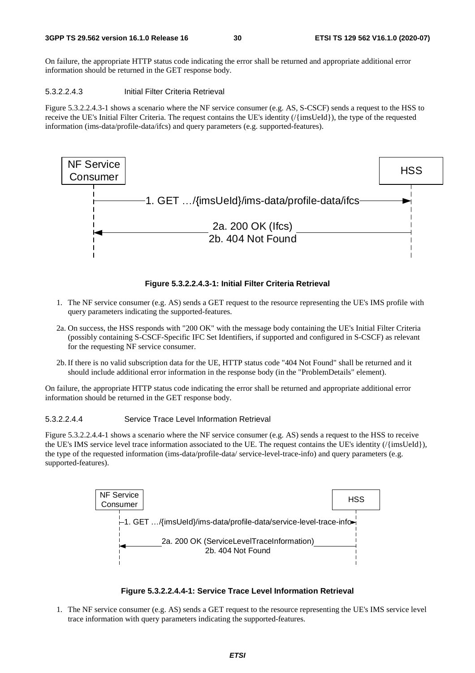#### 5.3.2.2.4.3 Initial Filter Criteria Retrieval

Figure 5.3.2.2.4.3-1 shows a scenario where the NF service consumer (e.g. AS, S-CSCF) sends a request to the HSS to receive the UE's Initial Filter Criteria. The request contains the UE's identity (/{imsUeId}), the type of the requested information (ims-data/profile-data/ifcs) and query parameters (e.g. supported-features).



#### **Figure 5.3.2.2.4.3-1: Initial Filter Criteria Retrieval**

- 1. The NF service consumer (e.g. AS) sends a GET request to the resource representing the UE's IMS profile with query parameters indicating the supported-features.
- 2a. On success, the HSS responds with "200 OK" with the message body containing the UE's Initial Filter Criteria (possibly containing S-CSCF-Specific IFC Set Identifiers, if supported and configured in S-CSCF) as relevant for the requesting NF service consumer.
- 2b. If there is no valid subscription data for the UE, HTTP status code "404 Not Found" shall be returned and it should include additional error information in the response body (in the "ProblemDetails" element).

On failure, the appropriate HTTP status code indicating the error shall be returned and appropriate additional error information should be returned in the GET response body.

#### 5.3.2.2.4.4 Service Trace Level Information Retrieval

Figure 5.3.2.2.4.4-1 shows a scenario where the NF service consumer (e.g. AS) sends a request to the HSS to receive the UE's IMS service level trace information associated to the UE. The request contains the UE's identity (/{imsUeId}), the type of the requested information (ims-data/profile-data/ service-level-trace-info) and query parameters (e.g. supported-features).



#### **Figure 5.3.2.2.4.4-1: Service Trace Level Information Retrieval**

1. The NF service consumer (e.g. AS) sends a GET request to the resource representing the UE's IMS service level trace information with query parameters indicating the supported-features.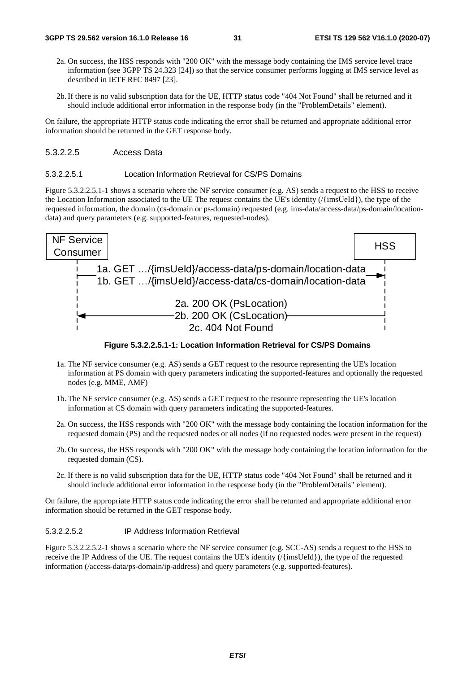- 2a. On success, the HSS responds with "200 OK" with the message body containing the IMS service level trace information (see 3GPP TS 24.323 [24]) so that the service consumer performs logging at IMS service level as described in IETF RFC 8497 [23].
- 2b. If there is no valid subscription data for the UE, HTTP status code "404 Not Found" shall be returned and it should include additional error information in the response body (in the "ProblemDetails" element).

#### 5.3.2.2.5 Access Data

#### 5.3.2.2.5.1 Location Information Retrieval for CS/PS Domains

Figure 5.3.2.2.5.1-1 shows a scenario where the NF service consumer (e.g. AS) sends a request to the HSS to receive the Location Information associated to the UE The request contains the UE's identity (/{imsUeId}), the type of the requested information, the domain (cs-domain or ps-domain) requested (e.g. ims-data/access-data/ps-domain/locationdata) and query parameters (e.g. supported-features, requested-nodes).



**Figure 5.3.2.2.5.1-1: Location Information Retrieval for CS/PS Domains** 

- 1a. The NF service consumer (e.g. AS) sends a GET request to the resource representing the UE's location information at PS domain with query parameters indicating the supported-features and optionally the requested nodes (e.g. MME, AMF)
- 1b. The NF service consumer (e.g. AS) sends a GET request to the resource representing the UE's location information at CS domain with query parameters indicating the supported-features.
- 2a. On success, the HSS responds with "200 OK" with the message body containing the location information for the requested domain (PS) and the requested nodes or all nodes (if no requested nodes were present in the request)
- 2b. On success, the HSS responds with "200 OK" with the message body containing the location information for the requested domain (CS).
- 2c. If there is no valid subscription data for the UE, HTTP status code "404 Not Found" shall be returned and it should include additional error information in the response body (in the "ProblemDetails" element).

On failure, the appropriate HTTP status code indicating the error shall be returned and appropriate additional error information should be returned in the GET response body.

#### 5.3.2.2.5.2 IP Address Information Retrieval

Figure 5.3.2.2.5.2-1 shows a scenario where the NF service consumer (e.g. SCC-AS) sends a request to the HSS to receive the IP Address of the UE. The request contains the UE's identity (/{imsUeId}), the type of the requested information (/access-data/ps-domain/ip-address) and query parameters (e.g. supported-features).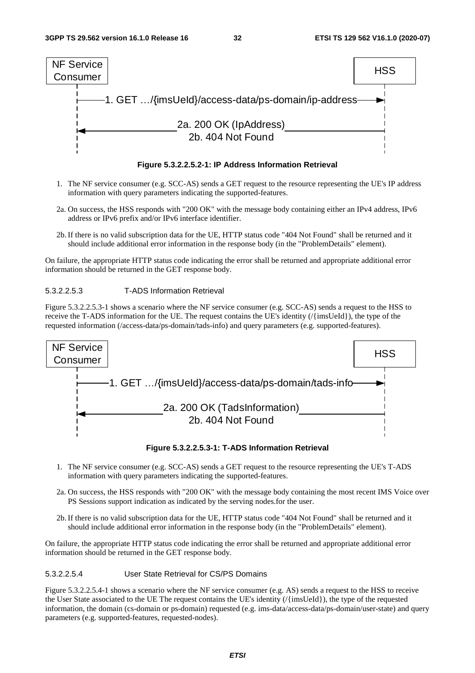

**Figure 5.3.2.2.5.2-1: IP Address Information Retrieval** 

- 1. The NF service consumer (e.g. SCC-AS) sends a GET request to the resource representing the UE's IP address information with query parameters indicating the supported-features.
- 2a. On success, the HSS responds with "200 OK" with the message body containing either an IPv4 address, IPv6 address or IPv6 prefix and/or IPv6 interface identifier.
- 2b. If there is no valid subscription data for the UE, HTTP status code "404 Not Found" shall be returned and it should include additional error information in the response body (in the "ProblemDetails" element).

#### 5.3.2.2.5.3 T-ADS Information Retrieval

Figure 5.3.2.2.5.3-1 shows a scenario where the NF service consumer (e.g. SCC-AS) sends a request to the HSS to receive the T-ADS information for the UE. The request contains the UE's identity (/{imsUeId}), the type of the requested information (/access-data/ps-domain/tads-info) and query parameters (e.g. supported-features).



**Figure 5.3.2.2.5.3-1: T-ADS Information Retrieval** 

- 1. The NF service consumer (e.g. SCC-AS) sends a GET request to the resource representing the UE's T-ADS information with query parameters indicating the supported-features.
- 2a. On success, the HSS responds with "200 OK" with the message body containing the most recent IMS Voice over PS Sessions support indication as indicated by the serving nodes.for the user.
- 2b. If there is no valid subscription data for the UE, HTTP status code "404 Not Found" shall be returned and it should include additional error information in the response body (in the "ProblemDetails" element).

On failure, the appropriate HTTP status code indicating the error shall be returned and appropriate additional error information should be returned in the GET response body.

#### 5.3.2.2.5.4 User State Retrieval for CS/PS Domains

Figure 5.3.2.2.5.4-1 shows a scenario where the NF service consumer (e.g. AS) sends a request to the HSS to receive the User State associated to the UE The request contains the UE's identity (/{imsUeId}), the type of the requested information, the domain (cs-domain or ps-domain) requested (e.g. ims-data/access-data/ps-domain/user-state) and query parameters (e.g. supported-features, requested-nodes).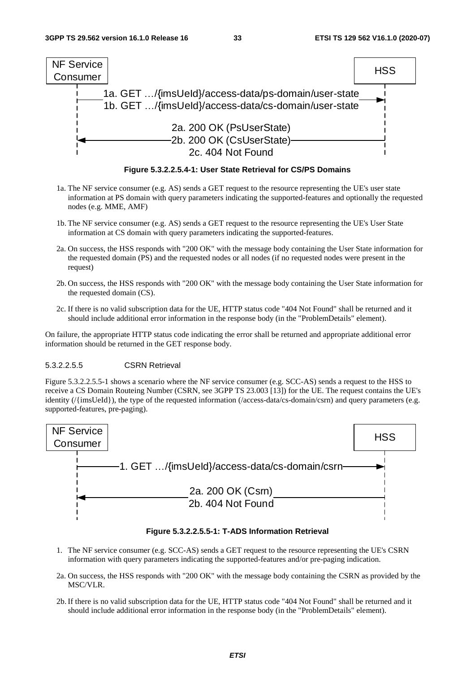

**Figure 5.3.2.2.5.4-1: User State Retrieval for CS/PS Domains** 

- 1a. The NF service consumer (e.g. AS) sends a GET request to the resource representing the UE's user state information at PS domain with query parameters indicating the supported-features and optionally the requested nodes (e.g. MME, AMF)
- 1b. The NF service consumer (e.g. AS) sends a GET request to the resource representing the UE's User State information at CS domain with query parameters indicating the supported-features.
- 2a. On success, the HSS responds with "200 OK" with the message body containing the User State information for the requested domain (PS) and the requested nodes or all nodes (if no requested nodes were present in the request)
- 2b. On success, the HSS responds with "200 OK" with the message body containing the User State information for the requested domain (CS).
- 2c. If there is no valid subscription data for the UE, HTTP status code "404 Not Found" shall be returned and it should include additional error information in the response body (in the "ProblemDetails" element).

#### 5.3.2.2.5.5 CSRN Retrieval

Figure 5.3.2.2.5.5-1 shows a scenario where the NF service consumer (e.g. SCC-AS) sends a request to the HSS to receive a CS Domain Routeing Number (CSRN, see 3GPP TS 23.003 [13]) for the UE. The request contains the UE's identity (/{imsUeId}), the type of the requested information (/access-data/cs-domain/csrn) and query parameters (e.g. supported-features, pre-paging).



#### **Figure 5.3.2.2.5.5-1: T-ADS Information Retrieval**

- 1. The NF service consumer (e.g. SCC-AS) sends a GET request to the resource representing the UE's CSRN information with query parameters indicating the supported-features and/or pre-paging indication.
- 2a. On success, the HSS responds with "200 OK" with the message body containing the CSRN as provided by the MSC/VLR.
- 2b. If there is no valid subscription data for the UE, HTTP status code "404 Not Found" shall be returned and it should include additional error information in the response body (in the "ProblemDetails" element).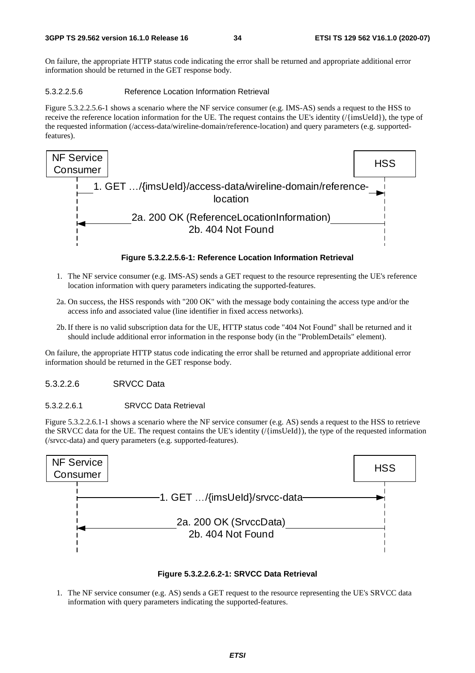#### 5.3.2.2.5.6 Reference Location Information Retrieval

Figure 5.3.2.2.5.6-1 shows a scenario where the NF service consumer (e.g. IMS-AS) sends a request to the HSS to receive the reference location information for the UE. The request contains the UE's identity (/{imsUeId}), the type of the requested information (/access-data/wireline-domain/reference-location) and query parameters (e.g. supportedfeatures).



**Figure 5.3.2.2.5.6-1: Reference Location Information Retrieval** 

- 1. The NF service consumer (e.g. IMS-AS) sends a GET request to the resource representing the UE's reference location information with query parameters indicating the supported-features.
- 2a. On success, the HSS responds with "200 OK" with the message body containing the access type and/or the access info and associated value (line identifier in fixed access networks).
- 2b. If there is no valid subscription data for the UE, HTTP status code "404 Not Found" shall be returned and it should include additional error information in the response body (in the "ProblemDetails" element).

On failure, the appropriate HTTP status code indicating the error shall be returned and appropriate additional error information should be returned in the GET response body.

#### 5.3.2.2.6 SRVCC Data

#### 5.3.2.2.6.1 SRVCC Data Retrieval

Figure 5.3.2.2.6.1-1 shows a scenario where the NF service consumer (e.g. AS) sends a request to the HSS to retrieve the SRVCC data for the UE. The request contains the UE's identity (/{imsUeId}), the type of the requested information (/srvcc-data) and query parameters (e.g. supported-features).





1. The NF service consumer (e.g. AS) sends a GET request to the resource representing the UE's SRVCC data information with query parameters indicating the supported-features.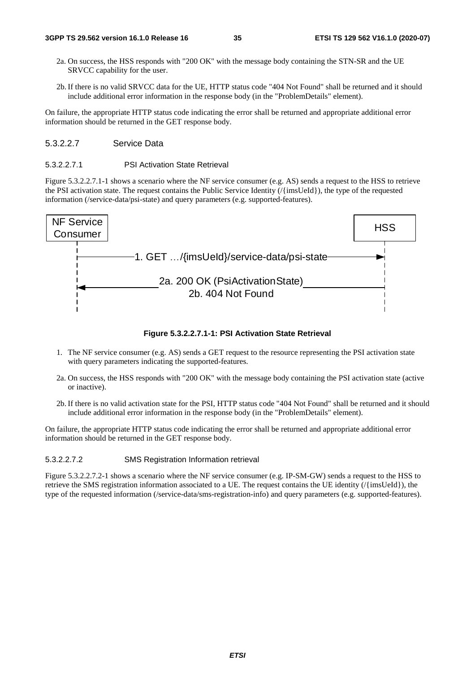- 2a. On success, the HSS responds with "200 OK" with the message body containing the STN-SR and the UE SRVCC capability for the user.
- 2b. If there is no valid SRVCC data for the UE, HTTP status code "404 Not Found" shall be returned and it should include additional error information in the response body (in the "ProblemDetails" element).

#### 5.3.2.2.7 Service Data

#### 5.3.2.2.7.1 PSI Activation State Retrieval

Figure 5.3.2.2.7.1-1 shows a scenario where the NF service consumer (e.g. AS) sends a request to the HSS to retrieve the PSI activation state. The request contains the Public Service Identity (/{imsUeId}), the type of the requested information (/service-data/psi-state) and query parameters (e.g. supported-features).



#### **Figure 5.3.2.2.7.1-1: PSI Activation State Retrieval**

- 1. The NF service consumer (e.g. AS) sends a GET request to the resource representing the PSI activation state with query parameters indicating the supported-features.
- 2a. On success, the HSS responds with "200 OK" with the message body containing the PSI activation state (active or inactive).
- 2b. If there is no valid activation state for the PSI, HTTP status code "404 Not Found" shall be returned and it should include additional error information in the response body (in the "ProblemDetails" element).

On failure, the appropriate HTTP status code indicating the error shall be returned and appropriate additional error information should be returned in the GET response body.

#### 5.3.2.2.7.2 SMS Registration Information retrieval

Figure 5.3.2.2.7.2-1 shows a scenario where the NF service consumer (e.g. IP-SM-GW) sends a request to the HSS to retrieve the SMS registration information associated to a UE. The request contains the UE identity (/{imsUeId}), the type of the requested information (/service-data/sms-registration-info) and query parameters (e.g. supported-features).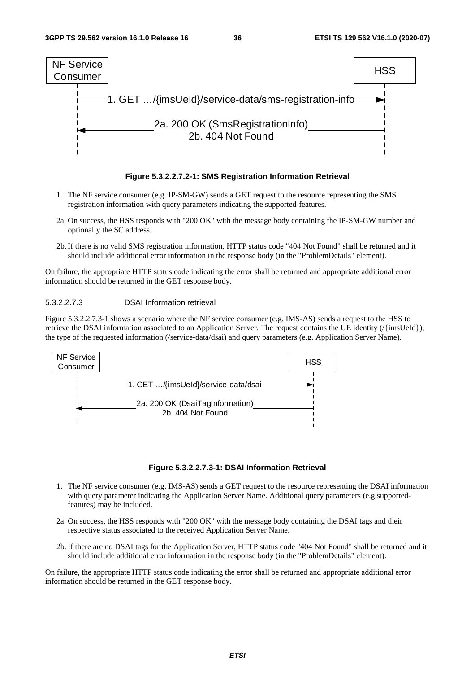

#### **Figure 5.3.2.2.7.2-1: SMS Registration Information Retrieval**

- 1. The NF service consumer (e.g. IP-SM-GW) sends a GET request to the resource representing the SMS registration information with query parameters indicating the supported-features.
- 2a. On success, the HSS responds with "200 OK" with the message body containing the IP-SM-GW number and optionally the SC address.
- 2b. If there is no valid SMS registration information, HTTP status code "404 Not Found" shall be returned and it should include additional error information in the response body (in the "ProblemDetails" element).

On failure, the appropriate HTTP status code indicating the error shall be returned and appropriate additional error information should be returned in the GET response body.

#### 5.3.2.2.7.3 DSAI Information retrieval

Figure 5.3.2.2.7.3-1 shows a scenario where the NF service consumer (e.g. IMS-AS) sends a request to the HSS to retrieve the DSAI information associated to an Application Server. The request contains the UE identity (/{imsUeId}), the type of the requested information (/service-data/dsai) and query parameters (e.g. Application Server Name).



#### **Figure 5.3.2.2.7.3-1: DSAI Information Retrieval**

- 1. The NF service consumer (e.g. IMS-AS) sends a GET request to the resource representing the DSAI information with query parameter indicating the Application Server Name. Additional query parameters (e.g.supportedfeatures) may be included.
- 2a. On success, the HSS responds with "200 OK" with the message body containing the DSAI tags and their respective status associated to the received Application Server Name.
- 2b. If there are no DSAI tags for the Application Server, HTTP status code "404 Not Found" shall be returned and it should include additional error information in the response body (in the "ProblemDetails" element).

On failure, the appropriate HTTP status code indicating the error shall be returned and appropriate additional error information should be returned in the GET response body.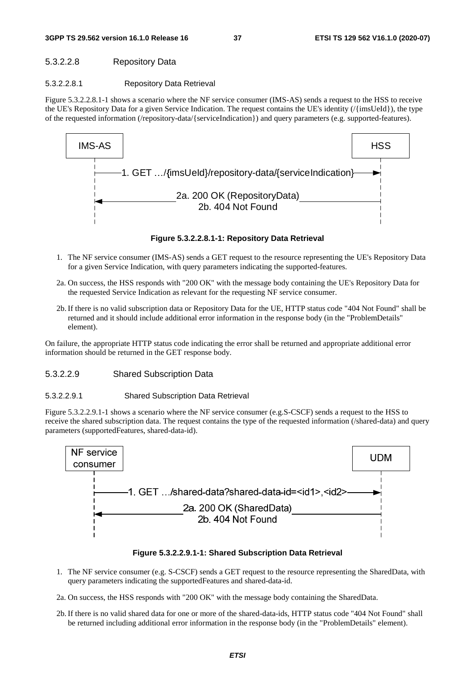#### **3GPP TS 29.562 version 16.1.0 Release 16 37 ETSI TS 129 562 V16.1.0 (2020-07)**

# 5.3.2.2.8 Repository Data

### 5.3.2.2.8.1 Repository Data Retrieval

Figure 5.3.2.2.8.1-1 shows a scenario where the NF service consumer (IMS-AS) sends a request to the HSS to receive the UE's Repository Data for a given Service Indication. The request contains the UE's identity (/{imsUeId}), the type of the requested information (/repository-data/{serviceIndication}) and query parameters (e.g. supported-features).



**Figure 5.3.2.2.8.1-1: Repository Data Retrieval** 

- 1. The NF service consumer (IMS-AS) sends a GET request to the resource representing the UE's Repository Data for a given Service Indication, with query parameters indicating the supported-features.
- 2a. On success, the HSS responds with "200 OK" with the message body containing the UE's Repository Data for the requested Service Indication as relevant for the requesting NF service consumer.
- 2b. If there is no valid subscription data or Repository Data for the UE, HTTP status code "404 Not Found" shall be returned and it should include additional error information in the response body (in the "ProblemDetails" element).

On failure, the appropriate HTTP status code indicating the error shall be returned and appropriate additional error information should be returned in the GET response body.

# 5.3.2.2.9 Shared Subscription Data

### 5.3.2.2.9.1 Shared Subscription Data Retrieval

Figure 5.3.2.2.9.1-1 shows a scenario where the NF service consumer (e.g.S-CSCF) sends a request to the HSS to receive the shared subscription data. The request contains the type of the requested information (/shared-data) and query parameters (supportedFeatures, shared-data-id).



**Figure 5.3.2.2.9.1-1: Shared Subscription Data Retrieval** 

- 1. The NF service consumer (e.g. S-CSCF) sends a GET request to the resource representing the SharedData, with query parameters indicating the supportedFeatures and shared-data-id.
- 2a. On success, the HSS responds with "200 OK" with the message body containing the SharedData.
- 2b. If there is no valid shared data for one or more of the shared-data-ids, HTTP status code "404 Not Found" shall be returned including additional error information in the response body (in the "ProblemDetails" element).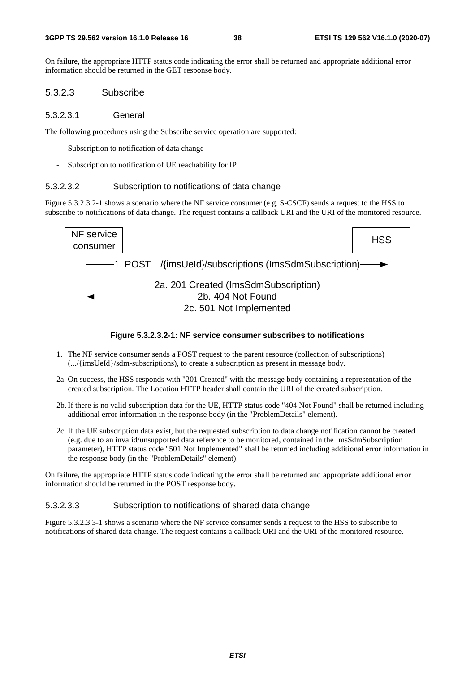On failure, the appropriate HTTP status code indicating the error shall be returned and appropriate additional error information should be returned in the GET response body.

### 5.3.2.3 Subscribe

#### 5.3.2.3.1 General

The following procedures using the Subscribe service operation are supported:

- Subscription to notification of data change
- Subscription to notification of UE reachability for IP

#### 5.3.2.3.2 Subscription to notifications of data change

Figure 5.3.2.3.2-1 shows a scenario where the NF service consumer (e.g. S-CSCF) sends a request to the HSS to subscribe to notifications of data change. The request contains a callback URI and the URI of the monitored resource.



**Figure 5.3.2.3.2-1: NF service consumer subscribes to notifications** 

- 1. The NF service consumer sends a POST request to the parent resource (collection of subscriptions) (.../{imsUeId}/sdm-subscriptions), to create a subscription as present in message body.
- 2a. On success, the HSS responds with "201 Created" with the message body containing a representation of the created subscription. The Location HTTP header shall contain the URI of the created subscription.
- 2b. If there is no valid subscription data for the UE, HTTP status code "404 Not Found" shall be returned including additional error information in the response body (in the "ProblemDetails" element).
- 2c. If the UE subscription data exist, but the requested subscription to data change notification cannot be created (e.g. due to an invalid/unsupported data reference to be monitored, contained in the ImsSdmSubscription parameter), HTTP status code "501 Not Implemented" shall be returned including additional error information in the response body (in the "ProblemDetails" element).

On failure, the appropriate HTTP status code indicating the error shall be returned and appropriate additional error information should be returned in the POST response body.

### 5.3.2.3.3 Subscription to notifications of shared data change

Figure 5.3.2.3.3-1 shows a scenario where the NF service consumer sends a request to the HSS to subscribe to notifications of shared data change. The request contains a callback URI and the URI of the monitored resource.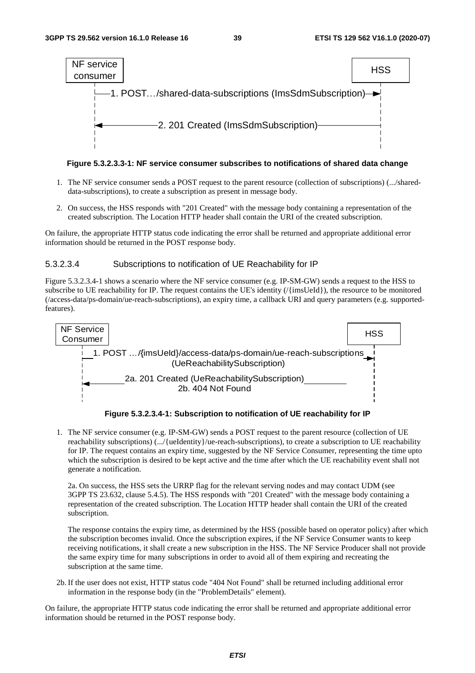



- 1. The NF service consumer sends a POST request to the parent resource (collection of subscriptions) (.../shareddata-subscriptions), to create a subscription as present in message body.
- 2. On success, the HSS responds with "201 Created" with the message body containing a representation of the created subscription. The Location HTTP header shall contain the URI of the created subscription.

On failure, the appropriate HTTP status code indicating the error shall be returned and appropriate additional error information should be returned in the POST response body.

#### 5.3.2.3.4 Subscriptions to notification of UE Reachability for IP

Figure 5.3.2.3.4-1 shows a scenario where the NF service consumer (e.g. IP-SM-GW) sends a request to the HSS to subscribe to UE reachability for IP. The request contains the UE's identity (/{imsUeId}), the resource to be monitored (/access-data/ps-domain/ue-reach-subscriptions), an expiry time, a callback URI and query parameters (e.g. supportedfeatures).



**Figure 5.3.2.3.4-1: Subscription to notification of UE reachability for IP** 

1. The NF service consumer (e.g. IP-SM-GW) sends a POST request to the parent resource (collection of UE reachability subscriptions) (.../{ueIdentity}/ue-reach-subscriptions), to create a subscription to UE reachability for IP. The request contains an expiry time, suggested by the NF Service Consumer, representing the time upto which the subscription is desired to be kept active and the time after which the UE reachability event shall not generate a notification.

2a. On success, the HSS sets the URRP flag for the relevant serving nodes and may contact UDM (see 3GPP TS 23.632, clause 5.4.5). The HSS responds with "201 Created" with the message body containing a representation of the created subscription. The Location HTTP header shall contain the URI of the created subscription.

The response contains the expiry time, as determined by the HSS (possible based on operator policy) after which the subscription becomes invalid. Once the subscription expires, if the NF Service Consumer wants to keep receiving notifications, it shall create a new subscription in the HSS. The NF Service Producer shall not provide the same expiry time for many subscriptions in order to avoid all of them expiring and recreating the subscription at the same time.

2b. If the user does not exist, HTTP status code "404 Not Found" shall be returned including additional error information in the response body (in the "ProblemDetails" element).

On failure, the appropriate HTTP status code indicating the error shall be returned and appropriate additional error information should be returned in the POST response body.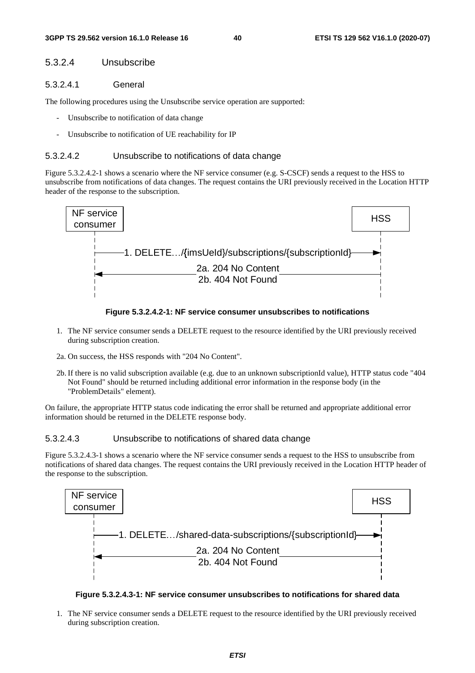## 5.3.2.4 Unsubscribe

#### 5.3.2.4.1 General

The following procedures using the Unsubscribe service operation are supported:

- Unsubscribe to notification of data change
- Unsubscribe to notification of UE reachability for IP

#### 5.3.2.4.2 Unsubscribe to notifications of data change

Figure 5.3.2.4.2-1 shows a scenario where the NF service consumer (e.g. S-CSCF) sends a request to the HSS to unsubscribe from notifications of data changes. The request contains the URI previously received in the Location HTTP header of the response to the subscription.



#### **Figure 5.3.2.4.2-1: NF service consumer unsubscribes to notifications**

- 1. The NF service consumer sends a DELETE request to the resource identified by the URI previously received during subscription creation.
- 2a. On success, the HSS responds with "204 No Content".
- 2b. If there is no valid subscription available (e.g. due to an unknown subscriptionId value), HTTP status code "404 Not Found" should be returned including additional error information in the response body (in the "ProblemDetails" element).

On failure, the appropriate HTTP status code indicating the error shall be returned and appropriate additional error information should be returned in the DELETE response body.

#### 5.3.2.4.3 Unsubscribe to notifications of shared data change

Figure 5.3.2.4.3-1 shows a scenario where the NF service consumer sends a request to the HSS to unsubscribe from notifications of shared data changes. The request contains the URI previously received in the Location HTTP header of the response to the subscription.



### **Figure 5.3.2.4.3-1: NF service consumer unsubscribes to notifications for shared data**

1. The NF service consumer sends a DELETE request to the resource identified by the URI previously received during subscription creation.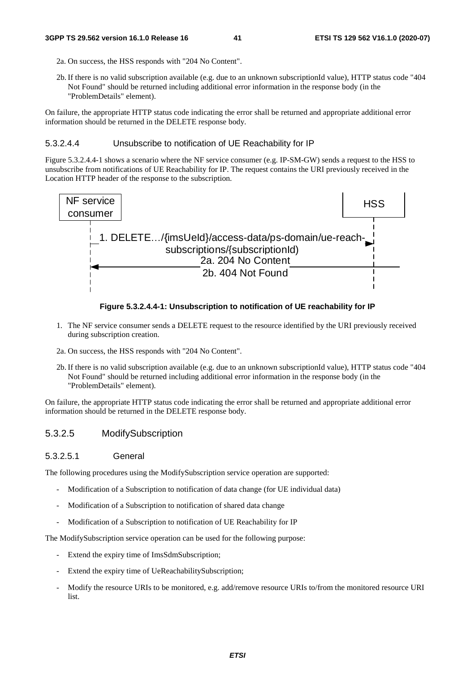- 2a. On success, the HSS responds with "204 No Content".
- 2b. If there is no valid subscription available (e.g. due to an unknown subscriptionId value), HTTP status code "404 Not Found" should be returned including additional error information in the response body (in the "ProblemDetails" element).

On failure, the appropriate HTTP status code indicating the error shall be returned and appropriate additional error information should be returned in the DELETE response body.

#### 5.3.2.4.4 Unsubscribe to notification of UE Reachability for IP

Figure 5.3.2.4.4-1 shows a scenario where the NF service consumer (e.g. IP-SM-GW) sends a request to the HSS to unsubscribe from notifications of UE Reachability for IP. The request contains the URI previously received in the Location HTTP header of the response to the subscription.



#### **Figure 5.3.2.4.4-1: Unsubscription to notification of UE reachability for IP**

- 1. The NF service consumer sends a DELETE request to the resource identified by the URI previously received during subscription creation.
- 2a. On success, the HSS responds with "204 No Content".
- 2b. If there is no valid subscription available (e.g. due to an unknown subscriptionId value), HTTP status code "404 Not Found" should be returned including additional error information in the response body (in the "ProblemDetails" element).

On failure, the appropriate HTTP status code indicating the error shall be returned and appropriate additional error information should be returned in the DELETE response body.

# 5.3.2.5 ModifySubscription

#### 5.3.2.5.1 General

The following procedures using the ModifySubscription service operation are supported:

- Modification of a Subscription to notification of data change (for UE individual data)
- Modification of a Subscription to notification of shared data change
- Modification of a Subscription to notification of UE Reachability for IP

The ModifySubscription service operation can be used for the following purpose:

- Extend the expiry time of ImsSdmSubscription;
- Extend the expiry time of UeReachabilitySubscription;
- Modify the resource URIs to be monitored, e.g. add/remove resource URIs to/from the monitored resource URI list.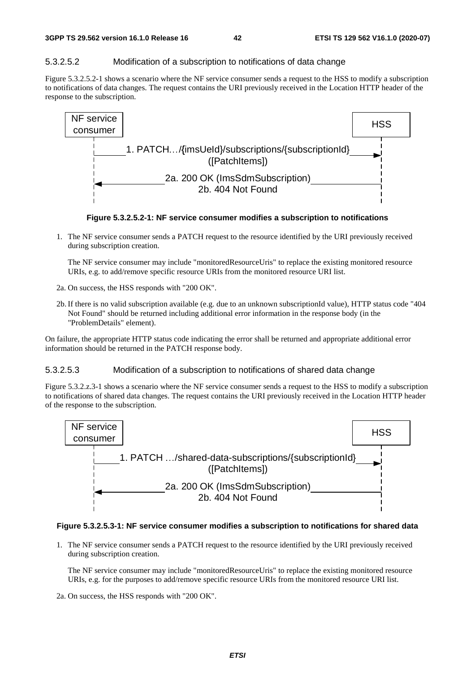# 5.3.2.5.2 Modification of a subscription to notifications of data change

Figure 5.3.2.5.2-1 shows a scenario where the NF service consumer sends a request to the HSS to modify a subscription to notifications of data changes. The request contains the URI previously received in the Location HTTP header of the response to the subscription.



**Figure 5.3.2.5.2-1: NF service consumer modifies a subscription to notifications** 

1. The NF service consumer sends a PATCH request to the resource identified by the URI previously received during subscription creation.

 The NF service consumer may include "monitoredResourceUris" to replace the existing monitored resource URIs, e.g. to add/remove specific resource URIs from the monitored resource URI list.

- 2a. On success, the HSS responds with "200 OK".
- 2b. If there is no valid subscription available (e.g. due to an unknown subscriptionId value), HTTP status code "404 Not Found" should be returned including additional error information in the response body (in the "ProblemDetails" element).

On failure, the appropriate HTTP status code indicating the error shall be returned and appropriate additional error information should be returned in the PATCH response body.

#### 5.3.2.5.3 Modification of a subscription to notifications of shared data change

Figure 5.3.2.z.3-1 shows a scenario where the NF service consumer sends a request to the HSS to modify a subscription to notifications of shared data changes. The request contains the URI previously received in the Location HTTP header of the response to the subscription.



#### **Figure 5.3.2.5.3-1: NF service consumer modifies a subscription to notifications for shared data**

1. The NF service consumer sends a PATCH request to the resource identified by the URI previously received during subscription creation.

 The NF service consumer may include "monitoredResourceUris" to replace the existing monitored resource URIs, e.g. for the purposes to add/remove specific resource URIs from the monitored resource URI list.

2a. On success, the HSS responds with "200 OK".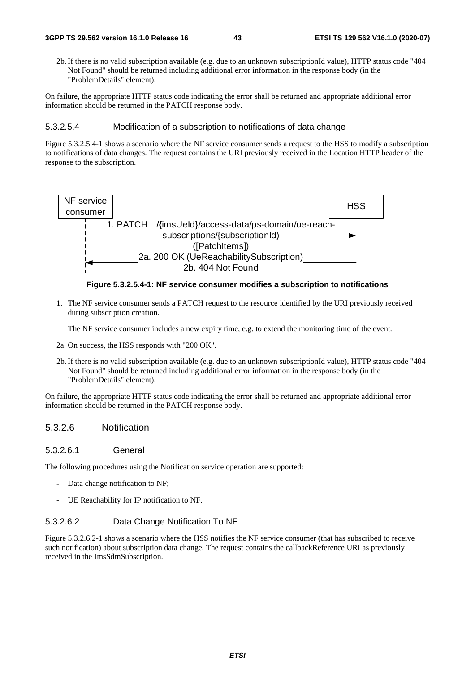2b. If there is no valid subscription available (e.g. due to an unknown subscriptionId value), HTTP status code "404 Not Found" should be returned including additional error information in the response body (in the "ProblemDetails" element).

On failure, the appropriate HTTP status code indicating the error shall be returned and appropriate additional error information should be returned in the PATCH response body.

#### 5.3.2.5.4 Modification of a subscription to notifications of data change

Figure 5.3.2.5.4-1 shows a scenario where the NF service consumer sends a request to the HSS to modify a subscription to notifications of data changes. The request contains the URI previously received in the Location HTTP header of the response to the subscription.



**Figure 5.3.2.5.4-1: NF service consumer modifies a subscription to notifications** 

1. The NF service consumer sends a PATCH request to the resource identified by the URI previously received during subscription creation.

The NF service consumer includes a new expiry time, e.g. to extend the monitoring time of the event.

- 2a. On success, the HSS responds with "200 OK".
- 2b. If there is no valid subscription available (e.g. due to an unknown subscriptionId value), HTTP status code "404 Not Found" should be returned including additional error information in the response body (in the "ProblemDetails" element).

On failure, the appropriate HTTP status code indicating the error shall be returned and appropriate additional error information should be returned in the PATCH response body.

### 5.3.2.6 Notification

#### 5.3.2.6.1 General

The following procedures using the Notification service operation are supported:

- Data change notification to NF;
- UE Reachability for IP notification to NF.

### 5.3.2.6.2 Data Change Notification To NF

Figure 5.3.2.6.2-1 shows a scenario where the HSS notifies the NF service consumer (that has subscribed to receive such notification) about subscription data change. The request contains the callbackReference URI as previously received in the ImsSdmSubscription.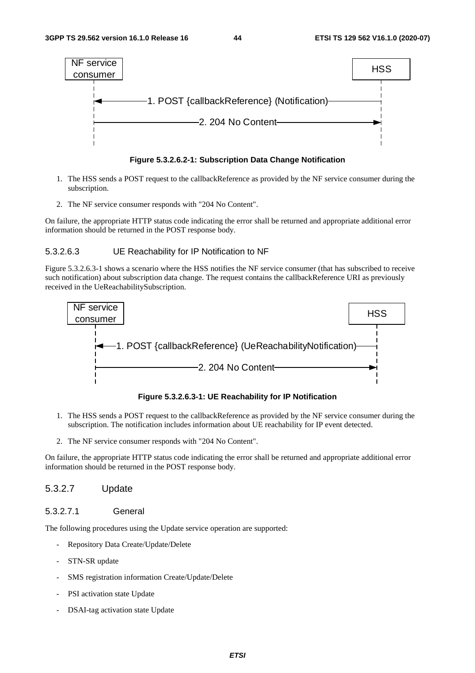



- 1. The HSS sends a POST request to the callbackReference as provided by the NF service consumer during the subscription.
- 2. The NF service consumer responds with "204 No Content".

On failure, the appropriate HTTP status code indicating the error shall be returned and appropriate additional error information should be returned in the POST response body.

#### 5.3.2.6.3 UE Reachability for IP Notification to NF

Figure 5.3.2.6.3-1 shows a scenario where the HSS notifies the NF service consumer (that has subscribed to receive such notification) about subscription data change. The request contains the callbackReference URI as previously received in the UeReachabilitySubscription.



**Figure 5.3.2.6.3-1: UE Reachability for IP Notification** 

- 1. The HSS sends a POST request to the callbackReference as provided by the NF service consumer during the subscription. The notification includes information about UE reachability for IP event detected.
- 2. The NF service consumer responds with "204 No Content".

On failure, the appropriate HTTP status code indicating the error shall be returned and appropriate additional error information should be returned in the POST response body.

### 5.3.2.7 Update

# 5.3.2.7.1 General

The following procedures using the Update service operation are supported:

- Repository Data Create/Update/Delete
- STN-SR update
- SMS registration information Create/Update/Delete
- PSI activation state Update
- DSAI-tag activation state Update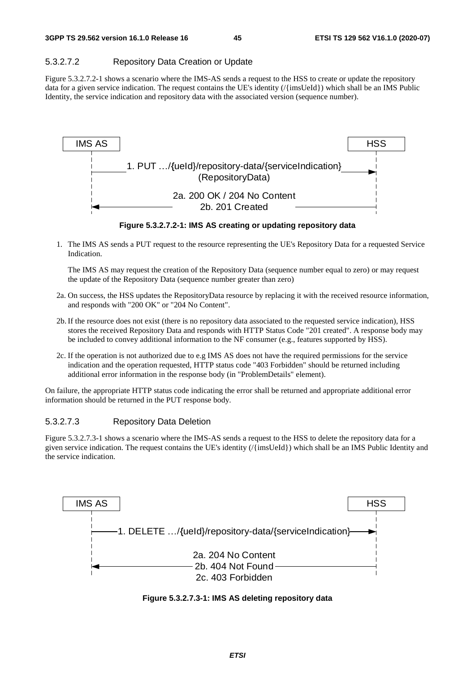# 5.3.2.7.2 Repository Data Creation or Update

Figure 5.3.2.7.2-1 shows a scenario where the IMS-AS sends a request to the HSS to create or update the repository data for a given service indication. The request contains the UE's identity (/{imsUeId}) which shall be an IMS Public Identity, the service indication and repository data with the associated version (sequence number).



**Figure 5.3.2.7.2-1: IMS AS creating or updating repository data** 

1. The IMS AS sends a PUT request to the resource representing the UE's Repository Data for a requested Service Indication.

 The IMS AS may request the creation of the Repository Data (sequence number equal to zero) or may request the update of the Repository Data (sequence number greater than zero)

- 2a. On success, the HSS updates the RepositoryData resource by replacing it with the received resource information, and responds with "200 OK" or "204 No Content".
- 2b. If the resource does not exist (there is no repository data associated to the requested service indication), HSS stores the received Repository Data and responds with HTTP Status Code "201 created". A response body may be included to convey additional information to the NF consumer (e.g., features supported by HSS).
- 2c. If the operation is not authorized due to e.g IMS AS does not have the required permissions for the service indication and the operation requested, HTTP status code "403 Forbidden" should be returned including additional error information in the response body (in "ProblemDetails" element).

On failure, the appropriate HTTP status code indicating the error shall be returned and appropriate additional error information should be returned in the PUT response body.

# 5.3.2.7.3 Repository Data Deletion

Figure 5.3.2.7.3-1 shows a scenario where the IMS-AS sends a request to the HSS to delete the repository data for a given service indication. The request contains the UE's identity (/{imsUeId}) which shall be an IMS Public Identity and the service indication.



**Figure 5.3.2.7.3-1: IMS AS deleting repository data**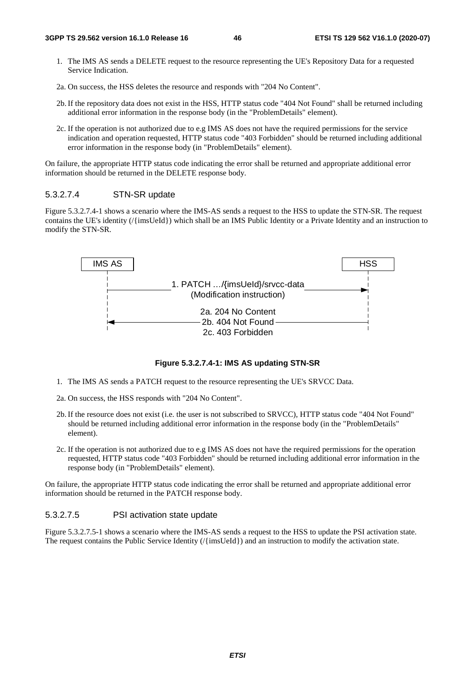- 1. The IMS AS sends a DELETE request to the resource representing the UE's Repository Data for a requested Service Indication.
- 2a. On success, the HSS deletes the resource and responds with "204 No Content".
- 2b. If the repository data does not exist in the HSS, HTTP status code "404 Not Found" shall be returned including additional error information in the response body (in the "ProblemDetails" element).
- 2c. If the operation is not authorized due to e.g IMS AS does not have the required permissions for the service indication and operation requested, HTTP status code "403 Forbidden" should be returned including additional error information in the response body (in "ProblemDetails" element).

On failure, the appropriate HTTP status code indicating the error shall be returned and appropriate additional error information should be returned in the DELETE response body.

### 5.3.2.7.4 STN-SR update

Figure 5.3.2.7.4-1 shows a scenario where the IMS-AS sends a request to the HSS to update the STN-SR. The request contains the UE's identity (/{imsUeId}) which shall be an IMS Public Identity or a Private Identity and an instruction to modify the STN-SR.



**Figure 5.3.2.7.4-1: IMS AS updating STN-SR** 

- 1. The IMS AS sends a PATCH request to the resource representing the UE's SRVCC Data.
- 2a. On success, the HSS responds with "204 No Content".
- 2b. If the resource does not exist (i.e. the user is not subscribed to SRVCC), HTTP status code "404 Not Found" should be returned including additional error information in the response body (in the "ProblemDetails" element).
- 2c. If the operation is not authorized due to e.g IMS AS does not have the required permissions for the operation requested, HTTP status code "403 Forbidden" should be returned including additional error information in the response body (in "ProblemDetails" element).

On failure, the appropriate HTTP status code indicating the error shall be returned and appropriate additional error information should be returned in the PATCH response body.

#### 5.3.2.7.5 PSI activation state update

Figure 5.3.2.7.5-1 shows a scenario where the IMS-AS sends a request to the HSS to update the PSI activation state. The request contains the Public Service Identity (/{imsUeId}) and an instruction to modify the activation state.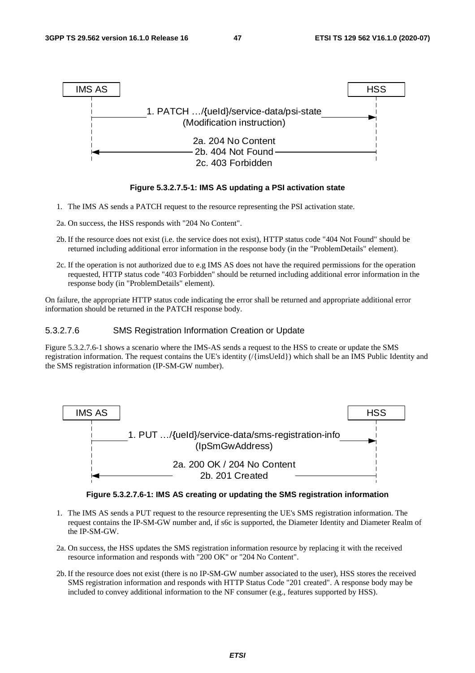

#### **Figure 5.3.2.7.5-1: IMS AS updating a PSI activation state**

- 1. The IMS AS sends a PATCH request to the resource representing the PSI activation state.
- 2a. On success, the HSS responds with "204 No Content".
- 2b. If the resource does not exist (i.e. the service does not exist), HTTP status code "404 Not Found" should be returned including additional error information in the response body (in the "ProblemDetails" element).
- 2c. If the operation is not authorized due to e.g IMS AS does not have the required permissions for the operation requested, HTTP status code "403 Forbidden" should be returned including additional error information in the response body (in "ProblemDetails" element).

On failure, the appropriate HTTP status code indicating the error shall be returned and appropriate additional error information should be returned in the PATCH response body.

#### 5.3.2.7.6 SMS Registration Information Creation or Update

Figure 5.3.2.7.6-1 shows a scenario where the IMS-AS sends a request to the HSS to create or update the SMS registration information. The request contains the UE's identity (/{imsUeId}) which shall be an IMS Public Identity and the SMS registration information (IP-SM-GW number).





- 1. The IMS AS sends a PUT request to the resource representing the UE's SMS registration information. The request contains the IP-SM-GW number and, if s6c is supported, the Diameter Identity and Diameter Realm of the IP-SM-GW.
- 2a. On success, the HSS updates the SMS registration information resource by replacing it with the received resource information and responds with "200 OK" or "204 No Content".
- 2b. If the resource does not exist (there is no IP-SM-GW number associated to the user), HSS stores the received SMS registration information and responds with HTTP Status Code "201 created". A response body may be included to convey additional information to the NF consumer (e.g., features supported by HSS).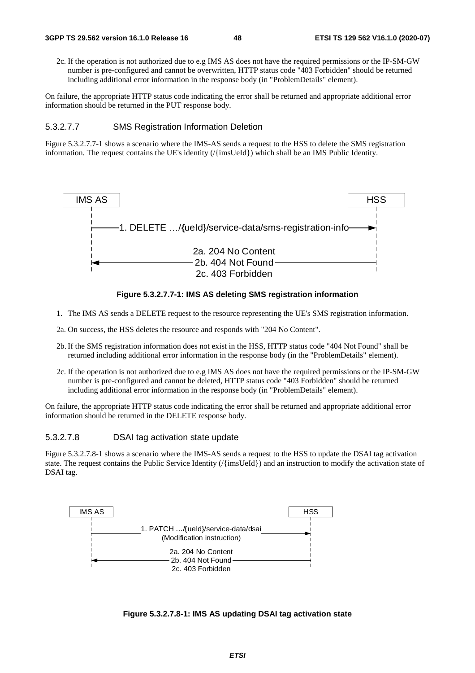2c. If the operation is not authorized due to e.g IMS AS does not have the required permissions or the IP-SM-GW number is pre-configured and cannot be overwritten, HTTP status code "403 Forbidden" should be returned including additional error information in the response body (in "ProblemDetails" element).

On failure, the appropriate HTTP status code indicating the error shall be returned and appropriate additional error information should be returned in the PUT response body.

#### 5.3.2.7.7 SMS Registration Information Deletion

Figure 5.3.2.7.7-1 shows a scenario where the IMS-AS sends a request to the HSS to delete the SMS registration information. The request contains the UE's identity (/{imsUeId}) which shall be an IMS Public Identity.



#### **Figure 5.3.2.7.7-1: IMS AS deleting SMS registration information**

- 1. The IMS AS sends a DELETE request to the resource representing the UE's SMS registration information.
- 2a. On success, the HSS deletes the resource and responds with "204 No Content".
- 2b. If the SMS registration information does not exist in the HSS, HTTP status code "404 Not Found" shall be returned including additional error information in the response body (in the "ProblemDetails" element).
- 2c. If the operation is not authorized due to e.g IMS AS does not have the required permissions or the IP-SM-GW number is pre-configured and cannot be deleted, HTTP status code "403 Forbidden" should be returned including additional error information in the response body (in "ProblemDetails" element).

On failure, the appropriate HTTP status code indicating the error shall be returned and appropriate additional error information should be returned in the DELETE response body.

#### 5.3.2.7.8 DSAI tag activation state update

Figure 5.3.2.7.8-1 shows a scenario where the IMS-AS sends a request to the HSS to update the DSAI tag activation state. The request contains the Public Service Identity (/{imsUeId}) and an instruction to modify the activation state of DSAI tag.



**Figure 5.3.2.7.8-1: IMS AS updating DSAI tag activation state**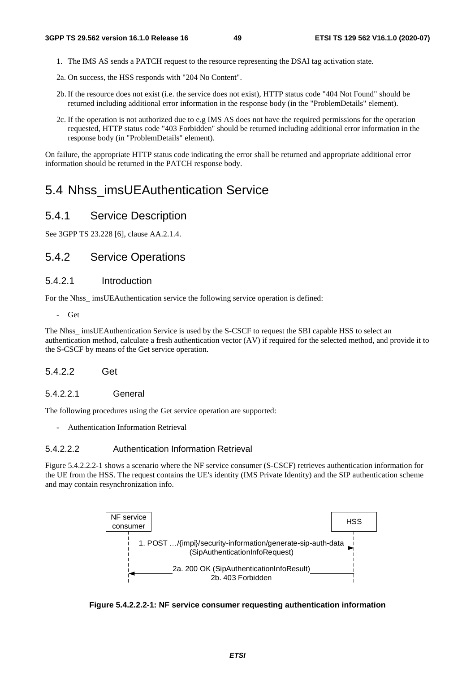- 1. The IMS AS sends a PATCH request to the resource representing the DSAI tag activation state.
- 2a. On success, the HSS responds with "204 No Content".
- 2b. If the resource does not exist (i.e. the service does not exist), HTTP status code "404 Not Found" should be returned including additional error information in the response body (in the "ProblemDetails" element).
- 2c. If the operation is not authorized due to e.g IMS AS does not have the required permissions for the operation requested, HTTP status code "403 Forbidden" should be returned including additional error information in the response body (in "ProblemDetails" element).

On failure, the appropriate HTTP status code indicating the error shall be returned and appropriate additional error information should be returned in the PATCH response body.

# 5.4 Nhss\_imsUEAuthentication Service

# 5.4.1 Service Description

See 3GPP TS 23.228 [6], clause AA.2.1.4.

# 5.4.2 Service Operations

# 5.4.2.1 Introduction

For the Nhss\_ imsUEAuthentication service the following service operation is defined:

- Get

The Nhss\_ imsUEAuthentication Service is used by the S-CSCF to request the SBI capable HSS to select an authentication method, calculate a fresh authentication vector (AV) if required for the selected method, and provide it to the S-CSCF by means of the Get service operation.

## 5.4.2.2 Get

#### 5.4.2.2.1 General

The following procedures using the Get service operation are supported:

- Authentication Information Retrieval

#### 5.4.2.2.2 Authentication Information Retrieval

Figure 5.4.2.2.2-1 shows a scenario where the NF service consumer (S-CSCF) retrieves authentication information for the UE from the HSS. The request contains the UE's identity (IMS Private Identity) and the SIP authentication scheme and may contain resynchronization info.



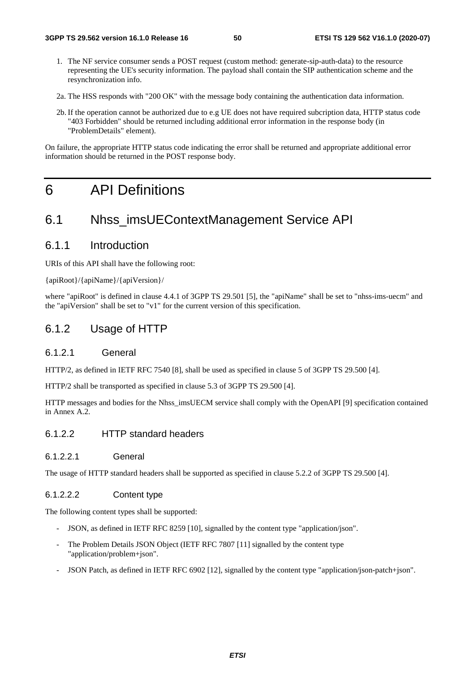- 1. The NF service consumer sends a POST request (custom method: generate-sip-auth-data) to the resource representing the UE's security information. The payload shall contain the SIP authentication scheme and the resynchronization info.
- 2a. The HSS responds with "200 OK" with the message body containing the authentication data information.
- 2b. If the operation cannot be authorized due to e.g UE does not have required subcription data, HTTP status code "403 Forbidden" should be returned including additional error information in the response body (in "ProblemDetails" element).

On failure, the appropriate HTTP status code indicating the error shall be returned and appropriate additional error information should be returned in the POST response body.

# 6 API Definitions

# 6.1 Nhss\_imsUEContextManagement Service API

# 6.1.1 Introduction

URIs of this API shall have the following root:

{apiRoot}/{apiName}/{apiVersion}/

where "apiRoot" is defined in clause 4.4.1 of 3GPP TS 29.501 [5], the "apiName" shall be set to "nhss-ims-uecm" and the "apiVersion" shall be set to "v1" for the current version of this specification.

# 6.1.2 Usage of HTTP

#### 6.1.2.1 General

HTTP/2, as defined in IETF RFC 7540 [8], shall be used as specified in clause 5 of 3GPP TS 29.500 [4].

HTTP/2 shall be transported as specified in clause 5.3 of 3GPP TS 29.500 [4].

HTTP messages and bodies for the Nhss\_imsUECM service shall comply with the OpenAPI [9] specification contained in Annex A.2.

# 6.1.2.2 HTTP standard headers

6.1.2.2.1 General

The usage of HTTP standard headers shall be supported as specified in clause 5.2.2 of 3GPP TS 29.500 [4].

### 6.1.2.2.2 Content type

The following content types shall be supported:

- JSON, as defined in IETF RFC 8259 [10], signalled by the content type "application/json".
- The Problem Details JSON Object (IETF RFC 7807 [11] signalled by the content type "application/problem+json".
- JSON Patch, as defined in IETF RFC 6902 [12], signalled by the content type "application/json-patch+json".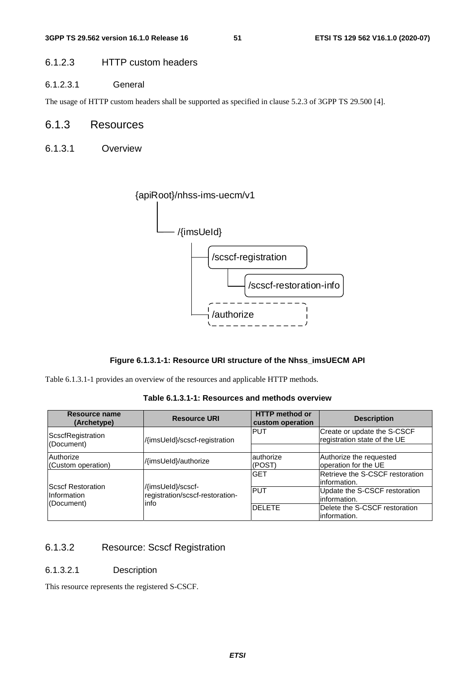# 6.1.2.3 HTTP custom headers

6.1.2.3.1 General

The usage of HTTP custom headers shall be supported as specified in clause 5.2.3 of 3GPP TS 29.500 [4].

# 6.1.3 Resources

6.1.3.1 Overview



### **Figure 6.1.3.1-1: Resource URI structure of the Nhss\_imsUECM API**

Table 6.1.3.1-1 provides an overview of the resources and applicable HTTP methods.

| Resource name<br>(Archetype)                           | <b>Resource URI</b>                                           | <b>HTTP</b> method or<br>custom operation | <b>Description</b>                                          |
|--------------------------------------------------------|---------------------------------------------------------------|-------------------------------------------|-------------------------------------------------------------|
| ScscfRegistration<br>(Document)                        | /{imsUeId}/scscf-registration                                 | <b>PUT</b>                                | Create or update the S-CSCF<br>registration state of the UE |
|                                                        |                                                               |                                           |                                                             |
| Authorize<br>(Custom operation)                        | /{imsUeId}/authorize                                          | authorize<br>(POST)                       | Authorize the requested<br>operation for the UE             |
|                                                        |                                                               | <b>GET</b>                                | Retrieve the S-CSCF restoration<br>linformation.            |
| <b>IScscf Restoration</b><br>Information<br>(Document) | /{imsUeId}/scscf-<br>registration/scscf-restoration-<br>linfo | <b>PUT</b>                                | Update the S-CSCF restoration<br>linformation.              |
|                                                        |                                                               | <b>DELETE</b>                             | Delete the S-CSCF restoration<br>linformation.              |

**Table 6.1.3.1-1: Resources and methods overview** 

# 6.1.3.2 Resource: Scscf Registration

#### 6.1.3.2.1 Description

This resource represents the registered S-CSCF.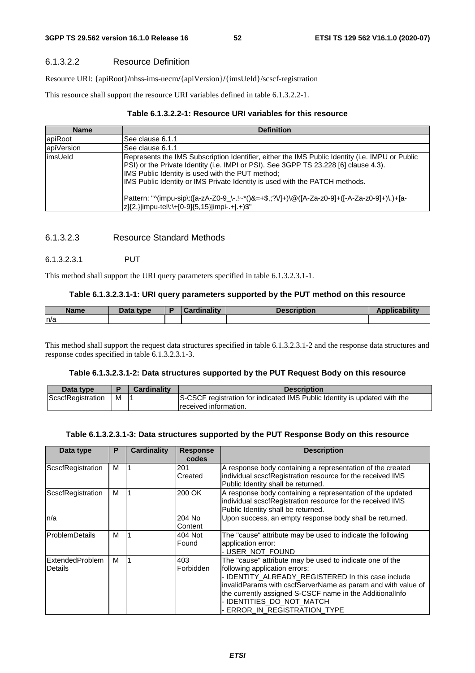### 6.1.3.2.2 Resource Definition

Resource URI: {apiRoot}**/**nhss-ims-uecm**/**{apiVersion}**/**{imsUeId}/scscf-registration

This resource shall support the resource URI variables defined in table 6.1.3.2.2-1.

### **Table 6.1.3.2.2-1: Resource URI variables for this resource**

| <b>Name</b> | <b>Definition</b>                                                                                                                                                                                                                                                                                                                                                                                                                                                           |
|-------------|-----------------------------------------------------------------------------------------------------------------------------------------------------------------------------------------------------------------------------------------------------------------------------------------------------------------------------------------------------------------------------------------------------------------------------------------------------------------------------|
| apiRoot     | See clause 6.1.1                                                                                                                                                                                                                                                                                                                                                                                                                                                            |
| apiVersion  | See clause 6.1.1                                                                                                                                                                                                                                                                                                                                                                                                                                                            |
| limsUeld    | Represents the IMS Subscription Identifier, either the IMS Public Identity (i.e. IMPU or Public<br>PSI) or the Private Identity (i.e. IMPI or PSI). See 3GPP TS 23.228 [6] clause 4.3).<br>IMS Public Identity is used with the PUT method;<br>IMS Public Identity or IMS Private Identity is used with the PATCH methods.<br>Pattern: "^(impu-sip\:([a-zA-Z0-9_\-.!~*()&=+\$,;?V]+)\@([A-Za-z0-9]+([-A-Za-z0-9]+)\.)+[a-<br> z]{2,} impu-tel\:\+[0-9]{5,15} impi-.+ .+)\$" |

### 6.1.3.2.3 Resource Standard Methods

### 6.1.3.2.3.1 PUT

This method shall support the URI query parameters specified in table 6.1.3.2.3.1-1.

#### **Table 6.1.3.2.3.1-1: URI query parameters supported by the PUT method on this resource**

| <b>Name</b> | Data type | Cardinalitv | <b>Description</b> | <b>Applicability</b> |
|-------------|-----------|-------------|--------------------|----------------------|
| ln/a        |           |             |                    |                      |

This method shall support the request data structures specified in table 6.1.3.2.3.1-2 and the response data structures and response codes specified in table 6.1.3.2.3.1-3.

#### **Table 6.1.3.2.3.1-2: Data structures supported by the PUT Request Body on this resource**

| Data type         |   | <b>Cardinality</b> | <b>Description</b>                                                        |
|-------------------|---|--------------------|---------------------------------------------------------------------------|
| ScscfRegistration | м |                    | S-CSCF registration for indicated IMS Public Identity is updated with the |
|                   |   |                    | received information.                                                     |

#### **Table 6.1.3.2.3.1-3: Data structures supported by the PUT Response Body on this resource**

| Data type                         | P | <b>Cardinality</b> | <b>Response</b><br>codes                                                                                                                                                 | <b>Description</b>                                                                                                                                                                                                                                                                                                                            |
|-----------------------------------|---|--------------------|--------------------------------------------------------------------------------------------------------------------------------------------------------------------------|-----------------------------------------------------------------------------------------------------------------------------------------------------------------------------------------------------------------------------------------------------------------------------------------------------------------------------------------------|
| ScscfRegistration                 | м |                    | 201<br>Created                                                                                                                                                           | A response body containing a representation of the created<br>individual scscfRegistration resource for the received IMS<br>Public Identity shall be returned.                                                                                                                                                                                |
| ScscfRegistration                 | M |                    | 200 OK<br>A response body containing a representation of the updated<br>individual scscfRegistration resource for the received IMS<br>Public Identity shall be returned. |                                                                                                                                                                                                                                                                                                                                               |
| n/a                               |   |                    | 204 No<br>Content                                                                                                                                                        | Upon success, an empty response body shall be returned.                                                                                                                                                                                                                                                                                       |
| <b>ProblemDetails</b>             | м |                    | 404 Not<br>Found                                                                                                                                                         | The "cause" attribute may be used to indicate the following<br>application error:<br>- USER_NOT_FOUND                                                                                                                                                                                                                                         |
| <b>ExtendedProblem</b><br>Details | м |                    | 403<br>Forbidden                                                                                                                                                         | The "cause" attribute may be used to indicate one of the<br>following application errors:<br>- IDENTITY_ALREADY_REGISTERED In this case include<br>invalidParams with cscfServerName as param and with value of<br>the currently assigned S-CSCF name in the AdditionalInfo<br>- IDENTITIES_DO_NOT_MATCH<br><b>ERROR_IN_REGISTRATION_TYPE</b> |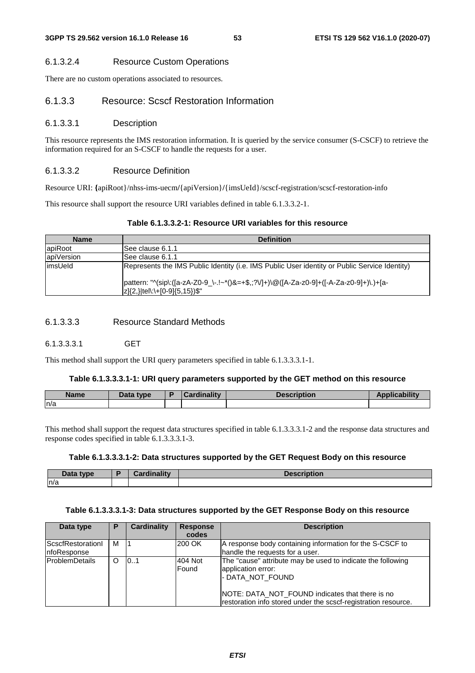### 6.1.3.2.4 Resource Custom Operations

There are no custom operations associated to resources.

### 6.1.3.3 Resource: Scscf Restoration Information

#### 6.1.3.3.1 Description

This resource represents the IMS restoration information. It is queried by the service consumer (S-CSCF) to retrieve the information required for an S-CSCF to handle the requests for a user.

### 6.1.3.3.2 Resource Definition

Resource URI: **{**apiRoot}/nhss-ims-uecm**/**{apiVersion}**/**{imsUeId}/scscf-registration/scscf-restoration-info

This resource shall support the resource URI variables defined in table 6.1.3.3.2-1.

## **Table 6.1.3.3.2-1: Resource URI variables for this resource**

| <b>Name</b> | <b>Definition</b>                                                                                                               |
|-------------|---------------------------------------------------------------------------------------------------------------------------------|
| apiRoot     | ISee clause 6.1.1                                                                                                               |
| apiVersion  | See clause 6.1.1                                                                                                                |
| limsUeld    | Represents the IMS Public Identity (i.e. IMS Public User identity or Public Service Identity)                                   |
|             | pattern: "^(sip\:([a-zA-Z0-9_\-.!~*()&=+\$,;?V]+)\@([A-Za-z0-9]+([-A-Za-z0-9]+)\.)+[a-<br>$ z {2,} $ tel\:\+[0-9] ${5,15}$ )\$" |

## 6.1.3.3.3 Resource Standard Methods

6.1.3.3.3.1 GET

This method shall support the URI query parameters specified in table 6.1.3.3.3.1-1.

#### **Table 6.1.3.3.3.1-1: URI query parameters supported by the GET method on this resource**

| <b>Name</b> | Data type | Cardinalitv | <b>Description</b> | <b>Applicability</b> |
|-------------|-----------|-------------|--------------------|----------------------|
| n/a         |           |             |                    |                      |

This method shall support the request data structures specified in table 6.1.3.3.3.1-2 and the response data structures and response codes specified in table 6.1.3.3.3.1-3.

#### **Table 6.1.3.3.3.1-2: Data structures supported by the GET Request Body on this resource**

| <b>Data</b><br>tvne<br>Dala | <br>∴ard' |  |
|-----------------------------|-----------|--|
| n/a                         |           |  |

#### **Table 6.1.3.3.3.1-3: Data structures supported by the GET Response Body on this resource**

| Data type                               | P | Cardinality | <b>Response</b><br>codes | <b>Description</b>                                                                                                                                                                                                         |
|-----------------------------------------|---|-------------|--------------------------|----------------------------------------------------------------------------------------------------------------------------------------------------------------------------------------------------------------------------|
| <b>ScscfRestorationI</b><br>nfoResponse | м |             | 200 OK                   | A response body containing information for the S-CSCF to<br>handle the requests for a user.                                                                                                                                |
| <b>IProblemDetails</b>                  | O | 10.1        | 404 Not<br>Found         | The "cause" attribute may be used to indicate the following<br>application error:<br>- DATA NOT FOUND<br>NOTE: DATA_NOT_FOUND indicates that there is no<br>restoration info stored under the scscf-registration resource. |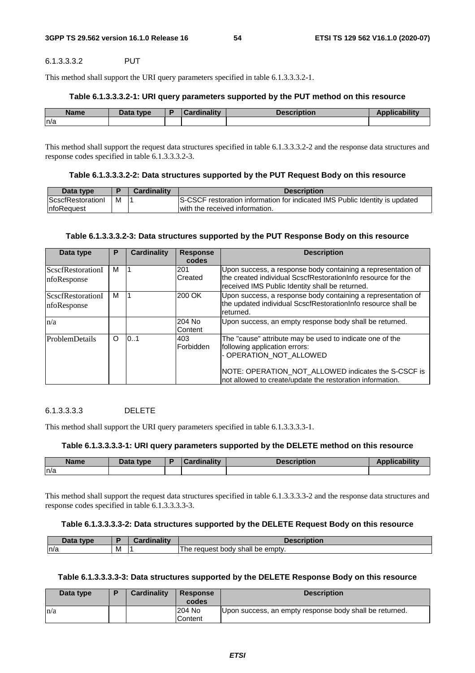#### 6.1.3.3.3.2 PUT

This method shall support the URI query parameters specified in table 6.1.3.3.3.2-1.

#### **Table 6.1.3.3.3.2-1: URI query parameters supported by the PUT method on this resource**

| <b>Name</b> | Data type | Cardinalitv | <b>Description</b> | Na antaritzak<br>$\blacksquare$ |
|-------------|-----------|-------------|--------------------|---------------------------------|
| ln/a        |           |             |                    |                                 |

This method shall support the request data structures specified in table 6.1.3.3.3.2-2 and the response data structures and response codes specified in table 6.1.3.3.3.2-3.

| Data type                |   | <b>Cardinality</b> | <b>Description</b>                                                          |
|--------------------------|---|--------------------|-----------------------------------------------------------------------------|
| <b>ScscfRestorationI</b> | M |                    | S-CSCF restoration information for indicated IMS Public Identity is updated |
| InfoRequest              |   |                    | with the received information.                                              |

#### **Table 6.1.3.3.3.2-3: Data structures supported by the PUT Response Body on this resource**

| Data type                | P       | <b>Cardinality</b> | <b>Response</b> | <b>Description</b>                                                                                               |
|--------------------------|---------|--------------------|-----------------|------------------------------------------------------------------------------------------------------------------|
|                          |         |                    | codes           |                                                                                                                  |
| <b>ScscfRestorationI</b> | м       |                    | 201             | Upon success, a response body containing a representation of                                                     |
| nfoResponse              |         |                    | Created         | the created individual ScscfRestorationInfo resource for the<br>received IMS Public Identity shall be returned.  |
| ScscfRestorationI        | м       |                    | 200 OK          | Upon success, a response body containing a representation of                                                     |
| nfoResponse              |         |                    |                 | the updated individual ScscfRestorationInfo resource shall be<br>returned.                                       |
| n/a                      |         |                    | 204 No          | Upon success, an empty response body shall be returned.                                                          |
|                          |         |                    | Content         |                                                                                                                  |
| <b>ProblemDetails</b>    | $\circ$ | 0.1                | 403             | The "cause" attribute may be used to indicate one of the                                                         |
|                          |         |                    | Forbidden       | following application errors:                                                                                    |
|                          |         |                    |                 | - OPERATION NOT ALLOWED                                                                                          |
|                          |         |                    |                 | NOTE: OPERATION_NOT_ALLOWED indicates the S-CSCF is<br>not allowed to create/update the restoration information. |

#### 6.1.3.3.3.3 DELETE

This method shall support the URI query parameters specified in table 6.1.3.3.3.3-1.

#### **Table 6.1.3.3.3.3-1: URI query parameters supported by the DELETE method on this resource**

| <b>Name</b> | Data type | $\sim$ ardinality | <b>Description</b> | <b>Seattle of Care a</b><br>$\sim$ |
|-------------|-----------|-------------------|--------------------|------------------------------------|
| ln/a        |           |                   |                    |                                    |

This method shall support the request data structures specified in table 6.1.3.3.3.3-2 and the response data structures and response codes specified in table 6.1.3.3.3.3-3.

#### **Table 6.1.3.3.3.3-2: Data structures supported by the DELETE Request Body on this resource**

| 10ta<br>tyne |   | <br>--<br>---------<br>$-21$ | atiar<br>TIDUOIL                            |
|--------------|---|------------------------------|---------------------------------------------|
| n/a          | M |                              | shall be<br>emptv.<br>request<br>body<br>ne |

#### **Table 6.1.3.3.3.3-3: Data structures supported by the DELETE Response Body on this resource**

| Data type | Cardinality | <b>Response</b><br>codes | <b>Description</b>                                      |
|-----------|-------------|--------------------------|---------------------------------------------------------|
| n/a       |             | 204 No<br>Content        | Upon success, an empty response body shall be returned. |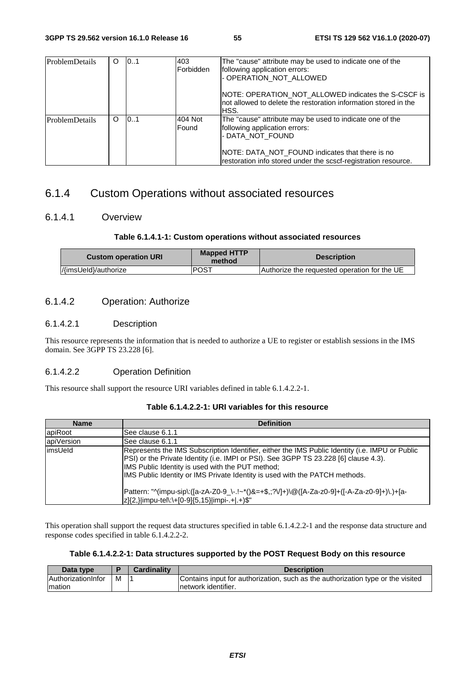| <b>ProblemDetails</b> | O | 10.1 | 403<br>Forbidden | The "cause" attribute may be used to indicate one of the<br>following application errors:<br>- OPERATION_NOT_ALLOWED                                                                                                               |
|-----------------------|---|------|------------------|------------------------------------------------------------------------------------------------------------------------------------------------------------------------------------------------------------------------------------|
|                       |   |      |                  | NOTE: OPERATION NOT ALLOWED indicates the S-CSCF is<br>Inot allowed to delete the restoration information stored in the<br>IHSS.                                                                                                   |
| ProblemDetails        | O | 10.1 | 404 Not<br>Found | The "cause" attribute may be used to indicate one of the<br>following application errors:<br>- DATA NOT FOUND<br>NOTE: DATA NOT FOUND indicates that there is no<br>restoration info stored under the scscf-registration resource. |

# 6.1.4 Custom Operations without associated resources

# 6.1.4.1 Overview

#### **Table 6.1.4.1-1: Custom operations without associated resources**

| <b>Custom operation URI</b> | <b>Mapped HTTP</b><br>method | <b>Description</b>                           |
|-----------------------------|------------------------------|----------------------------------------------|
| //imsUeld}/authorize        | <b>POST</b>                  | Authorize the requested operation for the UE |

# 6.1.4.2 Operation: Authorize

#### 6.1.4.2.1 Description

This resource represents the information that is needed to authorize a UE to register or establish sessions in the IMS domain. See 3GPP TS 23.228 [6].

## 6.1.4.2.2 Operation Definition

This resource shall support the resource URI variables defined in table 6.1.4.2.2-1.

| <b>Name</b> | <b>Definition</b>                                                                                                                                                                                                                                                                                                           |
|-------------|-----------------------------------------------------------------------------------------------------------------------------------------------------------------------------------------------------------------------------------------------------------------------------------------------------------------------------|
| apiRoot     | See clause 6.1.1                                                                                                                                                                                                                                                                                                            |
| apiVersion  | lSee clause 6.1.1                                                                                                                                                                                                                                                                                                           |
| limsUeld    | Represents the IMS Subscription Identifier, either the IMS Public Identity (i.e. IMPU or Public<br>[PSI] or the Private Identity (i.e. IMPI or PSI). See 3GPP TS 23.228 [6] clause 4.3).<br>IMS Public Identity is used with the PUT method;<br>IMS Public Identity or IMS Private Identity is used with the PATCH methods. |
|             | Pattern: "^(impu-sip\:([a-zA-Z0-9_\-.!~*()&=+\$,;?V]+)\@([A-Za-z0-9]+([-A-Za-z0-9]+)\.)+[a-<br> z]{2,} impu-tel\:\+[0-9]{5,15} impi-.+ .+)\$"                                                                                                                                                                               |

# **Table 6.1.4.2.2-1: URI variables for this resource**

This operation shall support the request data structures specified in table 6.1.4.2.2-1 and the response data structure and response codes specified in table 6.1.4.2.2-2.

|  | Table 6.1.4.2.2-1: Data structures supported by the POST Request Body on this resource |  |  |  |  |
|--|----------------------------------------------------------------------------------------|--|--|--|--|
|--|----------------------------------------------------------------------------------------|--|--|--|--|

| Data type                 |   | Cardinalitv | <b>Description</b>                                                              |
|---------------------------|---|-------------|---------------------------------------------------------------------------------|
| <b>AuthorizationInfor</b> | M |             | Contains input for authorization, such as the authorization type or the visited |
| Imation                   |   |             | Inetwork identifier.                                                            |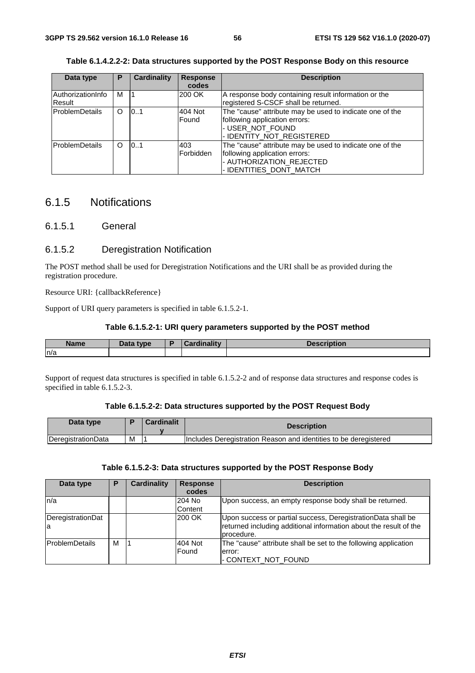| Data type             | P | <b>Cardinality</b> | <b>Response</b> | <b>Description</b>                                       |
|-----------------------|---|--------------------|-----------------|----------------------------------------------------------|
|                       |   |                    | codes           |                                                          |
| AuthorizationInfo     | м |                    | 200 OK          | A response body containing result information or the     |
| Result                |   |                    |                 | registered S-CSCF shall be returned.                     |
| <b>ProblemDetails</b> | O | 0.1                | 404 Not         | The "cause" attribute may be used to indicate one of the |
|                       |   |                    | Found           | following application errors:                            |
|                       |   |                    |                 | - USER NOT FOUND                                         |
|                       |   |                    |                 | - IDENTITY NOT REGISTERED                                |
| lProblemDetails       | ∩ | 10.1               | 403             | The "cause" attribute may be used to indicate one of the |
|                       |   |                    | Forbidden       | following application errors:                            |
|                       |   |                    |                 | - AUTHORIZATION_REJECTED                                 |
|                       |   |                    |                 | - IDENTITIES DONT MATCH                                  |

**Table 6.1.4.2.2-2: Data structures supported by the POST Response Body on this resource** 

# 6.1.5 Notifications

# 6.1.5.1 General

### 6.1.5.2 Deregistration Notification

The POST method shall be used for Deregistration Notifications and the URI shall be as provided during the registration procedure.

Resource URI: {callbackReference}

Support of URI query parameters is specified in table 6.1.5.2-1.

#### **Table 6.1.5.2-1: URI query parameters supported by the POST method**

| <b>Name</b> | <b>Pata type</b><br>Dala | ь. | والمقالم وبالمسوخ | <b>Dooguintinu</b><br>wesc<br>TIDLIUII |
|-------------|--------------------------|----|-------------------|----------------------------------------|
| ln/a        |                          |    |                   |                                        |

Support of request data structures is specified in table 6.1.5.2-2 and of response data structures and response codes is specified in table 6.1.5.2-3.

#### **Table 6.1.5.2-2: Data structures supported by the POST Request Body**

| Data type          |   | Cardinalit | <b>Description</b>                                               |
|--------------------|---|------------|------------------------------------------------------------------|
| DeregistrationData | M |            | Includes Deregistration Reason and identities to be deregistered |

#### **Table 6.1.5.2-3: Data structures supported by the POST Response Body**

| Data type               | Р | <b>Cardinality</b> | <b>Response</b> | <b>Description</b>                                                                                                                              |
|-------------------------|---|--------------------|-----------------|-------------------------------------------------------------------------------------------------------------------------------------------------|
|                         |   |                    | codes           |                                                                                                                                                 |
| ln/a                    |   |                    | 204 No          | Upon success, an empty response body shall be returned.                                                                                         |
|                         |   |                    | Content         |                                                                                                                                                 |
| DeregistrationDat<br>la |   |                    | 200 OK          | Upon success or partial success, DeregistrationData shall be<br>returned including additional information about the result of the<br>procedure. |
| <b>ProblemDetails</b>   | м |                    | 404 Not         | The "cause" attribute shall be set to the following application                                                                                 |
|                         |   |                    | Found           | lerror:                                                                                                                                         |
|                         |   |                    |                 | - CONTEXT_NOT_FOUND                                                                                                                             |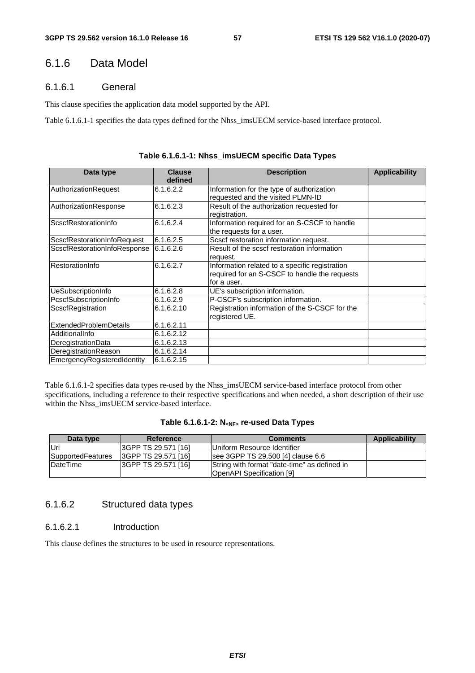# 6.1.6 Data Model

# 6.1.6.1 General

This clause specifies the application data model supported by the API.

Table 6.1.6.1-1 specifies the data types defined for the Nhss\_imsUECM service-based interface protocol.

| Data type                     | <b>Clause</b><br>defined | <b>Description</b>                             | <b>Applicability</b> |
|-------------------------------|--------------------------|------------------------------------------------|----------------------|
| AuthorizationRequest          | 6.1.6.2.2                | Information for the type of authorization      |                      |
|                               |                          | requested and the visited PLMN-ID              |                      |
| AuthorizationResponse         | 6.1.6.2.3                | Result of the authorization requested for      |                      |
|                               |                          | registration.                                  |                      |
| ScscfRestorationInfo          | 6.1.6.2.4                | Information required for an S-CSCF to handle   |                      |
|                               |                          | the requests for a user.                       |                      |
| ScscfRestorationInfoRequest   | 6.1.6.2.5                | Scscf restoration information request.         |                      |
| ScscfRestorationInfoResponse  | 6.1.6.2.6                | Result of the scscf restoration information    |                      |
|                               |                          | request.                                       |                      |
| RestorationInfo               | 6.1.6.2.7                | Information related to a specific registration |                      |
|                               |                          | required for an S-CSCF to handle the requests  |                      |
|                               |                          | for a user.                                    |                      |
| UeSubscriptionInfo            | 6.1.6.2.8                | UE's subscription information.                 |                      |
| PcscfSubscriptionInfo         | 6.1.6.2.9                | P-CSCF's subscription information.             |                      |
| ScscfRegistration             | 6.1.6.2.10               | Registration information of the S-CSCF for the |                      |
|                               |                          | registered UE.                                 |                      |
| <b>ExtendedProblemDetails</b> | 6.1.6.2.11               |                                                |                      |
| AdditionalInfo                | 6.1.6.2.12               |                                                |                      |
| DeregistrationData            | 6.1.6.2.13               |                                                |                      |
| DeregistrationReason          | 6.1.6.2.14               |                                                |                      |
| EmergencyRegisteredIdentity   | 6.1.6.2.15               |                                                |                      |

Table 6.1.6.1-2 specifies data types re-used by the Nhss\_imsUECM service-based interface protocol from other specifications, including a reference to their respective specifications and when needed, a short description of their use within the Nhss\_imsUECM service-based interface.

| Table 6.1.6.1-2: N <sub><nf></nf></sub> re-used Data Types |  |  |  |
|------------------------------------------------------------|--|--|--|
|------------------------------------------------------------|--|--|--|

| Data type         | Reference                   | <b>Comments</b>                                                                  | Applicability |
|-------------------|-----------------------------|----------------------------------------------------------------------------------|---------------|
| lUri              | 3GPP TS 29.571 [16]         | Uniform Resource Identifier                                                      |               |
| SupportedFeatures | <b>I3GPP TS 29.571 [16]</b> | see 3GPP TS 29.500 [4] clause 6.6                                                |               |
| DateTime          | 3GPP TS 29.571 [16]         | String with format "date-time" as defined in<br><b>OpenAPI Specification [9]</b> |               |

# 6.1.6.2 Structured data types

### 6.1.6.2.1 Introduction

This clause defines the structures to be used in resource representations.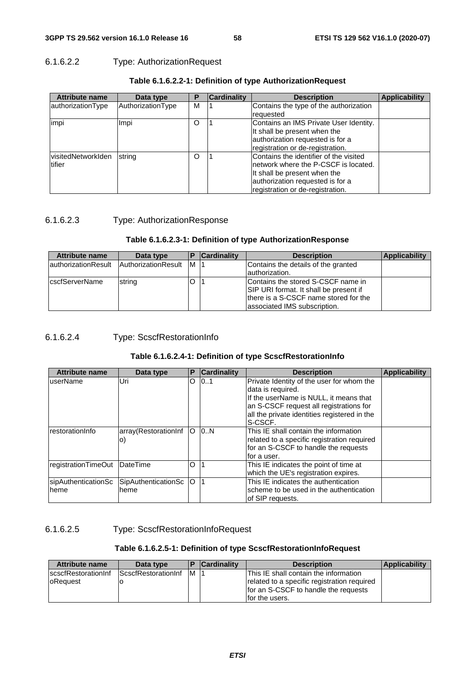# 6.1.6.2.2 Type: AuthorizationRequest

| <b>Attribute name</b>                | Data type         | Р       | <b>Cardinality</b> | <b>Description</b>                                                                                                                                                                      | <b>Applicability</b> |
|--------------------------------------|-------------------|---------|--------------------|-----------------------------------------------------------------------------------------------------------------------------------------------------------------------------------------|----------------------|
| authorizationType                    | AuthorizationType | м       |                    | Contains the type of the authorization<br>requested                                                                                                                                     |                      |
| impi                                 | Impi              | $\circ$ |                    | Contains an IMS Private User Identity.<br>It shall be present when the<br>authorization requested is for a<br>registration or de-registration.                                          |                      |
| <b>visitedNetworkIden</b><br>ltifier | string            | O       |                    | Contains the identifier of the visited<br>Inetwork where the P-CSCF is located.<br>It shall be present when the<br>authorization requested is for a<br>registration or de-registration. |                      |

### **Table 6.1.6.2.2-1: Definition of type AuthorizationRequest**

### 6.1.6.2.3 Type: AuthorizationResponse

### **Table 6.1.6.2.3-1: Definition of type AuthorizationResponse**

| <b>Attribute name</b>  | Data type           |    | <b>Cardinality</b> | <b>Description</b>                                                                                                                                     | <b>Applicability</b> |
|------------------------|---------------------|----|--------------------|--------------------------------------------------------------------------------------------------------------------------------------------------------|----------------------|
| authorizationResult    | AuthorizationResult | IM |                    | Contains the details of the granted<br>authorization.                                                                                                  |                      |
| <b>IcscfServerName</b> | string              | O  |                    | Contains the stored S-CSCF name in<br>SIP URI format. It shall be present if<br>there is a S-CSCF name stored for the<br>lassociated IMS subscription. |                      |

# 6.1.6.2.4 Type: ScscfRestorationInfo

### **Table 6.1.6.2.4-1: Definition of type ScscfRestorationInfo**

| <b>Attribute name</b> | Data type            | P   | <b>Cardinality</b> | <b>Description</b>                           | <b>Applicability</b> |
|-----------------------|----------------------|-----|--------------------|----------------------------------------------|----------------------|
| userName              | Uri                  | O   | 101                | Private Identity of the user for whom the    |                      |
|                       |                      |     |                    | data is required.                            |                      |
|                       |                      |     |                    | If the userName is NULL, it means that       |                      |
|                       |                      |     |                    | an S-CSCF request all registrations for      |                      |
|                       |                      |     |                    | all the private identities registered in the |                      |
|                       |                      |     |                    | S-CSCF.                                      |                      |
| restorationInfo       | array(RestorationInf | lO. | 10.N               | This IE shall contain the information        |                      |
|                       | $\circ)$             |     |                    | related to a specific registration required  |                      |
|                       |                      |     |                    | for an S-CSCF to handle the requests         |                      |
|                       |                      |     |                    | lfor a user.                                 |                      |
| registrationTimeOut   | <b>DateTime</b>      | O   |                    | This IE indicates the point of time at       |                      |
|                       |                      |     |                    | which the UE's registration expires.         |                      |
| sipAuthenticationSc   | SipAuthenticationSc  | O   |                    | This IE indicates the authentication         |                      |
| <b>Iheme</b>          | heme                 |     |                    | scheme to be used in the authentication      |                      |
|                       |                      |     |                    | lof SIP requests.                            |                      |

# 6.1.6.2.5 Type: ScscfRestorationInfoRequest

# **Table 6.1.6.2.5-1: Definition of type ScscfRestorationInfoRequest**

| <b>Attribute name</b>       | Data type                   |     | <b>Cardinality</b> | <b>Description</b>                          | <b>Applicability</b> |
|-----------------------------|-----------------------------|-----|--------------------|---------------------------------------------|----------------------|
| <b>IscscfRestorationInf</b> | <b>IScscfRestorationInf</b> | IM. |                    | This IE shall contain the information       |                      |
| <b>loRequest</b>            |                             |     |                    | related to a specific registration required |                      |
|                             |                             |     |                    | for an S-CSCF to handle the requests        |                      |
|                             |                             |     |                    | for the users.                              |                      |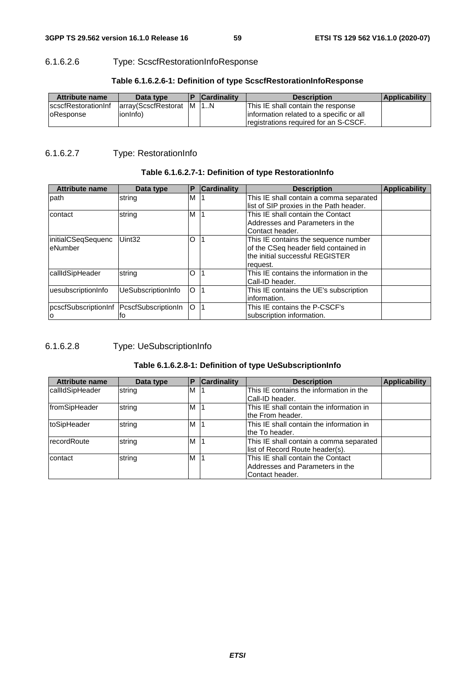# 6.1.6.2.6 Type: ScscfRestorationInfoResponse

| <b>Attribute name</b>                           | Data type                              | <b>Cardinality</b> | <b>Description</b>                                                                                                       | <b>Applicability</b> |
|-------------------------------------------------|----------------------------------------|--------------------|--------------------------------------------------------------------------------------------------------------------------|----------------------|
| <b>IscscfRestorationInf</b><br><b>oResponse</b> | array(ScscfRestorat M   1N<br>ionInfo) |                    | This IE shall contain the response<br>linformation related to a specific or all<br>registrations required for an S-CSCF. |                      |

### **Table 6.1.6.2.6-1: Definition of type ScscfRestorationInfoResponse**

# 6.1.6.2.7 Type: RestorationInfo

# **Table 6.1.6.2.7-1: Definition of type RestorationInfo**

| <b>Attribute name</b>                          | Data type          | P       | <b>Cardinality</b> | <b>Description</b>                                                                                                           | <b>Applicability</b> |
|------------------------------------------------|--------------------|---------|--------------------|------------------------------------------------------------------------------------------------------------------------------|----------------------|
| path                                           | string             | M       |                    | This IE shall contain a comma separated<br>list of SIP proxies in the Path header.                                           |                      |
| contact                                        | string             | M       |                    | This IE shall contain the Contact<br>Addresses and Parameters in the<br>Contact header.                                      |                      |
| linitialCSeqSequenc<br>eNumber                 | Uint <sub>32</sub> | O       |                    | This IE contains the sequence number<br>of the CSeq header field contained in<br>the initial successful REGISTER<br>request. |                      |
| callIdSipHeader                                | string             | O       |                    | This IE contains the information in the<br>Call-ID header.                                                                   |                      |
| uesubscriptionInfo                             | UeSubscriptionInfo | $\circ$ |                    | This IE contains the UE's subscription<br>information.                                                                       |                      |
| pcscfSubscriptionInf PcscfSubscriptionIn<br>ΙO | lto                | lO      |                    | This IE contains the P-CSCF's<br>subscription information.                                                                   |                      |

# 6.1.6.2.8 Type: UeSubscriptionInfo

# **Table 6.1.6.2.8-1: Definition of type UeSubscriptionInfo**

| <b>Attribute name</b> | Data type | Р | <b>Cardinality</b> | <b>Description</b>                       | <b>Applicability</b> |
|-----------------------|-----------|---|--------------------|------------------------------------------|----------------------|
| callIdSipHeader       | string    | M |                    | This IE contains the information in the  |                      |
|                       |           |   |                    | Call-ID header.                          |                      |
| fromSipHeader         | string    | M |                    | This IE shall contain the information in |                      |
|                       |           |   |                    | lthe From header.                        |                      |
| toSipHeader           | string    | M |                    | This IE shall contain the information in |                      |
|                       |           |   |                    | lthe To header.                          |                      |
| IrecordRoute          | string    | M |                    | This IE shall contain a comma separated  |                      |
|                       |           |   |                    | list of Record Route header(s).          |                      |
| contact               | string    | M |                    | This IE shall contain the Contact        |                      |
|                       |           |   |                    | Addresses and Parameters in the          |                      |
|                       |           |   |                    | Contact header.                          |                      |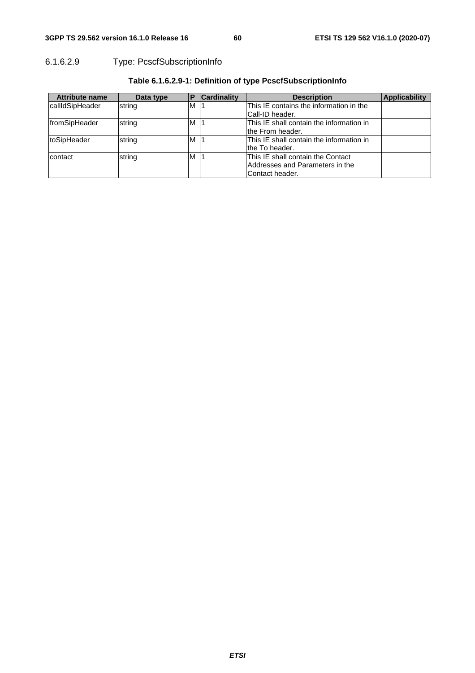# 6.1.6.2.9 Type: PcscfSubscriptionInfo

| <b>Attribute name</b> | Data type | D | <b>Cardinality</b> | <b>Description</b>                                                                       | <b>Applicability</b> |
|-----------------------|-----------|---|--------------------|------------------------------------------------------------------------------------------|----------------------|
| callIdSipHeader       | string    | M |                    | This IE contains the information in the<br>ICall-ID header.                              |                      |
| fromSipHeader         | string    | M |                    | This IE shall contain the information in<br>the From header.                             |                      |
| toSipHeader           | string    | M |                    | This IE shall contain the information in<br>lthe To header.                              |                      |
| contact               | string    | M |                    | This IE shall contain the Contact<br>Addresses and Parameters in the<br>lContact header. |                      |

# **Table 6.1.6.2.9-1: Definition of type PcscfSubscriptionInfo**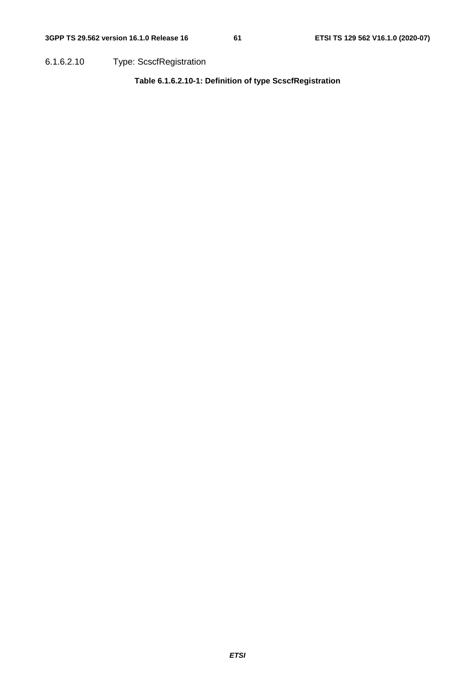6.1.6.2.10 Type: ScscfRegistration

**Table 6.1.6.2.10-1: Definition of type ScscfRegistration**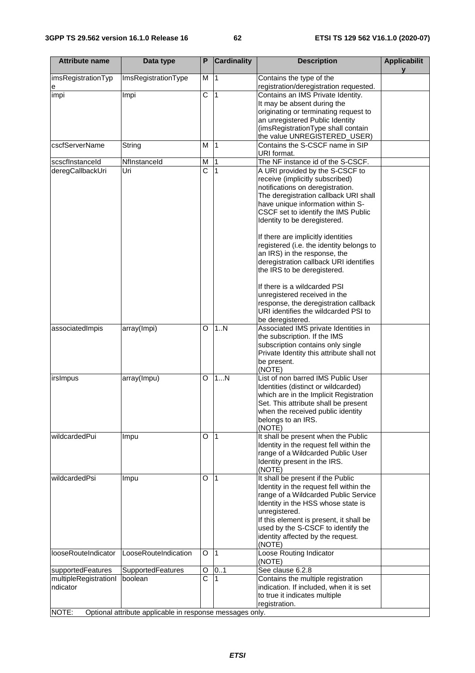| <b>Attribute name</b> | Data type                                                | P                     | <b>Cardinality</b> | <b>Description</b>                                                      | <b>Applicabilit</b> |
|-----------------------|----------------------------------------------------------|-----------------------|--------------------|-------------------------------------------------------------------------|---------------------|
| imsRegistrationTyp    | ImsRegistrationType                                      | M                     | 1                  | Contains the type of the                                                |                     |
| е                     |                                                          |                       |                    | registration/deregistration requested.                                  |                     |
| impi                  | Impi                                                     | C                     | 1                  | Contains an IMS Private Identity.                                       |                     |
|                       |                                                          |                       |                    | It may be absent during the                                             |                     |
|                       |                                                          |                       |                    | originating or terminating request to                                   |                     |
|                       |                                                          |                       |                    | an unregistered Public Identity                                         |                     |
|                       |                                                          |                       |                    | (imsRegistrationType shall contain                                      |                     |
|                       |                                                          |                       |                    | the value UNREGISTERED_USER)                                            |                     |
| cscfServerName        | String                                                   | М                     | $\overline{1}$     | Contains the S-CSCF name in SIP                                         |                     |
|                       |                                                          |                       |                    | URI format.                                                             |                     |
| scscfInstanceId       | Nflnstanceld                                             | М                     | $\vert$ 1          | The NF instance id of the S-CSCF.                                       |                     |
| deregCallbackUri      | Uri                                                      | $\overline{\text{c}}$ | 1                  | A URI provided by the S-CSCF to                                         |                     |
|                       |                                                          |                       |                    | receive (implicitly subscribed)                                         |                     |
|                       |                                                          |                       |                    | notifications on deregistration.                                        |                     |
|                       |                                                          |                       |                    | The deregistration callback URI shall                                   |                     |
|                       |                                                          |                       |                    | have unique information within S-                                       |                     |
|                       |                                                          |                       |                    | CSCF set to identify the IMS Public                                     |                     |
|                       |                                                          |                       |                    | Identity to be deregistered.                                            |                     |
|                       |                                                          |                       |                    | If there are implicitly identities                                      |                     |
|                       |                                                          |                       |                    | registered (i.e. the identity belongs to                                |                     |
|                       |                                                          |                       |                    | an IRS) in the response, the                                            |                     |
|                       |                                                          |                       |                    | deregistration callback URI identifies                                  |                     |
|                       |                                                          |                       |                    | the IRS to be deregistered.                                             |                     |
|                       |                                                          |                       |                    |                                                                         |                     |
|                       |                                                          |                       |                    | If there is a wildcarded PSI                                            |                     |
|                       |                                                          |                       |                    | unregistered received in the                                            |                     |
|                       |                                                          |                       |                    | response, the deregistration callback                                   |                     |
|                       |                                                          |                       |                    | URI identifies the wildcarded PSI to                                    |                     |
|                       |                                                          |                       |                    | be deregistered.                                                        |                     |
| associatedImpis       | array(Impi)                                              | O                     | 1. N               | Associated IMS private Identities in                                    |                     |
|                       |                                                          |                       |                    | the subscription. If the IMS                                            |                     |
|                       |                                                          |                       |                    | subscription contains only single                                       |                     |
|                       |                                                          |                       |                    | Private Identity this attribute shall not                               |                     |
|                       |                                                          |                       |                    | be present.                                                             |                     |
|                       |                                                          |                       |                    | (NOTE)                                                                  |                     |
| irsImpus              | array(Impu)                                              | O                     | 1N                 | List of non barred IMS Public User                                      |                     |
|                       |                                                          |                       |                    | Identities (distinct or wildcarded)                                     |                     |
|                       |                                                          |                       |                    | which are in the Implicit Registration                                  |                     |
|                       |                                                          |                       |                    | Set. This attribute shall be present                                    |                     |
|                       |                                                          |                       |                    | when the received public identity                                       |                     |
|                       |                                                          |                       |                    | belongs to an IRS.                                                      |                     |
|                       |                                                          |                       |                    | (NOTE)                                                                  |                     |
| wildcardedPui         | Impu                                                     | O                     | $\vert$ 1          | It shall be present when the Public                                     |                     |
|                       |                                                          |                       |                    | Identity in the request fell within the                                 |                     |
|                       |                                                          |                       |                    | range of a Wildcarded Public User                                       |                     |
|                       |                                                          |                       |                    | Identity present in the IRS.                                            |                     |
|                       |                                                          |                       |                    | (NOTE)                                                                  |                     |
| wildcardedPsi         | Impu                                                     | O                     | 11                 | It shall be present if the Public                                       |                     |
|                       |                                                          |                       |                    | Identity in the request fell within the                                 |                     |
|                       |                                                          |                       |                    | range of a Wildcarded Public Service                                    |                     |
|                       |                                                          |                       |                    | Identity in the HSS whose state is                                      |                     |
|                       |                                                          |                       |                    | unregistered.                                                           |                     |
|                       |                                                          |                       |                    | If this element is present, it shall be                                 |                     |
|                       |                                                          |                       |                    | used by the S-CSCF to identify the<br>identity affected by the request. |                     |
|                       |                                                          |                       |                    | (NOTE)                                                                  |                     |
| looseRouteIndicator   | LooseRouteIndication                                     | O                     | $\vert$ 1          | Loose Routing Indicator                                                 |                     |
|                       |                                                          |                       |                    | (NOTE)                                                                  |                     |
| supportedFeatures     | SupportedFeatures                                        | O                     | 01                 | See clause 6.2.8                                                        |                     |
| multipleRegistrationI | boolean                                                  | C                     | 1                  | Contains the multiple registration                                      |                     |
| ndicator              |                                                          |                       |                    | indication. If included, when it is set                                 |                     |
|                       |                                                          |                       |                    | to true it indicates multiple                                           |                     |
|                       |                                                          |                       |                    | registration.                                                           |                     |
| NOTE:                 | Optional attribute applicable in response messages only. |                       |                    |                                                                         |                     |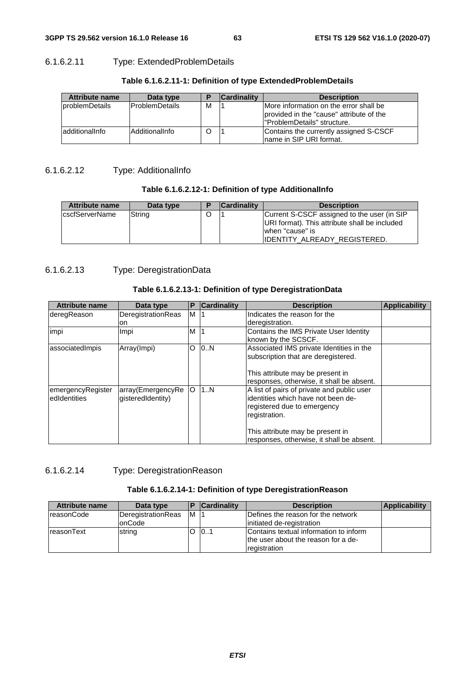# 6.1.6.2.11 Type: ExtendedProblemDetails

| <b>Attribute name</b> | Data type             |   | <b>Cardinality</b> | <b>Description</b>                                                                                                 |
|-----------------------|-----------------------|---|--------------------|--------------------------------------------------------------------------------------------------------------------|
| problemDetails        | <b>ProblemDetails</b> | м |                    | More information on the error shall be<br>provided in the "cause" attribute of the<br>l"ProblemDetails" structure. |
| additionalInfo        | AdditionalInfo        |   |                    | Contains the currently assigned S-CSCF<br>Iname in SIP URI format.                                                 |

# **Table 6.1.6.2.11-1: Definition of type ExtendedProblemDetails**

# 6.1.6.2.12 Type: AdditionalInfo

# **Table 6.1.6.2.12-1: Definition of type AdditionalInfo**

| Attribute name | Data type | <b>Cardinality</b> | <b>Description</b>                                                                                                                                      |
|----------------|-----------|--------------------|---------------------------------------------------------------------------------------------------------------------------------------------------------|
| cscfServerName | String    |                    | Current S-CSCF assigned to the user (in SIP<br>URI format). This attribute shall be included<br>when "cause" is<br><b>IIDENTITY ALREADY REGISTERED.</b> |

# 6.1.6.2.13 Type: DeregistrationData

# **Table 6.1.6.2.13-1: Definition of type DeregistrationData**

| <b>Attribute name</b> | Data type          | P | <b>Cardinality</b> | <b>Description</b>                         | <b>Applicability</b> |
|-----------------------|--------------------|---|--------------------|--------------------------------------------|----------------------|
| deregReason           | DeregistrationReas | M |                    | Indicates the reason for the               |                      |
|                       | on.                |   |                    | deregistration.                            |                      |
| impi                  | Impi               | м |                    | Contains the IMS Private User Identity     |                      |
|                       |                    |   |                    | known by the SCSCF.                        |                      |
| associatedImpis       | Array(Impi)        | O | 10.N               | Associated IMS private Identities in the   |                      |
|                       |                    |   |                    | subscription that are deregistered.        |                      |
|                       |                    |   |                    | This attribute may be present in           |                      |
|                       |                    |   |                    | responses, otherwise, it shall be absent.  |                      |
| emergencyRegister     | array(EmergencyRe  | O | 1N                 | A list of pairs of private and public user |                      |
| ledIdentities         | gisteredIdentity)  |   |                    | identities which have not been de-         |                      |
|                       |                    |   |                    | registered due to emergency                |                      |
|                       |                    |   |                    | registration.                              |                      |
|                       |                    |   |                    | This attribute may be present in           |                      |
|                       |                    |   |                    | responses, otherwise, it shall be absent.  |                      |

6.1.6.2.14 Type: DeregistrationReason

# **Table 6.1.6.2.14-1: Definition of type DeregistrationReason**

| <b>Attribute name</b> | Data type          |    | <b>Cardinality</b> | <b>Description</b>                     | <b>Applicability</b> |
|-----------------------|--------------------|----|--------------------|----------------------------------------|----------------------|
| reasonCode            | DeregistrationReas | ΙM |                    | Defines the reason for the network     |                      |
|                       | lonCode            |    |                    | initiated de-registration              |                      |
| IreasonText           | string             |    | 101                | Contains textual information to inform |                      |
|                       |                    |    |                    | the user about the reason for a de-    |                      |
|                       |                    |    |                    | registration                           |                      |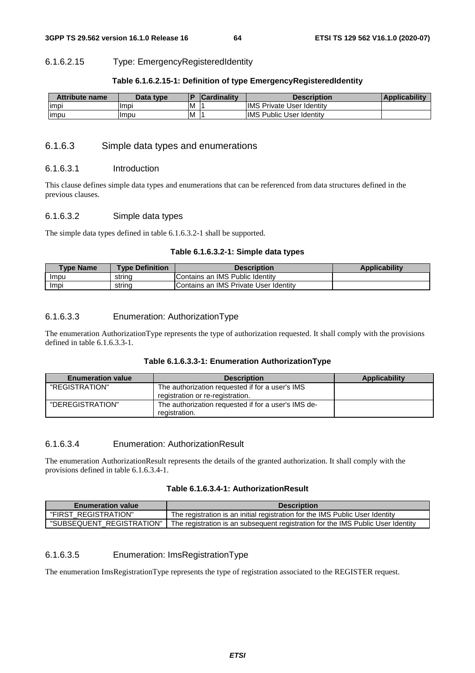#### 6.1.6.2.15 Type: EmergencyRegisteredIdentity

#### **Table 6.1.6.2.15-1: Definition of type EmergencyRegisteredIdentity**

| <b>Attribute name</b> | Data type |   | <b>Cardinality</b> | <b>Description</b>               | <b>Applicability</b> |
|-----------------------|-----------|---|--------------------|----------------------------------|----------------------|
| impi                  | Impi      | M |                    | <b>IMS Private User Identity</b> |                      |
| <b>impu</b>           | Impu      | M |                    | <b>IMS Public User Identity</b>  |                      |

### 6.1.6.3 Simple data types and enumerations

#### 6.1.6.3.1 Introduction

This clause defines simple data types and enumerations that can be referenced from data structures defined in the previous clauses.

#### 6.1.6.3.2 Simple data types

The simple data types defined in table 6.1.6.3.2-1 shall be supported.

### **Table 6.1.6.3.2-1: Simple data types**

| <b>Type Name</b> | <b>Type Definition</b> | <b>Description</b>                    | <b>Applicability</b> |
|------------------|------------------------|---------------------------------------|----------------------|
| Impu             | strina                 | Contains an IMS Public Identity       |                      |
| Impi             | strina                 | Contains an IMS Private User Identity |                      |

#### 6.1.6.3.3 Enumeration: AuthorizationType

The enumeration AuthorizationType represents the type of authorization requested. It shall comply with the provisions defined in table 6.1.6.3.3-1.

#### **Table 6.1.6.3.3-1: Enumeration AuthorizationType**

| <b>Enumeration value</b> | <b>Description</b>                                                                  | Applicability |
|--------------------------|-------------------------------------------------------------------------------------|---------------|
| "REGISTRATION"           | The authorization requested if for a user's IMS<br>registration or re-registration. |               |
| "DEREGISTRATION"         | The authorization requested if for a user's IMS de-<br>registration.                |               |

### 6.1.6.3.4 Enumeration: AuthorizationResult

The enumeration AuthorizationResult represents the details of the granted authorization. It shall comply with the provisions defined in table 6.1.6.3.4-1.

# **Table 6.1.6.3.4-1: AuthorizationResult**

| <b>Enumeration value</b>  | <b>Description</b>                                                              |
|---------------------------|---------------------------------------------------------------------------------|
| "FIRST REGISTRATION"      | The registration is an initial registration for the IMS Public User Identity    |
| "SUBSEQUENT REGISTRATION" | The registration is an subsequent registration for the IMS Public User Identity |

# 6.1.6.3.5 Enumeration: ImsRegistrationType

The enumeration ImsRegistrationType represents the type of registration associated to the REGISTER request.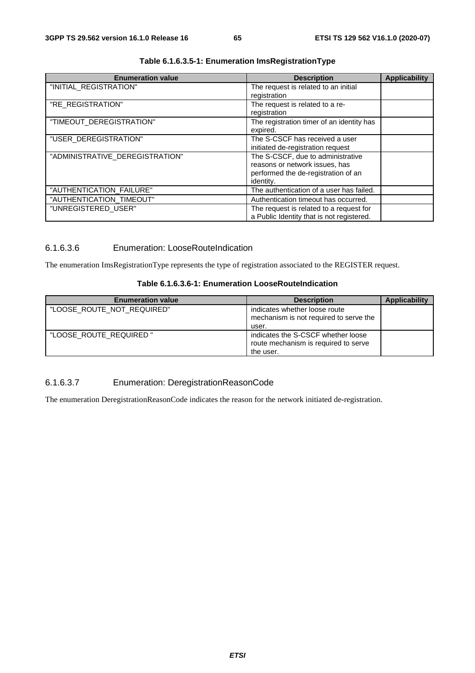| <b>Enumeration value</b>        | <b>Description</b>                        | <b>Applicability</b> |
|---------------------------------|-------------------------------------------|----------------------|
| "INITIAL_REGISTRATION"          | The request is related to an initial      |                      |
|                                 | registration                              |                      |
| "RE_REGISTRATION"               | The request is related to a re-           |                      |
|                                 | registration                              |                      |
| "TIMEOUT_DEREGISTRATION"        | The registration timer of an identity has |                      |
|                                 | expired.                                  |                      |
| "USER_DEREGISTRATION"           | The S-CSCF has received a user            |                      |
|                                 | initiated de-registration request         |                      |
| "ADMINISTRATIVE_DEREGISTRATION" | The S-CSCF, due to administrative         |                      |
|                                 | reasons or network issues, has            |                      |
|                                 | performed the de-registration of an       |                      |
|                                 | identity.                                 |                      |
| "AUTHENTICATION_FAILURE"        | The authentication of a user has failed.  |                      |
| "AUTHENTICATION_TIMEOUT"        | Authentication timeout has occurred.      |                      |
| "UNREGISTERED_USER"             | The request is related to a request for   |                      |
|                                 | a Public Identity that is not registered. |                      |

# **Table 6.1.6.3.5-1: Enumeration ImsRegistrationType**

# 6.1.6.3.6 Enumeration: LooseRouteIndication

The enumeration ImsRegistrationType represents the type of registration associated to the REGISTER request.

## **Table 6.1.6.3.6-1: Enumeration LooseRouteIndication**

| <b>Enumeration value</b>   | <b>Description</b>                                                                      | Applicability |
|----------------------------|-----------------------------------------------------------------------------------------|---------------|
| "LOOSE ROUTE NOT REQUIRED" | indicates whether loose route<br>mechanism is not required to serve the<br>user.        |               |
| "LOOSE ROUTE REQUIRED"     | indicates the S-CSCF whether loose<br>route mechanism is required to serve<br>the user. |               |

# 6.1.6.3.7 Enumeration: DeregistrationReasonCode

The enumeration DeregistrationReasonCode indicates the reason for the network initiated de-registration.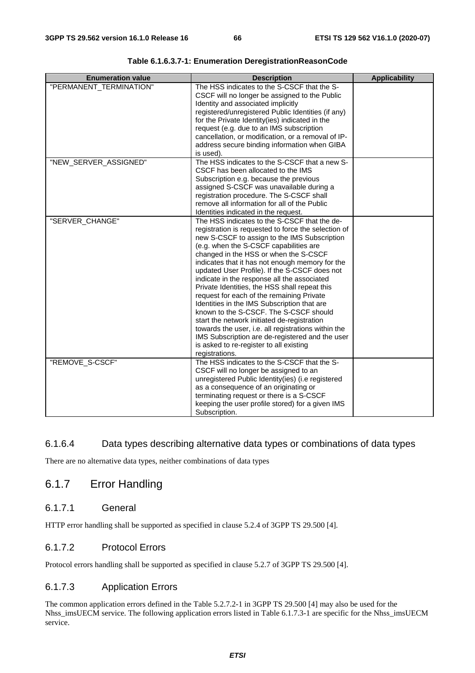| <b>Enumeration value</b> | <b>Description</b>                                                                                 | <b>Applicability</b> |
|--------------------------|----------------------------------------------------------------------------------------------------|----------------------|
| "PERMANENT_TERMINATION"  | The HSS indicates to the S-CSCF that the S-                                                        |                      |
|                          | CSCF will no longer be assigned to the Public                                                      |                      |
|                          | Identity and associated implicitly                                                                 |                      |
|                          | registered/unregistered Public Identities (if any)                                                 |                      |
|                          | for the Private Identity(ies) indicated in the                                                     |                      |
|                          | request (e.g. due to an IMS subscription                                                           |                      |
|                          | cancellation, or modification, or a removal of IP-<br>address secure binding information when GIBA |                      |
|                          | is used).                                                                                          |                      |
| "NEW_SERVER_ASSIGNED"    | The HSS indicates to the S-CSCF that a new S-                                                      |                      |
|                          | CSCF has been allocated to the IMS                                                                 |                      |
|                          | Subscription e.g. because the previous                                                             |                      |
|                          | assigned S-CSCF was unavailable during a                                                           |                      |
|                          | registration procedure. The S-CSCF shall                                                           |                      |
|                          | remove all information for all of the Public                                                       |                      |
|                          | Identities indicated in the request.                                                               |                      |
| "SERVER_CHANGE"          | The HSS indicates to the S-CSCF that the de-                                                       |                      |
|                          | registration is requested to force the selection of                                                |                      |
|                          | new S-CSCF to assign to the IMS Subscription                                                       |                      |
|                          | (e.g. when the S-CSCF capabilities are                                                             |                      |
|                          | changed in the HSS or when the S-CSCF                                                              |                      |
|                          | indicates that it has not enough memory for the                                                    |                      |
|                          | updated User Profile). If the S-CSCF does not                                                      |                      |
|                          | indicate in the response all the associated                                                        |                      |
|                          | Private Identities, the HSS shall repeat this                                                      |                      |
|                          | request for each of the remaining Private<br>Identities in the IMS Subscription that are           |                      |
|                          | known to the S-CSCF. The S-CSCF should                                                             |                      |
|                          | start the network initiated de-registration                                                        |                      |
|                          | towards the user, i.e. all registrations within the                                                |                      |
|                          | IMS Subscription are de-registered and the user                                                    |                      |
|                          | is asked to re-register to all existing                                                            |                      |
|                          | registrations.                                                                                     |                      |
| "REMOVE_S-CSCF"          | The HSS indicates to the S-CSCF that the S-                                                        |                      |
|                          | CSCF will no longer be assigned to an                                                              |                      |
|                          | unregistered Public Identity(ies) (i.e registered                                                  |                      |
|                          | as a consequence of an originating or                                                              |                      |
|                          | terminating request or there is a S-CSCF                                                           |                      |
|                          | keeping the user profile stored) for a given IMS                                                   |                      |
|                          | Subscription.                                                                                      |                      |

**Table 6.1.6.3.7-1: Enumeration DeregistrationReasonCode** 

### 6.1.6.4 Data types describing alternative data types or combinations of data types

There are no alternative data types, neither combinations of data types

# 6.1.7 Error Handling

# 6.1.7.1 General

HTTP error handling shall be supported as specified in clause 5.2.4 of 3GPP TS 29.500 [4].

# 6.1.7.2 Protocol Errors

Protocol errors handling shall be supported as specified in clause 5.2.7 of 3GPP TS 29.500 [4].

# 6.1.7.3 Application Errors

The common application errors defined in the Table 5.2.7.2-1 in 3GPP TS 29.500 [4] may also be used for the Nhss\_imsUECM service. The following application errors listed in Table 6.1.7.3-1 are specific for the Nhss\_imsUECM service.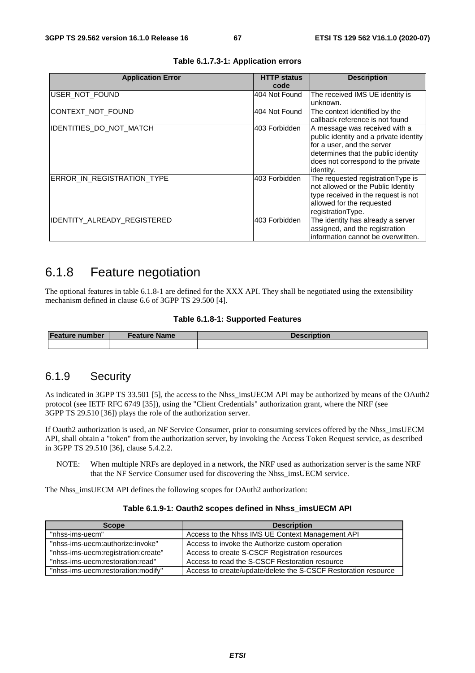| <b>Application Error</b>       | <b>HTTP status</b><br>code | <b>Description</b>                                                                                                                                                                              |
|--------------------------------|----------------------------|-------------------------------------------------------------------------------------------------------------------------------------------------------------------------------------------------|
| USER_NOT_FOUND                 | 404 Not Found              | The received IMS UE identity is<br>unknown.                                                                                                                                                     |
| CONTEXT_NOT_FOUND              | 404 Not Found              | The context identified by the<br>callback reference is not found                                                                                                                                |
| <b>IDENTITIES DO NOT MATCH</b> | 403 Forbidden              | A message was received with a<br>public identity and a private identity<br>for a user, and the server<br>determines that the public identity<br>does not correspond to the private<br>identity. |
| ERROR IN REGISTRATION TYPE     | 403 Forbidden              | The requested registration Type is<br>not allowed or the Public Identity<br>type received in the request is not<br>allowed for the requested<br>registrationType.                               |
| IDENTITY_ALREADY_REGISTERED    | 403 Forbidden              | The identity has already a server<br>assigned, and the registration<br>information cannot be overwritten.                                                                                       |

**Table 6.1.7.3-1: Application errors** 

# 6.1.8 Feature negotiation

The optional features in table 6.1.8-1 are defined for the XXX API. They shall be negotiated using the extensibility mechanism defined in clause 6.6 of 3GPP TS 29.500 [4].

#### **Table 6.1.8-1: Supported Features**

| <b>Feature number</b> | Feature Name | <b>Description</b> |
|-----------------------|--------------|--------------------|
|                       |              |                    |

# 6.1.9 Security

As indicated in 3GPP TS 33.501 [5], the access to the Nhss\_imsUECM API may be authorized by means of the OAuth2 protocol (see IETF RFC 6749 [35]), using the "Client Credentials" authorization grant, where the NRF (see 3GPP TS 29.510 [36]) plays the role of the authorization server.

If Oauth2 authorization is used, an NF Service Consumer, prior to consuming services offered by the Nhss\_imsUECM API, shall obtain a "token" from the authorization server, by invoking the Access Token Request service, as described in 3GPP TS 29.510 [36], clause 5.4.2.2.

NOTE: When multiple NRFs are deployed in a network, the NRF used as authorization server is the same NRF that the NF Service Consumer used for discovering the Nhss\_imsUECM service.

The Nhss\_imsUECM API defines the following scopes for OAuth2 authorization:

| <b>Scope</b>                        | <b>Description</b>                                             |  |
|-------------------------------------|----------------------------------------------------------------|--|
| "nhss-ims-uecm"                     | Access to the Nhss IMS UE Context Management API               |  |
| "nhss-ims-uecm:authorize:invoke"    | Access to invoke the Authorize custom operation                |  |
| "nhss-ims-uecm:registration:create" | Access to create S-CSCF Registration resources                 |  |
| "nhss-ims-uecm:restoration:read"    | Access to read the S-CSCF Restoration resource                 |  |
| "nhss-ims-uecm:restoration:modify"  | Access to create/update/delete the S-CSCF Restoration resource |  |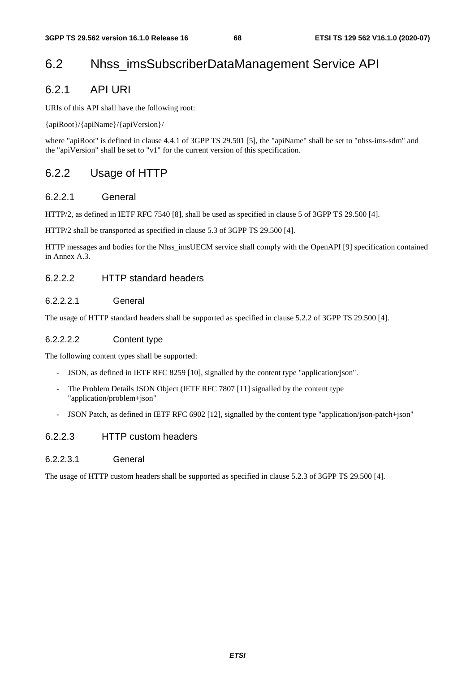# 6.2 Nhss\_imsSubscriberDataManagement Service API

# 6.2.1 API URI

URIs of this API shall have the following root:

{apiRoot}/{apiName}/{apiVersion}/

where "apiRoot" is defined in clause 4.4.1 of 3GPP TS 29.501 [5], the "apiName" shall be set to "nhss-ims-sdm" and the "apiVersion" shall be set to "v1" for the current version of this specification.

# 6.2.2 Usage of HTTP

# 6.2.2.1 General

HTTP/2, as defined in IETF RFC 7540 [8], shall be used as specified in clause 5 of 3GPP TS 29.500 [4].

HTTP/2 shall be transported as specified in clause 5.3 of 3GPP TS 29.500 [4].

HTTP messages and bodies for the Nhss\_imsUECM service shall comply with the OpenAPI [9] specification contained in Annex A.3.

# 6.2.2.2 HTTP standard headers

# 6.2.2.2.1 General

The usage of HTTP standard headers shall be supported as specified in clause 5.2.2 of 3GPP TS 29.500 [4].

## 6.2.2.2.2 Content type

The following content types shall be supported:

- JSON, as defined in IETF RFC 8259 [10], signalled by the content type "application/json".
- The Problem Details JSON Object (IETF RFC 7807 [11] signalled by the content type "application/problem+json"
- JSON Patch, as defined in IETF RFC 6902 [12], signalled by the content type "application/json-patch+json"

# 6.2.2.3 HTTP custom headers

## 6.2.2.3.1 General

The usage of HTTP custom headers shall be supported as specified in clause 5.2.3 of 3GPP TS 29.500 [4].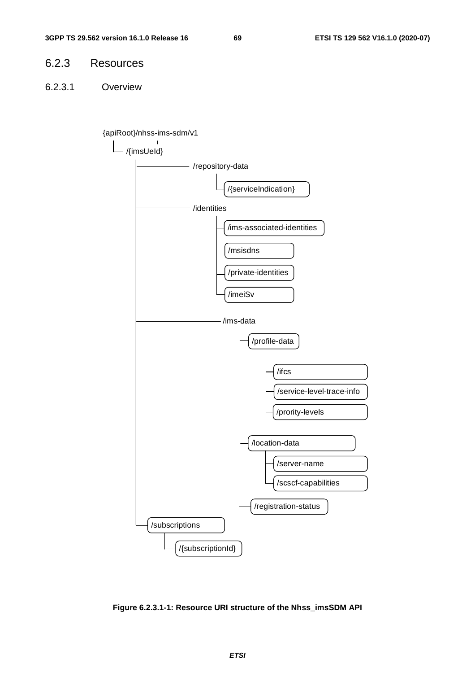# 6.2.3 Resources

6.2.3.1 Overview





**Figure 6.2.3.1-1: Resource URI structure of the Nhss\_imsSDM API**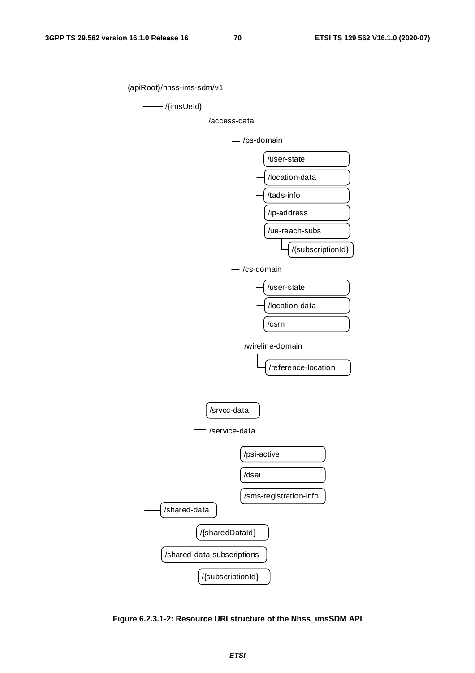{apiRoot}/nhss-ims-sdm/v1

/{imsUeId} /access-data /service-data /psi-active /ps-domain /dsai /sms-registration-info /srvcc-data - /cs-domain /wireline-domain /reference-location /user-state /location-data /csrn /user-state /location-data /tads-info /ue-reach-subs /ip-address /shared-data /shared-data-subscriptions /{sharedDataId} /{subscriptionId} /{subscriptionId}

**Figure 6.2.3.1-2: Resource URI structure of the Nhss\_imsSDM API**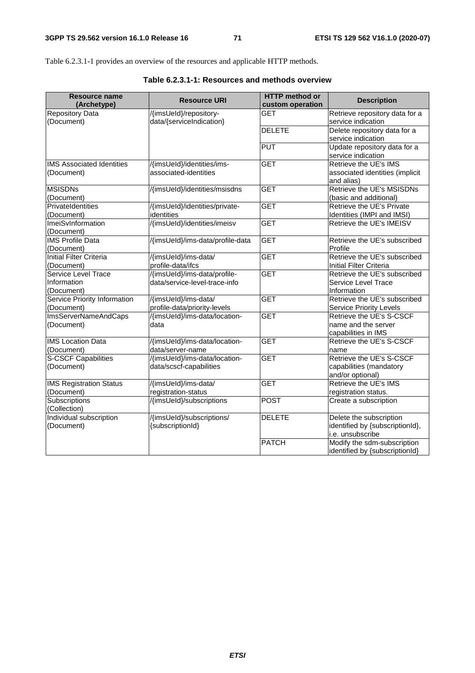Table 6.2.3.1-1 provides an overview of the resources and applicable HTTP methods.

| <b>Resource name</b><br>(Archetype)     | <b>Resource URI</b>              | <b>HTTP</b> method or<br>custom operation | <b>Description</b>              |
|-----------------------------------------|----------------------------------|-------------------------------------------|---------------------------------|
| <b>Repository Data</b>                  | /{imsUeld}/repository-           | <b>GET</b>                                | Retrieve repository data for a  |
| (Document)                              | data/{serviceIndication}         |                                           | service indication              |
|                                         |                                  | <b>DELETE</b>                             | Delete repository data for a    |
|                                         |                                  |                                           | service indication              |
|                                         |                                  | <b>PUT</b>                                | Update repository data for a    |
|                                         |                                  |                                           | service indication              |
| <b>IMS Associated Identities</b>        | /{imsUeId}/identities/ims-       | <b>GET</b>                                | Retrieve the UE's IMS           |
| (Document)                              | associated-identities            |                                           | associated identities (implicit |
|                                         |                                  |                                           | and alias)                      |
| <b>MSISDNs</b>                          | /{imsUeId}/identities/msisdns    | <b>GET</b>                                | Retrieve the UE's MSISDNs       |
| (Document)                              |                                  |                                           | (basic and additional)          |
| PrivateIdentities                       | /{imsUeId}/identities/private-   | <b>GET</b>                                | Retrieve the UE's Private       |
| (Document)                              | identities                       |                                           | Identities (IMPI and IMSI)      |
| ImeiSvInformation                       | /{imsUeld}/identities/imeisv     | <b>GET</b>                                | Retrieve the UE's IMEISV        |
| (Document)                              |                                  |                                           |                                 |
| <b>IMS Profile Data</b>                 | /{imsUeId}/ims-data/profile-data | <b>GET</b>                                | Retrieve the UE's subscribed    |
| (Document)                              |                                  |                                           | Profile                         |
| <b>Initial Filter Criteria</b>          | /{imsUeId}/ims-data/             | <b>GET</b>                                | Retrieve the UE's subscribed    |
| (Document)                              | profile-data/ifcs                |                                           | <b>Initial Filter Criteria</b>  |
| Service Level Trace                     | /{imsUeld}/ims-data/profile-     | <b>GET</b>                                | Retrieve the UE's subscribed    |
| Information                             | data/service-level-trace-info    |                                           | <b>Service Level Trace</b>      |
| (Document)                              |                                  |                                           | Information                     |
| Service Priority Information            | /{imsUeId}/ims-data/             | <b>GET</b>                                | Retrieve the UE's subscribed    |
| (Document)                              | profile-data/priority-levels     |                                           | <b>Service Priority Levels</b>  |
| ImsServerNameAndCaps                    | /{imsUeId}/ims-data/location-    | <b>GET</b>                                | Retrieve the UE's S-CSCF        |
| (Document)                              | data                             |                                           | name and the server             |
|                                         |                                  |                                           | capabilities in IMS             |
| <b>IMS Location Data</b>                | /{imsUeId}/ims-data/location-    | <b>GET</b>                                | Retrieve the UE's S-CSCF        |
| (Document)                              | data/server-name                 |                                           | name                            |
| <b>S-CSCF Capabilities</b>              | /{imsUeId}/ims-data/location-    | <b>GET</b>                                | Retrieve the UE's S-CSCF        |
| (Document)                              | data/scscf-capabilities          |                                           | capabilities (mandatory         |
|                                         |                                  |                                           | and/or optional)                |
| <b>IMS Registration Status</b>          | /{imsUeId}/ims-data/             | <b>GET</b>                                | Retrieve the UE's IMS           |
| (Document)                              | registration-status              |                                           | registration status.            |
| Subscriptions                           | /{imsUeId}/subscriptions         | <b>POST</b>                               | Create a subscription           |
| (Collection)<br>Individual subscription |                                  |                                           |                                 |
|                                         | /{imsUeId}/subscriptions/        | <b>DELETE</b>                             | Delete the subscription         |
| (Document)                              | {subscriptionId}                 |                                           | identified by {subscriptionId}, |
|                                         |                                  |                                           | i.e. unsubscribe                |
|                                         |                                  | <b>PATCH</b>                              | Modify the sdm-subscription     |
|                                         |                                  |                                           | identified by {subscriptionId}  |

**Table 6.2.3.1-1: Resources and methods overview**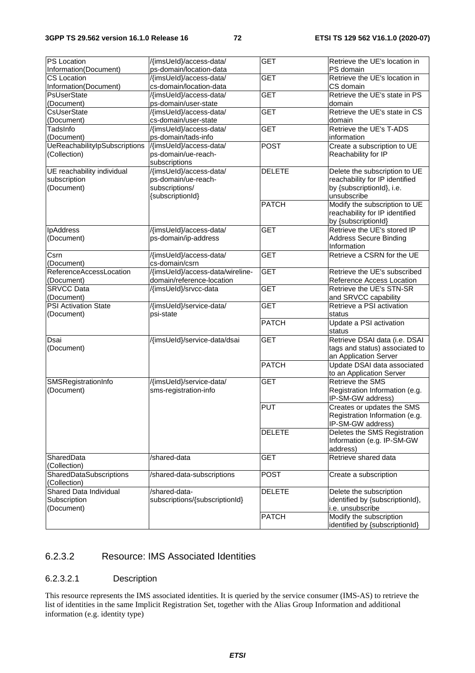| <b>PS Location</b>             | /{imsUeld}/access-data/          | <b>GET</b>    | Retrieve the UE's location in   |
|--------------------------------|----------------------------------|---------------|---------------------------------|
| Information(Document)          | ps-domain/location-data          |               | PS domain                       |
| <b>CS Location</b>             | /{imsUeId}/access-data/          | <b>GET</b>    | Retrieve the UE's location in   |
| Information(Document)          | cs-domain/location-data          |               | CS domain                       |
| PsUserState                    | /{imsUeId}/access-data/          | <b>GET</b>    | Retrieve the UE's state in PS   |
| (Document)                     | ps-domain/user-state             |               | domain                          |
| <b>CsUserState</b>             | /{imsUeId}/access-data/          | <b>GET</b>    | Retrieve the UE's state in CS   |
| (Document)                     | cs-domain/user-state             |               | domain                          |
| TadsInfo                       | /{imsUeId}/access-data/          | <b>GET</b>    | Retrieve the UE's T-ADS         |
| (Document)                     | ps-domain/tads-info              |               | information                     |
| UeReachabilitylpSubscriptions  | /{imsUeld}/access-data/          | <b>POST</b>   | Create a subscription to UE     |
| (Collection)                   | ps-domain/ue-reach-              |               | Reachability for IP             |
|                                | subscriptions                    |               |                                 |
| UE reachability individual     | /{imsUeId}/access-data/          | <b>DELETE</b> | Delete the subscription to UE   |
| subscription                   | ps-domain/ue-reach-              |               | reachability for IP identified  |
| (Document)                     | subscriptions/                   |               | by {subscriptionId}, i.e.       |
|                                | {subscriptionId}                 |               | unsubscribe                     |
|                                |                                  | <b>PATCH</b>  | Modify the subscription to UE   |
|                                |                                  |               | reachability for IP identified  |
|                                |                                  |               | by {subscriptionId}             |
| <b>IpAddress</b>               | /{imsUeld}/access-data/          | <b>GET</b>    | Retrieve the UE's stored IP     |
| (Document)                     | ps-domain/ip-address             |               | <b>Address Secure Binding</b>   |
|                                |                                  |               | Information                     |
|                                | /{imsUeld}/access-data/          | <b>GET</b>    | Retrieve a CSRN for the UE      |
| Csrn                           | cs-domain/csrn                   |               |                                 |
| (Document)                     | /{imsUeId}/access-data/wireline- | <b>GET</b>    | Retrieve the UE's subscribed    |
| ReferenceAccessLocation        |                                  |               |                                 |
| (Document)                     | domain/reference-location        |               | Reference Access Location       |
| <b>SRVCC Data</b>              | /{imsUeld}/srvcc-data            | <b>GET</b>    | Retrieve the UE's STN-SR        |
| (Document)                     |                                  |               | and SRVCC capability            |
| PSI Activation State           | /{imsUeld}/service-data/         | <b>GET</b>    | Retrieve a PSI activation       |
| (Document)                     | psi-state                        |               | status                          |
|                                |                                  | <b>PATCH</b>  | Update a PSI activation         |
|                                |                                  |               | status                          |
| Dsai                           | /{imsUeld}/service-data/dsai     | <b>GET</b>    | Retrieve DSAI data (i.e. DSAI   |
| (Document)                     |                                  |               | tags and status) associated to  |
|                                |                                  |               | an Application Server           |
|                                |                                  | <b>PATCH</b>  | Update DSAI data associated     |
|                                |                                  |               | to an Application Server        |
| SMSRegistrationInfo            | /{imsUeId}/service-data/         | <b>GET</b>    | <b>Retrieve the SMS</b>         |
| (Document)                     | sms-registration-info            |               | Registration Information (e.g.  |
|                                |                                  |               | IP-SM-GW address)               |
|                                |                                  | <b>PUT</b>    | Creates or updates the SMS      |
|                                |                                  |               | Registration Information (e.g.  |
|                                |                                  |               | IP-SM-GW address)               |
|                                |                                  | <b>DELETE</b> | Deletes the SMS Registration    |
|                                |                                  |               | Information (e.g. IP-SM-GW      |
|                                |                                  |               | address)                        |
| SharedData                     | /shared-data                     | <b>GET</b>    | Retrieve shared data            |
| (Collection)                   |                                  |               |                                 |
| <b>SharedDataSubscriptions</b> | /shared-data-subscriptions       | <b>POST</b>   | Create a subscription           |
| (Collection)                   |                                  |               |                                 |
| Shared Data Individual         | /shared-data-                    | <b>DELETE</b> | Delete the subscription         |
| Subscription                   | subscriptions/{subscriptionId}   |               | identified by {subscriptionId}, |
| (Document)                     |                                  |               | i.e. unsubscribe                |
|                                |                                  | <b>PATCH</b>  | Modify the subscription         |
|                                |                                  |               | identified by {subscriptionId}  |
|                                |                                  |               |                                 |

# 6.2.3.2 Resource: IMS Associated Identities

# 6.2.3.2.1 Description

This resource represents the IMS associated identities. It is queried by the service consumer (IMS-AS) to retrieve the list of identities in the same Implicit Registration Set, together with the Alias Group Information and additional information (e.g. identity type)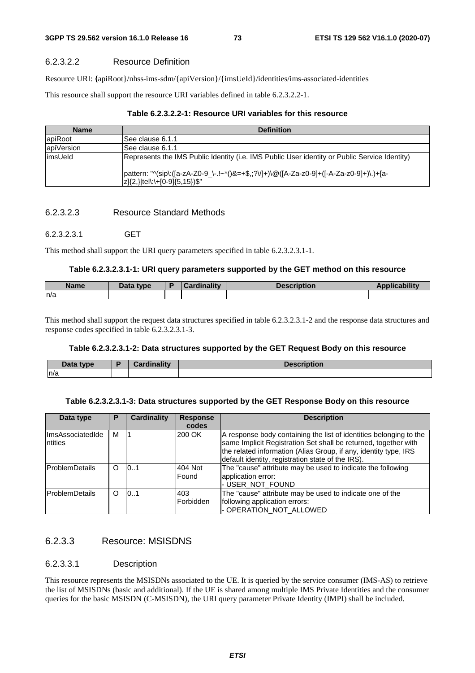### 6.2.3.2.2 Resource Definition

Resource URI: **{**apiRoot}/nhss-ims-sdm/{apiVersion}/{imsUeId}/identities/ims-associated-identities

This resource shall support the resource URI variables defined in table 6.2.3.2.2-1.

|  | Table 6.2.3.2.2-1: Resource URI variables for this resource |  |
|--|-------------------------------------------------------------|--|
|--|-------------------------------------------------------------|--|

| <b>Name</b> | <b>Definition</b>                                                                                                        |
|-------------|--------------------------------------------------------------------------------------------------------------------------|
| apiRoot     | See clause 6.1.1                                                                                                         |
| apiVersion  | See clause 6.1.1                                                                                                         |
| limsUeld    | Represents the IMS Public Identity (i.e. IMS Public User identity or Public Service Identity)                            |
|             | pattern: "^(sip\:([a-zA-Z0-9_\-.!~*()&=+\$,;?V]+)\@([A-Za-z0-9]+([-A-Za-z0-9]+)\.)+[a-<br> z]{2,} tel\:\+[0-9]{5,15})\$" |

### 6.2.3.2.3 Resource Standard Methods

#### 6.2.3.2.3.1 GET

This method shall support the URI query parameters specified in table 6.2.3.2.3.1-1.

#### **Table 6.2.3.2.3.1-1: URI query parameters supported by the GET method on this resource**

|      | <b>Cardinality</b> | <b>Description</b> |  |
|------|--------------------|--------------------|--|
| ln/a |                    |                    |  |

This method shall support the request data structures specified in table 6.2.3.2.3.1-2 and the response data structures and response codes specified in table 6.2.3.2.3.1-3.

# **Table 6.2.3.2.3.1-2: Data structures supported by the GET Request Body on this resource**

| Data type | <b>Cordinality</b> | <b>Description</b> |
|-----------|--------------------|--------------------|
| n/a       |                    |                    |

#### **Table 6.2.3.2.3.1-3: Data structures supported by the GET Response Body on this resource**

| Data type                   | Р        | Cardinality | <b>Response</b><br>codes | <b>Description</b>                                                                                                                                                                                                                                             |
|-----------------------------|----------|-------------|--------------------------|----------------------------------------------------------------------------------------------------------------------------------------------------------------------------------------------------------------------------------------------------------------|
| ImsAssociatedIde<br>ntities | М        |             | 200 OK                   | A response body containing the list of identities belonging to the<br>same Implicit Registration Set shall be returned, together with<br>the related information (Alias Group, if any, identity type, IRS<br>default identity, registration state of the IRS). |
| <b>IProblemDetails</b>      | O        | 10.1        | 404 Not<br>Found         | The "cause" attribute may be used to indicate the following<br>application error:<br>- USER_NOT_FOUND                                                                                                                                                          |
| <b>IProblemDetails</b>      | $\Omega$ | 0.1         | 403<br>Forbidden         | The "cause" attribute may be used to indicate one of the<br>following application errors:<br>- OPERATION_NOT_ALLOWED                                                                                                                                           |

# 6.2.3.3 Resource: MSISDNS

# 6.2.3.3.1 Description

This resource represents the MSISDNs associated to the UE. It is queried by the service consumer (IMS-AS) to retrieve the list of MSISDNs (basic and additional). If the UE is shared among multiple IMS Private Identities and the consumer queries for the basic MSISDN (C-MSISDN), the URI query parameter Private Identity (IMPI) shall be included.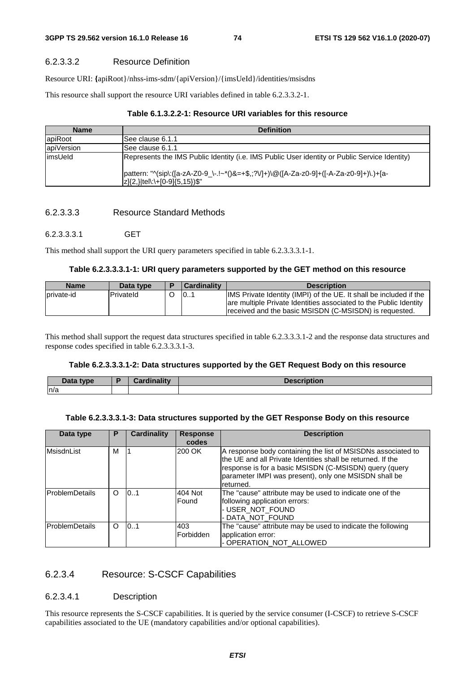### 6.2.3.3.2 Resource Definition

Resource URI: **{**apiRoot}/nhss-ims-sdm/{apiVersion}/{imsUeId}/identities/msisdns

This resource shall support the resource URI variables defined in table 6.2.3.3.2-1.

# **Table 6.1.3.2.2-1: Resource URI variables for this resource**

| <b>Name</b> | <b>Definition</b>                                                                                                        |
|-------------|--------------------------------------------------------------------------------------------------------------------------|
| apiRoot     | ISee clause 6.1.1                                                                                                        |
| apiVersion  | ISee clause 6.1.1                                                                                                        |
| limsUeld    | Represents the IMS Public Identity (i.e. IMS Public User identity or Public Service Identity)                            |
|             | pattern: "^(sip\:([a-zA-Z0-9_\-.!~*()&=+\$,;?V]+)\@([A-Za-z0-9]+([-A-Za-z0-9]+)\.)+[a-<br> z]{2,} tel\:\+[0-9]{5,15})\$" |

### 6.2.3.3.3 Resource Standard Methods

### 6.2.3.3.3.1 GET

This method shall support the URI query parameters specified in table 6.2.3.3.3.1-1.

#### **Table 6.2.3.3.3.1-1: URI query parameters supported by the GET method on this resource**

| <b>Name</b> | Data type         | l Cardinalitv | <b>Description</b>                                                                                                                      |
|-------------|-------------------|---------------|-----------------------------------------------------------------------------------------------------------------------------------------|
| Iprivate-id | <b>IPrivateId</b> | 101           | IMS Private Identity (IMPI) of the UE. It shall be included if the<br>are multiple Private Identities associated to the Public Identity |
|             |                   |               | received and the basic MSISDN (C-MSISDN) is requested.                                                                                  |

This method shall support the request data structures specified in table 6.2.3.3.3.1-2 and the response data structures and response codes specified in table 6.2.3.3.3.1-3.

### **Table 6.2.3.3.3.1-2: Data structures supported by the GET Request Body on this resource**

| Data type | <b>Cardinality</b> | <b>Description</b> |
|-----------|--------------------|--------------------|
| ln/a      |                    |                    |

# **Table 6.2.3.3.3.1-3: Data structures supported by the GET Response Body on this resource**

| Data type             | P        | <b>Cardinality</b> | <b>Response</b><br>codes | <b>Description</b>                                                                                                                                                                                                                                          |
|-----------------------|----------|--------------------|--------------------------|-------------------------------------------------------------------------------------------------------------------------------------------------------------------------------------------------------------------------------------------------------------|
| MsisdnList            | м        |                    | 200 OK                   | A response body containing the list of MSISDNs associated to<br>the UE and all Private Identities shall be returned. If the<br>response is for a basic MSISDN (C-MSISDN) query (query<br>parameter IMPI was present), only one MSISDN shall be<br>returned. |
| <b>ProblemDetails</b> | $\Omega$ | 0.1                | 404 Not<br>Found         | The "cause" attribute may be used to indicate one of the<br>following application errors:<br>- USER_NOT_FOUND<br>- DATA NOT FOUND                                                                                                                           |
| <b>ProblemDetails</b> | $\Omega$ | 10.1               | 403<br>Forbidden         | The "cause" attribute may be used to indicate the following<br>application error:<br>- OPERATION NOT ALLOWED                                                                                                                                                |

# 6.2.3.4 Resource: S-CSCF Capabilities

### 6.2.3.4.1 Description

This resource represents the S-CSCF capabilities. It is queried by the service consumer (I-CSCF) to retrieve S-CSCF capabilities associated to the UE (mandatory capabilities and/or optional capabilities).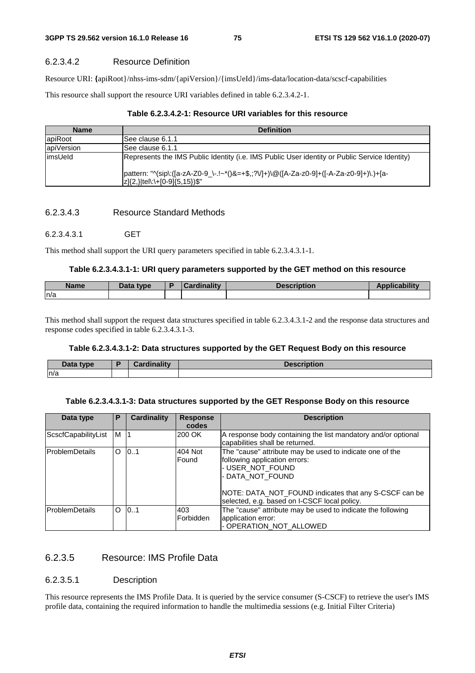# 6.2.3.4.2 Resource Definition

Resource URI: **{**apiRoot}/nhss-ims-sdm/{apiVersion}/{imsUeId}/ims-data/location-data/scscf-capabilities

This resource shall support the resource URI variables defined in table 6.2.3.4.2-1.

| <b>Name</b> | <b>Definition</b>                                                                                                        |
|-------------|--------------------------------------------------------------------------------------------------------------------------|
| apiRoot     | ISee clause 6.1.1                                                                                                        |
| apiVersion  | ISee clause 6.1.1                                                                                                        |
| limsUeld    | Represents the IMS Public Identity (i.e. IMS Public User identity or Public Service Identity)                            |
|             | pattern: "^(sip\:([a-zA-Z0-9_\-.!~*()&=+\$,;?V]+)\@([A-Za-z0-9]+([-A-Za-z0-9]+)\.)+[a-<br> z]{2,} tel\:\+[0-9]{5,15})\$" |

### 6.2.3.4.3 Resource Standard Methods

### 6.2.3.4.3.1 GET

This method shall support the URI query parameters specified in table 6.2.3.4.3.1-1.

#### **Table 6.2.3.4.3.1-1: URI query parameters supported by the GET method on this resource**

|      | <b>Cardinality</b> | <b>Description</b> |  |
|------|--------------------|--------------------|--|
| ln/a |                    |                    |  |

This method shall support the request data structures specified in table 6.2.3.4.3.1-2 and the response data structures and response codes specified in table 6.2.3.4.3.1-3.

## **Table 6.2.3.4.3.1-2: Data structures supported by the GET Request Body on this resource**

| <b>Data</b><br>type | Cardinality | <b>Description</b> |
|---------------------|-------------|--------------------|
| ln/a                |             |                    |

#### **Table 6.2.3.4.3.1-3: Data structures supported by the GET Response Body on this resource**

| Data type             | Р | <b>Cardinality</b> | <b>Response</b><br>codes | <b>Description</b>                                                                                                                                                                                                                         |
|-----------------------|---|--------------------|--------------------------|--------------------------------------------------------------------------------------------------------------------------------------------------------------------------------------------------------------------------------------------|
| ScscfCapabilityList   | м |                    | 200 OK                   | A response body containing the list mandatory and/or optional<br>capabilities shall be returned.                                                                                                                                           |
| <b>ProblemDetails</b> | O | 0.1                | 404 Not<br>Found         | The "cause" attribute may be used to indicate one of the<br>following application errors:<br>- USER_NOT_FOUND<br>- DATA_NOT_FOUND<br>NOTE: DATA NOT FOUND indicates that any S-CSCF can be<br>selected, e.g. based on I-CSCF local policy. |
| lProblemDetails       | O | 10.1               | 403<br>Forbidden         | The "cause" attribute may be used to indicate the following<br>application error:<br>- OPERATION NOT ALLOWED                                                                                                                               |

# 6.2.3.5 Resource: IMS Profile Data

# 6.2.3.5.1 Description

This resource represents the IMS Profile Data. It is queried by the service consumer (S-CSCF) to retrieve the user's IMS profile data, containing the required information to handle the multimedia sessions (e.g. Initial Filter Criteria)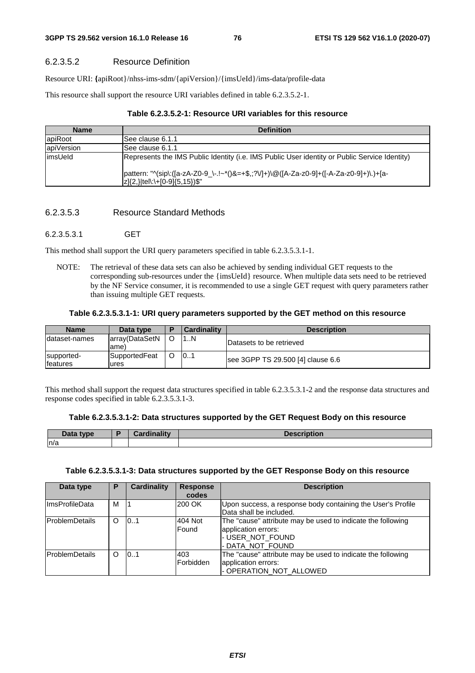# 6.2.3.5.2 Resource Definition

Resource URI: **{**apiRoot}/nhss-ims-sdm/{apiVersion}/{imsUeId}/ims-data/profile-data

This resource shall support the resource URI variables defined in table 6.2.3.5.2-1.

| <b>Name</b> | <b>Definition</b>                                                                                                                                   |  |  |  |  |
|-------------|-----------------------------------------------------------------------------------------------------------------------------------------------------|--|--|--|--|
| apiRoot     | ISee clause 6.1.1                                                                                                                                   |  |  |  |  |
| apiVersion  | ISee clause 6.1.1                                                                                                                                   |  |  |  |  |
| limsUeld    | Represents the IMS Public Identity (i.e. IMS Public User identity or Public Service Identity)                                                       |  |  |  |  |
|             | pattern: "^(sip\:([a-zA-Z0-9_\-.!~*()&=+\$,;?V]+)\@([A-Za-z0-9]+([-A-Za-z0-9]+)\.)+[a-<br>$ z \{2,\} \text{tel}\right \cdot\text{--} [0-9]\{5,15\}$ |  |  |  |  |

### 6.2.3.5.3 Resource Standard Methods

#### 6.2.3.5.3.1 GET

This method shall support the URI query parameters specified in table 6.2.3.5.3.1-1.

NOTE: The retrieval of these data sets can also be achieved by sending individual GET requests to the corresponding sub-resources under the {imsUeId} resource. When multiple data sets need to be retrieved by the NF Service consumer, it is recommended to use a single GET request with query parameters rather than issuing multiple GET requests.

### **Table 6.2.3.5.3.1-1: URI query parameters supported by the GET method on this resource**

| <b>Name</b>                    | Data type               | <b>Cardinality</b> | <b>Description</b>                |
|--------------------------------|-------------------------|--------------------|-----------------------------------|
| Idataset-names                 | array(DataSetN<br>lame) | 1N                 | Datasets to be retrieved          |
| supported-<br><b>Ifeatures</b> | SupportedFeat<br>lures  | 101                | see 3GPP TS 29.500 [4] clause 6.6 |

This method shall support the request data structures specified in table 6.2.3.5.3.1-2 and the response data structures and response codes specified in table 6.2.3.5.3.1-3.

|  |  |  | Table 6.2.3.5.3.1-2: Data structures supported by the GET Request Body on this resource |  |
|--|--|--|-----------------------------------------------------------------------------------------|--|
|--|--|--|-----------------------------------------------------------------------------------------|--|

| <b>Data</b><br><b>type</b> | <b>Cordinality</b> | <b>Docorintion</b><br>vuvn |
|----------------------------|--------------------|----------------------------|
| n/a                        |                    |                            |

#### **Table 6.2.3.5.3.1-3: Data structures supported by the GET Response Body on this resource**

| Data type             | P        | Cardinality | <b>Response</b> | <b>Description</b>                                          |
|-----------------------|----------|-------------|-----------------|-------------------------------------------------------------|
|                       |          |             | codes           |                                                             |
| <b>ImsProfileData</b> | м        |             | 200 OK          | Upon success, a response body containing the User's Profile |
|                       |          |             |                 | Data shall be included.                                     |
| lProblemDetails       | O        | 0.1         | 404 Not         | The "cause" attribute may be used to indicate the following |
|                       |          |             | Found           | application errors:                                         |
|                       |          |             |                 | - USER_NOT_FOUND                                            |
|                       |          |             |                 | - DATA NOT FOUND                                            |
| lProblemDetails       | $\Omega$ | 0.1         | 403             | The "cause" attribute may be used to indicate the following |
|                       |          |             | Forbidden       | application errors:                                         |
|                       |          |             |                 | - OPERATION_NOT_ALLOWED                                     |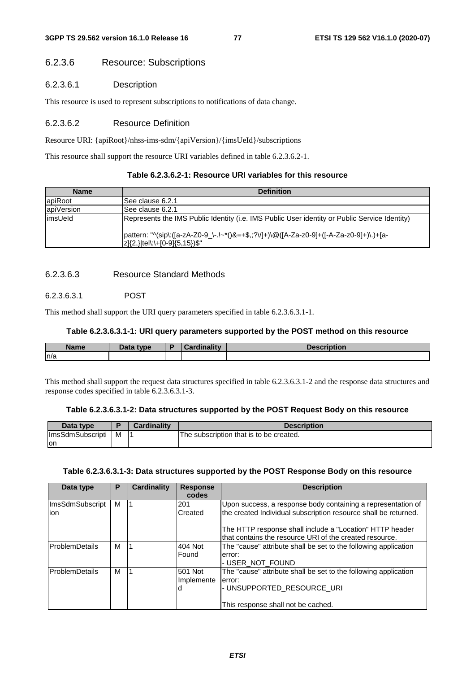# 6.2.3.6 Resource: Subscriptions

# 6.2.3.6.1 Description

This resource is used to represent subscriptions to notifications of data change.

### 6.2.3.6.2 Resource Definition

Resource URI: {apiRoot}/nhss-ims-sdm/{apiVersion}/{imsUeId}/subscriptions

This resource shall support the resource URI variables defined in table 6.2.3.6.2-1.

| Table 6.2.3.6.2-1: Resource URI variables for this resource |  |  |
|-------------------------------------------------------------|--|--|
|-------------------------------------------------------------|--|--|

| <b>Name</b> | <b>Definition</b>                                                                                                               |
|-------------|---------------------------------------------------------------------------------------------------------------------------------|
| apiRoot     | ISee clause 6.2.1                                                                                                               |
| apiVersion  | ISee clause 6.2.1                                                                                                               |
| limsUeld    | Represents the IMS Public Identity (i.e. IMS Public User identity or Public Service Identity)                                   |
|             | pattern: "^(sip\:([a-zA-Z0-9_\-.!~*()&=+\$,;?V]+)\@([A-Za-z0-9]+([-A-Za-z0-9]+)\.)+[a-<br>$ z {2,} $ tel\:\+[0-9] ${5,15}$ )\$" |

# 6.2.3.6.3 Resource Standard Methods

# 6.2.3.6.3.1 POST

This method shall support the URI query parameters specified in table 6.2.3.6.3.1-1.

### **Table 6.2.3.6.3.1-1: URI query parameters supported by the POST method on this resource**

| <b>Name</b> | Data type | <b>Cardinality</b><br>$\sim$ | <b>Description</b> |
|-------------|-----------|------------------------------|--------------------|
| n/a         |           |                              |                    |

This method shall support the request data structures specified in table 6.2.3.6.3.1-2 and the response data structures and response codes specified in table 6.2.3.6.3.1-3.

## **Table 6.2.3.6.3.1-2: Data structures supported by the POST Request Body on this resource**

| Data type               |   | <b>Cardinality</b> | <b>Description</b>                      |
|-------------------------|---|--------------------|-----------------------------------------|
| <b>ImsSdmSubscripti</b> | м |                    | The subscription that is to be created. |
| Ton                     |   |                    |                                         |

#### **Table 6.2.3.6.3.1-3: Data structures supported by the POST Response Body on this resource**

| Data type               | P | <b>Cardinality</b> | <b>Response</b><br>codes | <b>Description</b>                                                                                                              |
|-------------------------|---|--------------------|--------------------------|---------------------------------------------------------------------------------------------------------------------------------|
| ImsSdmSubscript<br>lion | м |                    | 201<br>Created           | Upon success, a response body containing a representation of<br>the created Individual subscription resource shall be returned. |
|                         |   |                    |                          | The HTTP response shall include a "Location" HTTP header<br>that contains the resource URI of the created resource.             |
| <b>ProblemDetails</b>   | м |                    | 404 Not<br>Found         | The "cause" attribute shall be set to the following application<br>error:<br>- USER NOT FOUND                                   |
| <b>ProblemDetails</b>   | м |                    | 501 Not<br>Implemente    | The "cause" attribute shall be set to the following application<br>error:<br>- UNSUPPORTED RESOURCE URI                         |
|                         |   |                    |                          | This response shall not be cached.                                                                                              |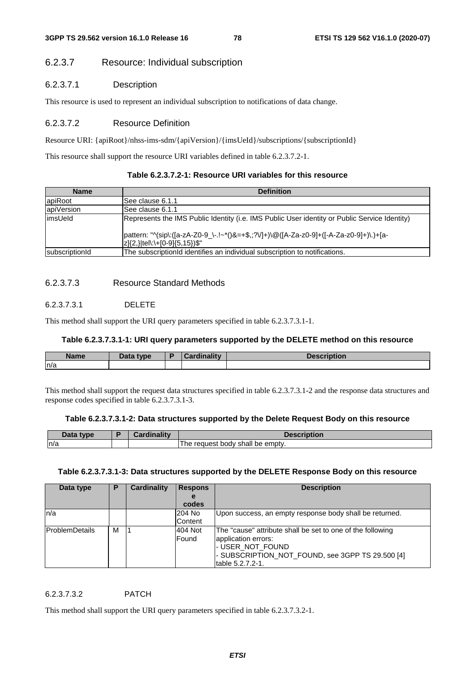# 6.2.3.7 Resource: Individual subscription

# 6.2.3.7.1 Description

This resource is used to represent an individual subscription to notifications of data change.

### 6.2.3.7.2 Resource Definition

Resource URI: {apiRoot}/nhss-ims-sdm/{apiVersion}/{imsUeId}/subscriptions/{subscriptionId}

This resource shall support the resource URI variables defined in table 6.2.3.7.2-1.

|  | Table 6.2.3.7.2-1: Resource URI variables for this resource |
|--|-------------------------------------------------------------|
|--|-------------------------------------------------------------|

| <b>Name</b>    | <b>Definition</b>                                                                                                       |
|----------------|-------------------------------------------------------------------------------------------------------------------------|
| apiRoot        | See clause 6.1.1                                                                                                        |
| apiVersion     | See clause 6.1.1                                                                                                        |
| limsUeld       | Represents the IMS Public Identity (i.e. IMS Public User identity or Public Service Identity)                           |
|                | pattern: "^(sip\:([a-zA-Z0-9_\-.!~*()&=+\$,;?V]+)\@([A-Za-z0-9]+([-A-Za-z0-9]+)\.)+[a-<br>z]{2,} tel\:\+[0-9]{5,15})\$" |
| subscriptionId | The subscriptionId identifies an individual subscription to notifications.                                              |

## 6.2.3.7.3 Resource Standard Methods

# 6.2.3.7.3.1 DELETE

This method shall support the URI query parameters specified in table 6.2.3.7.3.1-1.

# **Table 6.2.3.7.3.1-1: URI query parameters supported by the DELETE method on this resource**

| <b>Name</b> | Data type | boudinolity<br>пани | --------<br>NUUUN |
|-------------|-----------|---------------------|-------------------|
| ln/a        |           |                     |                   |
|             |           |                     |                   |

This method shall support the request data structures specified in table 6.2.3.7.3.1-2 and the response data structures and response codes specified in table 6.2.3.7.3.1-3.

### **Table 6.2.3.7.3.1-2: Data structures supported by the Delete Request Body on this resource**

| $\Delta$ ata type | - wedinality. | -----                                             |
|-------------------|---------------|---------------------------------------------------|
| n/a               |               | .<br>. reauest bodv<br>shall<br>" be empty.<br>ne |

### **Table 6.2.3.7.3.1-3: Data structures supported by the DELETE Response Body on this resource**

| Data type              | Р | <b>Cardinality</b> | <b>Respons</b> | <b>Description</b>                                         |
|------------------------|---|--------------------|----------------|------------------------------------------------------------|
|                        |   |                    | e              |                                                            |
|                        |   |                    | codes          |                                                            |
| ln/a                   |   |                    | 204 No         | Upon success, an empty response body shall be returned.    |
|                        |   |                    | Content        |                                                            |
| <b>IProblemDetails</b> | M |                    | 404 Not        | The "cause" attribute shall be set to one of the following |
|                        |   |                    | Found          | application errors:                                        |
|                        |   |                    |                | I- USER_NOT_FOUND                                          |
|                        |   |                    |                | - SUBSCRIPTION_NOT_FOUND, see 3GPP TS 29.500 [4]           |
|                        |   |                    |                | table 5.2.7.2-1.                                           |

### 6.2.3.7.3.2 PATCH

This method shall support the URI query parameters specified in table 6.2.3.7.3.2-1.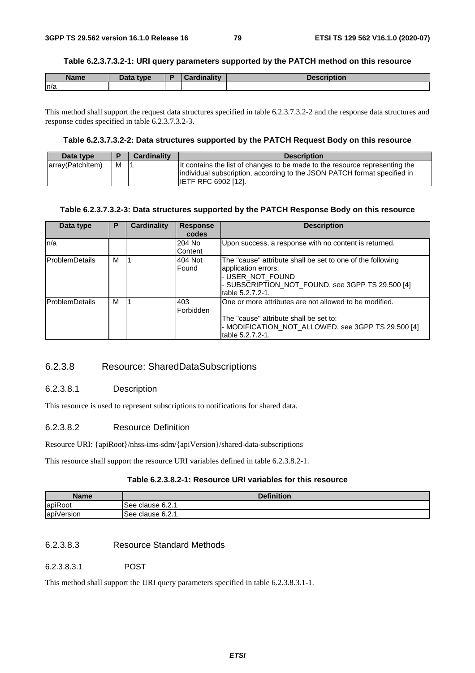### **Table 6.2.3.7.3.2-1: URI query parameters supported by the PATCH method on this resource**

| <b>Name</b> | Data type | <b>Cardinality</b> | <b>Description</b> |
|-------------|-----------|--------------------|--------------------|
| ln/a        |           |                    |                    |

This method shall support the request data structures specified in table 6.2.3.7.3.2-2 and the response data structures and response codes specified in table 6.2.3.7.3.2-3.

### **Table 6.2.3.7.3.2-2: Data structures supported by the PATCH Request Body on this resource**

| Data type        |   | <b>Cardinality</b> | <b>Description</b>                                                                                                                                                                    |
|------------------|---|--------------------|---------------------------------------------------------------------------------------------------------------------------------------------------------------------------------------|
| array(Patchitem) | м |                    | It contains the list of changes to be made to the resource representing the<br>individual subscription, according to the JSON PATCH format specified in<br><b>IETF RFC 6902 [12].</b> |

### **Table 6.2.3.7.3.2-3: Data structures supported by the PATCH Response Body on this resource**

| Data type              | Р | Cardinality | <b>Response</b><br>codes | <b>Description</b>                                                                                                                                                            |
|------------------------|---|-------------|--------------------------|-------------------------------------------------------------------------------------------------------------------------------------------------------------------------------|
| ln/a                   |   |             | 204 No<br>Content        | Upon success, a response with no content is returned.                                                                                                                         |
| <b>ProblemDetails</b>  | м |             | 404 Not<br>Found         | The "cause" attribute shall be set to one of the following<br>application errors:<br>- USER NOT FOUND<br>- SUBSCRIPTION NOT FOUND, see 3GPP TS 29.500 [4]<br>table 5.2.7.2-1. |
| <b>IProblemDetails</b> | м |             | 403<br>Forbidden         | One or more attributes are not allowed to be modified.<br>The "cause" attribute shall be set to:<br>- MODIFICATION NOT ALLOWED, see 3GPP TS 29.500 [4]<br>table 5.2.7.2-1.    |

# 6.2.3.8 Resource: SharedDataSubscriptions

# 6.2.3.8.1 Description

This resource is used to represent subscriptions to notifications for shared data.

# 6.2.3.8.2 Resource Definition

Resource URI: {apiRoot}/nhss-ims-sdm/{apiVersion}/shared-data-subscriptions

This resource shall support the resource URI variables defined in table 6.2.3.8.2-1.

# **Table 6.2.3.8.2-1: Resource URI variables for this resource**

| Name       | <b>Definition</b> |
|------------|-------------------|
| apiRoot    | See clause 6.2.1  |
| apiVersion | ISee clause 6.2.1 |

# 6.2.3.8.3 Resource Standard Methods

6.2.3.8.3.1 POST

This method shall support the URI query parameters specified in table 6.2.3.8.3.1-1.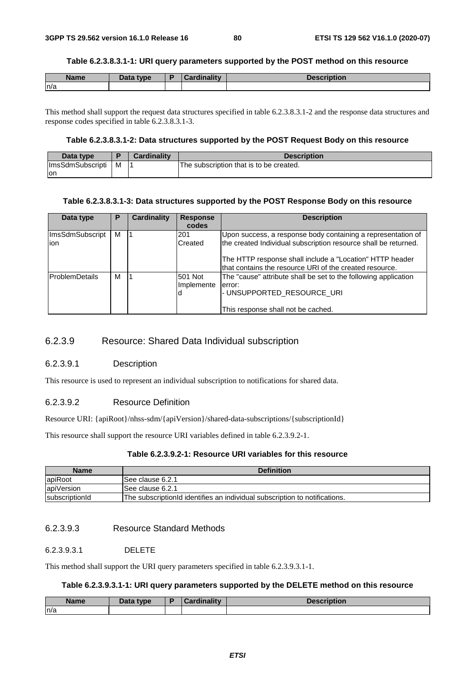#### **Table 6.2.3.8.3.1-1: URI query parameters supported by the POST method on this resource**

| <b>Name</b> | Data type | Cardinalitv | <b>Description</b> |
|-------------|-----------|-------------|--------------------|
| ln/a        |           |             |                    |

This method shall support the request data structures specified in table 6.2.3.8.3.1-2 and the response data structures and response codes specified in table 6.2.3.8.3.1-3.

### **Table 6.2.3.8.3.1-2: Data structures supported by the POST Request Body on this resource**

| Data type               |   | <b>Cardinality</b> | <b>Description</b>                      |
|-------------------------|---|--------------------|-----------------------------------------|
| <b>ImsSdmSubscripti</b> | M |                    | The subscription that is to be created. |
| lon                     |   |                    |                                         |

#### **Table 6.2.3.8.3.1-3: Data structures supported by the POST Response Body on this resource**

| Data type             | Р | Cardinality | <b>Response</b> | <b>Description</b>                                                                                                  |
|-----------------------|---|-------------|-----------------|---------------------------------------------------------------------------------------------------------------------|
|                       |   |             | codes           |                                                                                                                     |
| ImsSdmSubscript       | м |             | 201             | Upon success, a response body containing a representation of                                                        |
| ion                   |   |             | Created         | the created Individual subscription resource shall be returned.                                                     |
|                       |   |             |                 | The HTTP response shall include a "Location" HTTP header<br>that contains the resource URI of the created resource. |
| <b>ProblemDetails</b> | м |             | 501 Not         | The "cause" attribute shall be set to the following application                                                     |
|                       |   |             | Implemente      | error:                                                                                                              |
|                       |   |             |                 | - UNSUPPORTED RESOURCE URI                                                                                          |
|                       |   |             |                 |                                                                                                                     |
|                       |   |             |                 | This response shall not be cached.                                                                                  |

# 6.2.3.9 Resource: Shared Data Individual subscription

### 6.2.3.9.1 Description

This resource is used to represent an individual subscription to notifications for shared data.

### 6.2.3.9.2 Resource Definition

Resource URI: {apiRoot}/nhss-sdm/{apiVersion}/shared-data-subscriptions/{subscriptionId}

This resource shall support the resource URI variables defined in table 6.2.3.9.2-1.

# **Table 6.2.3.9.2-1: Resource URI variables for this resource**

| <b>Name</b>    | <b>Definition</b>                                                          |
|----------------|----------------------------------------------------------------------------|
| apiRoot        | ISee clause 6.2.1                                                          |
| apiVersion     | See clause 6.2.1                                                           |
| subscriptionId | The subscriptionId identifies an individual subscription to notifications. |

# 6.2.3.9.3 Resource Standard Methods

# 6.2.3.9.3.1 DELETE

This method shall support the URI query parameters specified in table 6.2.3.9.3.1-1.

### **Table 6.2.3.9.3.1-1: URI query parameters supported by the DELETE method on this resource**

| Name<br>ше | $R = 1$<br>type<br>Dala | .<br><br><b>The State of Contract of the State of the State of the State of the State of the State of the State of the State of the State of the State of the State of the State of the State of the State of the State of the State of t</b> | --------<br>. |
|------------|-------------------------|-----------------------------------------------------------------------------------------------------------------------------------------------------------------------------------------------------------------------------------------------|---------------|
| n/a        |                         |                                                                                                                                                                                                                                               |               |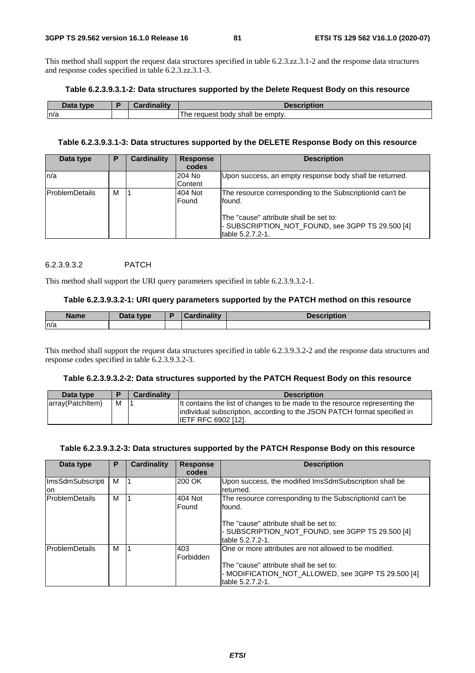This method shall support the request data structures specified in table 6.2.3.zz.3.1-2 and the response data structures and response codes specified in table 6.2.3.zz.3.1-3.

#### **Table 6.2.3.9.3.1-2: Data structures supported by the Delete Request Body on this resource**

| Data type | Cardinality | <b>Description</b>                          |
|-----------|-------------|---------------------------------------------|
| n/a       |             | be empty.<br>shall<br>body<br>he<br>request |

## **Table 6.2.3.9.3.1-3: Data structures supported by the DELETE Response Body on this resource**

| Data type             | P | <b>Cardinality</b> | <b>Response</b><br>codes | <b>Description</b>                                                                                                                                                |
|-----------------------|---|--------------------|--------------------------|-------------------------------------------------------------------------------------------------------------------------------------------------------------------|
| ln/a                  |   |                    | 204 No<br>Content        | Upon success, an empty response body shall be returned.                                                                                                           |
| <b>ProblemDetails</b> | м |                    | 404 Not<br>Found         | The resource corresponding to the Subscription d can't be<br>found.<br>The "cause" attribute shall be set to:<br>- SUBSCRIPTION_NOT_FOUND, see 3GPP TS 29.500 [4] |
|                       |   |                    |                          | table 5.2.7.2-1.                                                                                                                                                  |

### 6.2.3.9.3.2 PATCH

This method shall support the URI query parameters specified in table 6.2.3.9.3.2-1.

#### **Table 6.2.3.9.3.2-1: URI query parameters supported by the PATCH method on this resource**

| <b>Name</b> | <b>Pata type</b> | в | Cardinalitv | <b>Docorintion</b><br><b>Description</b> |
|-------------|------------------|---|-------------|------------------------------------------|
| ln/a        |                  |   |             |                                          |

This method shall support the request data structures specified in table 6.2.3.9.3.2-2 and the response data structures and response codes specified in table 6.2.3.9.3.2-3.

#### **Table 6.2.3.9.3.2-2: Data structures supported by the PATCH Request Body on this resource**

| Data type        |   | <b>Cardinality</b> | <b>Description</b>                                                                                                                                      |
|------------------|---|--------------------|---------------------------------------------------------------------------------------------------------------------------------------------------------|
| array(PatchItem) | M |                    | It contains the list of changes to be made to the resource representing the<br>individual subscription, according to the JSON PATCH format specified in |
|                  |   |                    | <b>IETF RFC 6902 [12].</b>                                                                                                                              |

#### **Table 6.2.3.9.3.2-3: Data structures supported by the PATCH Response Body on this resource**

| Data type              | P | <b>Cardinality</b> | <b>Response</b><br>codes | <b>Description</b>                                                                                                                                                                     |
|------------------------|---|--------------------|--------------------------|----------------------------------------------------------------------------------------------------------------------------------------------------------------------------------------|
| ImsSdmSubscripti<br>on | м |                    | 200 OK                   | Upon success, the modified ImsSdmSubscription shall be<br>returned.                                                                                                                    |
| <b>ProblemDetails</b>  | м |                    | 404 Not<br>Found         | The resource corresponding to the SubscriptionId can't be<br>lfound.<br>The "cause" attribute shall be set to:<br>- SUBSCRIPTION NOT FOUND, see 3GPP TS 29.500 [4]<br>table 5.2.7.2-1. |
| lProblemDetails        | м |                    | 403<br>Forbidden         | One or more attributes are not allowed to be modified.<br>The "cause" attribute shall be set to:<br>- MODIFICATION NOT ALLOWED, see 3GPP TS 29.500 [4]<br>table 5.2.7.2-1.             |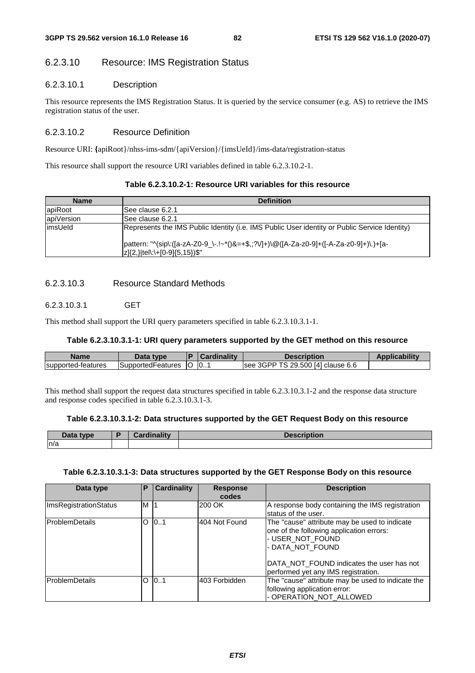# 6.2.3.10 Resource: IMS Registration Status

# 6.2.3.10.1 Description

This resource represents the IMS Registration Status. It is queried by the service consumer (e.g. AS) to retrieve the IMS registration status of the user.

# 6.2.3.10.2 Resource Definition

Resource URI: **{**apiRoot}/nhss-ims-sdm/{apiVersion}/{imsUeId}/ims-data/registration-status

This resource shall support the resource URI variables defined in table 6.2.3.10.2-1.

| Table 6.2.3.10.2-1: Resource URI variables for this resource |  |  |
|--------------------------------------------------------------|--|--|
|--------------------------------------------------------------|--|--|

| <b>Name</b> | <b>Definition</b>                                                                                                               |  |  |  |  |  |  |
|-------------|---------------------------------------------------------------------------------------------------------------------------------|--|--|--|--|--|--|
| apiRoot     | ISee clause 6.2.1                                                                                                               |  |  |  |  |  |  |
| apiVersion  | ISee clause 6.2.1                                                                                                               |  |  |  |  |  |  |
| limsUeld    | Represents the IMS Public Identity (i.e. IMS Public User identity or Public Service Identity)                                   |  |  |  |  |  |  |
|             | pattern: "^(sip\:([a-zA-Z0-9_\-.!~*()&=+\$,;?V]+)\@([A-Za-z0-9]+([-A-Za-z0-9]+)\.)+[a-<br>$ z {2,} $ tel\:\+[0-9] ${5,15}$ )\$" |  |  |  |  |  |  |

# 6.2.3.10.3 Resource Standard Methods

# 6.2.3.10.3.1 GET

This method shall support the URI query parameters specified in table 6.2.3.10.3.1-1.

### **Table 6.2.3.10.3.1-1: URI query parameters supported by the GET method on this resource**

| Name               | Data type          |    | Cardinalitv | <b>Description</b>                   | <b>Applicability</b> |
|--------------------|--------------------|----|-------------|--------------------------------------|----------------------|
| supported-features | ∃SupportedFeatures | ΙU | 0           | 3GPP TS 29.500 [4] clause 6.6<br>see |                      |

This method shall support the request data structures specified in table 6.2.3.10.3.1-2 and the response data structure and response codes specified in table 6.2.3.10.3.1-3.

# **Table 6.2.3.10.3.1-2: Data structures supported by the GET Request Body on this resource**

| Data type | <b>Cordinality</b><br>пани | <b>Description</b> |
|-----------|----------------------------|--------------------|
| n/a       |                            |                    |

### **Table 6.2.3.10.3.1-3: Data structures supported by the GET Response Body on this resource**

| Data type                    | Р   | <b>Cardinality</b> | <b>Response</b><br>codes | <b>Description</b>                                                                                                                                                                                                    |
|------------------------------|-----|--------------------|--------------------------|-----------------------------------------------------------------------------------------------------------------------------------------------------------------------------------------------------------------------|
| <b>ImsRegistrationStatus</b> | M 1 |                    | 200 OK                   | A response body containing the IMS registration<br>lstatus of the user.                                                                                                                                               |
| <b>ProblemDetails</b>        | O   | 101                | 404 Not Found            | The "cause" attribute may be used to indicate<br>one of the following application errors:<br>- USER_NOT_FOUND<br>- DATA_NOT_FOUND<br>DATA NOT FOUND indicates the user has not<br>performed yet any IMS registration. |
| <b>IProblemDetails</b>       | O   | 101                | 403 Forbidden            | The "cause" attribute may be used to indicate the<br>following application error:<br>- OPERATION NOT ALLOWED                                                                                                          |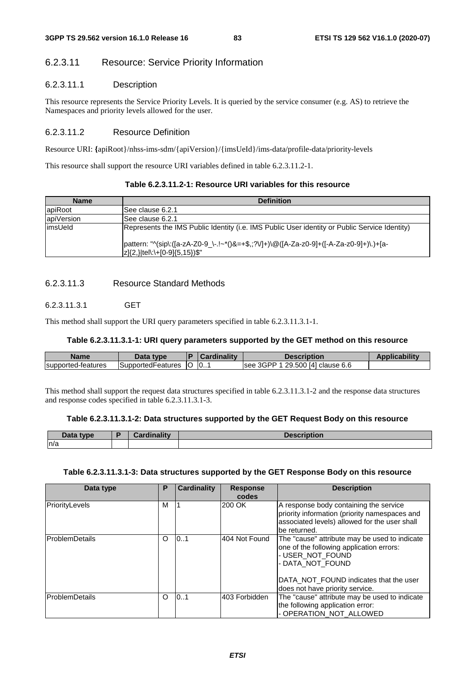# 6.2.3.11 Resource: Service Priority Information

# 6.2.3.11.1 Description

This resource represents the Service Priority Levels. It is queried by the service consumer (e.g. AS) to retrieve the Namespaces and priority levels allowed for the user.

# 6.2.3.11.2 Resource Definition

Resource URI: **{**apiRoot}/nhss-ims-sdm/{apiVersion}/{imsUeId}/ims-data/profile-data/priority-levels

This resource shall support the resource URI variables defined in table 6.2.3.11.2-1.

| Table 6.2.3.11.2-1: Resource URI variables for this resource |  |  |
|--------------------------------------------------------------|--|--|
|--------------------------------------------------------------|--|--|

| <b>Name</b> | <b>Definition</b>                                                                                                       |
|-------------|-------------------------------------------------------------------------------------------------------------------------|
| apiRoot     | ISee clause 6.2.1                                                                                                       |
| apiVersion  | ISee clause 6.2.1                                                                                                       |
| limsUeld    | Represents the IMS Public Identity (i.e. IMS Public User identity or Public Service Identity)                           |
|             | pattern: "^(sip\:([a-zA-Z0-9_\-.!~*()&=+\$,;?V]+)\@([A-Za-z0-9]+([-A-Za-z0-9]+)\.)+[a-<br>z]{2,} tel\:\+[0-9]{5,15})\$" |

# 6.2.3.11.3 Resource Standard Methods

# 6.2.3.11.3.1 GET

This method shall support the URI query parameters specified in table 6.2.3.11.3.1-1.

# **Table 6.2.3.11.3.1-1: URI query parameters supported by the GET method on this resource**

| Name               | Data type         |    | . .<br>ardinalitv<br>.arc | Description                                                                 | ability |
|--------------------|-------------------|----|---------------------------|-----------------------------------------------------------------------------|---------|
| supported-features | SupportedFeatures | ТO | 10                        | 500 [4]<br>$\mathcal{A}$ GPP $^{\times}$<br>29.<br>clause 6.6<br><b>See</b> |         |

This method shall support the request data structures specified in table 6.2.3.11.3.1-2 and the response data structures and response codes specified in table 6.2.3.11.3.1-3.

### **Table 6.2.3.11.3.1-2: Data structures supported by the GET Request Body on this resource**

| Data type | analin ality<br>41 L Y | <b>Descriptior</b> |
|-----------|------------------------|--------------------|
| n/a       |                        |                    |

### **Table 6.2.3.11.3.1-3: Data structures supported by the GET Response Body on this resource**

| Data type              | Р        | <b>Cardinality</b> | <b>Response</b><br>codes | <b>Description</b>                                                                                                                                                                                             |
|------------------------|----------|--------------------|--------------------------|----------------------------------------------------------------------------------------------------------------------------------------------------------------------------------------------------------------|
| PriorityLevels         | М        |                    | 200 OK                   | A response body containing the service<br>priority information (priority namespaces and<br>associated levels) allowed for the user shall<br>be returned.                                                       |
| <b>IProblemDetails</b> | O        | 101                | 404 Not Found            | The "cause" attribute may be used to indicate<br>one of the following application errors:<br>- USER_NOT_FOUND<br>- DATA NOT FOUND<br>DATA NOT FOUND indicates that the user<br>does not have priority service. |
| ProblemDetails         | $\Omega$ | 101                | 403 Forbidden            | The "cause" attribute may be used to indicate<br>the following application error:<br>- OPERATION_NOT_ALLOWED                                                                                                   |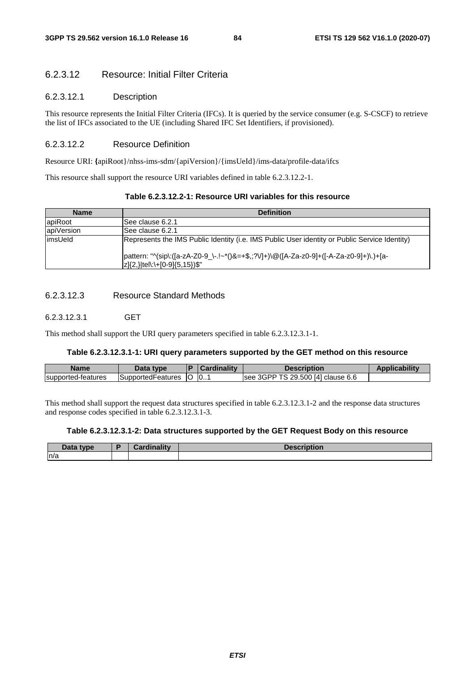# 6.2.3.12 Resource: Initial Filter Criteria

#### 6.2.3.12.1 Description

This resource represents the Initial Filter Criteria (IFCs). It is queried by the service consumer (e.g. S-CSCF) to retrieve the list of IFCs associated to the UE (including Shared IFC Set Identifiers, if provisioned).

# 6.2.3.12.2 Resource Definition

Resource URI: **{**apiRoot}/nhss-ims-sdm/{apiVersion}/{imsUeId}/ims-data/profile-data/ifcs

This resource shall support the resource URI variables defined in table 6.2.3.12.2-1.

| Table 6.2.3.12.2-1: Resource URI variables for this resource |  |  |
|--------------------------------------------------------------|--|--|
|--------------------------------------------------------------|--|--|

| <b>Name</b> | <b>Definition</b>                                                                                                                            |
|-------------|----------------------------------------------------------------------------------------------------------------------------------------------|
| apiRoot     | ISee clause 6.2.1                                                                                                                            |
| apiVersion  | ISee clause 6.2.1                                                                                                                            |
| limsUeld    | Represents the IMS Public Identity (i.e. IMS Public User identity or Public Service Identity)                                                |
|             | pattern: "^(sip\:([a-zA-Z0-9_\-.!~*()&=+\$,;?V]+)\@([A-Za-z0-9]+([-A-Za-z0-9]+)\.)+[a-<br>$ z \{2,\} \text{tel}\:\setminus + [0.9]\{5,15\}\$ |

# 6.2.3.12.3 Resource Standard Methods

# 6.2.3.12.3.1 GET

This method shall support the URI query parameters specified in table 6.2.3.12.3.1-1.

#### **Table 6.2.3.12.3.1-1: URI query parameters supported by the GET method on this resource**

| <b>Name</b>        | Data type          |     | <b>Cardinality</b> | Description                       | <b>Applicability</b> |
|--------------------|--------------------|-----|--------------------|-----------------------------------|----------------------|
| supported-features | ISupported⊦eatures | -lO | $\overline{0}$ .   | see 3GPP TS 29.500 [4] clause 6.6 |                      |

This method shall support the request data structures specified in table 6.2.3.12.3.1-2 and the response data structures and response codes specified in table 6.2.3.12.3.1-3.

#### **Table 6.2.3.12.3.1-2: Data structures supported by the GET Request Body on this resource**

| Data type | <b>Cordinality</b> | <b>Description</b> |
|-----------|--------------------|--------------------|
| n/a       |                    |                    |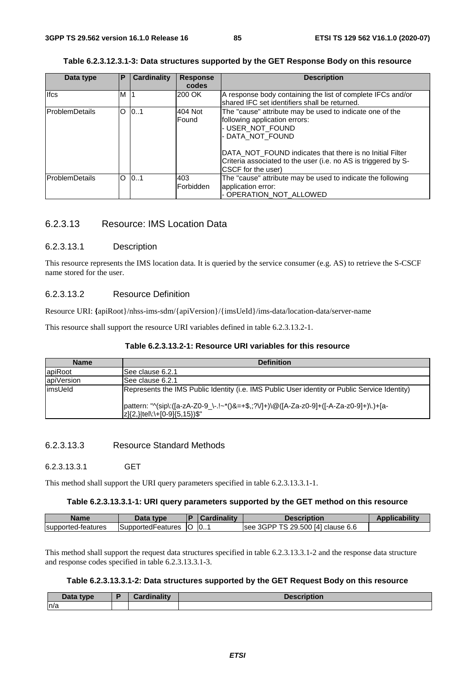| Data type             | P       | <b>Cardinality</b> | <b>Response</b> | <b>Description</b>                                                                                                         |
|-----------------------|---------|--------------------|-----------------|----------------------------------------------------------------------------------------------------------------------------|
|                       |         |                    | codes           |                                                                                                                            |
| <b>Ifcs</b>           | м       |                    | 200 OK          | A response body containing the list of complete IFCs and/or                                                                |
|                       |         |                    |                 | shared IFC set identifiers shall be returned.                                                                              |
| <b>ProblemDetails</b> | O       | 0.1                | 404 Not         | The "cause" attribute may be used to indicate one of the                                                                   |
|                       |         |                    | Found           | following application errors:                                                                                              |
|                       |         |                    |                 | - USER NOT FOUND                                                                                                           |
|                       |         |                    |                 | - DATA NOT FOUND                                                                                                           |
|                       |         |                    |                 | DATA NOT FOUND indicates that there is no Initial Filter<br>Criteria associated to the user (i.e. no AS is triggered by S- |
|                       |         |                    |                 | ICSCF for the user)                                                                                                        |
| ProblemDetails        | $\circ$ | 0.1                | 403             | The "cause" attribute may be used to indicate the following                                                                |
|                       |         |                    | Forbidden       | application error:                                                                                                         |
|                       |         |                    |                 | - OPERATION_NOT_ALLOWED                                                                                                    |

# 6.2.3.13 Resource: IMS Location Data

### 6.2.3.13.1 Description

This resource represents the IMS location data. It is queried by the service consumer (e.g. AS) to retrieve the S-CSCF name stored for the user.

### 6.2.3.13.2 Resource Definition

Resource URI: **{**apiRoot}/nhss-ims-sdm/{apiVersion}/{imsUeId}/ims-data/location-data/server-name

This resource shall support the resource URI variables defined in table 6.2.3.13.2-1.

### **Table 6.2.3.13.2-1: Resource URI variables for this resource**

| <b>Name</b> | <b>Definition</b>                                                                                                       |
|-------------|-------------------------------------------------------------------------------------------------------------------------|
| apiRoot     | ISee clause 6.2.1                                                                                                       |
| apiVersion  | ISee clause 6.2.1                                                                                                       |
| limsUeld    | Represents the IMS Public Identity (i.e. IMS Public User identity or Public Service Identity)                           |
|             | pattern: "^(sip\:([a-zA-Z0-9_\-.!~*()&=+\$,;?V]+)\@([A-Za-z0-9]+([-A-Za-z0-9]+)\.)+[a-<br>z]{2,} tel\:\+[0-9]{5,15})\$" |

# 6.2.3.13.3 Resource Standard Methods

6.2.3.13.3.1 GET

This method shall support the URI query parameters specified in table 6.2.3.13.3.1-1.

#### **Table 6.2.3.13.3.1-1: URI query parameters supported by the GET method on this resource**

| Name               | Data type          |    | Cardinality | Description                        | <b>Applicability</b> |
|--------------------|--------------------|----|-------------|------------------------------------|----------------------|
| supported-features | iSupportedFeatures | ιU | 0           | Isee 3GPP TS 29.500 [4] clause 6.6 |                      |

This method shall support the request data structures specified in table 6.2.3.13.3.1-2 and the response data structure and response codes specified in table 6.2.3.13.3.1-3.

### **Table 6.2.3.13.3.1-2: Data structures supported by the GET Request Body on this resource**

| R<br>type<br>Dala | 7. | .<br><b>Description</b> |
|-------------------|----|-------------------------|
| n/a               |    |                         |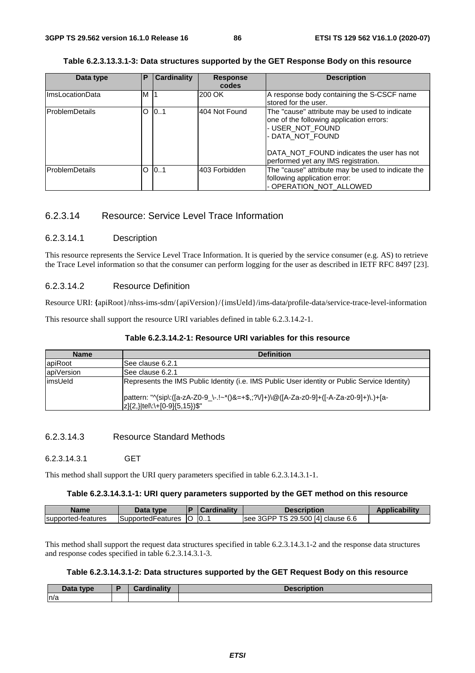| Table 6.2.3.13.3.1-3: Data structures supported by the GET Response Body on this resource |  |
|-------------------------------------------------------------------------------------------|--|
|-------------------------------------------------------------------------------------------|--|

| Data type              | Ρ | <b>Cardinality</b> | <b>Response</b><br>codes | <b>Description</b>                                                                                                                                                                                                    |
|------------------------|---|--------------------|--------------------------|-----------------------------------------------------------------------------------------------------------------------------------------------------------------------------------------------------------------------|
| <b>ImsLocationData</b> | M | $\vert$ 1          | 200 OK                   | A response body containing the S-CSCF name<br>stored for the user.                                                                                                                                                    |
| <b>IProblemDetails</b> | O | 0.1                | 404 Not Found            | The "cause" attribute may be used to indicate<br>one of the following application errors:<br>- USER_NOT_FOUND<br>- DATA_NOT_FOUND<br>DATA NOT FOUND indicates the user has not<br>performed yet any IMS registration. |
| <b>IProblemDetails</b> | O | 0.1                | l403 Forbidden           | The "cause" attribute may be used to indicate the<br>following application error:<br>- OPERATION_NOT_ALLOWED                                                                                                          |

# 6.2.3.14 Resource: Service Level Trace Information

### 6.2.3.14.1 Description

This resource represents the Service Level Trace Information. It is queried by the service consumer (e.g. AS) to retrieve the Trace Level information so that the consumer can perform logging for the user as described in IETF RFC 8497 [23].

# 6.2.3.14.2 Resource Definition

Resource URI: **{**apiRoot}/nhss-ims-sdm/{apiVersion}/{imsUeId}/ims-data/profile-data/service-trace-level-information

This resource shall support the resource URI variables defined in table 6.2.3.14.2-1.

| <b>Name</b> | <b>Definition</b>                                                                                                       |
|-------------|-------------------------------------------------------------------------------------------------------------------------|
| apiRoot     | See clause 6.2.1                                                                                                        |
| apiVersion  | ISee clause 6.2.1                                                                                                       |
| limsUeld    | Represents the IMS Public Identity (i.e. IMS Public User identity or Public Service Identity)                           |
|             | pattern: "^(sip\:([a-zA-Z0-9_\-.!~*()&=+\$,;?V]+)\@([A-Za-z0-9]+([-A-Za-z0-9]+)\.)+[a-<br>z]{2,} tel\:\+[0-9]{5,15})\$" |

## 6.2.3.14.3 Resource Standard Methods

### 6.2.3.14.3.1 GET

This method shall support the URI query parameters specified in table 6.2.3.14.3.1-1.

### **Table 6.2.3.14.3.1-1: URI query parameters supported by the GET method on this resource**

| Name               | ה+הר<br>tvne       | Ð  |    | <i><b>Jescription</b></i>                | ADD <sup>1</sup> |
|--------------------|--------------------|----|----|------------------------------------------|------------------|
| supported-features | ISupportedFeatures | TC | 10 | TS 29.500 [4] clause 6.6<br>3GPP<br>see, |                  |

This method shall support the request data structures specified in table 6.2.3.14.3.1-2 and the response data structures and response codes specified in table 6.2.3.14.3.1-3.

## **Table 6.2.3.14.3.1-2: Data structures supported by the GET Request Body on this resource**

| Data type | <b>Cordinality</b> | <b>Jacrr</b><br>.<br>™uvi⊾ |
|-----------|--------------------|----------------------------|
| n/a       |                    |                            |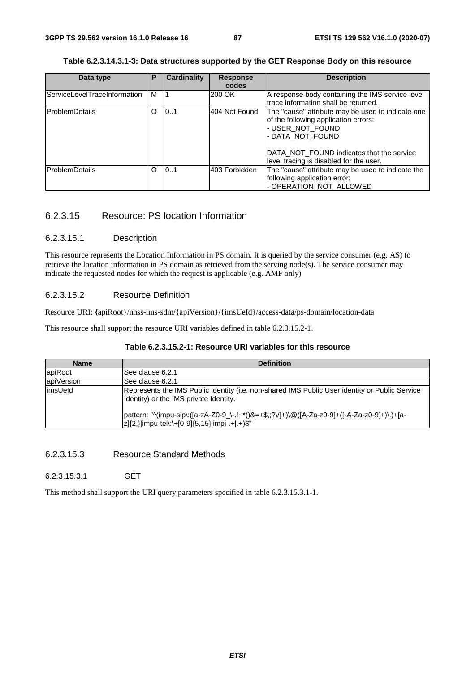### **Table 6.2.3.14.3.1-3: Data structures supported by the GET Response Body on this resource**

| Data type                    | Р | <b>Cardinality</b> | <b>Response</b><br>codes | <b>Description</b>                                                                                                                                                                                                        |
|------------------------------|---|--------------------|--------------------------|---------------------------------------------------------------------------------------------------------------------------------------------------------------------------------------------------------------------------|
| ServiceLevelTraceInformation | м |                    | 200 OK                   | A response body containing the IMS service level<br>trace information shall be returned.                                                                                                                                  |
| <b>ProblemDetails</b>        |   | 101                | 404 Not Found            | The "cause" attribute may be used to indicate one<br>of the following application errors:<br>- USER_NOT_FOUND<br>- DATA NOT FOUND<br>DATA NOT FOUND indicates that the service<br>level tracing is disabled for the user. |
| <b>IProblemDetails</b>       | O | 101                | 403 Forbidden            | The "cause" attribute may be used to indicate the<br>following application error:<br>- OPERATION_NOT_ALLOWED                                                                                                              |

# 6.2.3.15 Resource: PS location Information

#### 6.2.3.15.1 Description

This resource represents the Location Information in PS domain. It is queried by the service consumer (e.g. AS) to retrieve the location information in PS domain as retrieved from the serving node(s). The service consumer may indicate the requested nodes for which the request is applicable (e.g. AMF only)

# 6.2.3.15.2 Resource Definition

Resource URI: **{**apiRoot}/nhss-ims-sdm/{apiVersion}/{imsUeId}/access-data/ps-domain/location-data

This resource shall support the resource URI variables defined in table 6.2.3.15.2-1.

# **Table 6.2.3.15.2-1: Resource URI variables for this resource**

| <b>Name</b> | <b>Definition</b>                                                                                                                             |  |  |  |  |  |
|-------------|-----------------------------------------------------------------------------------------------------------------------------------------------|--|--|--|--|--|
| apiRoot     | ISee clause 6.2.1                                                                                                                             |  |  |  |  |  |
| apiVersion  | lSee clause 6.2.1                                                                                                                             |  |  |  |  |  |
| limsUeld    | Represents the IMS Public Identity (i.e. non-shared IMS Public User identity or Public Service<br>Identity) or the IMS private Identity.      |  |  |  |  |  |
|             | pattern: "^(impu-sip\:([a-zA-Z0-9_\-.!~*()&=+\$,;?V]+)\@([A-Za-z0-9]+([-A-Za-z0-9]+)\.)+[a-<br> z]{2,} impu-tel\:\+[0-9]{5,15} impi-.+ .+)\$" |  |  |  |  |  |

# 6.2.3.15.3 Resource Standard Methods

#### 6.2.3.15.3.1 GET

This method shall support the URI query parameters specified in table 6.2.3.15.3.1-1.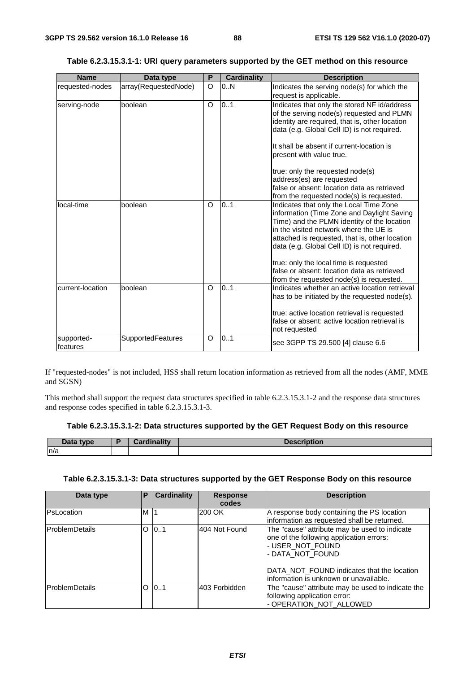| <b>Name</b>            | Data type            | P       | <b>Cardinality</b> | <b>Description</b>                                                                                                                                                                                                                                                              |
|------------------------|----------------------|---------|--------------------|---------------------------------------------------------------------------------------------------------------------------------------------------------------------------------------------------------------------------------------------------------------------------------|
| requested-nodes        | array(RequestedNode) | O       | 0.N                | Indicates the serving node(s) for which the<br>request is applicable.                                                                                                                                                                                                           |
| serving-node           | boolean              | $\circ$ | 0.1                | Indicates that only the stored NF id/address<br>of the serving node(s) requested and PLMN<br>identity are required, that is, other location<br>data (e.g. Global Cell ID) is not required.<br>It shall be absent if current-location is<br>present with value true.             |
|                        |                      |         |                    | true: only the requested node(s)<br>address(es) are requested<br>false or absent: location data as retrieved<br>from the requested node(s) is requested.                                                                                                                        |
| local-time             | boolean              | O       | 0.1                | Indicates that only the Local Time Zone<br>information (Time Zone and Daylight Saving<br>Time) and the PLMN identity of the location<br>in the visited network where the UE is<br>attached is requested, that is, other location<br>data (e.g. Global Cell ID) is not required. |
|                        |                      |         |                    | true: only the local time is requested<br>false or absent: location data as retrieved<br>from the requested node(s) is requested.                                                                                                                                               |
| current-location       | boolean              | $\circ$ | 0.1                | Indicates whether an active location retrieval<br>has to be initiated by the requested node(s).<br>true: active location retrieval is requested<br>false or absent: active location retrieval is<br>not requested                                                               |
| supported-<br>features | SupportedFeatures    | $\circ$ | 0.1                | see 3GPP TS 29.500 [4] clause 6.6                                                                                                                                                                                                                                               |

# **Table 6.2.3.15.3.1-1: URI query parameters supported by the GET method on this resource**

If "requested-nodes" is not included, HSS shall return location information as retrieved from all the nodes (AMF, MME and SGSN)

This method shall support the request data structures specified in table 6.2.3.15.3.1-2 and the response data structures and response codes specified in table 6.2.3.15.3.1-3.

# **Table 6.2.3.15.3.1-2: Data structures supported by the GET Request Body on this resource**

| <b>type</b><br>Data | <b>THE ROOM</b><br><b>STATE</b> | <b>The Contract of Street</b> |
|---------------------|---------------------------------|-------------------------------|
| n/a                 |                                 |                               |

### **Table 6.2.3.15.3.1-3: Data structures supported by the GET Response Body on this resource**

| Data type             | P | <b>Cardinality</b> | <b>Response</b><br>codes | <b>Description</b>                                                                                                                                                                                                         |
|-----------------------|---|--------------------|--------------------------|----------------------------------------------------------------------------------------------------------------------------------------------------------------------------------------------------------------------------|
| PsLocation            | M | -11                | 200 OK                   | A response body containing the PS location<br>information as requested shall be returned.                                                                                                                                  |
| <b>ProblemDetails</b> | O | 101                | 404 Not Found            | The "cause" attribute may be used to indicate<br>one of the following application errors:<br>- USER_NOT_FOUND<br>- DATA NOT FOUND<br>DATA NOT FOUND indicates that the location<br>linformation is unknown or unavailable. |
| <b>ProblemDetails</b> | O | 10.1               | l403 Forbidden           | The "cause" attribute may be used to indicate the<br>following application error:<br>- OPERATION_NOT_ALLOWED                                                                                                               |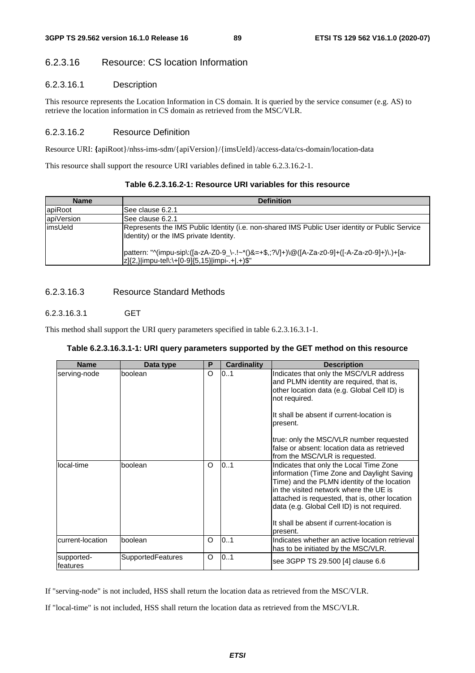# 6.2.3.16 Resource: CS location Information

# 6.2.3.16.1 Description

This resource represents the Location Information in CS domain. It is queried by the service consumer (e.g. AS) to retrieve the location information in CS domain as retrieved from the MSC/VLR.

# 6.2.3.16.2 Resource Definition

Resource URI: **{**apiRoot}/nhss-ims-sdm/{apiVersion}/{imsUeId}/access-data/cs-domain/location-data

This resource shall support the resource URI variables defined in table 6.2.3.16.2-1.

| Table 6.2.3.16.2-1: Resource URI variables for this resource |  |  |
|--------------------------------------------------------------|--|--|
|--------------------------------------------------------------|--|--|

| <b>Name</b> | <b>Definition</b>                                                                                                                             |  |  |  |  |  |
|-------------|-----------------------------------------------------------------------------------------------------------------------------------------------|--|--|--|--|--|
| apiRoot     | ISee clause 6.2.1                                                                                                                             |  |  |  |  |  |
| apiVersion  | See clause 6.2.1                                                                                                                              |  |  |  |  |  |
| limsUeld    | Represents the IMS Public Identity (i.e. non-shared IMS Public User identity or Public Service<br>Identity) or the IMS private Identity.      |  |  |  |  |  |
|             | pattern: "^(impu-sip\:([a-zA-Z0-9_\-.!~*()&=+\$,;?V]+)\@([A-Za-z0-9]+([-A-Za-z0-9]+)\.)+[a-<br> z]{2,} impu-tel\:\+[0-9]{5,15} impi-.+ .+)\$" |  |  |  |  |  |

# 6.2.3.16.3 Resource Standard Methods

# 6.2.3.16.3.1 GET

This method shall support the URI query parameters specified in table 6.2.3.16.3.1-1.

# **Table 6.2.3.16.3.1-1: URI query parameters supported by the GET method on this resource**

| <b>Name</b>            | Data type                | P       | Cardinality | <b>Description</b>                                                                                                                                                                                                                                                                                                                       |
|------------------------|--------------------------|---------|-------------|------------------------------------------------------------------------------------------------------------------------------------------------------------------------------------------------------------------------------------------------------------------------------------------------------------------------------------------|
| serving-node           | boolean                  | O       | 0.1         | Indicates that only the MSC/VLR address<br>and PLMN identity are required, that is,<br>other location data (e.g. Global Cell ID) is<br>not required.<br>It shall be absent if current-location is<br>present.<br>true: only the MSC/VLR number requested<br>false or absent: location data as retrieved                                  |
|                        |                          |         |             | from the MSC/VLR is requested.                                                                                                                                                                                                                                                                                                           |
| local-time             | boolean                  | O       | 0.1         | Indicates that only the Local Time Zone<br>information (Time Zone and Daylight Saving<br>Time) and the PLMN identity of the location<br>in the visited network where the UE is<br>attached is requested, that is, other location<br>data (e.g. Global Cell ID) is not required.<br>It shall be absent if current-location is<br>present. |
| current-location       | boolean                  | $\circ$ | 0.1         | Indicates whether an active location retrieval<br>has to be initiated by the MSC/VLR.                                                                                                                                                                                                                                                    |
| supported-<br>features | <b>SupportedFeatures</b> | $\circ$ | 0.1         | see 3GPP TS 29.500 [4] clause 6.6                                                                                                                                                                                                                                                                                                        |

If "serving-node" is not included, HSS shall return the location data as retrieved from the MSC/VLR.

If "local-time" is not included, HSS shall return the location data as retrieved from the MSC/VLR.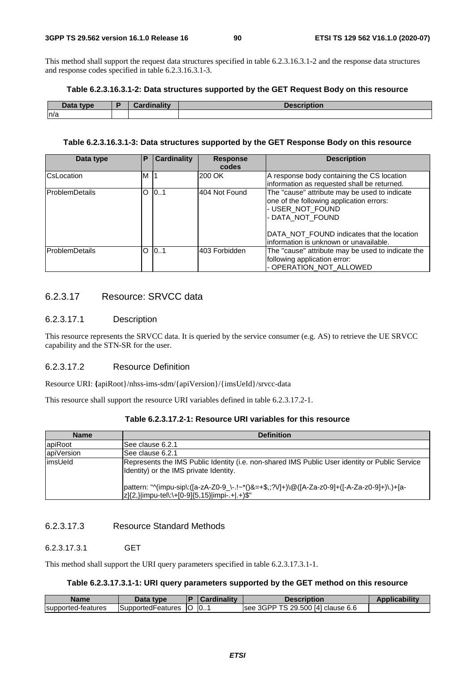This method shall support the request data structures specified in table 6.2.3.16.3.1-2 and the response data structures and response codes specified in table 6.2.3.16.3.1-3.

| Table 6.2.3.16.3.1-2: Data structures supported by the GET Request Body on this resource |  |  |
|------------------------------------------------------------------------------------------|--|--|
|------------------------------------------------------------------------------------------|--|--|

| Data tvne<br><b>Dala</b> | .<br>$\mathbf{r}$<br><b><i>Company of the contract</i></b><br>$\sim$ $\sim$ $\sim$ | <b>Description</b> |
|--------------------------|------------------------------------------------------------------------------------|--------------------|
| n/a                      |                                                                                    |                    |

### **Table 6.2.3.16.3.1-3: Data structures supported by the GET Response Body on this resource**

| Data type              | Р | <b>Cardinality</b> | <b>Response</b><br>codes | <b>Description</b>                                                                                                                                                                                                                |
|------------------------|---|--------------------|--------------------------|-----------------------------------------------------------------------------------------------------------------------------------------------------------------------------------------------------------------------------------|
| <b>C</b> sLocation     | M |                    | 200 OK                   | A response body containing the CS location<br>information as requested shall be returned.                                                                                                                                         |
| <b>IProblemDetails</b> | O | 0.1                | 404 Not Found            | The "cause" attribute may be used to indicate<br>one of the following application errors:<br>- USER_NOT_FOUND<br>- DATA_NOT_FOUND<br><b>IDATA NOT FOUND indicates that the location</b><br>information is unknown or unavailable. |
| ProblemDetails         | O | 101                | 403 Forbidden            | The "cause" attribute may be used to indicate the<br>following application error:<br>- OPERATION_NOT_ALLOWED                                                                                                                      |

# 6.2.3.17 Resource: SRVCC data

# 6.2.3.17.1 Description

This resource represents the SRVCC data. It is queried by the service consumer (e.g. AS) to retrieve the UE SRVCC capability and the STN-SR for the user.

# 6.2.3.17.2 Resource Definition

Resource URI: **{**apiRoot}/nhss-ims-sdm/{apiVersion}/{imsUeId}/srvcc-data

This resource shall support the resource URI variables defined in table 6.2.3.17.2-1.

| <b>Name</b> | <b>Definition</b>                                                                                                                             |  |  |  |  |  |
|-------------|-----------------------------------------------------------------------------------------------------------------------------------------------|--|--|--|--|--|
| apiRoot     | See clause 6.2.1                                                                                                                              |  |  |  |  |  |
| apiVersion  | See clause 6.2.1                                                                                                                              |  |  |  |  |  |
| limsUeld    | Represents the IMS Public Identity (i.e. non-shared IMS Public User identity or Public Service<br>Identity) or the IMS private Identity.      |  |  |  |  |  |
|             | pattern: "^(impu-sip\:([a-zA-Z0-9_\-.!~*()&=+\$,;?V]+)\@([A-Za-z0-9]+([-A-Za-z0-9]+)\.)+[a-<br> z]{2,} impu-tel\:\+[0-9]{5,15} impi-.+ .+)\$" |  |  |  |  |  |

# **Table 6.2.3.17.2-1: Resource URI variables for this resource**

# 6.2.3.17.3 Resource Standard Methods

### 6.2.3.17.3.1 GET

This method shall support the URI query parameters specified in table 6.2.3.17.3.1-1.

# **Table 6.2.3.17.3.1-1: URI query parameters supported by the GET method on this resource**

| <b>Name</b>        | Data type          |     | $\mathcal{L}$ ardinality | Description                              | Applicability |
|--------------------|--------------------|-----|--------------------------|------------------------------------------|---------------|
| supported-features | ISupportedFeatures | IU. | 0                        | 3GPP TS 29.500 [4] clause 6.6 [<br>see : |               |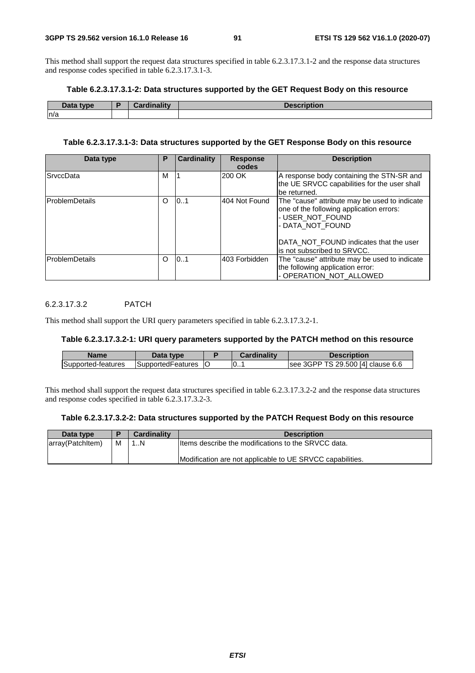This method shall support the request data structures specified in table 6.2.3.17.3.1-2 and the response data structures and response codes specified in table 6.2.3.17.3.1-3.

### **Table 6.2.3.17.3.1-2: Data structures supported by the GET Request Body on this resource**

| Data type | <b>Cordinality</b> | $  -$<br><b>DESCRIPTION</b> |
|-----------|--------------------|-----------------------------|
| n/a       |                    |                             |

# **Table 6.2.3.17.3.1-3: Data structures supported by the GET Response Body on this resource**

| Data type              | Р        | <b>Cardinality</b> | <b>Response</b><br>codes | <b>Description</b>                                                                                                                                                                                          |
|------------------------|----------|--------------------|--------------------------|-------------------------------------------------------------------------------------------------------------------------------------------------------------------------------------------------------------|
| <b>SrvccData</b>       | м        |                    | 200 OK                   | A response body containing the STN-SR and<br>the UE SRVCC capabilities for the user shall<br>be returned.                                                                                                   |
| <b>IProblemDetails</b> | $\Omega$ | 10.1               | 404 Not Found            | The "cause" attribute may be used to indicate<br>one of the following application errors:<br>- USER NOT FOUND<br>- DATA NOT FOUND<br>DATA NOT FOUND indicates that the user<br>lis not subscribed to SRVCC. |
| lProblemDetails        | $\Omega$ | 101                | 403 Forbidden            | The "cause" attribute may be used to indicate<br>the following application error:<br>- OPERATION_NOT_ALLOWED                                                                                                |

# 6.2.3.17.3.2 PATCH

This method shall support the URI query parameters specified in table 6.2.3.17.3.2-1.

# **Table 6.2.3.17.3.2-1: URI query parameters supported by the PATCH method on this resource**

| Name               | Data type          | Cardinality | Description                       |
|--------------------|--------------------|-------------|-----------------------------------|
| Supported-features | ISupportedFeatures | 10          | see 3GPP TS 29.500 [4] clause 6.6 |

This method shall support the request data structures specified in table 6.2.3.17.3.2-2 and the response data structures and response codes specified in table 6.2.3.17.3.2-3.

#### **Table 6.2.3.17.3.2-2: Data structures supported by the PATCH Request Body on this resource**

| Data type        |   | <b>Cardinality</b> | <b>Description</b>                                        |
|------------------|---|--------------------|-----------------------------------------------------------|
| array(Patchitem) | м | 1N                 | Iltems describe the modifications to the SRVCC data.      |
|                  |   |                    | Modification are not applicable to UE SRVCC capabilities. |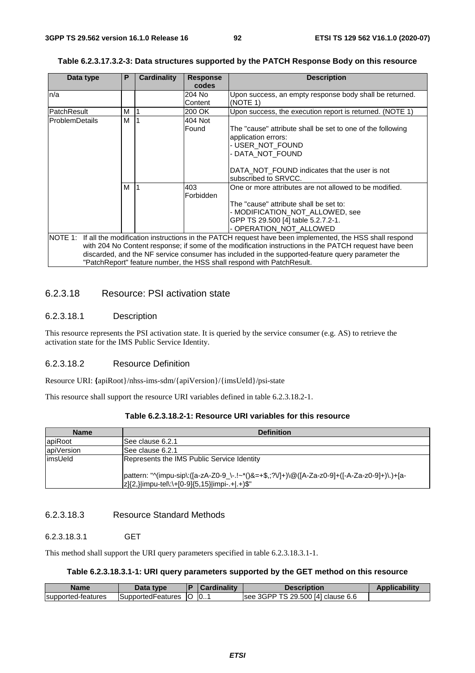| Data type       | Р | <b>Cardinality</b> | <b>Response</b> | <b>Description</b>                                                                                             |
|-----------------|---|--------------------|-----------------|----------------------------------------------------------------------------------------------------------------|
|                 |   |                    | codes           |                                                                                                                |
| n/a             |   |                    | 204 No          | Upon success, an empty response body shall be returned.                                                        |
|                 |   |                    | Content         | (NOTE 1)                                                                                                       |
| PatchResult     | М |                    | 200 OK          | Upon success, the execution report is returned. (NOTE 1)                                                       |
| lProblemDetails | м |                    | 404 Not         |                                                                                                                |
|                 |   |                    | Found           | The "cause" attribute shall be set to one of the following                                                     |
|                 |   |                    |                 | application errors:                                                                                            |
|                 |   |                    |                 | - USER_NOT_FOUND                                                                                               |
|                 |   |                    |                 | - DATA NOT FOUND                                                                                               |
|                 |   |                    |                 |                                                                                                                |
|                 |   |                    |                 | DATA NOT FOUND indicates that the user is not                                                                  |
|                 |   |                    |                 | subscribed to SRVCC.                                                                                           |
|                 | М |                    | 403             | One or more attributes are not allowed to be modified.                                                         |
|                 |   |                    | Forbidden       |                                                                                                                |
|                 |   |                    |                 | The "cause" attribute shall be set to:                                                                         |
|                 |   |                    |                 | - MODIFICATION_NOT_ALLOWED, see                                                                                |
|                 |   |                    |                 | GPP TS 29.500 [4] table 5.2.7.2-1.                                                                             |
|                 |   |                    |                 | - OPERATION NOT ALLOWED                                                                                        |
|                 |   |                    |                 | NOTE 1: If all the modification instructions in the PATCH request have been implemented, the HSS shall respond |
|                 |   |                    |                 | with 204 No Content response; if some of the modification instructions in the PATCH request have been          |
|                 |   |                    |                 | discarded, and the NF service consumer has included in the supported-feature query parameter the               |
|                 |   |                    |                 | "PatchReport" feature number, the HSS shall respond with PatchResult.                                          |

#### **Table 6.2.3.17.3.2-3: Data structures supported by the PATCH Response Body on this resource**

# 6.2.3.18 Resource: PSI activation state

# 6.2.3.18.1 Description

This resource represents the PSI activation state. It is queried by the service consumer (e.g. AS) to retrieve the activation state for the IMS Public Service Identity.

# 6.2.3.18.2 Resource Definition

Resource URI: **{**apiRoot}/nhss-ims-sdm/{apiVersion}/{imsUeId}/psi-state

This resource shall support the resource URI variables defined in table 6.2.3.18.2-1.

| Name       | <b>Definition</b>                                                                                                                             |
|------------|-----------------------------------------------------------------------------------------------------------------------------------------------|
| apiRoot    | See clause 6.2.1                                                                                                                              |
| apiVersion | ISee clause 6.2.1                                                                                                                             |
| limsUeld   | Represents the IMS Public Service Identity                                                                                                    |
|            | pattern: "^(impu-sip\:([a-zA-Z0-9_\-.!~*()&=+\$,;?V]+)\@([A-Za-z0-9]+([-A-Za-z0-9]+)\.)+[a-<br> z]{2,} impu-tel\:\+[0-9]{5,15} impi-.+ .+)\$" |

# **Table 6.2.3.18.2-1: Resource URI variables for this resource**

# 6.2.3.18.3 Resource Standard Methods

#### 6.2.3.18.3.1 GET

This method shall support the URI query parameters specified in table 6.2.3.18.3.1-1.

### **Table 6.2.3.18.3.1-1: URI query parameters supported by the GET method on this resource**

| Name               | Data type          |           | Cardinality | Description                       | <b>Applicability</b> |
|--------------------|--------------------|-----------|-------------|-----------------------------------|----------------------|
| supported-features | ∃SupportedFeatures | <b>IO</b> | 0           | see 3GPP TS 29.500 [4] clause 6.6 |                      |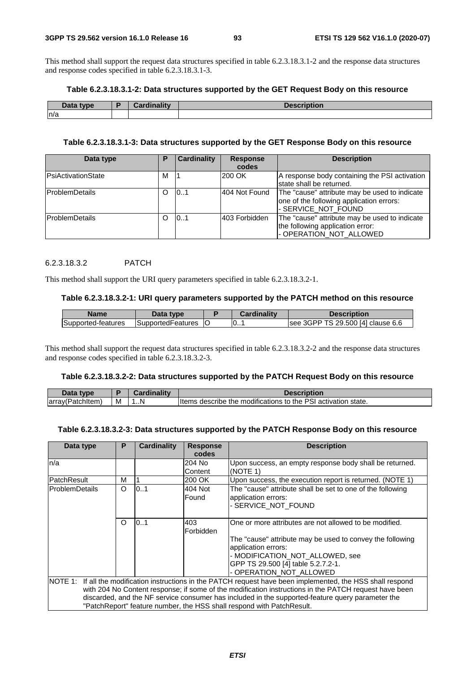This method shall support the request data structures specified in table 6.2.3.18.3.1-2 and the response data structures and response codes specified in table 6.2.3.18.3.1-3.

#### **Table 6.2.3.18.3.1-2: Data structures supported by the GET Request Body on this resource**

| Data type | ويتقالم وبالموجود | .<br><b>JASCI</b><br>HULION. |
|-----------|-------------------|------------------------------|
| n/a       |                   |                              |

# **Table 6.2.3.18.3.1-3: Data structures supported by the GET Response Body on this resource**

| Data type                 | Е | <b>Cardinality</b> | <b>Response</b><br>codes | <b>Description</b>                                                                                               |
|---------------------------|---|--------------------|--------------------------|------------------------------------------------------------------------------------------------------------------|
| <b>PsiActivationState</b> | M |                    | 200 OK                   | A response body containing the PSI activation<br>state shall be returned.                                        |
| lProblemDetails           | O | 101                | 404 Not Found            | The "cause" attribute may be used to indicate<br>one of the following application errors:<br>- SERVICE_NOT_FOUND |
| <b>ProblemDetails</b>     |   | 101                | 403 Forbidden            | The "cause" attribute may be used to indicate<br>the following application error:<br>- OPERATION_NOT_ALLOWED     |

### 6.2.3.18.3.2 PATCH

This method shall support the URI query parameters specified in table 6.2.3.18.3.2-1.

#### **Table 6.2.3.18.3.2-1: URI query parameters supported by the PATCH method on this resource**

| <b>Name</b>        | Data type                 | Cardinalitv | <b>Description</b>                |
|--------------------|---------------------------|-------------|-----------------------------------|
| Supported-features | <b>ISupportedFeatures</b> | 0           | see 3GPP TS 29.500 [4] clause 6.6 |

This method shall support the request data structures specified in table 6.2.3.18.3.2-2 and the response data structures and response codes specified in table 6.2.3.18.3.2-3.

#### **Table 6.2.3.18.3.2-2: Data structures supported by the PATCH Request Body on this resource**

| Data type        |   | Cardinality | <b>Description</b>                                            |
|------------------|---|-------------|---------------------------------------------------------------|
| array(Patchitem) | M | . N         | Items describe the modifications to the PSI activation state. |

### **Table 6.2.3.18.3.2-3: Data structures supported by the PATCH Response Body on this resource**

| Data type             | Р        | Cardinality | <b>Response</b> | <b>Description</b>                                                                                             |
|-----------------------|----------|-------------|-----------------|----------------------------------------------------------------------------------------------------------------|
|                       |          |             | codes           |                                                                                                                |
| n/a                   |          |             | 204 No          | Upon success, an empty response body shall be returned.                                                        |
|                       |          |             | Content         | (NOTE 1)                                                                                                       |
| PatchResult           | м        |             | 200 OK          | Upon success, the execution report is returned. (NOTE 1)                                                       |
| <b>ProblemDetails</b> | O        | 0.1         | 404 Not         | The "cause" attribute shall be set to one of the following                                                     |
|                       |          |             | Found           | application errors:                                                                                            |
|                       |          |             |                 | - SERVICE_NOT_FOUND                                                                                            |
|                       |          |             |                 |                                                                                                                |
|                       | $\Omega$ | 0.1         | 403             | One or more attributes are not allowed to be modified.                                                         |
|                       |          |             | Forbidden       |                                                                                                                |
|                       |          |             |                 | The "cause" attribute may be used to convey the following                                                      |
|                       |          |             |                 | application errors:                                                                                            |
|                       |          |             |                 | - MODIFICATION_NOT_ALLOWED, see                                                                                |
|                       |          |             |                 | GPP TS 29.500 [4] table 5.2.7.2-1.                                                                             |
|                       |          |             |                 | - OPERATION_NOT_ALLOWED                                                                                        |
|                       |          |             |                 | NOTE 1: If all the modification instructions in the PATCH request have been implemented, the HSS shall respond |
|                       |          |             |                 | with 204 No Content response; if some of the modification instructions in the PATCH request have been          |
|                       |          |             |                 | discarded, and the NF service consumer has included in the supported-feature query parameter the               |
|                       |          |             |                 | "PatchReport" feature number, the HSS shall respond with PatchResult.                                          |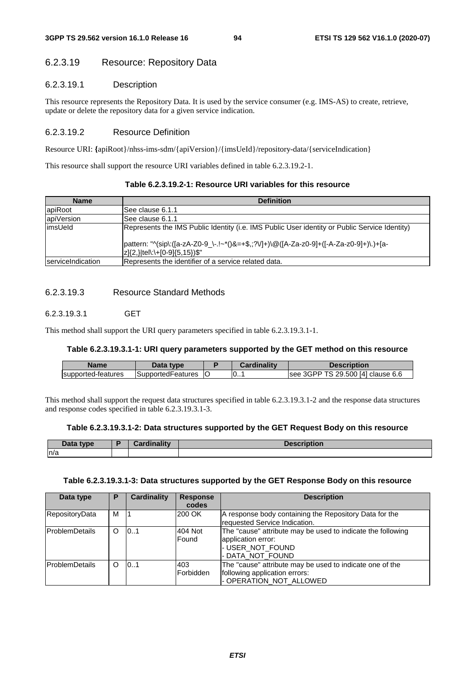# 6.2.3.19 Resource: Repository Data

# 6.2.3.19.1 Description

This resource represents the Repository Data. It is used by the service consumer (e.g. IMS-AS) to create, retrieve, update or delete the repository data for a given service indication.

# 6.2.3.19.2 Resource Definition

Resource URI: **{**apiRoot}/nhss-ims-sdm/{apiVersion}/{imsUeId}/repository-data/{serviceIndication}

This resource shall support the resource URI variables defined in table 6.2.3.19.2-1.

| Table 6.2.3.19.2-1: Resource URI variables for this resource |  |  |
|--------------------------------------------------------------|--|--|
|--------------------------------------------------------------|--|--|

| <b>Name</b>               | <b>Definition</b>                                                                             |
|---------------------------|-----------------------------------------------------------------------------------------------|
| apiRoot                   | See clause 6.1.1                                                                              |
| apiVersion                | See clause 6.1.1                                                                              |
| limsUeld                  | Represents the IMS Public Identity (i.e. IMS Public User identity or Public Service Identity) |
|                           | pattern: "^(sip\:([a-zA-Z0-9_\-.!~*()&=+\$,;?V +)\@([A-Za-z0-9]+([-A-Za-z0-9]+)\.)+[a-        |
|                           | z]{2,} tel\:\+[0-9]{5,15})\$"                                                                 |
| <b>IserviceIndication</b> | Represents the identifier of a service related data.                                          |

# 6.2.3.19.3 Resource Standard Methods

6.2.3.19.3.1 GET

This method shall support the URI query parameters specified in table 6.2.3.19.3.1-1.

# **Table 6.2.3.19.3.1-1: URI query parameters supported by the GET method on this resource**

| Name                | Jata<br>type       | Cardinality | Description                       |
|---------------------|--------------------|-------------|-----------------------------------|
| Isupported-features | ISupportedFeatures | 10…         | see 3GPP TS 29.500 [4] clause 6.6 |

This method shall support the request data structures specified in table 6.2.3.19.3.1-2 and the response data structures and response codes specified in table 6.2.3.19.3.1-3.

# **Table 6.2.3.19.3.1-2: Data structures supported by the GET Request Body on this resource**

| <b>Data type</b><br>Dala | ardinality. |  |
|--------------------------|-------------|--|
| n/a                      |             |  |

### **Table 6.2.3.19.3.1-3: Data structures supported by the GET Response Body on this resource**

| Data type             | Р        | Cardinality | <b>Response</b><br>codes | <b>Description</b>                                                                                                        |
|-----------------------|----------|-------------|--------------------------|---------------------------------------------------------------------------------------------------------------------------|
| RepositoryData        | м        |             | 200 OK                   | A response body containing the Repository Data for the<br>requested Service Indication.                                   |
| <b>ProblemDetails</b> | $\Omega$ | 101         | 404 Not<br>Found         | The "cause" attribute may be used to indicate the following<br>application error:<br>- USER_NOT_FOUND<br>- DATA NOT FOUND |
| <b>ProblemDetails</b> | $\Omega$ | 10.1        | 403<br>Forbidden         | The "cause" attribute may be used to indicate one of the<br>following application errors:<br>- OPERATION NOT ALLOWED      |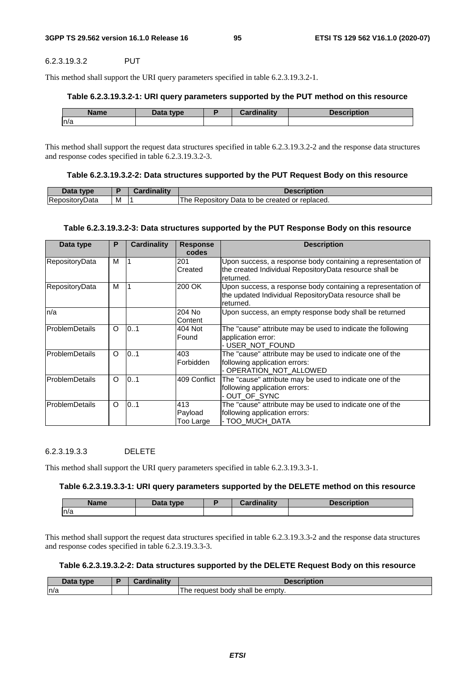#### 6.2.3.19.3.2 PUT

This method shall support the URI query parameters specified in table 6.2.3.19.3.2-1.

#### **Table 6.2.3.19.3.2-1: URI query parameters supported by the PUT method on this resource**

| <b>Name</b> | Data type | <b>Cardinality</b> | <b>Description</b> |
|-------------|-----------|--------------------|--------------------|
| n/a         |           |                    |                    |

This method shall support the request data structures specified in table 6.2.3.19.3.2-2 and the response data structures and response codes specified in table 6.2.3.19.3.2-3.

#### **Table 6.2.3.19.3.2-2: Data structures supported by the PUT Request Body on this resource**

| Data type      |   | <b>Cardinality</b> | Description                                           |
|----------------|---|--------------------|-------------------------------------------------------|
| RepositoryData | M |                    | The<br>. Repository Data to be created or replaced. و |

#### **Table 6.2.3.19.3.2-3: Data structures supported by the PUT Response Body on this resource**

| Data type              | P        | Cardinality | <b>Response</b><br>codes    | <b>Description</b>                                                                                                                   |
|------------------------|----------|-------------|-----------------------------|--------------------------------------------------------------------------------------------------------------------------------------|
| RepositoryData         | M        |             | 201<br>Created              | Upon success, a response body containing a representation of<br>the created Individual RepositoryData resource shall be<br>returned. |
| RepositoryData         | M        |             | 200 OK                      | Upon success, a response body containing a representation of<br>the updated Individual RepositoryData resource shall be<br>returned. |
| n/a                    |          |             | 204 No<br>Content           | Upon success, an empty response body shall be returned                                                                               |
| <b>ProblemDetails</b>  | $\circ$  | 0.1         | 404 Not<br>Found            | The "cause" attribute may be used to indicate the following<br>application error:<br>-USER NOT FOUND                                 |
| <b>ProblemDetails</b>  | $\Omega$ | 0.1         | 403<br>Forbidden            | The "cause" attribute may be used to indicate one of the<br>following application errors:<br>- OPERATION NOT ALLOWED                 |
| <b>IProblemDetails</b> | $\circ$  | 0.1         | 409 Conflict                | The "cause" attribute may be used to indicate one of the<br>following application errors:<br>- OUT_OF_SYNC                           |
| <b>ProblemDetails</b>  | $\circ$  | 0.1         | 413<br>Payload<br>Too Large | The "cause" attribute may be used to indicate one of the<br>following application errors:<br>- TOO_MUCH_DATA                         |

### 6.2.3.19.3.3 DELETE

This method shall support the URI query parameters specified in table 6.2.3.19.3.3-1.

#### **Table 6.2.3.19.3.3-1: URI query parameters supported by the DELETE method on this resource**

| Name | Data type | Cardinality | <b>Description</b> |
|------|-----------|-------------|--------------------|
| n/a  |           |             |                    |

This method shall support the request data structures specified in table 6.2.3.19.3.3-2 and the response data structures and response codes specified in table 6.2.3.19.3.3-3.

### **Table 6.2.3.19.3.2-2: Data structures supported by the DELETE Request Body on this resource**

| Data tvpe | boudinolity<br>Jardinalit | <b>Description</b>                              |
|-----------|---------------------------|-------------------------------------------------|
| n/a       |                           | The<br>' be emptv.<br>≅shall<br>request<br>body |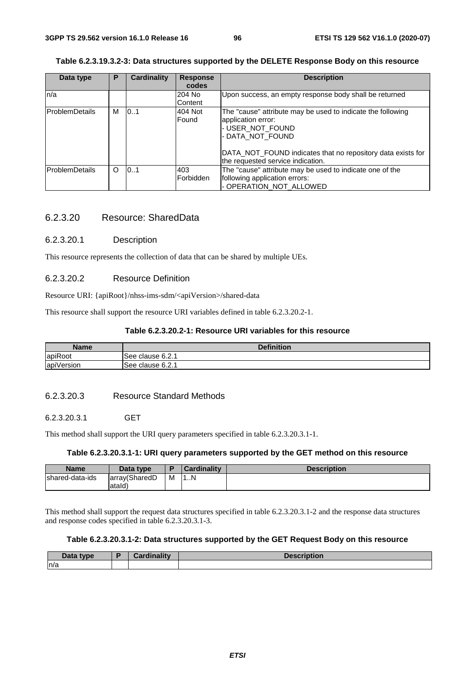## **Table 6.2.3.19.3.2-3: Data structures supported by the DELETE Response Body on this resource**

| Data type             | P       | Cardinality | <b>Response</b><br>codes | <b>Description</b>                                                                                                                                                                                                            |
|-----------------------|---------|-------------|--------------------------|-------------------------------------------------------------------------------------------------------------------------------------------------------------------------------------------------------------------------------|
| ln/a                  |         |             | 204 No<br>Content        | Upon success, an empty response body shall be returned                                                                                                                                                                        |
| <b>ProblemDetails</b> | м       | 0.1         | 404 Not<br>Found         | The "cause" attribute may be used to indicate the following<br>application error:<br>- USER NOT FOUND<br>- DATA NOT FOUND<br>DATA NOT FOUND indicates that no repository data exists for<br>the requested service indication. |
| <b>ProblemDetails</b> | $\circ$ | 10.1        | 403<br>Forbidden         | The "cause" attribute may be used to indicate one of the<br>following application errors:<br>- OPERATION NOT ALLOWED                                                                                                          |

# 6.2.3.20 Resource: SharedData

### 6.2.3.20.1 Description

This resource represents the collection of data that can be shared by multiple UEs.

# 6.2.3.20.2 Resource Definition

Resource URI: {apiRoot}/nhss-ims-sdm/<apiVersion>/shared-data

This resource shall support the resource URI variables defined in table 6.2.3.20.2-1.

### **Table 6.2.3.20.2-1: Resource URI variables for this resource**

| <b>Name</b> | <b>Definition</b> |
|-------------|-------------------|
| apiRoot     | ISee clause 6.2.1 |
| apiVersion  | See clause 6.2.1  |

# 6.2.3.20.3 Resource Standard Methods

### 6.2.3.20.3.1 GET

This method shall support the URI query parameters specified in table 6.2.3.20.3.1-1.

### **Table 6.2.3.20.3.1-1: URI query parameters supported by the GET method on this resource**

| <b>Name</b>     | Data type     |   | <b>Cardinality</b> | <b>Description</b> |
|-----------------|---------------|---|--------------------|--------------------|
| shared-data-ids | array(SharedD | M | 1N                 |                    |
|                 | atald)        |   |                    |                    |

This method shall support the request data structures specified in table 6.2.3.20.3.1-2 and the response data structures and response codes specified in table 6.2.3.20.3.1-3.

# **Table 6.2.3.20.3.1-2: Data structures supported by the GET Request Body on this resource**

| Data type | <b>Cordinality</b><br>sarom. | <b>Description</b> |
|-----------|------------------------------|--------------------|
| n/a       |                              |                    |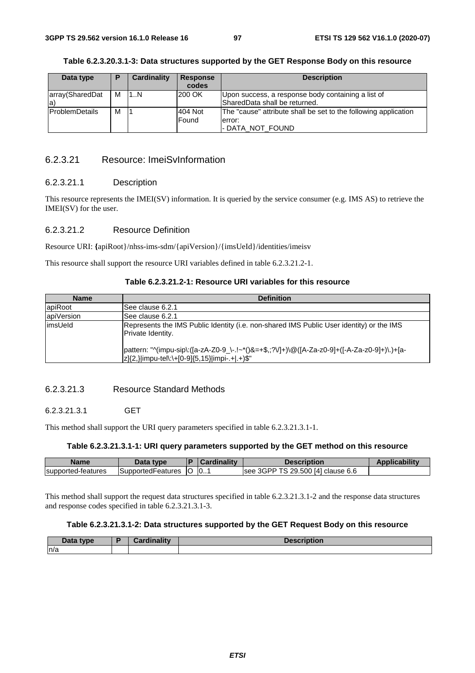| Data type              | P | <b>Cardinality</b> | <b>Response</b><br>codes | <b>Description</b>                                              |
|------------------------|---|--------------------|--------------------------|-----------------------------------------------------------------|
|                        |   |                    |                          |                                                                 |
| array(SharedDat        | м | 1N                 | 200 OK                   | Upon success, a response body containing a list of              |
| la`                    |   |                    |                          | lSharedData shall be returned.                                  |
| <b>IProblemDetails</b> | м |                    | 404 Not                  | The "cause" attribute shall be set to the following application |
|                        |   |                    | Found                    | error:                                                          |
|                        |   |                    |                          | I- DATA NOT FOUND                                               |

# **Table 6.2.3.20.3.1-3: Data structures supported by the GET Response Body on this resource**

# 6.2.3.21 Resource: ImeiSvInformation

#### 6.2.3.21.1 Description

This resource represents the IMEI(SV) information. It is queried by the service consumer (e.g. IMS AS) to retrieve the IMEI(SV) for the user.

### 6.2.3.21.2 Resource Definition

Resource URI: **{**apiRoot}/nhss-ims-sdm/{apiVersion}/{imsUeId}/identities/imeisv

This resource shall support the resource URI variables defined in table 6.2.3.21.2-1.

## **Table 6.2.3.21.2-1: Resource URI variables for this resource**

| <b>Name</b> | <b>Definition</b>                                                                                                                             |
|-------------|-----------------------------------------------------------------------------------------------------------------------------------------------|
| apiRoot     | See clause 6.2.1                                                                                                                              |
| apiVersion  | See clause 6.2.1                                                                                                                              |
| limsUeld    | Represents the IMS Public Identity (i.e. non-shared IMS Public User identity) or the IMS<br>Private Identity.                                 |
|             | pattern: "^(impu-sip\:([a-zA-Z0-9_\-.!~*()&=+\$,;?V]+)\@([A-Za-z0-9]+([-A-Za-z0-9]+)\.)+[a-<br> z]{2,} impu-tel\:\+[0-9]{5,15} impi-.+ .+)\$" |

# 6.2.3.21.3 Resource Standard Methods

# 6.2.3.21.3.1 GET

This method shall support the URI query parameters specified in table 6.2.3.21.3.1-1.

### **Table 6.2.3.21.3.1-1: URI query parameters supported by the GET method on this resource**

| Name               | Data type           | Cardinality | Description                       | <b>Applicability</b> |
|--------------------|---------------------|-------------|-----------------------------------|----------------------|
| supported-features | SupportedFeatures O | $\Box$ 0.   | see 3GPP TS 29.500 [4] clause 6.6 |                      |

This method shall support the request data structures specified in table 6.2.3.21.3.1-2 and the response data structures and response codes specified in table 6.2.3.21.3.1-3.

### **Table 6.2.3.21.3.1-2: Data structures supported by the GET Request Body on this resource**

| Data type | <b>Condinality</b> | <b>Description</b><br><b>ESUIDUUIL</b> |
|-----------|--------------------|----------------------------------------|
| n/a       |                    |                                        |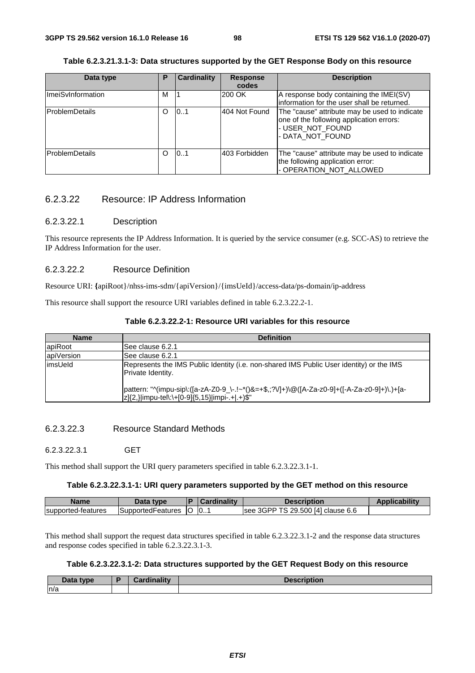# **Table 6.2.3.21.3.1-3: Data structures supported by the GET Response Body on this resource**

| Data type                | Р | <b>Cardinality</b> | <b>Response</b> | <b>Description</b>                                                                                                                |
|--------------------------|---|--------------------|-----------------|-----------------------------------------------------------------------------------------------------------------------------------|
|                          |   |                    | codes           |                                                                                                                                   |
| <b>ImeiSvInformation</b> | м |                    | 200 OK          | A response body containing the IMEI(SV)                                                                                           |
|                          |   |                    |                 | information for the user shall be returned.                                                                                       |
| <b>ProblemDetails</b>    | Ω | 101                | 404 Not Found   | The "cause" attribute may be used to indicate<br>one of the following application errors:<br>- USER_NOT_FOUND<br>- DATA_NOT_FOUND |
| <b>IProblemDetails</b>   | O | 101                | 403 Forbidden   | The "cause" attribute may be used to indicate<br>the following application error:<br>- OPERATION_NOT_ALLOWED                      |

# 6.2.3.22 Resource: IP Address Information

#### 6.2.3.22.1 Description

This resource represents the IP Address Information. It is queried by the service consumer (e.g. SCC-AS) to retrieve the IP Address Information for the user.

### 6.2.3.22.2 Resource Definition

Resource URI: **{**apiRoot}/nhss-ims-sdm/{apiVersion}/{imsUeId}/access-data/ps-domain/ip-address

This resource shall support the resource URI variables defined in table 6.2.3.22.2-1.

|  | Table 6.2.3.22.2-1: Resource URI variables for this resource |
|--|--------------------------------------------------------------|
|--|--------------------------------------------------------------|

| <b>Name</b> | <b>Definition</b>                                                                                                                             |
|-------------|-----------------------------------------------------------------------------------------------------------------------------------------------|
| apiRoot     | ISee clause 6.2.1                                                                                                                             |
| apiVersion  | See clause 6.2.1                                                                                                                              |
| limsUeld    | Represents the IMS Public Identity (i.e. non-shared IMS Public User identity) or the IMS<br>Private Identity.                                 |
|             | pattern: "^(impu-sip\:([a-zA-Z0-9_\-.!~*()&=+\$,;?V]+)\@([A-Za-z0-9]+([-A-Za-z0-9]+)\.)+[a-<br> z]{2,} impu-tel\:\+[0-9]{5,15} impi-.+ .+)\$" |

#### 6.2.3.22.3 Resource Standard Methods

#### 6.2.3.22.3.1 GET

This method shall support the URI query parameters specified in table 6.2.3.22.3.1-1.

### **Table 6.2.3.22.3.1-1: URI query parameters supported by the GET method on this resource**

| Name               | Data tvpe          | l D | <i>a</i> rdinalitv | Description                               | <b>Applicability</b> |
|--------------------|--------------------|-----|--------------------|-------------------------------------------|----------------------|
| supported-features | ISupportedFeatures | ТC  | 10                 | 3 29.500 [4] clause 6.6<br>3GPP TS<br>see |                      |

This method shall support the request data structures specified in table 6.2.3.22.3.1-2 and the response data structures and response codes specified in table 6.2.3.22.3.1-3.

# **Table 6.2.3.22.3.1-2: Data structures supported by the GET Request Body on this resource**

| Data type | Cordinality | iption<br><b>Descrit</b> |
|-----------|-------------|--------------------------|
| n/a       |             |                          |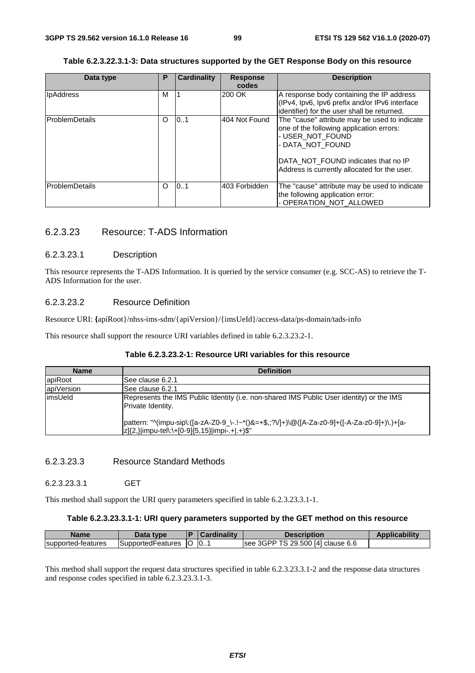# **Table 6.2.3.22.3.1-3: Data structures supported by the GET Response Body on this resource**

| Data type              | Ρ        | <b>Cardinality</b> | <b>Response</b><br>codes | <b>Description</b>                                                                                                                                                                                                       |
|------------------------|----------|--------------------|--------------------------|--------------------------------------------------------------------------------------------------------------------------------------------------------------------------------------------------------------------------|
| <b>IpAddress</b>       | M        |                    | 200 OK                   | A response body containing the IP address<br>(IPv4, Ipv6, Ipv6 prefix and/or IPv6 interface<br>identifier) for the user shall be returned.                                                                               |
| <b>IProblemDetails</b> | O        | 101                | 404 Not Found            | The "cause" attribute may be used to indicate<br>one of the following application errors:<br>- USER_NOT_FOUND<br>- DATA NOT FOUND<br>DATA NOT FOUND indicates that no IP<br>Address is currently allocated for the user. |
| <b>IProblemDetails</b> | $\Omega$ | 0.1                | 403 Forbidden            | The "cause" attribute may be used to indicate<br>the following application error:<br>- OPERATION_NOT_ALLOWED                                                                                                             |

# 6.2.3.23 Resource: T-ADS Information

### 6.2.3.23.1 Description

This resource represents the T-ADS Information. It is queried by the service consumer (e.g. SCC-AS) to retrieve the T-ADS Information for the user.

# 6.2.3.23.2 Resource Definition

Resource URI: **{**apiRoot}/nhss-ims-sdm/{apiVersion}/{imsUeId}/access-data/ps-domain/tads-info

This resource shall support the resource URI variables defined in table 6.2.3.23.2-1.

### **Table 6.2.3.23.2-1: Resource URI variables for this resource**

| <b>Name</b> | <b>Definition</b>                                                                                                                             |
|-------------|-----------------------------------------------------------------------------------------------------------------------------------------------|
| apiRoot     | See clause 6.2.1                                                                                                                              |
| apiVersion  | ISee clause 6.2.1                                                                                                                             |
| limsUeld    | Represents the IMS Public Identity (i.e. non-shared IMS Public User identity) or the IMS<br>Private Identity.                                 |
|             | pattern: "^(impu-sip\:([a-zA-Z0-9_\-.!~*()&=+\$,;?V]+)\@([A-Za-z0-9]+([-A-Za-z0-9]+)\.)+[a-<br> z]{2,} impu-tel\:\+[0-9]{5,15} impi-.+ .+)\$" |

# 6.2.3.23.3 Resource Standard Methods

### 6.2.3.23.3.1 GET

This method shall support the URI query parameters specified in table 6.2.3.23.3.1-1.

#### **Table 6.2.3.23.3.1-1: URI query parameters supported by the GET method on this resource**

| Name               | Data type             | Cardinality    | Description                       | <b>Applicability</b> |
|--------------------|-----------------------|----------------|-----------------------------------|----------------------|
| supported-features | SupportedFeatures   O | $\overline{0}$ | see 3GPP TS 29.500 [4] clause 6.6 |                      |

This method shall support the request data structures specified in table 6.2.3.23.3.1-2 and the response data structures and response codes specified in table 6.2.3.23.3.1-3.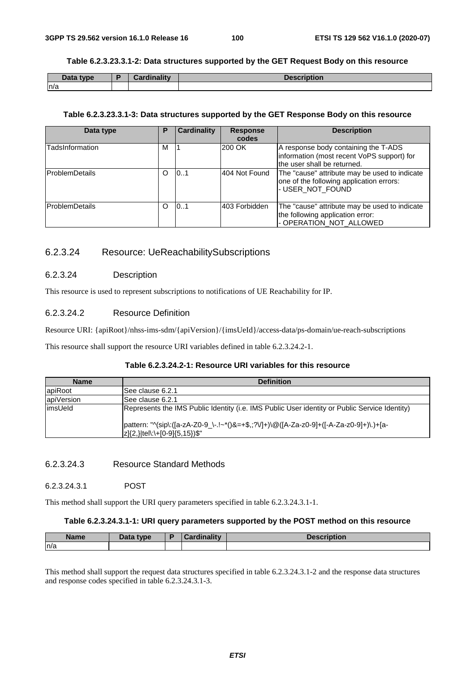### **Table 6.2.3.23.3.1-2: Data structures supported by the GET Request Body on this resource**

| Data type | Cardinality | <b>Description</b> |
|-----------|-------------|--------------------|
| n/a       |             |                    |

#### **Table 6.2.3.23.3.1-3: Data structures supported by the GET Response Body on this resource**

| Data type              | Р | <b>Cardinality</b> | <b>Response</b><br>codes | <b>Description</b>                                                                                                |
|------------------------|---|--------------------|--------------------------|-------------------------------------------------------------------------------------------------------------------|
| TadsInformation        | М |                    | 200 OK                   | A response body containing the T-ADS<br>information (most recent VoPS support) for<br>the user shall be returned. |
| <b>IProblemDetails</b> | O | 101                | 404 Not Found            | The "cause" attribute may be used to indicate<br>one of the following application errors:<br>- USER_NOT_FOUND     |
| <b>IProblemDetails</b> | O | 101                | 403 Forbidden            | The "cause" attribute may be used to indicate<br>the following application error:<br>- OPERATION_NOT_ALLOWED      |

# 6.2.3.24 Resource: UeReachabilitySubscriptions

### 6.2.3.24 Description

This resource is used to represent subscriptions to notifications of UE Reachability for IP.

# 6.2.3.24.2 Resource Definition

Resource URI: {apiRoot}/nhss-ims-sdm/{apiVersion}/{imsUeId}/access-data/ps-domain/ue-reach-subscriptions

This resource shall support the resource URI variables defined in table 6.2.3.24.2-1.

# **Table 6.2.3.24.2-1: Resource URI variables for this resource**

| <b>Name</b> | <b>Definition</b>                                                                                                                                                                                                          |
|-------------|----------------------------------------------------------------------------------------------------------------------------------------------------------------------------------------------------------------------------|
| apiRoot     | ISee clause 6.2.1                                                                                                                                                                                                          |
| apiVersion  | See clause 6.2.1                                                                                                                                                                                                           |
| limsUeld    | Represents the IMS Public Identity (i.e. IMS Public User identity or Public Service Identity)<br> pattern: "^(sip\:([a-zA-Z0-9_\-.!~*()&=+\$,;?V]+)\@([A-Za-z0-9]+([-A-Za-z0-9]+)\.)+[a-<br> z]{2,} tel\:\+[0-9]{5,15})\$" |
|             |                                                                                                                                                                                                                            |

### 6.2.3.24.3 Resource Standard Methods

# 6.2.3.24.3.1 POST

This method shall support the URI query parameters specified in table 6.2.3.24.3.1-1.

### **Table 6.2.3.24.3.1-1: URI query parameters supported by the POST method on this resource**

| <b>Name</b> | Dota<br>tvne<br><b>Putu</b> | ۰. | inality | . |
|-------------|-----------------------------|----|---------|---|
| ln/a        |                             |    |         |   |

This method shall support the request data structures specified in table 6.2.3.24.3.1-2 and the response data structures and response codes specified in table 6.2.3.24.3.1-3.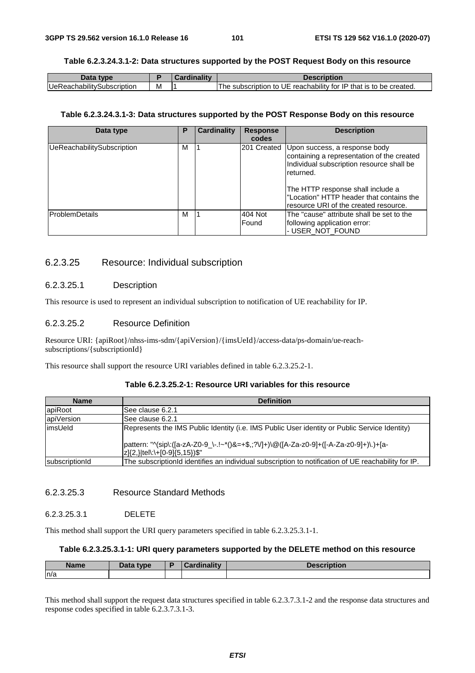## **Table 6.2.3.24.3.1-2: Data structures supported by the POST Request Body on this resource**

| Data type                          |   | Cardinality | <b>Description</b>                                                |
|------------------------------------|---|-------------|-------------------------------------------------------------------|
| <b>IUeReachabilitySubscription</b> | м |             | The subscription to UE reachability for IP that is to be created. |

#### **Table 6.2.3.24.3.1-3: Data structures supported by the POST Response Body on this resource**

| Data type                  | Р | <b>Cardinality</b> | <b>Response</b><br>codes | <b>Description</b>                                                                                                                                                                                                                                                           |
|----------------------------|---|--------------------|--------------------------|------------------------------------------------------------------------------------------------------------------------------------------------------------------------------------------------------------------------------------------------------------------------------|
| UeReachabilitySubscription | М |                    |                          | 201 Created Upon success, a response body<br>containing a representation of the created<br>Individual subscription resource shall be<br>Ireturned.<br>The HTTP response shall include a<br>"Location" HTTP header that contains the<br>resource URI of the created resource. |
| <b>ProblemDetails</b>      | м |                    | 404 Not<br>Found         | lThe "cause" attribute shall be set to the<br>following application error:<br>- USER_NOT_FOUND                                                                                                                                                                               |

# 6.2.3.25 Resource: Individual subscription

### 6.2.3.25.1 Description

This resource is used to represent an individual subscription to notification of UE reachability for IP.

# 6.2.3.25.2 Resource Definition

Resource URI: {apiRoot}/nhss-ims-sdm/{apiVersion}/{imsUeId}/access-data/ps-domain/ue-reachsubscriptions/{subscriptionId}

This resource shall support the resource URI variables defined in table 6.2.3.25.2-1.

# **Table 6.2.3.25.2-1: Resource URI variables for this resource**

| <b>Name</b>    | <b>Definition</b>                                                                                                        |
|----------------|--------------------------------------------------------------------------------------------------------------------------|
| apiRoot        | See clause 6.2.1                                                                                                         |
| apiVersion     | lSee clause 6.2.1                                                                                                        |
| limsUeld       | Represents the IMS Public Identity (i.e. IMS Public User identity or Public Service Identity)                            |
|                | pattern: "^(sip\:([a-zA-Z0-9_\-.!~*()&=+\$,;?V]+)\@([A-Za-z0-9]+([-A-Za-z0-9]+)\.)+[a-<br> z]{2,} tel\:\+[0-9]{5,15})\$" |
| subscriptionId | The subscriptionId identifies an individual subscription to notification of UE reachability for IP.                      |

### 6.2.3.25.3 Resource Standard Methods

## 6.2.3.25.3.1 DELETE

This method shall support the URI query parameters specified in table 6.2.3.25.3.1-1.

# **Table 6.2.3.25.3.1-1: URI query parameters supported by the DELETE method on this resource**

| <b>Name</b> | Data type<br>Data | <b>The Contract Contract Contract</b><br>$\sim$ $\sim$ $\sim$ $\sim$ $\sim$ $\sim$ | uvii |
|-------------|-------------------|------------------------------------------------------------------------------------|------|
| ln/a        |                   |                                                                                    |      |

This method shall support the request data structures specified in table 6.2.3.7.3.1-2 and the response data structures and response codes specified in table 6.2.3.7.3.1-3.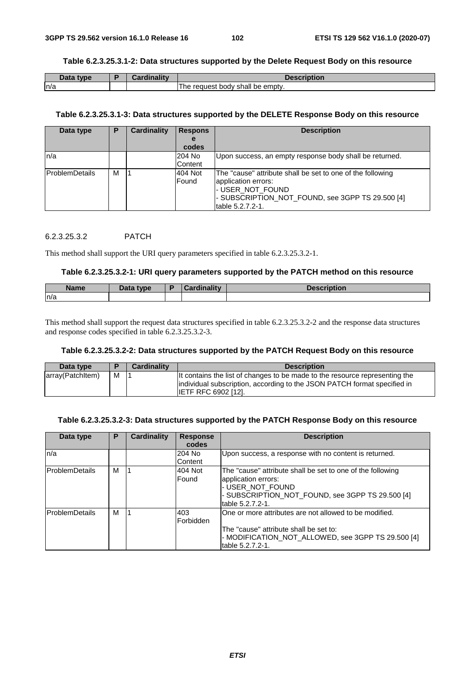#### **Table 6.2.3.25.3.1-2: Data structures supported by the Delete Request Body on this resource**

| Data type | Cardinalitv | <b>Description</b>                   |
|-----------|-------------|--------------------------------------|
| ln/a      |             | request body shall be empty.<br>i ne |

#### **Table 6.2.3.25.3.1-3: Data structures supported by the DELETE Response Body on this resource**

| Data type              | Р | <b>Cardinality</b> | <b>Respons</b><br>е<br>codes | <b>Description</b>                                                                                                                                                            |
|------------------------|---|--------------------|------------------------------|-------------------------------------------------------------------------------------------------------------------------------------------------------------------------------|
| ln/a                   |   |                    | 204 No<br>Content            | Upon success, an empty response body shall be returned.                                                                                                                       |
| <b>IProblemDetails</b> | M |                    | 404 Not<br>Found             | The "cause" attribute shall be set to one of the following<br>application errors:<br>I-USER NOT FOUND<br>- SUBSCRIPTION_NOT_FOUND, see 3GPP TS 29.500 [4]<br>table 5.2.7.2-1. |

### 6.2.3.25.3.2 PATCH

This method shall support the URI query parameters specified in table 6.2.3.25.3.2-1.

#### **Table 6.2.3.25.3.2-1: URI query parameters supported by the PATCH method on this resource**

| <b>Name</b> | Data type | <b>Cardinality</b> | Description |
|-------------|-----------|--------------------|-------------|
| ln/a        |           |                    |             |

This method shall support the request data structures specified in table 6.2.3.25.3.2-2 and the response data structures and response codes specified in table 6.2.3.25.3.2-3.

### **Table 6.2.3.25.3.2-2: Data structures supported by the PATCH Request Body on this resource**

| Data type        |   | <b>Cardinality</b> | <b>Description</b>                                                                                                                                                                    |
|------------------|---|--------------------|---------------------------------------------------------------------------------------------------------------------------------------------------------------------------------------|
| array(Patchitem) | м |                    | It contains the list of changes to be made to the resource representing the<br>individual subscription, according to the JSON PATCH format specified in<br><b>IETF RFC 6902 [12].</b> |

# **Table 6.2.3.25.3.2-3: Data structures supported by the PATCH Response Body on this resource**

| Data type              | P | <b>Cardinality</b> | <b>Response</b><br>codes | <b>Description</b>                                                                                                                                                            |
|------------------------|---|--------------------|--------------------------|-------------------------------------------------------------------------------------------------------------------------------------------------------------------------------|
| ln/a                   |   |                    | 204 No<br>Content        | Upon success, a response with no content is returned.                                                                                                                         |
| <b>ProblemDetails</b>  | M |                    | 404 Not<br>Found         | The "cause" attribute shall be set to one of the following<br>application errors:<br>- USER NOT FOUND<br>- SUBSCRIPTION NOT FOUND, see 3GPP TS 29.500 [4]<br>table 5.2.7.2-1. |
| <b>IProblemDetails</b> | м |                    | 403<br>Forbidden         | One or more attributes are not allowed to be modified.<br>The "cause" attribute shall be set to:<br>- MODIFICATION NOT ALLOWED, see 3GPP TS 29.500 [4]<br>table 5.2.7.2-1.    |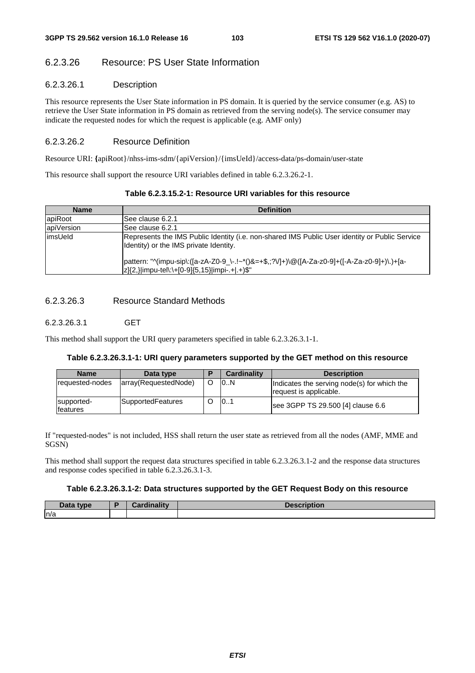# 6.2.3.26 Resource: PS User State Information

# 6.2.3.26.1 Description

This resource represents the User State information in PS domain. It is queried by the service consumer (e.g. AS) to retrieve the User State information in PS domain as retrieved from the serving node(s). The service consumer may indicate the requested nodes for which the request is applicable (e.g. AMF only)

# 6.2.3.26.2 Resource Definition

Resource URI: **{**apiRoot}/nhss-ims-sdm/{apiVersion}/{imsUeId}/access-data/ps-domain/user-state

This resource shall support the resource URI variables defined in table 6.2.3.26.2-1.

| <b>Name</b> | <b>Definition</b>                                                                                                                             |  |  |  |  |  |
|-------------|-----------------------------------------------------------------------------------------------------------------------------------------------|--|--|--|--|--|
| apiRoot     | ISee clause 6.2.1                                                                                                                             |  |  |  |  |  |
| apiVersion  | See clause 6.2.1                                                                                                                              |  |  |  |  |  |
| limsUeld    | Represents the IMS Public Identity (i.e. non-shared IMS Public User identity or Public Service<br>Identity) or the IMS private Identity.      |  |  |  |  |  |
|             | pattern: "^(impu-sip\:([a-zA-Z0-9_\-.!~*()&=+\$,;?V]+)\@([A-Za-z0-9]+([-A-Za-z0-9]+)\.)+[a-<br> z]{2,} impu-tel\:\+[0-9]{5,15} impi-.+ .+)\$" |  |  |  |  |  |

# **Table 6.2.3.15.2-1: Resource URI variables for this resource**

## 6.2.3.26.3 Resource Standard Methods

### 6.2.3.26.3.1 GET

This method shall support the URI query parameters specified in table 6.2.3.26.3.1-1.

#### **Table 6.2.3.26.3.1-1: URI query parameters supported by the GET method on this resource**

| <b>Name</b>            | Data type            | D | Cardinality | <b>Description</b>                                                    |
|------------------------|----------------------|---|-------------|-----------------------------------------------------------------------|
| requested-nodes        | array(RequestedNode) |   | 10N         | Indicates the serving node(s) for which the<br>request is applicable. |
| supported-<br>features | SupportedFeatures    |   | 0           | see 3GPP TS 29.500 [4] clause 6.6                                     |

If "requested-nodes" is not included, HSS shall return the user state as retrieved from all the nodes (AMF, MME and SGSN)

This method shall support the request data structures specified in table 6.2.3.26.3.1-2 and the response data structures and response codes specified in table 6.2.3.26.3.1-3.

#### **Table 6.2.3.26.3.1-2: Data structures supported by the GET Request Body on this resource**

| Data type | Cardinalitv | <b>Description</b> |
|-----------|-------------|--------------------|
| n/a       |             |                    |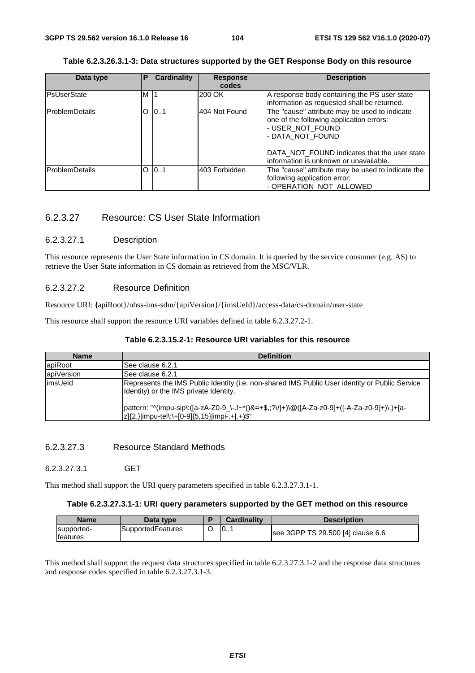## **Table 6.2.3.26.3.1-3: Data structures supported by the GET Response Body on this resource**

| Data type              | Ρ | <b>Cardinality</b> | <b>Response</b><br>codes | <b>Description</b>                                                                                                                                                                                                           |
|------------------------|---|--------------------|--------------------------|------------------------------------------------------------------------------------------------------------------------------------------------------------------------------------------------------------------------------|
| <b>PsUserState</b>     | M | -11                | 200 OK                   | A response body containing the PS user state<br>information as requested shall be returned.                                                                                                                                  |
| <b>ProblemDetails</b>  | Ω | 0.1                | 404 Not Found            | The "cause" attribute may be used to indicate<br>one of the following application errors:<br>- USER_NOT_FOUND<br>- DATA NOT FOUND<br>DATA NOT FOUND indicates that the user state<br>linformation is unknown or unavailable. |
| <b>IProblemDetails</b> | Ω | 0.1                | l403 Forbidden           | The "cause" attribute may be used to indicate the<br>following application error:<br>- OPERATION_NOT_ALLOWED                                                                                                                 |

# 6.2.3.27 Resource: CS User State Information

### 6.2.3.27.1 Description

This resource represents the User State information in CS domain. It is queried by the service consumer (e.g. AS) to retrieve the User State information in CS domain as retrieved from the MSC/VLR.

### 6.2.3.27.2 Resource Definition

Resource URI: **{**apiRoot}/nhss-ims-sdm/{apiVersion}/{imsUeId}/access-data/cs-domain/user-state

This resource shall support the resource URI variables defined in table 6.2.3.27.2-1.

### **Table 6.2.3.15.2-1: Resource URI variables for this resource**

| <b>Name</b> | <b>Definition</b>                                                                                                                             |  |  |  |  |  |  |
|-------------|-----------------------------------------------------------------------------------------------------------------------------------------------|--|--|--|--|--|--|
| apiRoot     | ISee clause 6.2.1                                                                                                                             |  |  |  |  |  |  |
| apiVersion  | ISee clause 6.2.1                                                                                                                             |  |  |  |  |  |  |
| limsUeld    | Represents the IMS Public Identity (i.e. non-shared IMS Public User identity or Public Service<br>Identity) or the IMS private Identity.      |  |  |  |  |  |  |
|             | pattern: "^(impu-sip\:([a-zA-Z0-9_\-.!~*()&=+\$,;?V]+)\@([A-Za-z0-9]+([-A-Za-z0-9]+)\.)+[a-<br> z]{2,} impu-tel\:\+[0-9]{5,15} impi-.+ .+)\$" |  |  |  |  |  |  |

### 6.2.3.27.3 Resource Standard Methods

6.2.3.27.3.1 GET

This method shall support the URI query parameters specified in table 6.2.3.27.3.1-1.

# **Table 6.2.3.27.3.1-1: URI query parameters supported by the GET method on this resource**

| Name                           | Data type         | <b>Cardinality</b> | <b>Description</b>                |
|--------------------------------|-------------------|--------------------|-----------------------------------|
| supported-<br><b>Ifeatures</b> | SupportedFeatures | 101                | see 3GPP TS 29.500 [4] clause 6.6 |

This method shall support the request data structures specified in table 6.2.3.27.3.1-2 and the response data structures and response codes specified in table 6.2.3.27.3.1-3.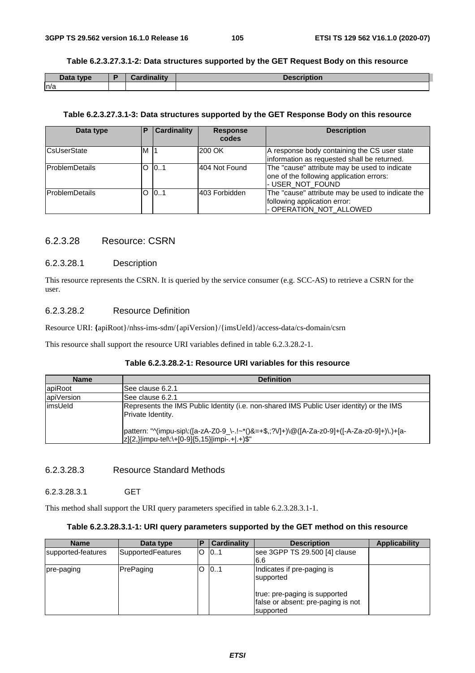### **Table 6.2.3.27.3.1-2: Data structures supported by the GET Request Body on this resource**

| Data type | Cardinality | <b>Description</b> |
|-----------|-------------|--------------------|
| n/a       |             |                    |

#### **Table 6.2.3.27.3.1-3: Data structures supported by the GET Response Body on this resource**

| Data type              | E    | <b>Cardinality</b> | <b>Response</b><br>codes | <b>Description</b>                                                                                            |
|------------------------|------|--------------------|--------------------------|---------------------------------------------------------------------------------------------------------------|
| <b>CsUserState</b>     | M 11 |                    | 200 OK                   | A response body containing the CS user state<br>information as requested shall be returned.                   |
| <b>ProblemDetails</b>  |      | $O$ $0.1$          | 1404 Not Found           | The "cause" attribute may be used to indicate<br>one of the following application errors:<br>- USER_NOT_FOUND |
| <b>IProblemDetails</b> |      | $O$ $0.1$          | l403 Forbidden           | The "cause" attribute may be used to indicate the<br>following application error:<br>- OPERATION_NOT_ALLOWED  |

# 6.2.3.28 Resource: CSRN

### 6.2.3.28.1 Description

This resource represents the CSRN. It is queried by the service consumer (e.g. SCC-AS) to retrieve a CSRN for the user.

# 6.2.3.28.2 Resource Definition

Resource URI: **{**apiRoot}/nhss-ims-sdm/{apiVersion}/{imsUeId}/access-data/cs-domain/csrn

This resource shall support the resource URI variables defined in table 6.2.3.28.2-1.

# **Table 6.2.3.28.2-1: Resource URI variables for this resource**

| <b>Name</b> | <b>Definition</b>                                                                                                                             |  |  |  |  |  |
|-------------|-----------------------------------------------------------------------------------------------------------------------------------------------|--|--|--|--|--|
| apiRoot     | ISee clause 6.2.1                                                                                                                             |  |  |  |  |  |
| apiVersion  | See clause 6.2.1                                                                                                                              |  |  |  |  |  |
| limsUeld    | Represents the IMS Public Identity (i.e. non-shared IMS Public User identity) or the IMS<br>Private Identity.                                 |  |  |  |  |  |
|             | pattern: "^(impu-sip\:([a-zA-Z0-9_\-.!~*()&=+\$,;?V]+)\@([A-Za-z0-9]+([-A-Za-z0-9]+)\.)+[a-<br> z]{2,} impu-tel\:\+[0-9]{5,15} impi-.+ .+)\$" |  |  |  |  |  |

# 6.2.3.28.3 Resource Standard Methods

#### 6.2.3.28.3.1 GET

This method shall support the URI query parameters specified in table 6.2.3.28.3.1-1.

### **Table 6.2.3.28.3.1-1: URI query parameters supported by the GET method on this resource**

| <b>Name</b>        | Data type         | P | Cardinality | <b>Description</b>                                                                                             | <b>Applicability</b> |
|--------------------|-------------------|---|-------------|----------------------------------------------------------------------------------------------------------------|----------------------|
| supported-features | SupportedFeatures | O | 101         | see 3GPP TS 29.500 [4] clause<br>6.6                                                                           |                      |
| pre-paging         | PrePaging         | O | 101         | Indicates if pre-paging is<br>supported<br>true: pre-paging is supported<br>false or absent: pre-paging is not |                      |
|                    |                   |   |             | supported                                                                                                      |                      |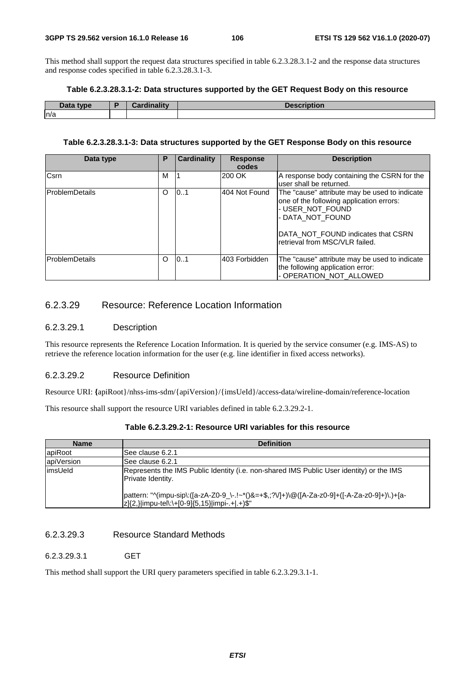This method shall support the request data structures specified in table 6.2.3.28.3.1-2 and the response data structures and response codes specified in table 6.2.3.28.3.1-3.

#### **Table 6.2.3.28.3.1-2: Data structures supported by the GET Request Body on this resource**

| Data type | <b>Cardinality</b> | <b>Description</b> |
|-----------|--------------------|--------------------|
| n/a       |                    |                    |

#### **Table 6.2.3.28.3.1-3: Data structures supported by the GET Response Body on this resource**

| Data type              | Ρ | <b>Cardinality</b> | <b>Response</b><br>codes | <b>Description</b>                                                                                                                                                                                        |
|------------------------|---|--------------------|--------------------------|-----------------------------------------------------------------------------------------------------------------------------------------------------------------------------------------------------------|
| <b>C</b> srn           | м |                    | 200 OK                   | A response body containing the CSRN for the<br>user shall be returned.                                                                                                                                    |
| <b>IProblemDetails</b> | O | 101                | 404 Not Found            | The "cause" attribute may be used to indicate<br>one of the following application errors:<br>- USER NOT FOUND<br>- DATA NOT FOUND<br>DATA NOT FOUND indicates that CSRN<br>retrieval from MSC/VLR failed. |
| lProblemDetails        | O | 101                | 403 Forbidden            | The "cause" attribute may be used to indicate<br>the following application error:<br>- OPERATION NOT ALLOWED                                                                                              |

# 6.2.3.29 Resource: Reference Location Information

# 6.2.3.29.1 Description

This resource represents the Reference Location Information. It is queried by the service consumer (e.g. IMS-AS) to retrieve the reference location information for the user (e.g. line identifier in fixed access networks).

### 6.2.3.29.2 Resource Definition

Resource URI: **{**apiRoot}/nhss-ims-sdm/{apiVersion}/{imsUeId}/access-data/wireline-domain/reference-location

This resource shall support the resource URI variables defined in table 6.2.3.29.2-1.

| <b>Name</b> | <b>Definition</b>                                                                                                                             |
|-------------|-----------------------------------------------------------------------------------------------------------------------------------------------|
| apiRoot     | ISee clause 6.2.1                                                                                                                             |
| apiVersion  | See clause 6.2.1                                                                                                                              |
| limsUeld    | Represents the IMS Public Identity (i.e. non-shared IMS Public User identity) or the IMS<br>Private Identity.                                 |
|             | pattern: "^(impu-sip\:([a-zA-Z0-9_\-.!~*()&=+\$,;?V]+)\@([A-Za-z0-9]+([-A-Za-z0-9]+)\.)+[a-<br> z]{2,} impu-tel\:\+[0-9]{5,15} impi-.+ .+)\$" |

## 6.2.3.29.3 Resource Standard Methods

6.2.3.29.3.1 GET

This method shall support the URI query parameters specified in table 6.2.3.29.3.1-1.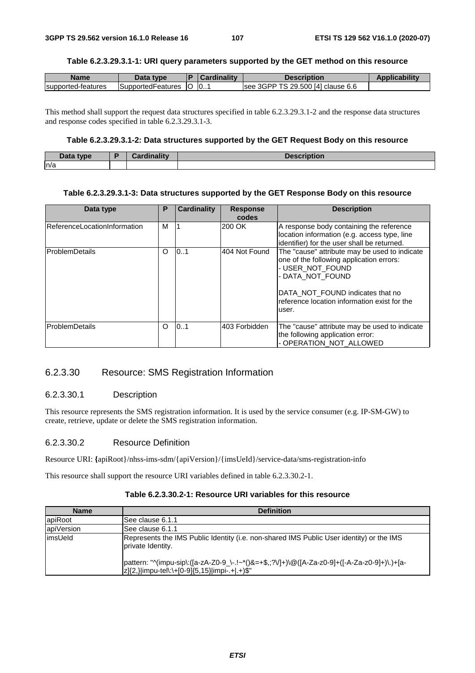### **Table 6.2.3.29.3.1-1: URI query parameters supported by the GET method on this resource**

| Name               | Data type          | D   | ardinalitv: | Description                           | <b>Applicability</b> |
|--------------------|--------------------|-----|-------------|---------------------------------------|----------------------|
| supported-features | ISupported⊢eatures | IO. | 0           | 3GPP TS 29.500 [4] clause 6.6<br>lsee |                      |

This method shall support the request data structures specified in table 6.2.3.29.3.1-2 and the response data structures and response codes specified in table 6.2.3.29.3.1-3.

## **Table 6.2.3.29.3.1-2: Data structures supported by the GET Request Body on this resource**

| Data type | <b>Pardinality</b> | Description |
|-----------|--------------------|-------------|
| ln/a      |                    |             |

### **Table 6.2.3.29.3.1-3: Data structures supported by the GET Response Body on this resource**

| Data type                           | Ρ | <b>Cardinality</b> | <b>Response</b><br>codes | <b>Description</b>                                                                                                                                                                                                             |
|-------------------------------------|---|--------------------|--------------------------|--------------------------------------------------------------------------------------------------------------------------------------------------------------------------------------------------------------------------------|
| <b>ReferenceLocationInformation</b> | м |                    | 200 OK                   | A response body containing the reference<br>location information (e.g. access type, line<br>identifier) for the user shall be returned.                                                                                        |
| ProblemDetails                      |   | 0.1                | 404 Not Found            | The "cause" attribute may be used to indicate<br>one of the following application errors:<br>- USER NOT FOUND<br>- DATA_NOT_FOUND<br>DATA NOT FOUND indicates that no<br>reference location information exist for the<br>user. |
| <b>IProblemDetails</b>              | O | 0.1                | 403 Forbidden            | The "cause" attribute may be used to indicate<br>the following application error:<br>- OPERATION_NOT_ALLOWED                                                                                                                   |

# 6.2.3.30 Resource: SMS Registration Information

### 6.2.3.30.1 Description

This resource represents the SMS registration information. It is used by the service consumer (e.g. IP-SM-GW) to create, retrieve, update or delete the SMS registration information.

#### 6.2.3.30.2 Resource Definition

Resource URI: **{**apiRoot}/nhss-ims-sdm/{apiVersion}/{imsUeId}/service-data/sms-registration-info

This resource shall support the resource URI variables defined in table 6.2.3.30.2-1.

# **Table 6.2.3.30.2-1: Resource URI variables for this resource**

| <b>Name</b> | <b>Definition</b>                                                                                                                             |
|-------------|-----------------------------------------------------------------------------------------------------------------------------------------------|
| apiRoot     | See clause 6.1.1                                                                                                                              |
| apiVersion  | ISee clause 6.1.1                                                                                                                             |
| limsUeld    | Represents the IMS Public Identity (i.e. non-shared IMS Public User identity) or the IMS<br>private Identity.                                 |
|             | pattern: "^(impu-sip\:([a-zA-Z0-9_\-.!~*()&=+\$,;?V]+)\@([A-Za-z0-9]+([-A-Za-z0-9]+)\.)+[a-<br> z]{2,} impu-tel\:\+[0-9]{5,15} impi-.+ .+)\$" |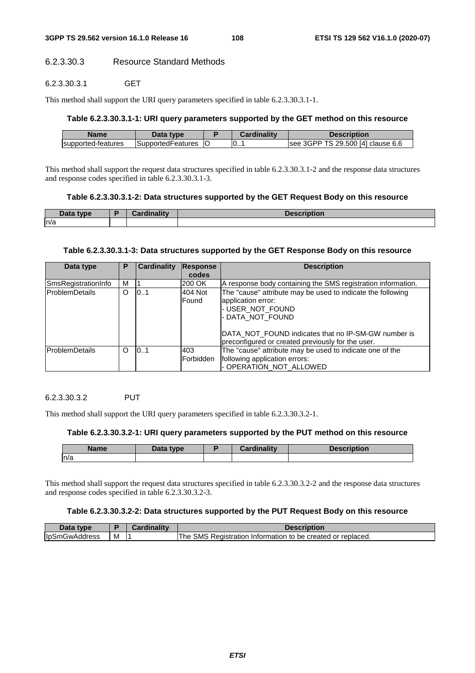## 6.2.3.30.3 Resource Standard Methods

6.2.3.30.3.1 GET

This method shall support the URI query parameters specified in table 6.2.3.30.3.1-1.

## **Table 6.2.3.30.3.1-1: URI query parameters supported by the GET method on this resource**

| <b>Name</b>        | Data type                | Cardinality | Description                        |
|--------------------|--------------------------|-------------|------------------------------------|
| supported-features | <b>SupportedFeatures</b> | 0           | Isee 3GPP TS 29.500 [4] clause 6.6 |

This method shall support the request data structures specified in table 6.2.3.30.3.1-2 and the response data structures and response codes specified in table 6.2.3.30.3.1-3.

## **Table 6.2.3.30.3.1-2: Data structures supported by the GET Request Body on this resource**

| Data type<br>Dala | dinality | <b>Description</b> |
|-------------------|----------|--------------------|
| ln/a              |          |                    |

## **Table 6.2.3.30.3.1-3: Data structures supported by the GET Response Body on this resource**

| Data type             | Р | Cardinality | Response<br>codes | <b>Description</b>                                                                                                                                                                                                                            |
|-----------------------|---|-------------|-------------------|-----------------------------------------------------------------------------------------------------------------------------------------------------------------------------------------------------------------------------------------------|
| SmsRegistrationInfo   | м |             | 200 OK            | A response body containing the SMS registration information.                                                                                                                                                                                  |
| ProblemDetails        | O | 101         | 404 Not<br>Found  | The "cause" attribute may be used to indicate the following<br>application error:<br>- USER NOT FOUND<br>- DATA NOT FOUND<br><b>IDATA NOT FOUND indicates that no IP-SM-GW number is</b><br>preconfigured or created previously for the user. |
| <b>ProblemDetails</b> | O | 10.1        | 403<br>Forbidden  | The "cause" attribute may be used to indicate one of the<br>following application errors:<br>- OPERATION_NOT_ALLOWED                                                                                                                          |

## 6.2.3.30.3.2 PUT

This method shall support the URI query parameters specified in table 6.2.3.30.3.2-1.

### **Table 6.2.3.30.3.2-1: URI query parameters supported by the PUT method on this resource**

| Name | Data type | <b>Cardinality</b> | <b>Description</b> |
|------|-----------|--------------------|--------------------|
| ln/a |           |                    |                    |

This method shall support the request data structures specified in table 6.2.3.30.3.2-2 and the response data structures and response codes specified in table 6.2.3.30.3.2-3.

## **Table 6.2.3.30.3.2-2: Data structures supported by the PUT Request Body on this resource**

| Data tvpe            |   | Description                                                    |
|----------------------|---|----------------------------------------------------------------|
| <b>IDSmGwAddress</b> | M | The SMS<br>Registration Information to be created or replaced. |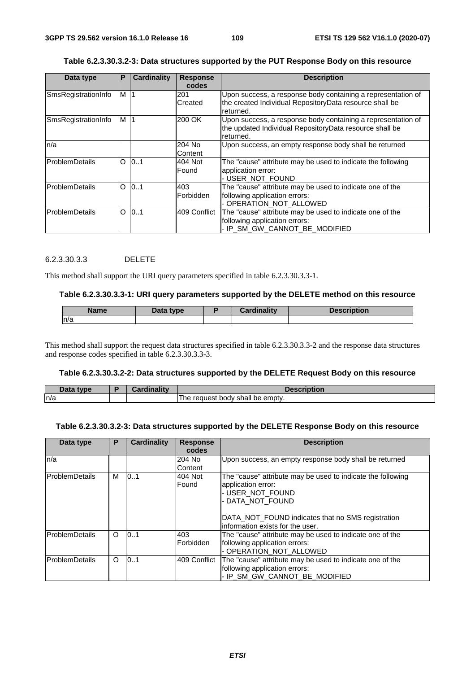| Table 6.2.3.30.3.2-3: Data structures supported by the PUT Response Body on this resource |  |  |
|-------------------------------------------------------------------------------------------|--|--|
|                                                                                           |  |  |

| Data type           | P | <b>Cardinality</b> | <b>Response</b><br>codes | <b>Description</b>                                                                                                                   |
|---------------------|---|--------------------|--------------------------|--------------------------------------------------------------------------------------------------------------------------------------|
| SmsRegistrationInfo | M | '1                 | 201<br>Created           | Upon success, a response body containing a representation of<br>the created Individual RepositoryData resource shall be<br>returned. |
| SmsRegistrationInfo | M | $\vert$ 1          | 200 OK                   | Upon success, a response body containing a representation of<br>the updated Individual RepositoryData resource shall be<br>returned. |
| n/a                 |   |                    | 204 No<br>Content        | Upon success, an empty response body shall be returned                                                                               |
| ProblemDetails      | O | 0.1                | 404 Not<br>Found         | The "cause" attribute may be used to indicate the following<br>application error:<br>- USER_NOT_FOUND                                |
| ProblemDetails      | O | 0.1                | 403<br>Forbidden         | The "cause" attribute may be used to indicate one of the<br>following application errors:<br>- OPERATION_NOT_ALLOWED                 |
| ProblemDetails      | O | 0.1                | 409 Conflict             | The "cause" attribute may be used to indicate one of the<br>following application errors:<br>- IP_SM_GW_CANNOT_BE_MODIFIED           |

### 6.2.3.30.3.3 DELETE

This method shall support the URI query parameters specified in table 6.2.3.30.3.3-1.

#### **Table 6.2.3.30.3.3-1: URI query parameters supported by the DELETE method on this resource**

| Name | Data type | <b>Cardinality</b> | <b>Description</b> |
|------|-----------|--------------------|--------------------|
| In/a |           |                    |                    |

This method shall support the request data structures specified in table 6.2.3.30.3.3-2 and the response data structures and response codes specified in table 6.2.3.30.3.3-3.

#### **Table 6.2.3.30.3.2-2: Data structures supported by the DELETE Request Body on this resource**

| Data type | Cardinalitv | Description                                           |
|-----------|-------------|-------------------------------------------------------|
| n/a       |             | $\cdots$<br>' shall be emptv.<br>request body<br>ı he |

#### **Table 6.2.3.30.3.2-3: Data structures supported by the DELETE Response Body on this resource**

| Data type              | P        | Cardinality | <b>Response</b><br>codes | <b>Description</b>                                                                                                         |
|------------------------|----------|-------------|--------------------------|----------------------------------------------------------------------------------------------------------------------------|
| n/a                    |          |             | 204 No<br>Content        | Upon success, an empty response body shall be returned                                                                     |
| <b>ProblemDetails</b>  | м        | 0.1         | 404 Not<br>Found         | The "cause" attribute may be used to indicate the following<br>application error:<br>- USER NOT FOUND<br>- DATA NOT FOUND  |
|                        |          |             |                          | DATA_NOT_FOUND indicates that no SMS registration<br>linformation exists for the user.                                     |
| <b>ProblemDetails</b>  | $\Omega$ | 0.1         | 403<br>Forbidden         | The "cause" attribute may be used to indicate one of the<br>following application errors:<br>- OPERATION NOT ALLOWED       |
| <b>IProblemDetails</b> | $\circ$  | 10.1        | 409 Conflict             | The "cause" attribute may be used to indicate one of the<br>following application errors:<br>- IP SM GW CANNOT BE MODIFIED |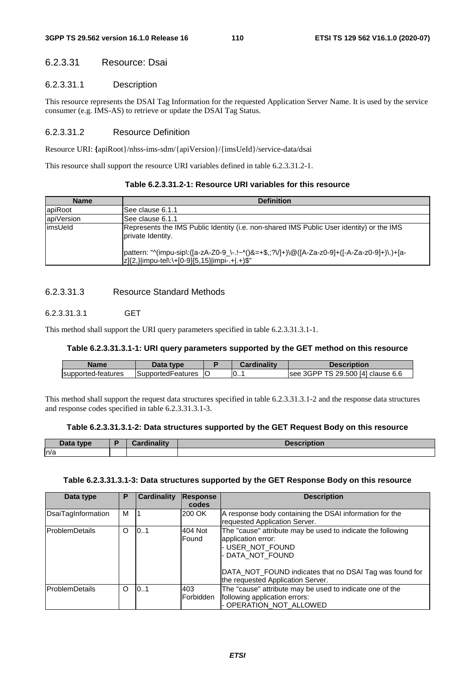## 6.2.3.31 Resource: Dsai

## 6.2.3.31.1 Description

This resource represents the DSAI Tag Information for the requested Application Server Name. It is used by the service consumer (e.g. IMS-AS) to retrieve or update the DSAI Tag Status.

## 6.2.3.31.2 Resource Definition

Resource URI: **{**apiRoot}/nhss-ims-sdm/{apiVersion}/{imsUeId}/service-data/dsai

This resource shall support the resource URI variables defined in table 6.2.3.31.2-1.

| Table 6.2.3.31.2-1: Resource URI variables for this resource |  |  |
|--------------------------------------------------------------|--|--|
|--------------------------------------------------------------|--|--|

| <b>Name</b> | <b>Definition</b>                                                                                                                             |
|-------------|-----------------------------------------------------------------------------------------------------------------------------------------------|
| apiRoot     | ISee clause 6.1.1                                                                                                                             |
| apiVersion  | ISee clause 6.1.1                                                                                                                             |
| limsUeld    | Represents the IMS Public Identity (i.e. non-shared IMS Public User identity) or the IMS<br>private Identity.                                 |
|             | pattern: "^(impu-sip\:([a-zA-Z0-9_\-.!~*()&=+\$,;?V]+)\@([A-Za-z0-9]+([-A-Za-z0-9]+)\.)+[a-<br> z]{2,} impu-tel\:\+[0-9]{5,15} impi-.+ .+)\$" |

## 6.2.3.31.3 Resource Standard Methods

## 6.2.3.31.3.1 GET

This method shall support the URI query parameters specified in table 6.2.3.31.3.1-1.

### **Table 6.2.3.31.3.1-1: URI query parameters supported by the GET method on this resource**

| Name               | Jata type          |    | Cardinalitv | Description                          |
|--------------------|--------------------|----|-------------|--------------------------------------|
| supported-features | ISupportedFeatures | IC | - 10.       | 3GPP TS 29.500 [4] clause 6.6<br>see |

This method shall support the request data structures specified in table 6.2.3.31.3.1-2 and the response data structures and response codes specified in table 6.2.3.31.3.1-3.

#### **Table 6.2.3.31.3.1-2: Data structures supported by the GET Request Body on this resource**

| Data type | $-$ and in ality $-$ | <b>Description</b> |
|-----------|----------------------|--------------------|
| n/a       |                      |                    |

#### **Table 6.2.3.31.3.1-3: Data structures supported by the GET Response Body on this resource**

| Data type             | Р | Cardinality | <b>Response</b><br>codes | <b>Description</b>                                                                                                                                                                                                        |
|-----------------------|---|-------------|--------------------------|---------------------------------------------------------------------------------------------------------------------------------------------------------------------------------------------------------------------------|
| DsaiTagInformation    | м |             | 200 OK                   | A response body containing the DSAI information for the<br>requested Application Server.                                                                                                                                  |
| <b>ProblemDetails</b> | O | 0.1         | 404 Not<br>Found         | The "cause" attribute may be used to indicate the following<br>application error:<br>- USER NOT FOUND<br>- DATA NOT FOUND<br>DATA_NOT_FOUND indicates that no DSAI Tag was found for<br>the requested Application Server. |
| <b>ProblemDetails</b> | O | 101         | 403<br>lForbidden        | The "cause" attribute may be used to indicate one of the<br>following application errors:<br>- OPERATION_NOT_ALLOWED                                                                                                      |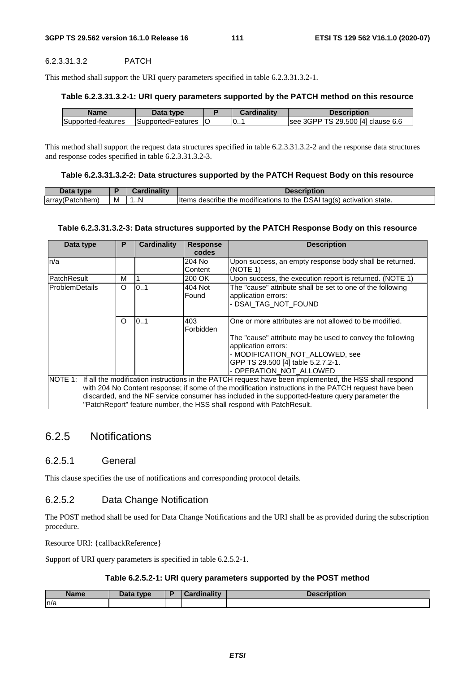#### 6.2.3.31.3.2 PATCH

This method shall support the URI query parameters specified in table 6.2.3.31.3.2-1.

#### **Table 6.2.3.31.3.2-1: URI query parameters supported by the PATCH method on this resource**

| Name               | Data type                 | Cardinalitv | <b>Description</b>                 |
|--------------------|---------------------------|-------------|------------------------------------|
| Supported-features | <b>ISupportedFeatures</b> | 0           | Isee 3GPP TS 29.500 [4] clause 6.6 |

This method shall support the request data structures specified in table 6.2.3.31.3.2-2 and the response data structures and response codes specified in table 6.2.3.31.3.2-3.

#### **Table 6.2.3.31.3.2-2: Data structures supported by the PATCH Request Body on this resource**

| Data type        |   | Cardinalitv | <b>Description</b>                                                    |
|------------------|---|-------------|-----------------------------------------------------------------------|
| array(Patchitem) | M | N           | Items describe the modifications to the DSAI tag(s) activation state. |

#### **Table 6.2.3.31.3.2-3: Data structures supported by the PATCH Response Body on this resource**

| Data type                                                                                        | Р        | Cardinality | <b>Response</b> | <b>Description</b>                                                                                             |
|--------------------------------------------------------------------------------------------------|----------|-------------|-----------------|----------------------------------------------------------------------------------------------------------------|
|                                                                                                  |          |             | codes           |                                                                                                                |
| n/a                                                                                              |          |             | 204 No          | Upon success, an empty response body shall be returned.                                                        |
|                                                                                                  |          |             | Content         | (NOTE 1)                                                                                                       |
| PatchResult                                                                                      | M        |             | 200 OK          | Upon success, the execution report is returned. (NOTE 1)                                                       |
| <b>ProblemDetails</b>                                                                            | O        | 0.1         | 404 Not         | The "cause" attribute shall be set to one of the following                                                     |
|                                                                                                  |          |             | Found           | application errors:                                                                                            |
|                                                                                                  |          |             |                 | - DSAI TAG NOT FOUND                                                                                           |
|                                                                                                  |          |             |                 |                                                                                                                |
|                                                                                                  | $\Omega$ | 0.1         | 403             | One or more attributes are not allowed to be modified.                                                         |
|                                                                                                  |          |             | Forbidden       |                                                                                                                |
|                                                                                                  |          |             |                 | The "cause" attribute may be used to convey the following                                                      |
|                                                                                                  |          |             |                 | application errors:                                                                                            |
|                                                                                                  |          |             |                 | - MODIFICATION NOT ALLOWED, see                                                                                |
|                                                                                                  |          |             |                 | GPP TS 29.500 [4] table 5.2.7.2-1.                                                                             |
|                                                                                                  |          |             |                 | - OPERATION_NOT_ALLOWED                                                                                        |
|                                                                                                  |          |             |                 | NOTE 1: If all the modification instructions in the PATCH request have been implemented, the HSS shall respond |
|                                                                                                  |          |             |                 | with 204 No Content response; if some of the modification instructions in the PATCH request have been          |
| discarded, and the NF service consumer has included in the supported-feature query parameter the |          |             |                 |                                                                                                                |
|                                                                                                  |          |             |                 | "PatchReport" feature number, the HSS shall respond with PatchResult.                                          |

## 6.2.5 Notifications

### 6.2.5.1 General

This clause specifies the use of notifications and corresponding protocol details.

### 6.2.5.2 Data Change Notification

The POST method shall be used for Data Change Notifications and the URI shall be as provided during the subscription procedure.

Resource URI: {callbackReference}

Support of URI query parameters is specified in table 6.2.5.2-1.

#### **Table 6.2.5.2-1: URI query parameters supported by the POST method**

| <b>Name</b> | Data type | $-m$ olity $-$<br>$-125$ | 7.<br><b>Description</b> |
|-------------|-----------|--------------------------|--------------------------|
| n/a         |           |                          |                          |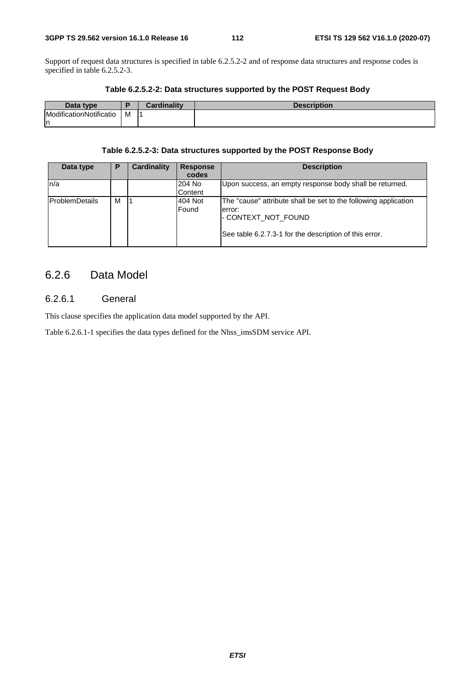Support of request data structures is specified in table 6.2.5.2-2 and of response data structures and response codes is specified in table 6.2.5.2-3.

| Data type               |   | Cardinality | <b>Description</b> |
|-------------------------|---|-------------|--------------------|
| ModificationNotificatio | M |             |                    |
| ın                      |   |             |                    |

#### **Table 6.2.5.2-2: Data structures supported by the POST Request Body**

#### **Table 6.2.5.2-3: Data structures supported by the POST Response Body**

| Data type       | Р | <b>Cardinality</b> | <b>Response</b><br>codes | <b>Description</b>                                                                                                                                          |
|-----------------|---|--------------------|--------------------------|-------------------------------------------------------------------------------------------------------------------------------------------------------------|
| n/a             |   |                    | 204 No<br>Content        | Upon success, an empty response body shall be returned.                                                                                                     |
| lProblemDetails | M |                    | 404 Not<br>Found         | The "cause" attribute shall be set to the following application<br>lerror:<br>I-CONTEXT NOT FOUND<br>See table 6.2.7.3-1 for the description of this error. |

## 6.2.6 Data Model

## 6.2.6.1 General

This clause specifies the application data model supported by the API.

Table 6.2.6.1-1 specifies the data types defined for the Nhss\_imsSDM service API.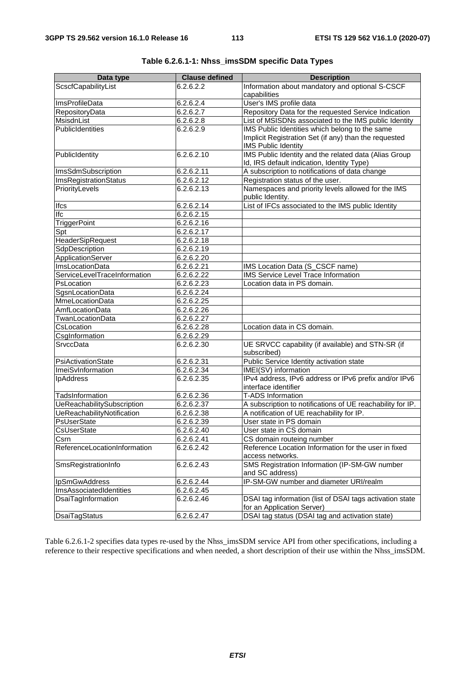| Data type                    | <b>Clause defined</b> | <b>Description</b>                                                       |
|------------------------------|-----------------------|--------------------------------------------------------------------------|
| ScscfCapabilityList          | 6.2.6.2.2             | Information about mandatory and optional S-CSCF                          |
|                              |                       | capabilities                                                             |
| <b>ImsProfileData</b>        | 6.2.6.2.4             | User's IMS profile data                                                  |
| RepositoryData               | 6.2.6.2.7             | Repository Data for the requested Service Indication                     |
| MsisdnList                   | 6.2.6.2.8             | List of MSISDNs associated to the IMS public Identity                    |
| PublicIdentities             | 6.2.6.2.9             | IMS Public Identities which belong to the same                           |
|                              |                       | Implicit Registration Set (if any) than the requested                    |
|                              |                       | <b>IMS Public Identity</b>                                               |
| PublicIdentity               | 6.2.6.2.10            | IMS Public Identity and the related data (Alias Group                    |
|                              |                       | Id, IRS default indication, Identity Type)                               |
| ImsSdmSubscription           | 6.2.6.2.11            | A subscription to notifications of data change                           |
| ImsRegistrationStatus        | 6.2.6.2.12            | Registration status of the user.                                         |
| PriorityLevels               | 6.2.6.2.13            | Namespaces and priority levels allowed for the IMS                       |
|                              |                       | public Identity.                                                         |
| Ifcs                         | 6.2.6.2.14            | List of IFCs associated to the IMS public Identity                       |
| Ifc                          | 6.2.6.2.15            |                                                                          |
| <b>TriggerPoint</b>          | 6.2.6.2.16            |                                                                          |
| Spt                          | 6.2.6.2.17            |                                                                          |
| HeaderSipRequest             | 6.2.6.2.18            |                                                                          |
| SdpDescription               | 6.2.6.2.19            |                                                                          |
| ApplicationServer            | 6.2.6.2.20            |                                                                          |
| <b>ImsLocationData</b>       | 6.2.6.2.21            | IMS Location Data (S_CSCF name)                                          |
| ServiceLevelTraceInformation | 6.2.6.2.22            | IMS Service Level Trace Information                                      |
| PsLocation                   | 6.2.6.2.23            | Location data in PS domain.                                              |
| SgsnLocationData             | 6.2.6.2.24            |                                                                          |
| <b>MmeLocationData</b>       | 6.2.6.2.25            |                                                                          |
| AmfLocationData              | 6.2.6.2.26            |                                                                          |
| TwanLocationData             | 6.2.6.2.27            |                                                                          |
| CsLocation                   | 6.2.6.2.28            | Location data in CS domain.                                              |
| CsgInformation               | 6.2.6.2.29            |                                                                          |
| SrvccData                    | 6.2.6.2.30            | UE SRVCC capability (if available) and STN-SR (if                        |
|                              |                       | subscribed)                                                              |
| PsiActivationState           | 6.2.6.2.31            | Public Service Identity activation state                                 |
| ImeiSvInformation            | 6.2.6.2.34            | IMEI(SV) information                                                     |
| <b>IpAddress</b>             | 6.2.6.2.35            | IPv4 address, IPv6 address or IPv6 prefix and/or IPv6                    |
|                              |                       | interface identifier                                                     |
| TadsInformation              | 6.2.6.2.36            | <b>T-ADS Information</b>                                                 |
| UeReachabilitySubscription   | 6.2.6.2.37            | A subscription to notifications of UE reachability for IP.               |
| UeReachabilityNotification   | 6.2.6.2.38            | A notification of UE reachability for IP.<br>User state in PS domain     |
| PsUserState                  | 6.2.6.2.39            |                                                                          |
| CsUserState                  | 6.2.6.2.40            | User state in CS domain                                                  |
| Csrn                         | 6.2.6.2.41            | CS domain routeing number                                                |
| ReferenceLocationInformation | 6.2.6.2.42            | Reference Location Information for the user in fixed<br>access networks. |
| SmsRegistrationInfo          | 6.2.6.2.43            | SMS Registration Information (IP-SM-GW number                            |
|                              |                       | and SC address)                                                          |
| IpSmGwAddress                | 6.2.6.2.44            | IP-SM-GW number and diameter URI/realm                                   |
| ImsAssociatedIdentities      | 6.2.6.2.45            |                                                                          |
| DsaiTagInformation           | 6.2.6.2.46            | DSAI tag information (list of DSAI tags activation state                 |
|                              |                       | for an Application Server)                                               |
| <b>DsaiTagStatus</b>         | 6.2.6.2.47            | DSAI tag status (DSAI tag and activation state)                          |

|--|--|--|--|--|

Table 6.2.6.1-2 specifies data types re-used by the Nhss\_imsSDM service API from other specifications, including a reference to their respective specifications and when needed, a short description of their use within the Nhss\_imsSDM.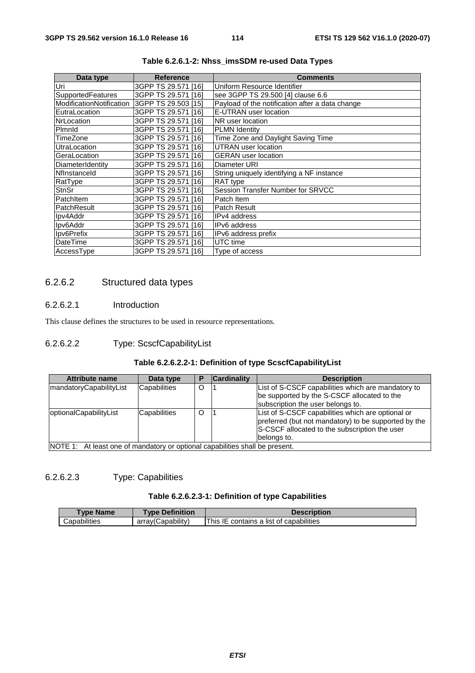| Data type                | <b>Reference</b>    | <b>Comments</b>                                 |
|--------------------------|---------------------|-------------------------------------------------|
| Uri                      | 3GPP TS 29.571 [16] | Uniform Resource Identifier                     |
| SupportedFeatures        | 3GPP TS 29.571 [16] | see 3GPP TS 29.500 [4] clause 6.6               |
| ModificationNotification | 3GPP TS 29.503 [15] | Payload of the notification after a data change |
| EutraLocation            | 3GPP TS 29.571 [16] | E-UTRAN user location                           |
| <b>NrLocation</b>        | 3GPP TS 29.571 [16] | NR user location                                |
| Plmnld                   | 3GPP TS 29.571 [16] | <b>PLMN Identity</b>                            |
| TimeZone                 | 3GPP TS 29.571 [16] | Time Zone and Daylight Saving Time              |
| UtraLocation             | 3GPP TS 29.571 [16] | <b>UTRAN</b> user location                      |
| GeraLocation             | 3GPP TS 29.571 [16] | <b>GERAN</b> user location                      |
| DiameterIdentity         | 3GPP TS 29.571 [16] | Diameter URI                                    |
| Nflnstanceld             | 3GPP TS 29.571 [16] | String uniquely identifying a NF instance       |
| RatType                  | 3GPP TS 29.571 [16] | RAT type                                        |
| <b>StnSr</b>             | 3GPP TS 29.571 [16] | Session Transfer Number for SRVCC               |
| PatchItem                | 3GPP TS 29.571 [16] | Patch Item                                      |
| PatchResult              | 3GPP TS 29.571 [16] | <b>Patch Result</b>                             |
| Ipv4Addr                 | 3GPP TS 29.571 [16] | IPv4 address                                    |
| Ipv6Addr                 | 3GPP TS 29.571 [16] | IPv6 address                                    |
| Ipv6Prefix               | 3GPP TS 29.571 [16] | IPv6 address prefix                             |
| DateTime                 | 3GPP TS 29.571 [16] | UTC time                                        |
| AccessType               | 3GPP TS 29.571 [16] | Type of access                                  |

**Table 6.2.6.1-2: Nhss\_imsSDM re-used Data Types** 

## 6.2.6.2 Structured data types

## 6.2.6.2.1 Introduction

This clause defines the structures to be used in resource representations.

## 6.2.6.2.2 Type: ScscfCapabilityList

## **Table 6.2.6.2.2-1: Definition of type ScscfCapabilityList**

| Attribute name          | Data type                                                           |   | <b>Cardinality</b> | <b>Description</b>                                                                                                                                                        |
|-------------------------|---------------------------------------------------------------------|---|--------------------|---------------------------------------------------------------------------------------------------------------------------------------------------------------------------|
| mandatoryCapabilityList | Capabilities                                                        | O |                    | List of S-CSCF capabilities which are mandatory to<br>be supported by the S-CSCF allocated to the<br>subscription the user belongs to.                                    |
| optionalCapabilityList  | Capabilities                                                        | O |                    | List of S-CSCF capabilities which are optional or<br>preferred (but not mandatory) to be supported by the<br>S-CSCF allocated to the subscription the user<br>belongs to. |
| INOTE 1:                | At least one of mandatory or optional capabilities shall be present |   |                    |                                                                                                                                                                           |

optional capabilities shall be pre

## 6.2.6.2.3 Type: Capabilities

#### **Table 6.2.6.2.3-1: Definition of type Capabilities**

| Type Name    | <b>Type Definition</b> | <b>Description</b>                      |
|--------------|------------------------|-----------------------------------------|
| Capabilities | arrav(Capability)      | This IE contains a list of capabilities |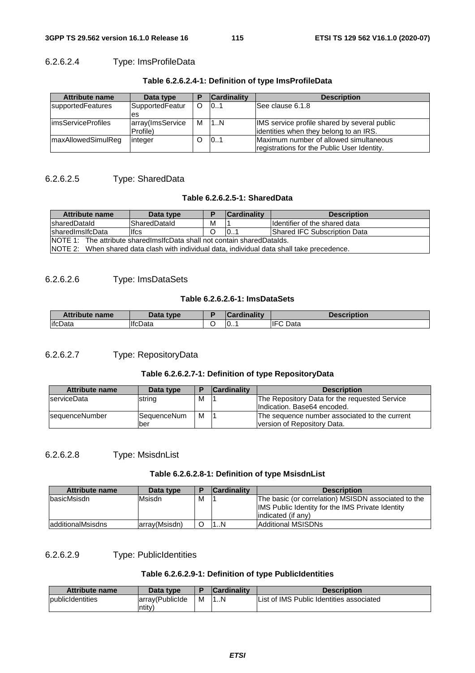## 6.2.6.2.4 Type: ImsProfileData

| <b>Attribute name</b>      | Data type        | <b>Cardinality</b> | <b>Description</b>                           |
|----------------------------|------------------|--------------------|----------------------------------------------|
| <b>supportedFeatures</b>   | SupportedFeatur  | 101                | lSee clause 6.1.8                            |
|                            | es               |                    |                                              |
| <b>limsServiceProfiles</b> | array(ImsService | M 11.N             | IMS service profile shared by several public |
|                            | Profile)         |                    | lidentities when they belong to an IRS.      |
| <b>ImaxAllowedSimulReg</b> | linteger         | 101                | Maximum number of allowed simultaneous       |
|                            |                  |                    | registrations for the Public User Identity.  |

## 6.2.6.2.5 Type: SharedData

#### **Table 6.2.6.2.5-1: SharedData**

| Attribute name                                                                              | Data type           |   | <b>Cardinality</b> | <b>Description</b>             |  |  |
|---------------------------------------------------------------------------------------------|---------------------|---|--------------------|--------------------------------|--|--|
| <b>IsharedDatald</b>                                                                        | <b>SharedDataId</b> | М |                    | Ildentifier of the shared data |  |  |
| <b>IsharedImsIfcData</b>                                                                    | <b>Ifcs</b>         |   | 10.1               | Shared IFC Subscription Data   |  |  |
| <b>NOTE 1:</b> The attribute shared ms if chail not contain shared Datalds.                 |                     |   |                    |                                |  |  |
| NOTE 2: When shared data clash with individual data, individual data shall take precedence. |                     |   |                    |                                |  |  |

## 6.2.6.2.6 Type: ImsDataSets

#### **Table 6.2.6.2.6-1: ImsDataSets**

| <b>Attribute name</b> | Data type      | <b>Cardinality</b> | <b>Description</b> |
|-----------------------|----------------|--------------------|--------------------|
| lifcData              | <b>IfcData</b> | 10                 | <b>IFC</b> Data    |

## 6.2.6.2.7 Type: RepositoryData

## **Table 6.2.6.2.7-1: Definition of type RepositoryData**

| <b>Attribute name</b> | Data type          |   | <b>Cardinality</b> | <b>Description</b>                            |
|-----------------------|--------------------|---|--------------------|-----------------------------------------------|
| <b>IserviceData</b>   | string             | M |                    | The Repository Data for the requested Service |
|                       |                    |   |                    | Indication. Base64 encoded.                   |
| sequenceNumber        | <b>SequenceNum</b> | M |                    | The sequence number associated to the current |
|                       | lber               |   |                    | Iversion of Repository Data.                  |

## 6.2.6.2.8 Type: MsisdnList

#### **Table 6.2.6.2.8-1: Definition of type MsisdnList**

| <b>Attribute name</b> | Data type     | в | <b>Cardinality</b> | <b>Description</b>                                                                                                                    |
|-----------------------|---------------|---|--------------------|---------------------------------------------------------------------------------------------------------------------------------------|
| basicMsisdn           | Msisdn        | M |                    | The basic (or correlation) MSISDN associated to the<br><b>IMS</b> Public Identity for the IMS Private Identity<br>lindicated (if any) |
| ladditionalMsisdns    | arrav(Msisdn) |   | . N                | IAdditional MSISDNs                                                                                                                   |

## 6.2.6.2.9 Type: PublicIdentities

## **Table 6.2.6.2.9-1: Definition of type PublicIdentities**

| <b>Attribute name</b>            | Data type        |   | <b>Cardinality</b> | <b>Description</b>                       |
|----------------------------------|------------------|---|--------------------|------------------------------------------|
| <i><b>I</b></i> public dentities | larrav(PublicIde | M | .N                 | List of IMS Public Identities associated |
|                                  | $\mathsf{ntitv}$ |   |                    |                                          |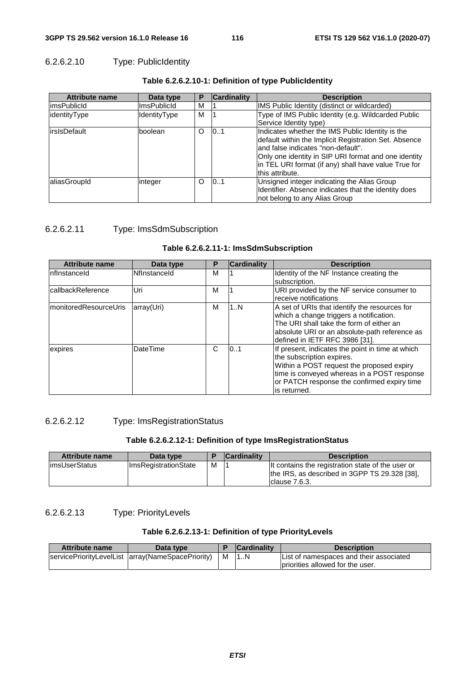## 6.2.6.2.10 Type: PublicIdentity

| <b>Attribute name</b> | Data type           | Р        | <b>Cardinality</b> | <b>Description</b>                                                                                                                                                                                                                                                                 |
|-----------------------|---------------------|----------|--------------------|------------------------------------------------------------------------------------------------------------------------------------------------------------------------------------------------------------------------------------------------------------------------------------|
| limsPublicId          | <b>ImsPublicId</b>  | M        |                    | IMS Public Identity (distinct or wildcarded)                                                                                                                                                                                                                                       |
| identityType          | <b>IdentityType</b> | M        |                    | Type of IMS Public Identity (e.g. Wildcarded Public                                                                                                                                                                                                                                |
|                       |                     |          |                    | Service Identity type)                                                                                                                                                                                                                                                             |
| irsIsDefault          | boolean             | $\Omega$ | 101                | Indicates whether the IMS Public Identity is the<br>default within the Implicit Registration Set. Absence<br>and false indicates "non-default".<br>Only one identity in SIP URI format and one identity<br>in TEL URI format (if any) shall have value True for<br>this attribute. |
| aliasGroupId          | integer             | O        | 101                | Unsigned integer indicating the Alias Group<br>Identifier. Absence indicates that the identity does<br>not belong to any Alias Group                                                                                                                                               |

#### **Table 6.2.6.2.10-1: Definition of type PublicIdentity**

## 6.2.6.2.11 Type: ImsSdmSubscription

#### **Table 6.2.6.2.11-1: ImsSdmSubscription**

| <b>Attribute name</b>  | Data type    | P | <b>Cardinality</b> | <b>Description</b>                               |
|------------------------|--------------|---|--------------------|--------------------------------------------------|
| Infinstanceid          | Nflnstanceld | М |                    | Identity of the NF Instance creating the         |
|                        |              |   |                    | subscription.                                    |
| callbackReference      | Uri          | м |                    | URI provided by the NF service consumer to       |
|                        |              |   |                    | receive notifications                            |
| ImonitoredResourceUris | array(Uri)   | М | 1N                 | A set of URIs that identify the resources for    |
|                        |              |   |                    | which a change triggers a notification.          |
|                        |              |   |                    | The URI shall take the form of either an         |
|                        |              |   |                    | absolute URI or an absolute-path reference as    |
|                        |              |   |                    | defined in IETF RFC 3986 [31].                   |
| expires                | DateTime     | C | 101                | If present, indicates the point in time at which |
|                        |              |   |                    | the subscription expires.                        |
|                        |              |   |                    | Within a POST request the proposed expiry        |
|                        |              |   |                    | time is conveyed whereas in a POST response      |
|                        |              |   |                    | or PATCH response the confirmed expiry time      |
|                        |              |   |                    | lis returned.                                    |

## 6.2.6.2.12 Type: ImsRegistrationStatus

## **Table 6.2.6.2.12-1: Definition of type ImsRegistrationStatus**

| <b>Attribute name</b> | Data type                   |   | <b>Cardinality</b> | <b>Description</b>                                                                                                   |
|-----------------------|-----------------------------|---|--------------------|----------------------------------------------------------------------------------------------------------------------|
| limsUserStatus        | <b>ImsRegistrationState</b> | м |                    | It contains the registration state of the user or<br>the IRS, as described in 3GPP TS 29.328 [38],<br>Iclause 7.6.3. |

## 6.2.6.2.13 Type: PriorityLevels

## **Table 6.2.6.2.13-1: Definition of type PriorityLevels**

| Attribute name | Data type                                           |   | <b>Cardinality</b> | <b>Description</b>                       |
|----------------|-----------------------------------------------------|---|--------------------|------------------------------------------|
|                | servicePriorityLevelList   array(NameSpacePriority) | м |                    | IList of namespaces and their associated |
|                |                                                     |   |                    | Ipriorities allowed for the user.        |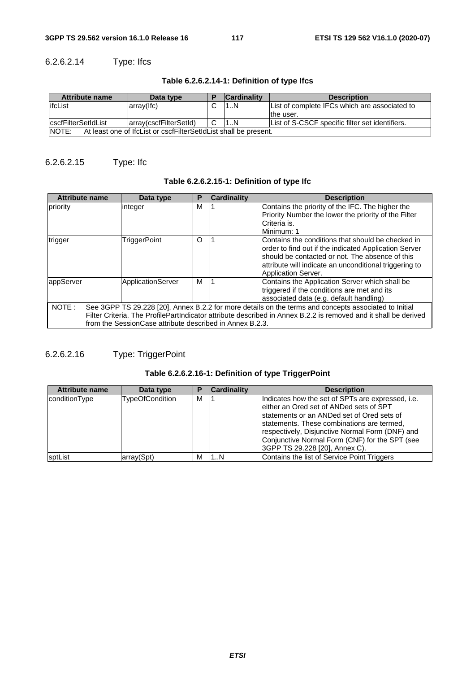## 6.2.6.2.14 Type: Ifcs

| <b>Attribute name</b>                                                            | Data type               |   | <b>Cardinality</b> | <b>Description</b>                              |  |
|----------------------------------------------------------------------------------|-------------------------|---|--------------------|-------------------------------------------------|--|
| lifcList                                                                         | $arrow($ lfc $)$        |   | 1N                 | List of complete IFCs which are associated to   |  |
|                                                                                  |                         |   |                    | the user.                                       |  |
| <i><b>IcscfFilterSetIdList</b></i>                                               | larray(cscfFilterSetId) | C | 11N                | List of S-CSCF specific filter set identifiers. |  |
| <b>NOTE:</b><br>At least one of IfcList or cscfFilterSetIdList shall be present. |                         |   |                    |                                                 |  |

## 6.2.6.2.15 Type: Ifc

## **Table 6.2.6.2.15-1: Definition of type Ifc**

| <b>Attribute name</b> | Data type                                                | Р | <b>Cardinality</b> | <b>Description</b>                                                                                                                                                                                                                              |
|-----------------------|----------------------------------------------------------|---|--------------------|-------------------------------------------------------------------------------------------------------------------------------------------------------------------------------------------------------------------------------------------------|
| priority              | integer                                                  | М |                    | Contains the priority of the IFC. The higher the                                                                                                                                                                                                |
|                       |                                                          |   |                    | Priority Number the lower the priority of the Filter                                                                                                                                                                                            |
|                       |                                                          |   |                    | Criteria is.                                                                                                                                                                                                                                    |
|                       |                                                          |   |                    | Minimum: 1                                                                                                                                                                                                                                      |
| trigger               | <b>TriggerPoint</b>                                      | O |                    | Contains the conditions that should be checked in<br>lorder to find out if the indicated Application Server<br>should be contacted or not. The absence of this<br>attribute will indicate an unconditional triggering to<br>Application Server. |
| appServer             | ApplicationServer                                        | м |                    | Contains the Application Server which shall be                                                                                                                                                                                                  |
|                       |                                                          |   |                    | triggered if the conditions are met and its                                                                                                                                                                                                     |
|                       |                                                          |   |                    | associated data (e.g. default handling)                                                                                                                                                                                                         |
| NOTE:                 |                                                          |   |                    | See 3GPP TS 29.228 [20], Annex B.2.2 for more details on the terms and concepts associated to Initial                                                                                                                                           |
|                       |                                                          |   |                    | Filter Criteria. The ProfilePartIndicator attribute described in Annex B.2.2 is removed and it shall be derived                                                                                                                                 |
|                       | from the SessionCase attribute described in Annex B.2.3. |   |                    |                                                                                                                                                                                                                                                 |

## 6.2.6.2.16 Type: TriggerPoint

## **Table 6.2.6.2.16-1: Definition of type TriggerPoint**

| <b>Attribute name</b> | Data type              |   | <b>Cardinality</b> | <b>Description</b>                                |
|-----------------------|------------------------|---|--------------------|---------------------------------------------------|
| conditionType         | <b>TypeOfCondition</b> | м |                    | Indicates how the set of SPTs are expressed, i.e. |
|                       |                        |   |                    | leither an Ored set of ANDed sets of SPT          |
|                       |                        |   |                    | Istatements or an ANDed set of Ored sets of       |
|                       |                        |   |                    | statements. These combinations are termed,        |
|                       |                        |   |                    | respectively, Disjunctive Normal Form (DNF) and   |
|                       |                        |   |                    | Conjunctive Normal Form (CNF) for the SPT (see    |
|                       |                        |   |                    | 3GPP TS 29.228 [20], Annex C).                    |
| <b>sptList</b>        | array(Spt)             | м | I N                | Contains the list of Service Point Triggers       |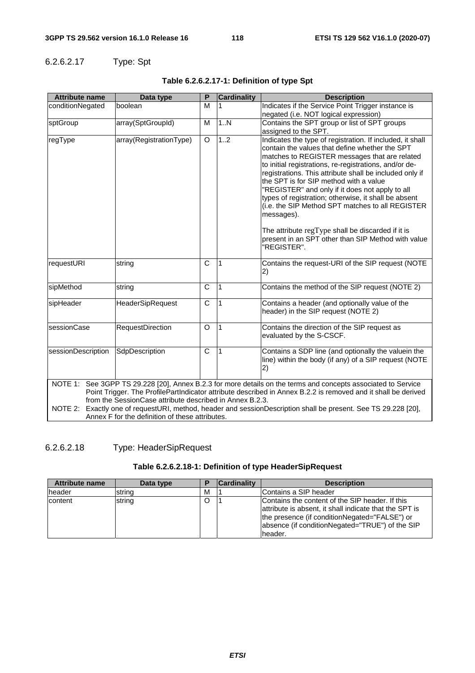## 6.2.6.2.17 Type: Spt

| <b>Attribute name</b>                                                                                                                                                                                                                                                                                                                                                                                           | Data type               | P                     | <b>Cardinality</b> | <b>Description</b>                                                                                                                                                                                                                                                                                                                                                                                                                                                                                       |  |  |  |
|-----------------------------------------------------------------------------------------------------------------------------------------------------------------------------------------------------------------------------------------------------------------------------------------------------------------------------------------------------------------------------------------------------------------|-------------------------|-----------------------|--------------------|----------------------------------------------------------------------------------------------------------------------------------------------------------------------------------------------------------------------------------------------------------------------------------------------------------------------------------------------------------------------------------------------------------------------------------------------------------------------------------------------------------|--|--|--|
| conditionNegated                                                                                                                                                                                                                                                                                                                                                                                                | boolean                 | M                     |                    | Indicates if the Service Point Trigger instance is                                                                                                                                                                                                                                                                                                                                                                                                                                                       |  |  |  |
|                                                                                                                                                                                                                                                                                                                                                                                                                 |                         |                       |                    | negated (i.e. NOT logical expression)                                                                                                                                                                                                                                                                                                                                                                                                                                                                    |  |  |  |
| sptGroup                                                                                                                                                                                                                                                                                                                                                                                                        | array(SptGroupId)       | M                     | 1N                 | Contains the SPT group or list of SPT groups                                                                                                                                                                                                                                                                                                                                                                                                                                                             |  |  |  |
|                                                                                                                                                                                                                                                                                                                                                                                                                 |                         |                       |                    | assigned to the SPT.                                                                                                                                                                                                                                                                                                                                                                                                                                                                                     |  |  |  |
| regType                                                                                                                                                                                                                                                                                                                                                                                                         | array(RegistrationType) | O                     | 1.2                | Indicates the type of registration. If included, it shall<br>contain the values that define whether the SPT<br>matches to REGISTER messages that are related<br>to initial registrations, re-registrations, and/or de-<br>registrations. This attribute shall be included only if<br>the SPT is for SIP method with a value<br>"REGISTER" and only if it does not apply to all<br>types of registration; otherwise, it shall be absent<br>(i.e. the SIP Method SPT matches to all REGISTER<br>messages). |  |  |  |
|                                                                                                                                                                                                                                                                                                                                                                                                                 |                         |                       |                    | The attribute $regType$ shall be discarded if it is<br>present in an SPT other than SIP Method with value<br>"REGISTER".                                                                                                                                                                                                                                                                                                                                                                                 |  |  |  |
| requestURI                                                                                                                                                                                                                                                                                                                                                                                                      | string                  | $\mathsf{C}$          | $\mathbf{1}$       | Contains the request-URI of the SIP request (NOTE<br>2)                                                                                                                                                                                                                                                                                                                                                                                                                                                  |  |  |  |
| sipMethod                                                                                                                                                                                                                                                                                                                                                                                                       | string                  | $\mathsf{C}$          | $\overline{1}$     | Contains the method of the SIP request (NOTE 2)                                                                                                                                                                                                                                                                                                                                                                                                                                                          |  |  |  |
| sipHeader                                                                                                                                                                                                                                                                                                                                                                                                       | <b>HeaderSipRequest</b> | $\overline{\text{c}}$ | $\overline{1}$     | Contains a header (and optionally value of the<br>header) in the SIP request (NOTE 2)                                                                                                                                                                                                                                                                                                                                                                                                                    |  |  |  |
| sessionCase                                                                                                                                                                                                                                                                                                                                                                                                     | RequestDirection        | $\Omega$              | I1                 | Contains the direction of the SIP request as<br>evaluated by the S-CSCF.                                                                                                                                                                                                                                                                                                                                                                                                                                 |  |  |  |
| sessionDescription                                                                                                                                                                                                                                                                                                                                                                                              | SdpDescription          | C                     | 1                  | Contains a SDP line (and optionally the valuein the<br>line) within the body (if any) of a SIP request (NOTE<br>2)                                                                                                                                                                                                                                                                                                                                                                                       |  |  |  |
| NOTE 1: See 3GPP TS 29.228 [20], Annex B.2.3 for more details on the terms and concepts associated to Service<br>Point Trigger. The ProfilePartIndicator attribute described in Annex B.2.2 is removed and it shall be derived<br>from the SessionCase attribute described in Annex B.2.3.<br>NOTE 2:<br>Exactly one of requestURI, method, header and sessionDescription shall be present. See TS 29.228 [20], |                         |                       |                    |                                                                                                                                                                                                                                                                                                                                                                                                                                                                                                          |  |  |  |
| Annex F for the definition of these attributes.                                                                                                                                                                                                                                                                                                                                                                 |                         |                       |                    |                                                                                                                                                                                                                                                                                                                                                                                                                                                                                                          |  |  |  |

## **Table 6.2.6.2.17-1: Definition of type Spt**

6.2.6.2.18 Type: HeaderSipRequest

#### **Table 6.2.6.2.18-1: Definition of type HeaderSipRequest**

| <b>Attribute name</b> | Data type |   | <b>Cardinality</b> | <b>Description</b>                                                                                                                                                                                                       |
|-----------------------|-----------|---|--------------------|--------------------------------------------------------------------------------------------------------------------------------------------------------------------------------------------------------------------------|
| header                | string    | М |                    | Contains a SIP header                                                                                                                                                                                                    |
| content               | string    |   |                    | Contains the content of the SIP header. If this<br>attribute is absent, it shall indicate that the SPT is<br>the presence (if conditionNegated="FALSE") or<br>absence (if conditionNegated="TRUE") of the SIP<br>header. |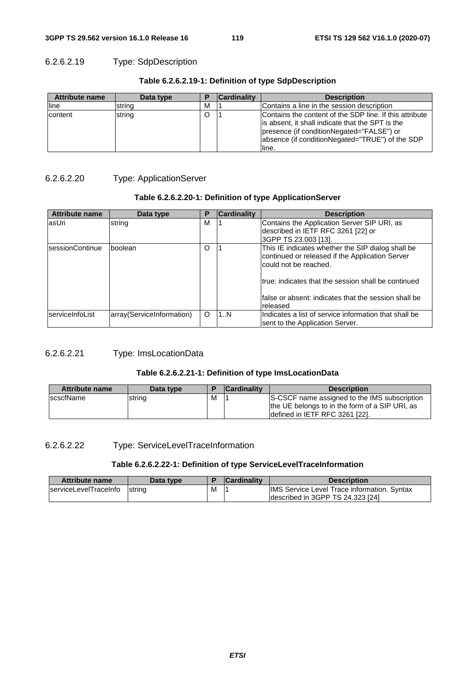## 6.2.6.2.19 Type: SdpDescription

| <b>Attribute name</b> | Data type |   | <b>Cardinality</b> | <b>Description</b>                                                                                                                                                                                          |
|-----------------------|-----------|---|--------------------|-------------------------------------------------------------------------------------------------------------------------------------------------------------------------------------------------------------|
| line                  | string    | M |                    | Contains a line in the session description                                                                                                                                                                  |
| content               | string    |   |                    | Contains the content of the SDP line. If this attribute<br>is absent, it shall indicate that the SPT is the<br>presence (if conditionNegated="FALSE") or<br>absence (if conditionNegated="TRUE") of the SDP |

line.

#### **Table 6.2.6.2.19-1: Definition of type SdpDescription**

#### 6.2.6.2.20 Type: ApplicationServer

### **Table 6.2.6.2.20-1: Definition of type ApplicationServer**

| <b>Attribute name</b>   | Data type                 | Р | <b>Cardinality</b> | <b>Description</b>                                                                                                            |
|-------------------------|---------------------------|---|--------------------|-------------------------------------------------------------------------------------------------------------------------------|
| lasUri                  | string                    | м |                    | Contains the Application Server SIP URI, as<br>described in IETF RFC 3261 [22] or<br>3GPP TS 23.003 [13].                     |
| <b>IsessionContinue</b> | Iboolean                  | O |                    | This IE indicates whether the SIP dialog shall be<br>continued or released if the Application Server<br>could not be reached. |
|                         |                           |   |                    | Itrue: indicates that the session shall be continued<br>Ifalse or absent: indicates that the session shall be<br>released     |
| serviceInfoList         | array(ServiceInformation) | O | 1N                 | Indicates a list of service information that shall be<br>sent to the Application Server.                                      |

### 6.2.6.2.21 Type: ImsLocationData

### **Table 6.2.6.2.21-1: Definition of type ImsLocationData**

| Attribute name    | Data type |   | <b>Cardinality</b> | <b>Description</b>                                                                                                               |
|-------------------|-----------|---|--------------------|----------------------------------------------------------------------------------------------------------------------------------|
| <b>IscscfName</b> | string    | м |                    | S-CSCF name assigned to the IMS subscription<br>the UE belongs to in the form of a SIP URI, as<br>defined in IETF RFC 3261 [22]. |

## 6.2.6.2.22 Type: ServiceLevelTraceInformation

#### **Table 6.2.6.2.22-1: Definition of type ServiceLevelTraceInformation**

| <b>Attribute name</b>         | Data type     |   | <b>Cardinality</b> | <b>Description</b>                          |
|-------------------------------|---------------|---|--------------------|---------------------------------------------|
| <b>IserviceLevelTraceInfo</b> | <b>String</b> | M |                    | IMS Service Level Trace information. Syntax |
|                               |               |   |                    | Idescribed in 3GPP TS 24.323 [24]           |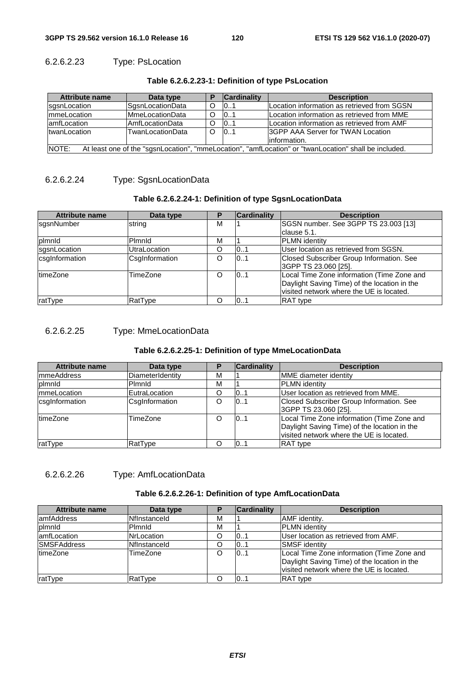## 6.2.6.2.23 Type: PsLocation

| <b>Attribute name</b>                                                                                          | Data type               |          | <b>Cardinality</b> | <b>Description</b>                          |  |
|----------------------------------------------------------------------------------------------------------------|-------------------------|----------|--------------------|---------------------------------------------|--|
| sqsnLocation                                                                                                   | SgsnLocationData        | O        | 01                 | Location information as retrieved from SGSN |  |
| ImmeLocation                                                                                                   | <b>IMmeLocationData</b> | Ω        | 0.1                | Location information as retrieved from MME  |  |
| lamfLocation                                                                                                   | <b>AmfLocationData</b>  | O        | 0.1                | Location information as retrieved from AMF  |  |
| <b>ItwanLocation</b>                                                                                           | TwanLocationData        | $\Omega$ | 01                 | <b>SGPP AAA Server for TWAN Location</b>    |  |
|                                                                                                                |                         |          |                    | linformation.                               |  |
| NOTE:<br>At least one of the "sgsnLocation", "mmeLocation", "amfLocation" or "twanLocation" shall be included. |                         |          |                    |                                             |  |

#### **Table 6.2.6.2.23-1: Definition of type PsLocation**

## 6.2.6.2.24 Type: SgsnLocationData

## **Table 6.2.6.2.24-1: Definition of type SgsnLocationData**

| <b>Attribute name</b> | Data type      | Р | <b>Cardinality</b> | <b>Description</b>                           |
|-----------------------|----------------|---|--------------------|----------------------------------------------|
| sgsnNumber            | string         | м |                    | SGSN number. See 3GPP TS 23.003 [13]         |
|                       |                |   |                    | Iclause 5.1.                                 |
| plmnld                | Pimnid         | M |                    | <b>PLMN</b> identity                         |
| sqsnLocation          | UtraLocation   |   | 0.1                | User location as retrieved from SGSN.        |
| csglnformation        | CsgInformation |   | 01                 | Closed Subscriber Group Information. See     |
|                       |                |   |                    | 3GPP TS 23.060 [25].                         |
| <b>ItimeZone</b>      | TimeZone       |   | 10.1               | Local Time Zone information (Time Zone and   |
|                       |                |   |                    | Daylight Saving Time) of the location in the |
|                       |                |   |                    | visited network where the UE is located.     |
| ratType               | RatType        |   | 01                 | <b>RAT</b> type                              |

## 6.2.6.2.25 Type: MmeLocationData

#### **Table 6.2.6.2.25-1: Definition of type MmeLocationData**

| <b>Attribute name</b> | Data type        |   | <b>Cardinality</b> | <b>Description</b>                                                                                                                     |
|-----------------------|------------------|---|--------------------|----------------------------------------------------------------------------------------------------------------------------------------|
| <b>ImmeAddress</b>    | DiameterIdentity | м |                    | MME diameter identity                                                                                                                  |
| <b>plmnid</b>         | Plmnld           | М |                    | <b>PLMN</b> identity                                                                                                                   |
| <b>ImmeLocation</b>   | EutraLocation    |   | 101                | User location as retrieved from MME.                                                                                                   |
| csglnformation        | CsgInformation   | O | 0.1                | Closed Subscriber Group Information. See<br>3GPP TS 23.060 [25].                                                                       |
| <b>ItimeZone</b>      | TimeZone         |   | 10.1               | Local Time Zone information (Time Zone and<br>Daylight Saving Time) of the location in the<br>visited network where the UE is located. |
| ratType               | RatType          |   | 101                | <b>RAT</b> type                                                                                                                        |

# 6.2.6.2.26 Type: AmfLocationData

#### **Table 6.2.6.2.26-1: Definition of type AmfLocationData**

| <b>Attribute name</b> | Data type    |   | <b>Cardinality</b> | <b>Description</b>                                                                                                                     |
|-----------------------|--------------|---|--------------------|----------------------------------------------------------------------------------------------------------------------------------------|
| lamfAddress           | Nflnstanceld | м |                    | AMF identity.                                                                                                                          |
| plmnld                | Plmnld       | M |                    | <b>PLMN</b> identity                                                                                                                   |
| lamfLocation          | NrLocation   |   | 0.1                | User location as retrieved from AMF.                                                                                                   |
| <b>ISMSFAddress</b>   | Nflnstanceld |   | 101                | <b>SMSF</b> identity                                                                                                                   |
| <b>ItimeZone</b>      | TimeZone     |   | 101                | Local Time Zone information (Time Zone and<br>Daylight Saving Time) of the location in the<br>visited network where the UE is located. |
| ratType               | RatType      |   | 101                | <b>RAT</b> type                                                                                                                        |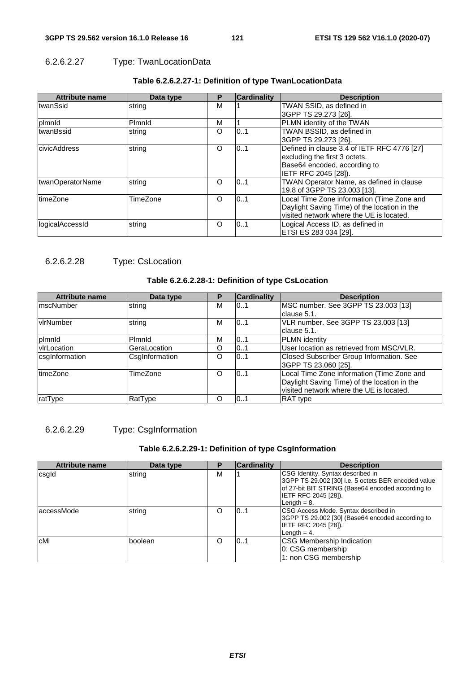## 6.2.6.2.27 Type: TwanLocationData

| <b>Attribute name</b> | Data type | Р | <b>Cardinality</b> | <b>Description</b>                           |
|-----------------------|-----------|---|--------------------|----------------------------------------------|
| twanSsid              | string    | M |                    | TWAN SSID, as defined in                     |
|                       |           |   |                    | 3GPP TS 29.273 [26].                         |
| plmnld                | Pimnid    | M |                    | PLMN identity of the TWAN                    |
| twanBssid             | string    | O | 0.1                | TWAN BSSID, as defined in                    |
|                       |           |   |                    | 3GPP TS 29.273 [26].                         |
| <b>civicAddress</b>   | string    | O | 10.1               | Defined in clause 3.4 of IETF RFC 4776 [27]  |
|                       |           |   |                    | excluding the first 3 octets.                |
|                       |           |   |                    | Base64 encoded, according to                 |
|                       |           |   |                    | IETF RFC 2045 [28]).                         |
| twanOperatorName      | string    | O | 10.1               | TWAN Operator Name, as defined in clause     |
|                       |           |   |                    | 19.8 of 3GPP TS 23.003 [13].                 |
| <b>ItimeZone</b>      | TimeZone  | O | 10.1               | Local Time Zone information (Time Zone and   |
|                       |           |   |                    | Daylight Saving Time) of the location in the |
|                       |           |   |                    | visited network where the UE is located.     |
| logicalAccessId       | string    | O | 0.1                | Logical Access ID, as defined in             |
|                       |           |   |                    | ETSI ES 283 034 [29].                        |

## **Table 6.2.6.2.27-1: Definition of type TwanLocationData**

## 6.2.6.2.28 Type: CsLocation

#### **Table 6.2.6.2.28-1: Definition of type CsLocation**

| <b>Attribute name</b> | Data type      | Р | <b>Cardinality</b> | <b>Description</b>                           |
|-----------------------|----------------|---|--------------------|----------------------------------------------|
| <b>ImscNumber</b>     | string         | м | 0.1                | MSC number. See 3GPP TS 23.003 [13]          |
|                       |                |   |                    | clause 5.1.                                  |
| <b>v</b> lrNumber     | string         | м | 0.1                | VLR number. See 3GPP TS 23.003 [13]          |
|                       |                |   |                    | clause 5.1.                                  |
| plmnld                | Pimnid         | M | 101                | <b>PLMN</b> identity                         |
| <b>v</b> rLocation    | GeraLocation   | O | 101                | User location as retrieved from MSC/VLR.     |
| csglnformation        | CsgInformation | O | 0.1                | Closed Subscriber Group Information. See     |
|                       |                |   |                    | 3GPP TS 23.060 [25].                         |
| timeZone              | TimeZone       | Ω | 10.1               | Local Time Zone information (Time Zone and   |
|                       |                |   |                    | Daylight Saving Time) of the location in the |
|                       |                |   |                    | visited network where the UE is located.     |
| ratType               | RatType        | O | 10.1               | <b>RAT</b> type                              |

## 6.2.6.2.29 Type: CsgInformation

## **Table 6.2.6.2.29-1: Definition of type CsgInformation**

| <b>Attribute name</b> | Data type |   | <b>Cardinality</b> | <b>Description</b>                                                                                                                                                                             |
|-----------------------|-----------|---|--------------------|------------------------------------------------------------------------------------------------------------------------------------------------------------------------------------------------|
| csgld                 | string    | м |                    | CSG Identity. Syntax described in<br>3GPP TS 29.002 [30] i.e. 5 octets BER encoded value<br>of 27-bit BIT STRING (Base64 encoded according to<br><b>IETF RFC 2045 [28]).</b><br>Length $= 8$ . |
| laccessMode           | string    |   | 101                | CSG Access Mode. Syntax described in<br>3GPP TS 29.002 [30] (Base64 encoded according to<br>IETF RFC 2045 [28]).<br>Length $= 4$ .                                                             |
| cMi                   | boolean   | Ω | 10.1               | <b>CSG Membership Indication</b><br>0: CSG membership<br>1: non CSG membership                                                                                                                 |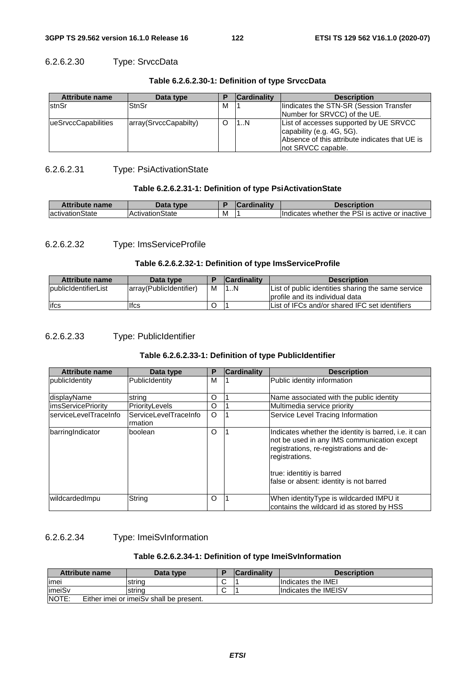## 6.2.6.2.30 Type: SrvccData

| <b>Attribute name</b> | Data type             |   | <b>Cardinality</b> | <b>Description</b>                                                                                                                          |
|-----------------------|-----------------------|---|--------------------|---------------------------------------------------------------------------------------------------------------------------------------------|
| <b>IstnSr</b>         | StnSr                 | м |                    | lindicates the STN-SR (Session Transfer                                                                                                     |
|                       |                       |   |                    | Number for SRVCC) of the UE.                                                                                                                |
| ueSrvccCapabilities   | array(SrvccCapabilty) |   | 1N                 | List of accesses supported by UE SRVCC<br>capability (e.g. 4G, 5G).<br>Absence of this attribute indicates that UE is<br>not SRVCC capable. |

#### **Table 6.2.6.2.30-1: Definition of type SrvccData**

### 6.2.6.2.31 Type: PsiActivationState

#### **Table 6.2.6.2.31-1: Definition of type PsiActivationState**

| <b>Attribute name</b> | Data type               |   | $\sim$ ardinality | <b>Description</b>                                    |
|-----------------------|-------------------------|---|-------------------|-------------------------------------------------------|
| lactivationState      | <b>IActivationState</b> | м |                   | whether the PSI is active or inactive it<br>Indicates |

## 6.2.6.2.32 Type: ImsServiceProfile

#### **Table 6.2.6.2.32-1: Definition of type ImsServiceProfile**

| <b>Attribute name</b>       | Data type               |   | <b>Cardinality</b> | <b>Description</b>                                                                     |
|-----------------------------|-------------------------|---|--------------------|----------------------------------------------------------------------------------------|
| <b>publicIdentifierList</b> | array(PublicIdentifier) | м | 11N                | List of public identities sharing the same service<br>lprofile and its individual data |
| lifcs                       | lfcs                    |   |                    | List of IFCs and/or shared IFC set identifiers                                         |

### 6.2.6.2.33 Type: PublicIdentifier

#### **Table 6.2.6.2.33-1: Definition of type PublicIdentifier**

| <b>Attribute name</b>     | Data type                         | P       | <b>Cardinality</b> | <b>Description</b>                                                                                                                                                                                                                        |
|---------------------------|-----------------------------------|---------|--------------------|-------------------------------------------------------------------------------------------------------------------------------------------------------------------------------------------------------------------------------------------|
| publicidentity            | PublicIdentity                    | м       |                    | Public identity information                                                                                                                                                                                                               |
| displayName               | string                            | O       |                    | Name associated with the public identity                                                                                                                                                                                                  |
| <i>imsServicePrioritv</i> | <b>IPrioritvLevels</b>            | O       |                    | Multimedia service priority                                                                                                                                                                                                               |
| serviceLevelTraceInfo     | lServiceLevelTraceInfo<br>rmation | $\circ$ |                    | Service Level Tracing Information                                                                                                                                                                                                         |
| barringIndicator          | boolean                           | O       |                    | Indicates whether the identity is barred, i.e. it can<br>not be used in any IMS communication except<br>registrations, re-registrations and de-<br>registrations.<br>true: identitiy is barred<br>false or absent: identity is not barred |
| wildcardedImpu            | String                            | O       |                    | When identity Type is wildcarded IMPU it<br>contains the wildcard id as stored by HSS                                                                                                                                                     |

## 6.2.6.2.34 Type: ImeiSvInformation

#### **Table 6.2.6.2.34-1: Definition of type ImeiSvInformation**

|         | Attribute name | Data type                               | Е | <b>Cardinality</b> | <b>Description</b>   |
|---------|----------------|-----------------------------------------|---|--------------------|----------------------|
| limei   |                | string                                  | ີ |                    | Indicates the IMEI   |
| limeiSv |                | string                                  |   |                    | Indicates the IMEISV |
| NOTE:   |                | Either imei or imeiSy shall be present. |   |                    |                      |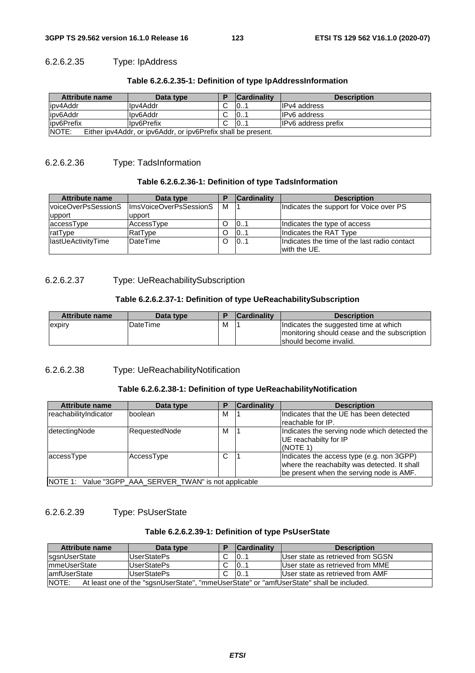## 6.2.6.2.35 Type: IpAddress

| Table 6.2.6.2.35-1: Definition of type IpAddressInformation |  |
|-------------------------------------------------------------|--|
|-------------------------------------------------------------|--|

| Attribute name                                                          | Data type   |  | <b>Cardinality</b> | <b>Description</b>         |
|-------------------------------------------------------------------------|-------------|--|--------------------|----------------------------|
| lipv4Addr                                                               | llpv4Addr   |  | 10                 | IIPv4 address              |
| lipv6Addr                                                               | llpv6Addr   |  | 10                 | <b>IPv6</b> address        |
| lipv6Prefix                                                             | llpv6Prefix |  | 10                 | <b>IPv6</b> address prefix |
| INOTE:<br>Either ipv4Addr, or ipv6Addr, or ipv6Prefix shall be present. |             |  |                    |                            |

## 6.2.6.2.36 Type: TadsInformation

#### **Table 6.2.6.2.36-1: Definition of type TadsInformation**

| <b>Attribute name</b>      | Data type              |   | <b>Cardinality</b> | <b>Description</b>                           |
|----------------------------|------------------------|---|--------------------|----------------------------------------------|
| lvoiceOverPsSessionS       | ImsVoiceOverPsSessionS | м |                    | Indicates the support for Voice over PS      |
| upport                     | upport                 |   |                    |                                              |
| accessType                 | AccessType             |   | 101                | Indicates the type of access                 |
| ratType                    | RatType                |   | 101                | Indicates the RAT Type                       |
| <b>IlastUeActivityTime</b> | <b>DateTime</b>        |   | 101                | Indicates the time of the last radio contact |
|                            |                        |   |                    | with the UE.                                 |

## 6.2.6.2.37 Type: UeReachabilitySubscription

#### **Table 6.2.6.2.37-1: Definition of type UeReachabilitySubscription**

| <b>Attribute name</b> | Data type |   | <b>Cardinality</b> | <b>Description</b>                           |
|-----------------------|-----------|---|--------------------|----------------------------------------------|
| expiry                | IDateTime | M |                    | Indicates the suggested time at which        |
|                       |           |   |                    | monitoring should cease and the subscription |
|                       |           |   |                    | Ishould become invalid.                      |

6.2.6.2.38 Type: UeReachabilityNotification

### **Table 6.2.6.2.38-1: Definition of type UeReachabilityNotification**

| <b>Attribute name</b>                                  | Data type     | Р | <b>Cardinality</b> | <b>Description</b>                                                                                                                    |  |
|--------------------------------------------------------|---------------|---|--------------------|---------------------------------------------------------------------------------------------------------------------------------------|--|
| reachabilityIndicator                                  | boolean       | м |                    | Indicates that the UE has been detected<br>Ireachable for IP.                                                                         |  |
| detectingNode                                          | RequestedNode | М |                    | Indicates the serving node which detected the<br>UE reachabilty for IP<br>(NOTE 1)                                                    |  |
| accessType                                             | AccessType    | С |                    | Indicates the access type (e.g. non 3GPP)<br>where the reachabilty was detected. It shall<br>be present when the serving node is AMF. |  |
| NOTE 1: Value "3GPP AAA SERVER TWAN" is not applicable |               |   |                    |                                                                                                                                       |  |

## 6.2.6.2.39 Type: PsUserState

#### **Table 6.2.6.2.39-1: Definition of type PsUserState**

| Attribute name                                                                                    | Data type   |  | <b>Cardinality</b> | <b>Description</b>                |
|---------------------------------------------------------------------------------------------------|-------------|--|--------------------|-----------------------------------|
| sgsnUserState                                                                                     | UserStatePs |  | 101                | User state as retrieved from SGSN |
| ImmeUserState                                                                                     | UserStatePs |  | 101                | User state as retrieved from MME  |
| lamfUserState                                                                                     | UserStatePs |  | 101                | User state as retrieved from AMF  |
| NOTE:<br>At least one of the "sgsnUserState", "mmeUserState" or "amfUserState" shall be included. |             |  |                    |                                   |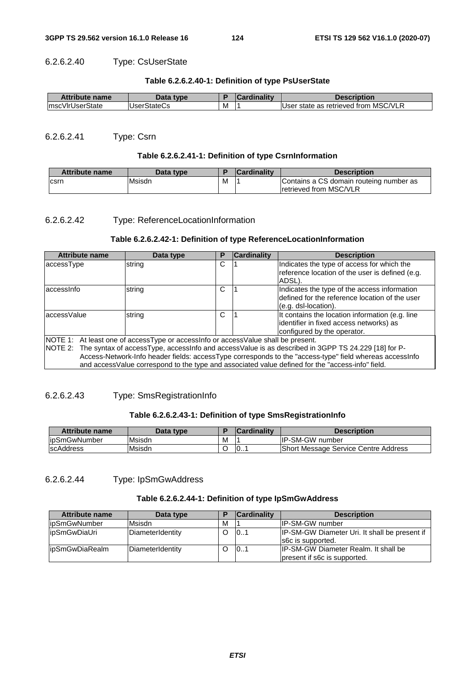## 6.2.6.2.40 Type: CsUserState

#### **Table 6.2.6.2.40-1: Definition of type PsUserState**

| <b>Attribute name</b> | Data type          |   | <b>Cardinality</b> | <b>Description</b>                   |
|-----------------------|--------------------|---|--------------------|--------------------------------------|
| ImscVIrUserState      | <b>UserStateCs</b> | M |                    | User state as retrieved from MSC/VLR |

## 6.2.6.2.41 Type: Csrn

#### **Table 6.2.6.2.41-1: Definition of type CsrnInformation**

| <b>Attribute name</b> | Data type |   | <b>Cardinality</b> | <b>Description</b>                                                        |
|-----------------------|-----------|---|--------------------|---------------------------------------------------------------------------|
| csrn                  | lMsisdn   | M |                    | Contains a CS domain routeing number as<br><b>Iretrieved from MSC/VLR</b> |

#### 6.2.6.2.42 Type: ReferenceLocationInformation

### **Table 6.2.6.2.42-1: Definition of type ReferenceLocationInformation**

| <b>Attribute name</b>                                                                                                                                                                                                                                                                                                                                                                                           | Data type | Р | Cardinality | <b>Description</b>                                                                                                        |  |
|-----------------------------------------------------------------------------------------------------------------------------------------------------------------------------------------------------------------------------------------------------------------------------------------------------------------------------------------------------------------------------------------------------------------|-----------|---|-------------|---------------------------------------------------------------------------------------------------------------------------|--|
| accessType                                                                                                                                                                                                                                                                                                                                                                                                      | string    | C |             | Indicates the type of access for which the<br>reference location of the user is defined (e.g.<br>ADSL).                   |  |
| laccessinfo                                                                                                                                                                                                                                                                                                                                                                                                     | string    | C |             | Indicates the type of the access information<br>defined for the reference location of the user<br>$(e.g.$ dsl-location).  |  |
| laccessValue                                                                                                                                                                                                                                                                                                                                                                                                    | string    | C |             | It contains the location information (e.g. line<br>identifier in fixed access networks) as<br>configured by the operator. |  |
| NOTE 1: At least one of accessType or accessInfo or accessValue shall be present.<br>NOTE 2: The syntax of accessType, accessInfo and accessValue is as described in 3GPP TS 24.229 [18] for P-<br>Access-Network-Info header fields: accessType corresponds to the "access-type" field whereas accessInfo<br>and access Value correspond to the type and associated value defined for the "access-info" field. |           |   |             |                                                                                                                           |  |

## 6.2.6.2.43 Type: SmsRegistrationInfo

#### **Table 6.2.6.2.43-1: Definition of type SmsRegistrationInfo**

| Attribute name    | Data type |   | <b>Cardinality</b> | <b>Description</b>                   |
|-------------------|-----------|---|--------------------|--------------------------------------|
| lipSmGwNumber     | Msisdn    | M |                    | <b>IP-SM-GW number</b>               |
| <b>IscAddress</b> | Msisdn    |   | 10                 | Short Message Service Centre Address |

## 6.2.6.2.44 Type: IpSmGwAddress

#### **Table 6.2.6.2.44-1: Definition of type IpSmGwAddress**

| <b>Attribute name</b> | Data type        | Е | <b>Cardinality</b> | <b>Description</b>                                                    |
|-----------------------|------------------|---|--------------------|-----------------------------------------------------------------------|
| lipSmGwNumber         | Msisdn           | М |                    | <b>IP-SM-GW number</b>                                                |
| lipSmGwDiaUri         | DiameterIdentity |   | 101                | IP-SM-GW Diameter Uri. It shall be present if<br>s6c is supported.    |
| lipSmGwDiaRealm       | DiameterIdentity |   | 101                | IIP-SM-GW Diameter Realm. It shall be<br>present if s6c is supported. |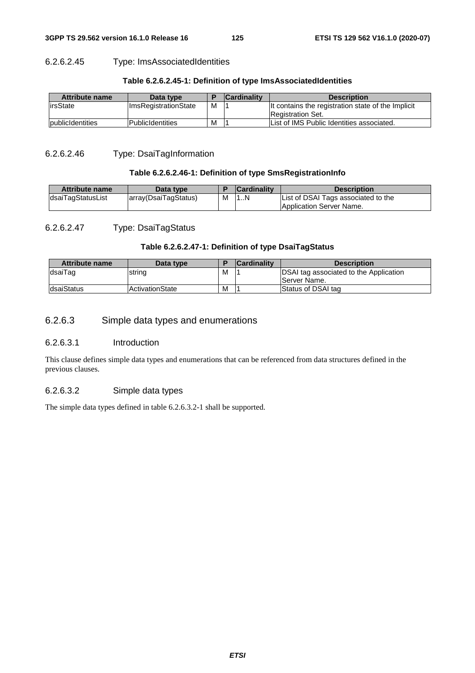## 6.2.6.2.45 Type: ImsAssociatedIdentities

| Attribute name          | Data type                   |   | <b>Cardinality</b> | <b>Description</b>                                 |
|-------------------------|-----------------------------|---|--------------------|----------------------------------------------------|
| lirsState               | <b>ImsRegistrationState</b> | м |                    | It contains the registration state of the Implicit |
|                         |                             |   |                    | <b>Registration Set.</b>                           |
| <b>publicidentities</b> | lPublicIdentities           | M |                    | List of IMS Public Identities associated.          |

#### **Table 6.2.6.2.45-1: Definition of type ImsAssociatedIdentities**

#### 6.2.6.2.46 Type: DsaiTagInformation

#### **Table 6.2.6.2.46-1: Definition of type SmsRegistrationInfo**

| <b>Attribute name</b> | Data type            |   | <b>Cardinality</b> | <b>Description</b>                  |
|-----------------------|----------------------|---|--------------------|-------------------------------------|
| dsaiTagStatusList     | array(DsaiTagStatus) | M | 1N                 | List of DSAI Tags associated to the |
|                       |                      |   |                    | Application Server Name.            |

## 6.2.6.2.47 Type: DsaiTagStatus

## **Table 6.2.6.2.47-1: Definition of type DsaiTagStatus**

| Attribute name     | Data type        |   | <b>Cardinality</b> | <b>Description</b>                                             |
|--------------------|------------------|---|--------------------|----------------------------------------------------------------|
| <b>IdsaiTag</b>    | string           | M |                    | DSAI tag associated to the Application<br><b>IServer Name.</b> |
| <b>IdsaiStatus</b> | lActivationState | M |                    | Status of DSAI tag                                             |

## 6.2.6.3 Simple data types and enumerations

#### 6.2.6.3.1 Introduction

This clause defines simple data types and enumerations that can be referenced from data structures defined in the previous clauses.

#### 6.2.6.3.2 Simple data types

The simple data types defined in table 6.2.6.3.2-1 shall be supported.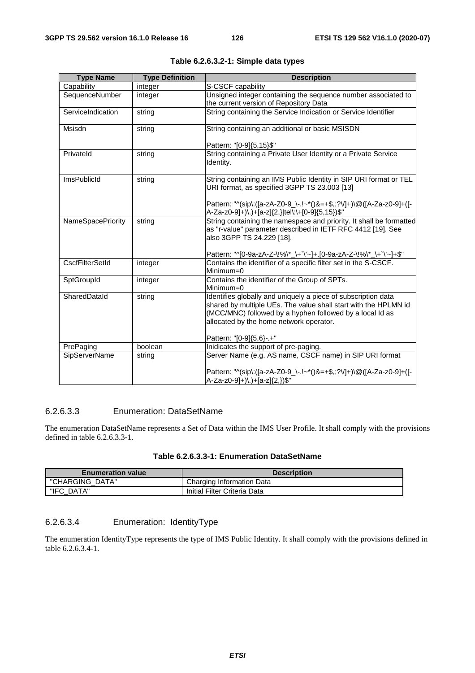| <b>Type Name</b>         | <b>Type Definition</b> | <b>Description</b>                                                                                                               |
|--------------------------|------------------------|----------------------------------------------------------------------------------------------------------------------------------|
| Capability               | integer                | S-CSCF capability                                                                                                                |
| SequenceNumber           | integer                | Unsigned integer containing the sequence number associated to                                                                    |
|                          |                        | the current version of Repository Data                                                                                           |
| ServiceIndication        | string                 | String containing the Service Indication or Service Identifier                                                                   |
|                          |                        |                                                                                                                                  |
| Msisdn                   | string                 | String containing an additional or basic MSISDN                                                                                  |
|                          |                        | Pattern: "[0-9]{5,15}\$"                                                                                                         |
| Privateld                | string                 | String containing a Private User Identity or a Private Service                                                                   |
|                          |                        | Identity.                                                                                                                        |
| <b>ImsPublicId</b>       |                        | String containing an IMS Public Identity in SIP URI format or TEL                                                                |
|                          | string                 | URI format, as specified 3GPP TS 23.003 [13]                                                                                     |
|                          |                        |                                                                                                                                  |
|                          |                        | Pattern: "^(sip\:([a-zA-Z0-9_\-.!~*()&=+\$,;?V]+)\@([A-Za-z0-9]+([-                                                              |
|                          |                        | A-Za-z0-9]+)\.)+[a-z]{2,} tel\:\+[0-9]{5,15})\$"                                                                                 |
| <b>NameSpacePriority</b> | string                 | String containing the namespace and priority. It shall be formatted                                                              |
|                          |                        | as "r-value" parameter described in IETF RFC 4412 [19]. See                                                                      |
|                          |                        | also 3GPP TS 24.229 [18].                                                                                                        |
|                          |                        | Pattern: "^[0-9a-zA-Z-\!%\*_\+`\'~]+.[0-9a-zA-Z-\!%\*_\+`\'~]+\$"                                                                |
| <b>CscfFilterSetId</b>   | integer                | Contains the identifier of a specific filter set in the S-CSCF.                                                                  |
|                          |                        | Minimum=0                                                                                                                        |
| SptGroupId               | integer                | Contains the identifier of the Group of SPTs.                                                                                    |
|                          |                        | Minimum=0                                                                                                                        |
| SharedDatald             | string                 | Identifies globally and uniquely a piece of subscription data<br>shared by multiple UEs. The value shall start with the HPLMN id |
|                          |                        | (MCC/MNC) followed by a hyphen followed by a local Id as                                                                         |
|                          |                        | allocated by the home network operator.                                                                                          |
|                          |                        |                                                                                                                                  |
|                          |                        | Pattern: "[0-9]{5,6}-.+"                                                                                                         |
| PrePaging                | boolean                | Inidicates the support of pre-paging.                                                                                            |
| <b>SipServerName</b>     | string                 | Server Name (e.g. AS name, CSCF name) in SIP URI format                                                                          |
|                          |                        | Pattern: "^(sip\:([a-zA-Z0-9_\-.!~*()&=+\$,;?V]+)\@([A-Za-z0-9]+([-                                                              |
|                          |                        | A-Za-z0-9]+)\.)+[a-z]{2,})\$"                                                                                                    |

|  |  |  | Table 6.2.6.3.2-1: Simple data types |  |  |
|--|--|--|--------------------------------------|--|--|
|--|--|--|--------------------------------------|--|--|

## 6.2.6.3.3 Enumeration: DataSetName

The enumeration DataSetName represents a Set of Data within the IMS User Profile. It shall comply with the provisions defined in table 6.2.6.3.3-1.

| Table 6.2.6.3.3-1: Enumeration DataSetName |  |  |
|--------------------------------------------|--|--|
|--------------------------------------------|--|--|

| <b>Enumeration value</b> | <b>Description</b>           |
|--------------------------|------------------------------|
| "CHARGING DATA"          | Charging Information Data    |
| "IFC DATA"               | Initial Filter Criteria Data |

## 6.2.6.3.4 Enumeration: IdentityType

The enumeration IdentityType represents the type of IMS Public Identity. It shall comply with the provisions defined in table 6.2.6.3.4-1.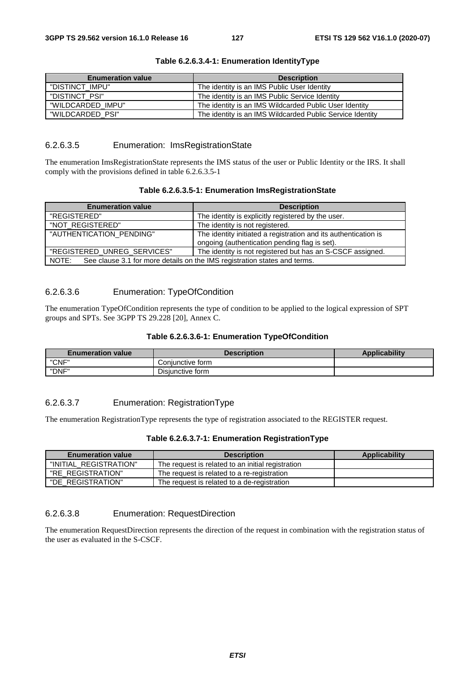| <b>Enumeration value</b> | <b>Description</b>                                        |
|--------------------------|-----------------------------------------------------------|
| "DISTINCT IMPU"          | The identity is an IMS Public User Identity               |
| "DISTINCT PSI"           | The identity is an IMS Public Service Identity            |
| "WILDCARDED IMPU"        | The identity is an IMS Wildcarded Public User Identity    |
| "WILDCARDED PSI"         | The identity is an IMS Wildcarded Public Service Identity |

#### **Table 6.2.6.3.4-1: Enumeration IdentityType**

### 6.2.6.3.5 Enumeration: ImsRegistrationState

The enumeration ImsRegistrationState represents the IMS status of the user or Public Identity or the IRS. It shall comply with the provisions defined in table 6.2.6.3.5-1

#### **Table 6.2.6.3.5-1: Enumeration ImsRegistrationState**

| <b>Enumeration value</b>                                                           | <b>Description</b>                                                                                               |  |
|------------------------------------------------------------------------------------|------------------------------------------------------------------------------------------------------------------|--|
| "REGISTERED"                                                                       | The identity is explicitly registered by the user.                                                               |  |
| "NOT REGISTERED"                                                                   | The identity is not registered.                                                                                  |  |
| "AUTHENTICATION_PENDING"                                                           | The identity initiated a registration and its authentication is<br>ongoing (authentication pending flag is set). |  |
|                                                                                    |                                                                                                                  |  |
| "REGISTERED_UNREG_SERVICES"                                                        | The identity is not registered but has an S-CSCF assigned.                                                       |  |
| See clause 3.1 for more details on the IMS registration states and terms.<br>NOTE: |                                                                                                                  |  |

## 6.2.6.3.6 Enumeration: TypeOfCondition

The enumeration TypeOfCondition represents the type of condition to be applied to the logical expression of SPT groups and SPTs. See 3GPP TS 29.228 [20], Annex C.

#### **Table 6.2.6.3.6-1: Enumeration TypeOfCondition**

| <b>Enumeration value</b> | Description      | <b>Applicability</b> |
|--------------------------|------------------|----------------------|
| "CNF"                    | Conjunctive form |                      |
| "DNF"                    | Disiunctive form |                      |

### 6.2.6.3.7 Enumeration: RegistrationType

The enumeration RegistrationType represents the type of registration associated to the REGISTER request.

#### **Table 6.2.6.3.7-1: Enumeration RegistrationType**

| <b>Enumeration value</b> | <b>Description</b>                                | <b>Applicability</b> |
|--------------------------|---------------------------------------------------|----------------------|
| "INITIAL_REGISTRATION"   | The request is related to an initial registration |                      |
| "RE REGISTRATION"        | The request is related to a re-registration       |                      |
| "DE REGISTRATION"        | The request is related to a de-registration       |                      |

### 6.2.6.3.8 Enumeration: RequestDirection

The enumeration RequestDirection represents the direction of the request in combination with the registration status of the user as evaluated in the S-CSCF.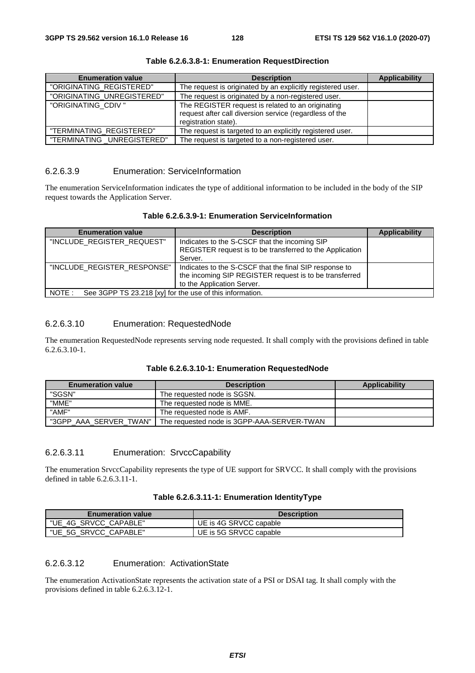| <b>Enumeration value</b>    | <b>Description</b>                                                                                                                   | <b>Applicability</b> |
|-----------------------------|--------------------------------------------------------------------------------------------------------------------------------------|----------------------|
| "ORIGINATING_REGISTERED"    | The request is originated by an explicitly registered user.                                                                          |                      |
| "ORIGINATING_UNREGISTERED"  | The request is originated by a non-registered user.                                                                                  |                      |
| "ORIGINATING_CDIV"          | The REGISTER request is related to an originating<br>request after call diversion service (regardless of the<br>registration state). |                      |
| "TERMINATING REGISTERED"    | The request is targeted to an explicitly registered user.                                                                            |                      |
| "TERMINATING _UNREGISTERED" | The request is targeted to a non-registered user.                                                                                    |                      |

**Table 6.2.6.3.8-1: Enumeration RequestDirection** 

### 6.2.6.3.9 Enumeration: ServiceInformation

The enumeration ServiceInformation indicates the type of additional information to be included in the body of the SIP request towards the Application Server.

| <b>Enumeration value</b>                                          | <b>Description</b>                                                                                                                             | <b>Applicability</b> |  |
|-------------------------------------------------------------------|------------------------------------------------------------------------------------------------------------------------------------------------|----------------------|--|
| "INCLUDE REGISTER REQUEST"                                        | Indicates to the S-CSCF that the incoming SIP<br>REGISTER request is to be transferred to the Application<br>Server.                           |                      |  |
| "INCLUDE REGISTER RESPONSE"                                       | Indicates to the S-CSCF that the final SIP response to<br>the incoming SIP REGISTER request is to be transferred<br>to the Application Server. |                      |  |
| NOTE:<br>See 3GPP TS 23.218 [xy] for the use of this information. |                                                                                                                                                |                      |  |

### 6.2.6.3.10 Enumeration: RequestedNode

The enumeration RequestedNode represents serving node requested. It shall comply with the provisions defined in table 6.2.6.3.10-1.

#### **Table 6.2.6.3.10-1: Enumeration RequestedNode**

| <b>Enumeration value</b> | <b>Description</b>                         | Applicability |
|--------------------------|--------------------------------------------|---------------|
| "SGSN"                   | The requested node is SGSN.                |               |
| "MME"                    | The requested node is MME.                 |               |
| "AMF"                    | The requested node is AMF.                 |               |
| "3GPP_AAA_SERVER_TWAN"   | The requested node is 3GPP-AAA-SERVER-TWAN |               |

## 6.2.6.3.11 Enumeration: SrvccCapability

The enumeration SrvccCapability represents the type of UE support for SRVCC. It shall comply with the provisions defined in table  $6.26311-1$ .

| <b>Enumeration value</b> | <b>Description</b>     |
|--------------------------|------------------------|
| "UE 4G SRVCC CAPABLE"    | UE is 4G SRVCC capable |
| "UE 5G SRVCC CAPABLE"    | UE is 5G SRVCC capable |

## 6.2.6.3.12 Enumeration: ActivationState

The enumeration ActivationState represents the activation state of a PSI or DSAI tag. It shall comply with the provisions defined in table 6.2.6.3.12-1.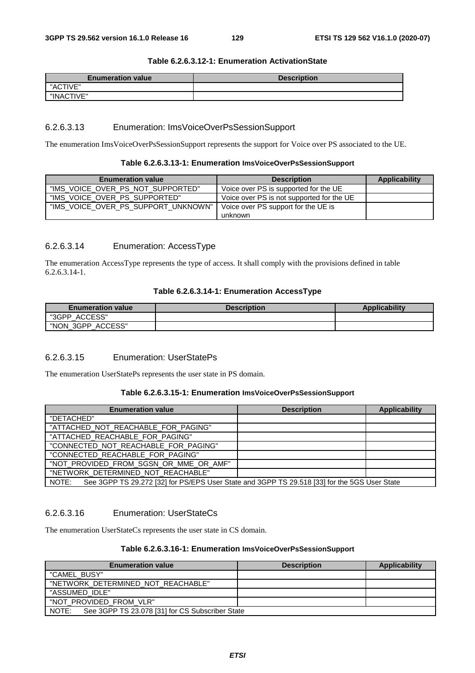#### **Table 6.2.6.3.12-1: Enumeration ActivationState**

| <b>Enumeration value</b> | <b>Description</b> |
|--------------------------|--------------------|
| "ACTIVE"                 |                    |
| "INACTIVE"               |                    |

#### 6.2.6.3.13 Enumeration: ImsVoiceOverPsSessionSupport

The enumeration ImsVoiceOverPsSessionSupport represents the support for Voice over PS associated to the UE.

#### **Table 6.2.6.3.13-1: Enumeration ImsVoiceOverPsSessionSupport**

| <b>Enumeration value</b>            | <b>Description</b>                        | Applicability |
|-------------------------------------|-------------------------------------------|---------------|
| "IMS_VOICE_OVER_PS_NOT_SUPPORTED"   | Voice over PS is supported for the UE     |               |
| "IMS_VOICE_OVER_PS_SUPPORTED"       | Voice over PS is not supported for the UE |               |
| "IMS VOICE OVER PS SUPPORT UNKNOWN" | Voice over PS support for the UE is       |               |
|                                     | unknown                                   |               |

#### 6.2.6.3.14 Enumeration: AccessType

The enumeration AccessType represents the type of access. It shall comply with the provisions defined in table 6.2.6.3.14-1.

#### **Table 6.2.6.3.14-1: Enumeration AccessType**

| <b>Enumeration value</b> | <b>Description</b> | Applicability |
|--------------------------|--------------------|---------------|
| $\cdot$ ACCESS"<br>"3GPP |                    |               |
| "NON 3GPP.<br>ACCESS"    |                    |               |

### 6.2.6.3.15 Enumeration: UserStatePs

The enumeration UserStatePs represents the user state in PS domain.

#### **Table 6.2.6.3.15-1: Enumeration ImsVoiceOverPsSessionSupport**

| <b>Enumeration value</b>                                                                              | <b>Description</b> | <b>Applicability</b> |
|-------------------------------------------------------------------------------------------------------|--------------------|----------------------|
| "DETACHED"                                                                                            |                    |                      |
| "ATTACHED NOT REACHABLE FOR PAGING"                                                                   |                    |                      |
| "ATTACHED_REACHABLE_FOR_PAGING"                                                                       |                    |                      |
| "CONNECTED_NOT_REACHABLE_FOR_PAGING"                                                                  |                    |                      |
| "CONNECTED REACHABLE FOR PAGING"                                                                      |                    |                      |
| "NOT_PROVIDED_FROM_SGSN_OR_MME_OR_AMF"                                                                |                    |                      |
| "NETWORK_DETERMINED_NOT_REACHABLE"                                                                    |                    |                      |
| See 3GPP TS 29.272 [32] for PS/EPS User State and 3GPP TS 29.518 [33] for the 5GS User State<br>NOTE: |                    |                      |

#### 6.2.6.3.16 Enumeration: UserStateCs

The enumeration UserStateCs represents the user state in CS domain.

#### **Table 6.2.6.3.16-1: Enumeration ImsVoiceOverPsSessionSupport**

| <b>Enumeration value</b>                                 | <b>Description</b> | Applicability |
|----------------------------------------------------------|--------------------|---------------|
| "CAMEL BUSY"                                             |                    |               |
| "NETWORK DETERMINED NOT REACHABLE"                       |                    |               |
| "ASSUMED IDLE"                                           |                    |               |
| "NOT PROVIDED FROM VLR"                                  |                    |               |
| NOTE:<br>See 3GPP TS 23.078 [31] for CS Subscriber State |                    |               |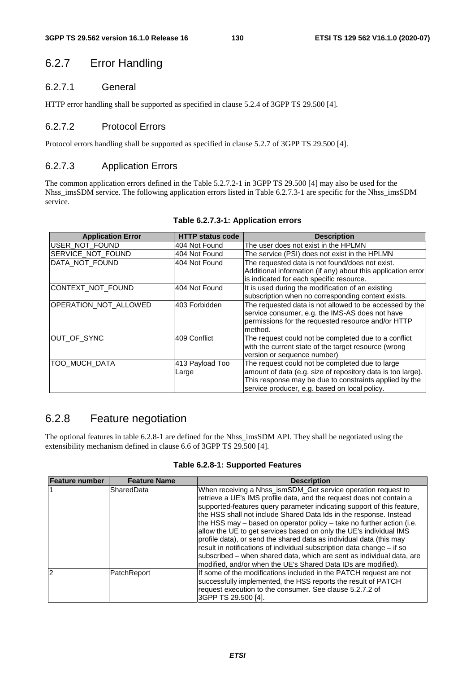## 6.2.7 Error Handling

## 6.2.7.1 General

HTTP error handling shall be supported as specified in clause 5.2.4 of 3GPP TS 29.500 [4].

## 6.2.7.2 Protocol Errors

Protocol errors handling shall be supported as specified in clause 5.2.7 of 3GPP TS 29.500 [4].

## 6.2.7.3 Application Errors

The common application errors defined in the Table 5.2.7.2-1 in 3GPP TS 29.500 [4] may also be used for the Nhss\_imsSDM service. The following application errors listed in Table 6.2.7.3-1 are specific for the Nhss\_imsSDM service.

| <b>Application Error</b> | <b>HTTP status code</b>  | <b>Description</b>                                                                                                                                                                                                        |
|--------------------------|--------------------------|---------------------------------------------------------------------------------------------------------------------------------------------------------------------------------------------------------------------------|
| USER_NOT_FOUND           | 404 Not Found            | The user does not exist in the HPLMN                                                                                                                                                                                      |
| SERVICE_NOT_FOUND        | 404 Not Found            | The service (PSI) does not exist in the HPLMN                                                                                                                                                                             |
| DATA_NOT_FOUND           | 404 Not Found            | The requested data is not found/does not exist.                                                                                                                                                                           |
|                          |                          | Additional information (if any) about this application error<br>is indicated for each specific resource.                                                                                                                  |
| CONTEXT_NOT_FOUND        | 404 Not Found            | It is used during the modification of an existing<br>subscription when no corresponding context exists.                                                                                                                   |
| OPERATION_NOT_ALLOWED    | 403 Forbidden            | The requested data is not allowed to be accessed by the<br>service consumer, e.g. the IMS-AS does not have<br>permissions for the requested resource and/or HTTP<br>method.                                               |
| OUT_OF_SYNC              | 409 Conflict             | The request could not be completed due to a conflict<br>with the current state of the target resource (wrong<br>version or sequence number)                                                                               |
| TOO MUCH DATA            | 413 Payload Too<br>Large | The request could not be completed due to large<br>amount of data (e.g. size of repository data is too large).<br>This response may be due to constraints applied by the<br>service producer, e.g. based on local policy. |

#### **Table 6.2.7.3-1: Application errors**

## 6.2.8 Feature negotiation

The optional features in table 6.2.8-1 are defined for the Nhss\_imsSDM API. They shall be negotiated using the extensibility mechanism defined in clause 6.6 of 3GPP TS 29.500 [4].

**Table 6.2.8-1: Supported Features** 

| Feature number | <b>Feature Name</b> | <b>Description</b>                                                                                                                                                                                                                                                                                                                                                                                                                                                                                                                                                                                                                                                                                                              |
|----------------|---------------------|---------------------------------------------------------------------------------------------------------------------------------------------------------------------------------------------------------------------------------------------------------------------------------------------------------------------------------------------------------------------------------------------------------------------------------------------------------------------------------------------------------------------------------------------------------------------------------------------------------------------------------------------------------------------------------------------------------------------------------|
|                | SharedData          | When receiving a Nhss_ismSDM_Get service operation request to<br>retrieve a UE's IMS profile data, and the request does not contain a<br>supported-features query parameter indicating support of this feature,<br>the HSS shall not include Shared Data Ids in the response. Instead<br>the HSS may – based on operator policy – take no further action (i.e.<br>allow the UE to get services based on only the UE's individual IMS<br>profile data), or send the shared data as individual data (this may<br>result in notifications of individual subscription data change – if so<br>subscribed – when shared data, which are sent as individual data, are<br>modified, and/or when the UE's Shared Data IDs are modified). |
| 12             | PatchReport         | If some of the modifications included in the PATCH request are not<br>successfully implemented, the HSS reports the result of PATCH<br>request execution to the consumer. See clause 5.2.7.2 of<br>3GPP TS 29.500 [4].                                                                                                                                                                                                                                                                                                                                                                                                                                                                                                          |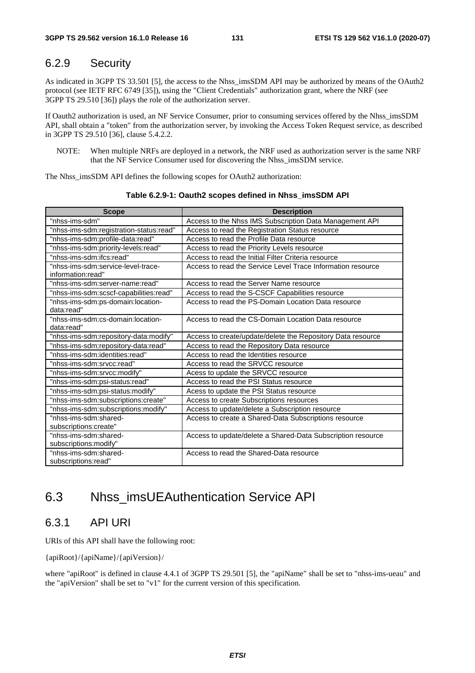## 6.2.9 Security

As indicated in 3GPP TS 33.501 [5], the access to the Nhss\_imsSDM API may be authorized by means of the OAuth2 protocol (see IETF RFC 6749 [35]), using the "Client Credentials" authorization grant, where the NRF (see 3GPP TS 29.510 [36]) plays the role of the authorization server.

If Oauth2 authorization is used, an NF Service Consumer, prior to consuming services offered by the Nhss\_imsSDM API, shall obtain a "token" from the authorization server, by invoking the Access Token Request service, as described in 3GPP TS 29.510 [36], clause 5.4.2.2.

NOTE: When multiple NRFs are deployed in a network, the NRF used as authorization server is the same NRF that the NF Service Consumer used for discovering the Nhss\_imsSDM service.

The Nhss\_imsSDM API defines the following scopes for OAuth2 authorization:

| <b>Scope</b>                                            | <b>Description</b>                                          |
|---------------------------------------------------------|-------------------------------------------------------------|
| "nhss-ims-sdm"                                          | Access to the Nhss IMS Subscription Data Management API     |
| "nhss-ims-sdm:registration-status:read"                 | Access to read the Registration Status resource             |
| "nhss-ims-sdm:profile-data:read"                        | Access to read the Profile Data resource                    |
| "nhss-ims-sdm:priority-levels:read"                     | Access to read the Priority Levels resource                 |
| "nhss-ims-sdm:ifcs:read"                                | Access to read the Initial Filter Criteria resource         |
| "nhss-ims-sdm:service-level-trace-<br>information:read" | Access to read the Service Level Trace Information resource |
| "nhss-ims-sdm:server-name:read"                         | Access to read the Server Name resource                     |
| "nhss-ims-sdm:scscf-capabilities:read"                  | Access to read the S-CSCF Capabilities resource             |
| "nhss-ims-sdm:ps-domain:location-<br>data:read"         | Access to read the PS-Domain Location Data resource         |
| "nhss-ims-sdm:cs-domain:location-<br>data:read"         | Access to read the CS-Domain Location Data resource         |
| "nhss-ims-sdm:repository-data:modify"                   | Access to create/update/delete the Repository Data resource |
| "nhss-ims-sdm:repository-data:read"                     | Access to read the Repository Data resource                 |
| "nhss-ims-sdm:identities:read"                          | Access to read the Identities resource                      |
| "nhss-ims-sdm:srvcc:read"                               | Access to read the SRVCC resource                           |
| "nhss-ims-sdm:srvcc:modify"                             | Acess to update the SRVCC resource                          |
| "nhss-ims-sdm:psi-status:read"                          | Access to read the PSI Status resource                      |
| "nhss-ims-sdm:psi-status:modify"                        | Acess to update the PSI Status resource                     |
| "nhss-ims-sdm:subscriptions:create"                     | Access to create Subscriptions resources                    |
| "nhss-ims-sdm:subscriptions:modify"                     | Access to update/delete a Subscription resource             |
| "nhss-ims-sdm:shared-                                   | Access to create a Shared-Data Subscriptions resource       |
| subscriptions:create"                                   |                                                             |
| "nhss-ims-sdm:shared-                                   | Access to update/delete a Shared-Data Subscription resource |
| subscriptions:modify"                                   |                                                             |
| "nhss-ims-sdm:shared-                                   | Access to read the Shared-Data resource                     |
| subscriptions:read"                                     |                                                             |

**Table 6.2.9-1: Oauth2 scopes defined in Nhss\_imsSDM API** 

# 6.3 Nhss\_imsUEAuthentication Service API

## 6.3.1 API URI

URIs of this API shall have the following root:

{apiRoot}/{apiName}/{apiVersion}/

where "apiRoot" is defined in clause 4.4.1 of 3GPP TS 29.501 [5], the "apiName" shall be set to "nhss-ims-ueau" and the "apiVersion" shall be set to "v1" for the current version of this specification.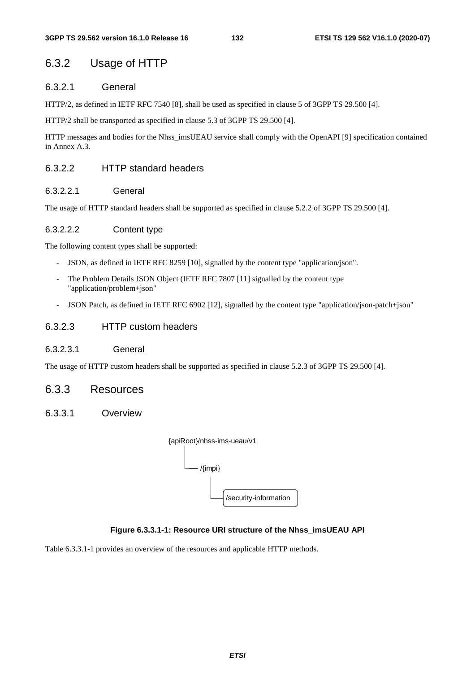## 6.3.2 Usage of HTTP

## 6.3.2.1 General

HTTP/2, as defined in IETF RFC 7540 [8], shall be used as specified in clause 5 of 3GPP TS 29.500 [4].

HTTP/2 shall be transported as specified in clause 5.3 of 3GPP TS 29.500 [4].

HTTP messages and bodies for the Nhss\_imsUEAU service shall comply with the OpenAPI [9] specification contained in Annex A.3.

## 6.3.2.2 HTTP standard headers

### 6.3.2.2.1 General

The usage of HTTP standard headers shall be supported as specified in clause 5.2.2 of 3GPP TS 29.500 [4].

#### 6.3.2.2.2 Content type

The following content types shall be supported:

- JSON, as defined in IETF RFC 8259 [10], signalled by the content type "application/json".
- The Problem Details JSON Object (IETF RFC 7807 [11] signalled by the content type "application/problem+json"
- JSON Patch, as defined in IETF RFC 6902 [12], signalled by the content type "application/json-patch+json"

## 6.3.2.3 HTTP custom headers

#### 6.3.2.3.1 General

The usage of HTTP custom headers shall be supported as specified in clause 5.2.3 of 3GPP TS 29.500 [4].

## 6.3.3 Resources

6.3.3.1 Overview

| {apiRoot}/nhss-ims-ueau/v1 |
|----------------------------|
| $\{limpi\}$                |
| /security-information      |

### **Figure 6.3.3.1-1: Resource URI structure of the Nhss\_imsUEAU API**

Table 6.3.3.1-1 provides an overview of the resources and applicable HTTP methods.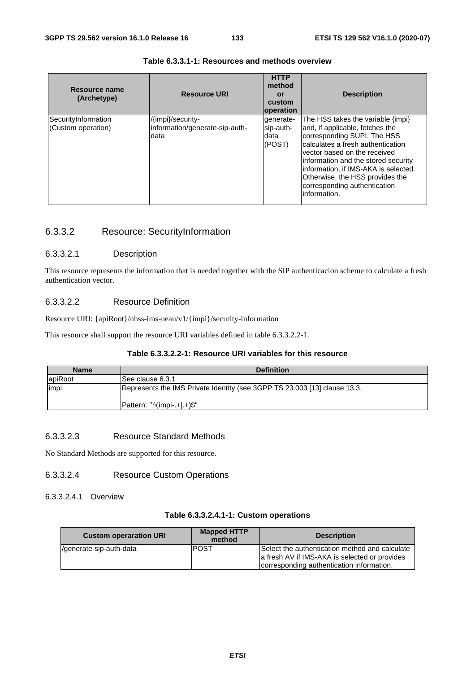| Resource name<br>(Archetype)              | <b>Resource URI</b>                                         | <b>HTTP</b><br>method<br>or<br>custom<br><b>operation</b> | <b>Description</b>                                                                                                                                                                                                                                                                                                                         |
|-------------------------------------------|-------------------------------------------------------------|-----------------------------------------------------------|--------------------------------------------------------------------------------------------------------------------------------------------------------------------------------------------------------------------------------------------------------------------------------------------------------------------------------------------|
| SecurityInformation<br>(Custom operation) | /{impi}/security-<br>information/generate-sip-auth-<br>data | qenerate-<br>sip-auth-<br>data<br>(POST)                  | The HSS takes the variable {impi}<br>and, if applicable, fetches the<br>corresponding SUPI. The HSS<br>calculates a fresh authentication<br>vector based on the received<br>information and the stored security<br>information, if IMS-AKA is selected.<br>Otherwise, the HSS provides the<br>corresponding authentication<br>information. |

#### **Table 6.3.3.1-1: Resources and methods overview**

## 6.3.3.2 Resource: SecurityInformation

#### 6.3.3.2.1 Description

This resource represents the information that is needed together with the SIP authenticacion scheme to calculate a fresh authentication vector.

### 6.3.3.2.2 Resource Definition

Resource URI: {apiRoot}/nhss-ims-ueau/v1/{impi}/security-information

This resource shall support the resource URI variables defined in table 6.3.3.2.2-1.

#### **Table 6.3.3.2.2-1: Resource URI variables for this resource**

| <b>Name</b> | <b>Definition</b>                                                         |
|-------------|---------------------------------------------------------------------------|
| apiRoot     | See clause 6.3.1                                                          |
| impi        | Represents the IMS Private Identity (see 3GPP TS 23.003 [13] clause 13.3. |
|             | Pattern: "^(impi-.+ .+)\$"                                                |

## 6.3.3.2.3 Resource Standard Methods

No Standard Methods are supported for this resource.

### 6.3.3.2.4 Resource Custom Operations

### 6.3.3.2.4.1 Overview

#### **Table 6.3.3.2.4.1-1: Custom operations**

| <b>Custom operaration URI</b> | <b>Mapped HTTP</b><br>method | <b>Description</b>                                                                              |
|-------------------------------|------------------------------|-------------------------------------------------------------------------------------------------|
| /generate-sip-auth-data       | <b>POST</b>                  | Select the authentication method and calculate<br>a fresh AV if IMS-AKA is selected or provides |
|                               |                              | corresponding authentication information.                                                       |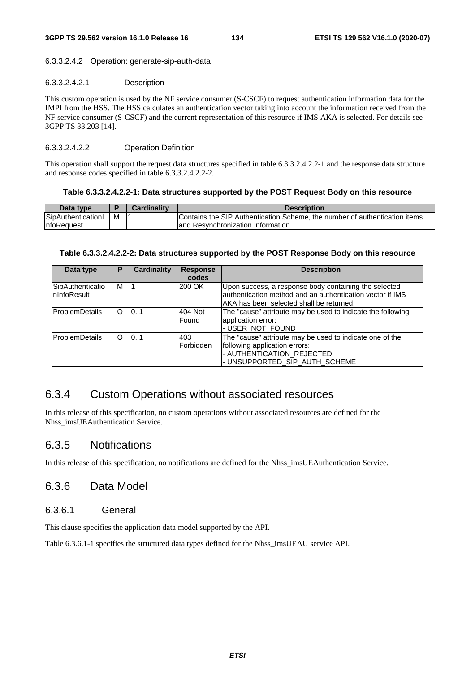#### 6.3.3.2.4.2 Operation: generate-sip-auth-data

#### 6.3.3.2.4.2.1 Description

This custom operation is used by the NF service consumer (S-CSCF) to request authentication information data for the IMPI from the HSS. The HSS calculates an authentication vector taking into account the information received from the NF service consumer (S-CSCF) and the current representation of this resource if IMS AKA is selected. For details see 3GPP TS 33.203 [14].

#### 6.3.3.2.4.2.2 Operation Definition

This operation shall support the request data structures specified in table 6.3.3.2.4.2.2-1 and the response data structure and response codes specified in table 6.3.3.2.4.2.2-2.

#### **Table 6.3.3.2.4.2.2-1: Data structures supported by the POST Request Body on this resource**

| Data type          |   | <b>Cardinality</b> | <b>Description</b>                                                         |
|--------------------|---|--------------------|----------------------------------------------------------------------------|
| SipAuthenticationI | M |                    | Contains the SIP Authentication Scheme, the number of authentication items |
| <b>InfoRequest</b> |   |                    | land Resynchronization Information                                         |

#### **Table 6.3.3.2.4.2.2-2: Data structures supported by the POST Response Body on this resource**

| Data type                        | P        | <b>Cardinality</b> | <b>Response</b><br>codes | <b>Description</b>                                                                                                                                             |
|----------------------------------|----------|--------------------|--------------------------|----------------------------------------------------------------------------------------------------------------------------------------------------------------|
| SipAuthenticatio<br>InInfoResult | М        |                    | 200 OK                   | Upon success, a response body containing the selected<br>authentication method and an authentication vector if IMS<br>AKA has been selected shall be returned. |
| <b>ProblemDetails</b>            | O        | 0.1                | 404 Not<br>Found         | The "cause" attribute may be used to indicate the following<br>application error:<br>- USER NOT FOUND                                                          |
| ProblemDetails                   | $\Omega$ | 0.1                | 403<br>Forbidden         | The "cause" attribute may be used to indicate one of the<br>following application errors:<br>- AUTHENTICATION_REJECTED<br>- UNSUPPORTED_SIP_AUTH_SCHEME        |

## 6.3.4 Custom Operations without associated resources

In this release of this specification, no custom operations without associated resources are defined for the Nhss\_imsUEAuthentication Service.

## 6.3.5 Notifications

In this release of this specification, no notifications are defined for the Nhss\_imsUEAuthentication Service.

## 6.3.6 Data Model

## 6.3.6.1 General

This clause specifies the application data model supported by the API.

Table 6.3.6.1-1 specifies the structured data types defined for the Nhss\_imsUEAU service API.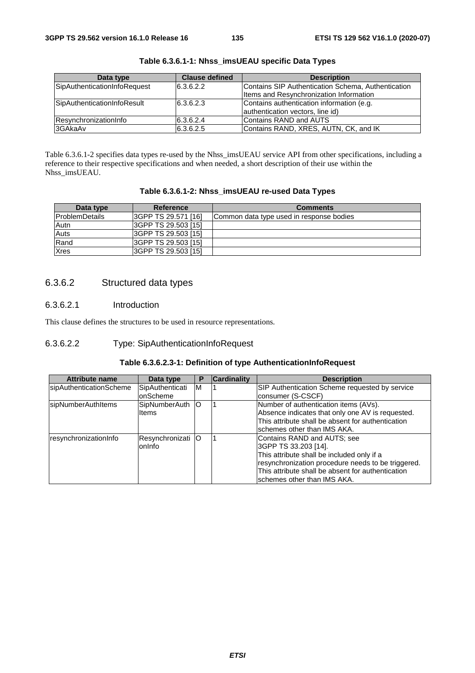| Data type                    | <b>Clause defined</b> | <b>Description</b>                                                                            |
|------------------------------|-----------------------|-----------------------------------------------------------------------------------------------|
| SipAuthenticationInfoRequest | 6.3.6.2.2             | Contains SIP Authentication Schema, Authentication<br>Items and Resynchronization Information |
| SipAuthenticationInfoResult  | 6.3.6.2.3             | Contains authentication information (e.g.<br>authentication vectors, line id)                 |
| ResynchronizationInfo        | 6.3.6.2.4             | <b>IContains RAND and AUTS</b>                                                                |
| 3GAkaAv                      | 6.3.6.2.5             | Contains RAND, XRES, AUTN, CK, and IK                                                         |

**Table 6.3.6.1-1: Nhss\_imsUEAU specific Data Types** 

Table 6.3.6.1-2 specifies data types re-used by the Nhss\_imsUEAU service API from other specifications, including a reference to their respective specifications and when needed, a short description of their use within the Nhss\_imsUEAU.

|  | Table 6.3.6.1-2: Nhss_imsUEAU re-used Data Types |
|--|--------------------------------------------------|
|--|--------------------------------------------------|

| Data type             | <b>Reference</b>    | <b>Comments</b>                          |
|-----------------------|---------------------|------------------------------------------|
| <b>ProblemDetails</b> | 3GPP TS 29.571 [16] | Common data type used in response bodies |
| Autn                  | 3GPP TS 29.503 [15] |                                          |
| Auts                  | 3GPP TS 29.503 [15] |                                          |
| Rand                  | 3GPP TS 29.503 [15] |                                          |
| <b>Xres</b>           | 3GPP TS 29.503 [15] |                                          |

## 6.3.6.2 Structured data types

### 6.3.6.2.1 Introduction

This clause defines the structures to be used in resource representations.

#### 6.3.6.2.2 Type: SipAuthenticationInfoRequest

#### **Table 6.3.6.2.3-1: Definition of type AuthenticationInfoRequest**

| <b>Attribute name</b>   | Data type         | Р   | <b>Cardinality</b> | <b>Description</b>                                 |
|-------------------------|-------------------|-----|--------------------|----------------------------------------------------|
| sipAuthenticationScheme | SipAuthenticati   | ΙM  |                    | SIP Authentication Scheme requested by service     |
|                         | onScheme          |     |                    | consumer (S-CSCF)                                  |
| sipNumberAuthItems      | SipNumberAuth     | IO. |                    | Number of authentication items (AVs).              |
|                         | lltems            |     |                    | Absence indicates that only one AV is requested.   |
|                         |                   |     |                    | This attribute shall be absent for authentication  |
|                         |                   |     |                    | Ischemes other than IMS AKA.                       |
| resynchronizationInfo   | Resynchronizati O |     |                    | Contains RAND and AUTS; see                        |
|                         | lonInfo           |     |                    | 3GPP TS 33.203 [14].                               |
|                         |                   |     |                    | This attribute shall be included only if a         |
|                         |                   |     |                    | resynchronization procedure needs to be triggered. |
|                         |                   |     |                    | This attribute shall be absent for authentication  |
|                         |                   |     |                    | lschemes other than IMS AKA.                       |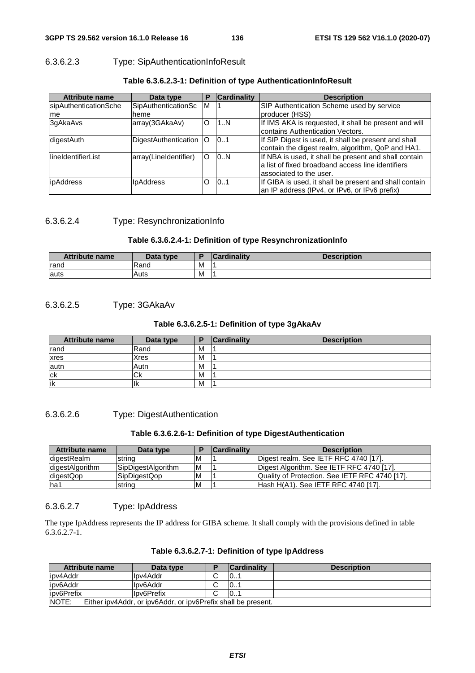## 6.3.6.2.3 Type: SipAuthenticationInfoResult

| <b>Attribute name</b> | Data type             | P  | <b>Cardinality</b> | <b>Description</b>                                     |
|-----------------------|-----------------------|----|--------------------|--------------------------------------------------------|
| sipAuthenticationSche | SipAuthenticationSc   | M  |                    | SIP Authentication Scheme used by service              |
| me                    | heme                  |    |                    | producer (HSS)                                         |
| 3qAkaAvs              | array(3GAkaAv)        | O  | 1N                 | If IMS AKA is requested, it shall be present and will  |
|                       |                       |    |                    | Icontains Authentication Vectors.                      |
| digestAuth            | DigestAuthentication  | IO | 0.1                | If SIP Digest is used, it shall be present and shall   |
|                       |                       |    |                    | contain the digest realm, algorithm, QoP and HA1.      |
| lineIdentifierList    | array(LineIdentifier) | IO | 0.N                | If NBA is used, it shall be present and shall contain  |
|                       |                       |    |                    | a list of fixed broadband access line identifiers      |
|                       |                       |    |                    | lassociated to the user.                               |
| ipAddress             | <b>IpAddress</b>      | O  | 0.1                | If GIBA is used, it shall be present and shall contain |
|                       |                       |    |                    | an IP address (IPv4, or IPv6, or IPv6 prefix)          |

#### **Table 6.3.6.2.3-1: Definition of type AuthenticationInfoResult**

#### 6.3.6.2.4 Type: ResynchronizationInfo

### **Table 6.3.6.2.4-1: Definition of type ResynchronizationInfo**

| <b>Attribute name</b> | Data type |   | Cardinality | <b>Description</b> |
|-----------------------|-----------|---|-------------|--------------------|
| <b>rand</b>           | Rand      | м |             |                    |
| lauts                 | Auts      | M |             |                    |

## 6.3.6.2.5 Type: 3GAkaAv

#### **Table 6.3.6.2.5-1: Definition of type 3gAkaAv**

| <b>Attribute name</b> | Data type      | E | <b>Cardinality</b> | <b>Description</b> |
|-----------------------|----------------|---|--------------------|--------------------|
| rand                  | Rand           | M |                    |                    |
| xres                  | Xres           | M |                    |                    |
| autn                  | Autn           | M |                    |                    |
| <b>ck</b>             | $\sim$<br>™ ∪K | M |                    |                    |
| lik                   | ΠК             | M |                    |                    |

#### 6.3.6.2.6 Type: DigestAuthentication

#### **Table 6.3.6.2.6-1: Definition of type DigestAuthentication**

| <b>Attribute name</b> | Data type                 |    | <b>Cardinality</b> | <b>Description</b>                                    |
|-----------------------|---------------------------|----|--------------------|-------------------------------------------------------|
| IdigestRealm          | string                    | M  |                    | Digest realm. See IETF RFC 4740 [17].                 |
| digestAlgorithm       | <b>SipDigestAlgorithm</b> | ΙM |                    | Digest Algorithm. See IETF RFC 4740 [17].             |
| digestQop             | SipDigestQop              | ΙM |                    | <b>Quality of Protection. See IETF RFC 4740 [17].</b> |
| lha1                  | string                    | M  |                    | IHash H(A1), See IETF RFC 4740 [17],                  |

#### 6.3.6.2.7 Type: IpAddress

The type IpAddress represents the IP address for GIBA scheme. It shall comply with the provisions defined in table  $6.3.6.2.7-1.$ 

| Table 6.3.6.2.7-1: Definition of type IpAddress |  |  |  |
|-------------------------------------------------|--|--|--|
|-------------------------------------------------|--|--|--|

| <b>Attribute name</b> | Data type                                                     | <b>Cardinality</b> | <b>Description</b> |
|-----------------------|---------------------------------------------------------------|--------------------|--------------------|
| lipv4Addr             | llpv4Addr                                                     | 0                  |                    |
| lipv6Addr             | llpv6Addr                                                     | $\vert 0$          |                    |
| lipv6Prefix           | Ipv6Prefix                                                    | $\vert 0$          |                    |
| <b>NOTE:</b>          | Either ipv4Addr, or ipv6Addr, or ipv6Prefix shall be present. |                    |                    |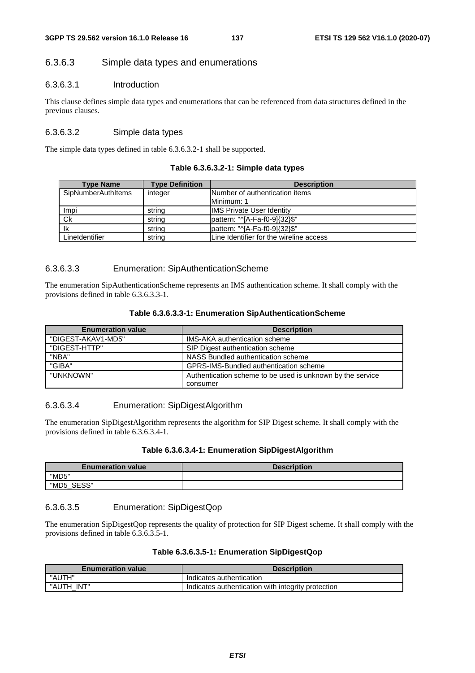### 6.3.6.3 Simple data types and enumerations

### 6.3.6.3.1 Introduction

This clause defines simple data types and enumerations that can be referenced from data structures defined in the previous clauses.

### 6.3.6.3.2 Simple data types

The simple data types defined in table 6.3.6.3.2-1 shall be supported.

#### **Table 6.3.6.3.2-1: Simple data types**

| <b>Type Name</b>          | <b>Type Definition</b> | <b>Description</b>                      |
|---------------------------|------------------------|-----------------------------------------|
| <b>SipNumberAuthItems</b> | integer                | Number of authentication items          |
|                           |                        | Minimum: 1                              |
| Impi                      | string                 | <b>IMS Private User Identity</b>        |
| Ck                        | string                 | pattern: "^[A-Fa-f0-9]{32}\$"           |
| lk                        | string                 | pattern: "^[A-Fa-f0-9]{32}\$"           |
| LineIdentifier            | string                 | Line Identifier for the wireline access |

#### 6.3.6.3.3 Enumeration: SipAuthenticationScheme

The enumeration SipAuthenticationScheme represents an IMS authentication scheme. It shall comply with the provisions defined in table 6.3.6.3.3-1.

| <b>Enumeration value</b> | <b>Description</b>                                         |
|--------------------------|------------------------------------------------------------|
| "DIGEST-AKAV1-MD5"       | <b>IMS-AKA authentication scheme</b>                       |
| "DIGEST-HTTP"            | SIP Digest authentication scheme                           |
| "NBA"                    | NASS Bundled authentication scheme                         |
| "GIBA"                   | GPRS-IMS-Bundled authentication scheme                     |
| "UNKNOWN"                | Authentication scheme to be used is unknown by the service |
|                          | consumer                                                   |

#### 6.3.6.3.4 Enumeration: SipDigestAlgorithm

The enumeration SipDigestAlgorithm represents the algorithm for SIP Digest scheme. It shall comply with the provisions defined in table 6.3.6.3.4-1.

#### **Table 6.3.6.3.4-1: Enumeration SipDigestAlgorithm**

| <b>Enumeration value</b> | <b>Description</b> |
|--------------------------|--------------------|
| "MD5"                    |                    |
| SESS"<br>"MD5            |                    |

#### 6.3.6.3.5 Enumeration: SipDigestQop

The enumeration SipDigestQop represents the quality of protection for SIP Digest scheme. It shall comply with the provisions defined in table 6.3.6.3.5-1.

#### **Table 6.3.6.3.5-1: Enumeration SipDigestQop**

| <b>Enumeration value</b> | <b>Description</b>                                 |
|--------------------------|----------------------------------------------------|
| "AUTH"                   | Indicates authentication                           |
| "AUTH INT"               | Indicates authentication with integrity protection |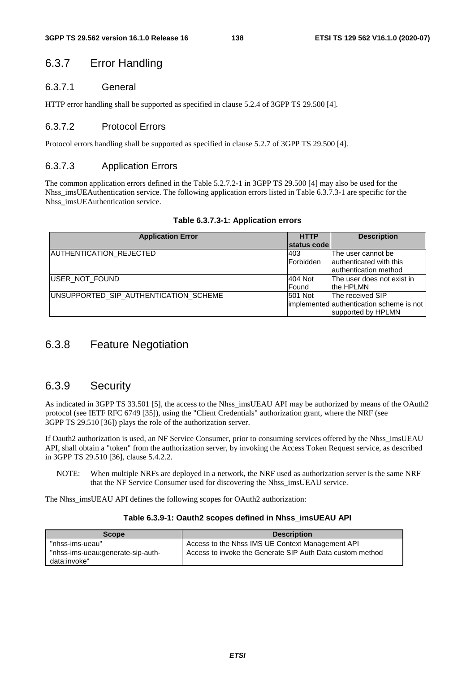## 6.3.7 Error Handling

### 6.3.7.1 General

HTTP error handling shall be supported as specified in clause 5.2.4 of 3GPP TS 29.500 [4].

## 6.3.7.2 Protocol Errors

Protocol errors handling shall be supported as specified in clause 5.2.7 of 3GPP TS 29.500 [4].

## 6.3.7.3 Application Errors

The common application errors defined in the Table 5.2.7.2-1 in 3GPP TS 29.500 [4] may also be used for the Nhss\_imsUEAuthentication service. The following application errors listed in Table 6.3.7.3-1 are specific for the Nhss\_imsUEAuthentication service.

| <b>Application Error</b>              | <b>HTTP</b>       | <b>Description</b>                       |
|---------------------------------------|-------------------|------------------------------------------|
|                                       | status code       |                                          |
| AUTHENTICATION_REJECTED               | 403               | The user cannot be                       |
|                                       | <b>IForbidden</b> | authenticated with this                  |
|                                       |                   | lauthentication method                   |
| <b>IUSER NOT FOUND</b>                | 404 Not           | The user does not exist in               |
|                                       | Found             | the HPLMN                                |
| UNSUPPORTED SIP AUTHENTICATION SCHEME | 501 Not           | The received SIP                         |
|                                       |                   | implemented authentication scheme is not |
|                                       |                   | supported by HPLMN                       |

## 6.3.8 Feature Negotiation

## 6.3.9 Security

As indicated in 3GPP TS 33.501 [5], the access to the Nhss imsUEAU API may be authorized by means of the OAuth2 protocol (see IETF RFC 6749 [35]), using the "Client Credentials" authorization grant, where the NRF (see 3GPP TS 29.510 [36]) plays the role of the authorization server.

If Oauth2 authorization is used, an NF Service Consumer, prior to consuming services offered by the Nhss\_imsUEAU API, shall obtain a "token" from the authorization server, by invoking the Access Token Request service, as described in 3GPP TS 29.510 [36], clause 5.4.2.2.

NOTE: When multiple NRFs are deployed in a network, the NRF used as authorization server is the same NRF that the NF Service Consumer used for discovering the Nhss\_imsUEAU service.

The Nhss\_imsUEAU API defines the following scopes for OAuth2 authorization:

#### **Table 6.3.9-1: Oauth2 scopes defined in Nhss\_imsUEAU API**

| <b>Scope</b>                                      | <b>Description</b>                                        |
|---------------------------------------------------|-----------------------------------------------------------|
| "nhss-ims-ueau"                                   | Access to the Nhss IMS UE Context Management API          |
| "nhss-ims-ueau:generate-sip-auth-<br>data:invoke" | Access to invoke the Generate SIP Auth Data custom method |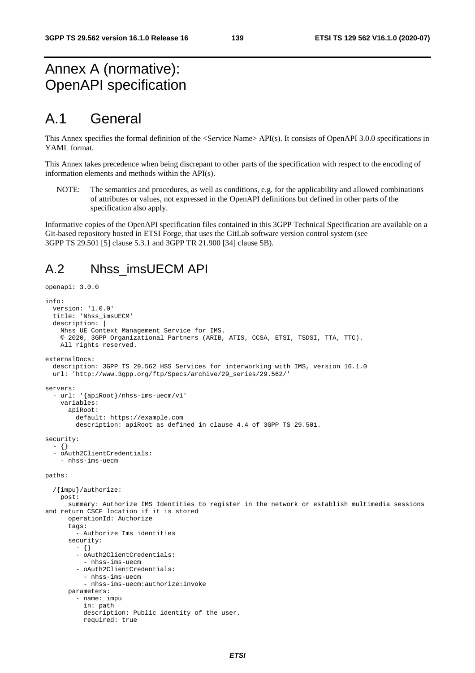# Annex A (normative): OpenAPI specification

# A.1 General

This Annex specifies the formal definition of the <Service Name> API(s). It consists of OpenAPI 3.0.0 specifications in YAML format.

This Annex takes precedence when being discrepant to other parts of the specification with respect to the encoding of information elements and methods within the API(s).

NOTE: The semantics and procedures, as well as conditions, e.g. for the applicability and allowed combinations of attributes or values, not expressed in the OpenAPI definitions but defined in other parts of the specification also apply.

Informative copies of the OpenAPI specification files contained in this 3GPP Technical Specification are available on a Git-based repository hosted in ETSI Forge, that uses the GitLab software version control system (see 3GPP TS 29.501 [5] clause 5.3.1 and 3GPP TR 21.900 [34] clause 5B).

# A.2 Nhss\_imsUECM API

```
openapi: 3.0.0 
info: 
   version: '1.0.0' 
   title: 'Nhss_imsUECM' 
   description: | 
     Nhss UE Context Management Service for IMS. 
     © 2020, 3GPP Organizational Partners (ARIB, ATIS, CCSA, ETSI, TSDSI, TTA, TTC). 
     All rights reserved. 
externalDocs: 
   description: 3GPP TS 29.562 HSS Services for interworking with IMS, version 16.1.0 
   url: 'http://www.3gpp.org/ftp/Specs/archive/29_series/29.562/' 
servers: 
   - url: '{apiRoot}/nhss-ims-uecm/v1' 
     variables: 
       apiRoot: 
         default: https://example.com 
         description: apiRoot as defined in clause 4.4 of 3GPP TS 29.501. 
security: 
   - {} 
    - oAuth2ClientCredentials: 
     - nhss-ims-uecm 
paths: 
   /{impu}/authorize: 
     post: 
       summary: Authorize IMS Identities to register in the network or establish multimedia sessions 
and return CSCF location if it is stored 
       operationId: Authorize 
       tags: 
          - Authorize Ims identities 
       security: 
        - \{ \} - oAuth2ClientCredentials: 
            - nhss-ims-uecm 
          - oAuth2ClientCredentials: 
            - nhss-ims-uecm 
            - nhss-ims-uecm:authorize:invoke 
       parameters: 
          - name: impu 
            in: path 
           description: Public identity of the user. 
           required: true
```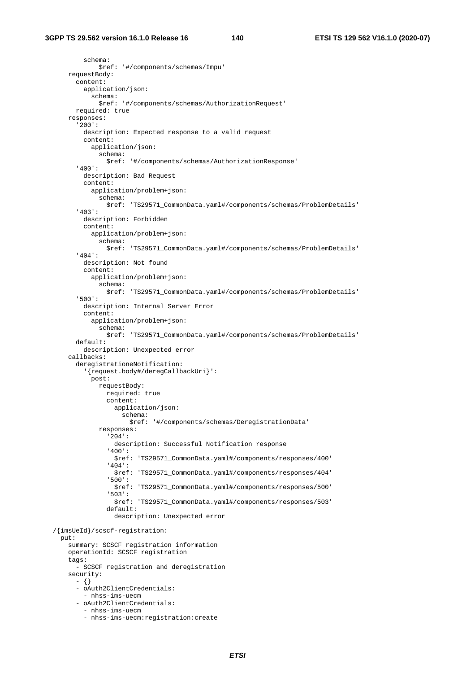schema: \$ref: '#/components/schemas/Impu' requestBody: content: application/json: schema: \$ref: '#/components/schemas/AuthorizationRequest' required: true responses: '200': description: Expected response to a valid request content: application/json: schema: \$ref: '#/components/schemas/AuthorizationResponse' '400': description: Bad Request content: application/problem+json: schema: \$ref: 'TS29571\_CommonData.yaml#/components/schemas/ProblemDetails' '403': description: Forbidden content: application/problem+json: schema: \$ref: 'TS29571\_CommonData.yaml#/components/schemas/ProblemDetails' '404': description: Not found content: application/problem+json: schema: \$ref: 'TS29571\_CommonData.yaml#/components/schemas/ProblemDetails' '500': description: Internal Server Error content: application/problem+json: schema: \$ref: 'TS29571\_CommonData.yaml#/components/schemas/ProblemDetails' default: description: Unexpected error callbacks: deregistrationeNotification: '{request.body#/deregCallbackUri}': post: requestBody: required: true content: application/json: schema: \$ref: '#/components/schemas/DeregistrationData' responses: '204': description: Successful Notification response '400': \$ref: 'TS29571\_CommonData.yaml#/components/responses/400' '404': \$ref: 'TS29571\_CommonData.yaml#/components/responses/404' '500': \$ref: 'TS29571\_CommonData.yaml#/components/responses/500' '503': \$ref: 'TS29571\_CommonData.yaml#/components/responses/503' default: description: Unexpected error /{imsUeId}/scscf-registration: put: summary: SCSCF registration information operationId: SCSCF registration tags: - SCSCF registration and deregistration security:  $- \{ \}$  - oAuth2ClientCredentials: - nhss-ims-uecm - oAuth2ClientCredentials: - nhss-ims-uecm - nhss-ims-uecm:registration:create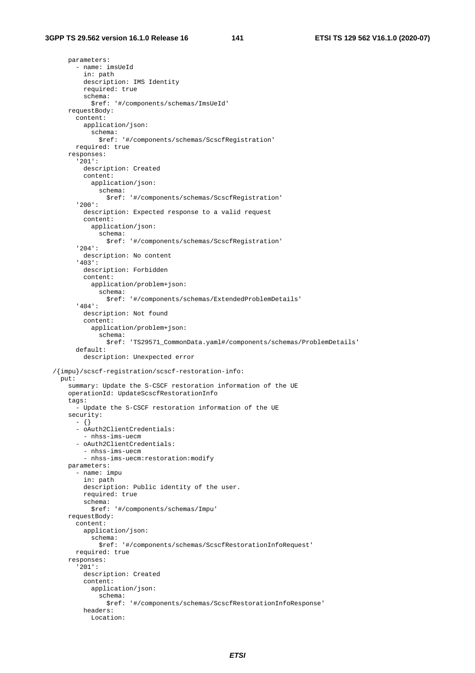parameters: - name: imsUeId in: path description: IMS Identity required: true schema: \$ref: '#/components/schemas/ImsUeId' requestBody: content: application/json: schema: \$ref: '#/components/schemas/ScscfRegistration' required: true responses: '201': description: Created content: application/json: schema: \$ref: '#/components/schemas/ScscfRegistration' '200': description: Expected response to a valid request content: application/json: schema: \$ref: '#/components/schemas/ScscfRegistration' '204': description: No content '403': description: Forbidden content: application/problem+json: schema: \$ref: '#/components/schemas/ExtendedProblemDetails' '404': description: Not found content: application/problem+json: schema: \$ref: 'TS29571\_CommonData.yaml#/components/schemas/ProblemDetails' default: description: Unexpected error /{impu}/scscf-registration/scscf-restoration-info: put: summary: Update the S-CSCF restoration information of the UE operationId: UpdateScscfRestorationInfo tags: - Update the S-CSCF restoration information of the UE security: - {} - oAuth2ClientCredentials: - nhss-ims-uecm - oAuth2ClientCredentials: - nhss-ims-uecm - nhss-ims-uecm:restoration:modify parameters: - name: impu in: path description: Public identity of the user. required: true schema: \$ref: '#/components/schemas/Impu' requestBody: content: application/json: schema: \$ref: '#/components/schemas/ScscfRestorationInfoRequest' required: true responses: '201': description: Created content: application/json: schema: \$ref: '#/components/schemas/ScscfRestorationInfoResponse' headers: Location: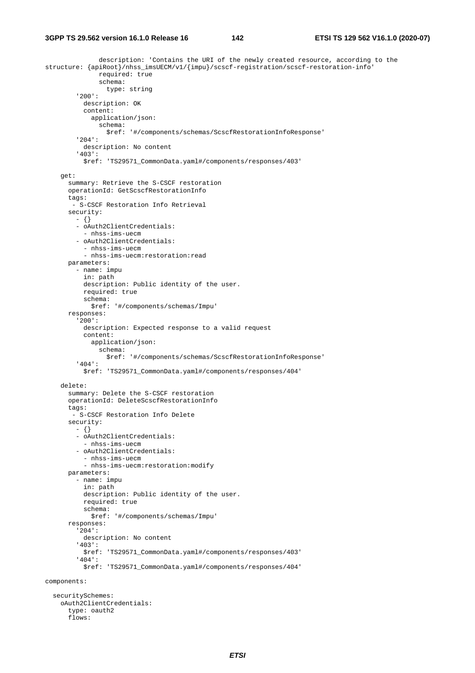description: 'Contains the URI of the newly created resource, according to the structure: {apiRoot}/nhss\_imsUECM/v1/{impu}/scscf-registration/scscf-restoration-info' required: true schema: type: string '200': description: OK content: application/json: schema: \$ref: '#/components/schemas/ScscfRestorationInfoResponse' '204': description: No content '403': \$ref: 'TS29571\_CommonData.yaml#/components/responses/403' get: summary: Retrieve the S-CSCF restoration operationId: GetScscfRestorationInfo tags: - S-CSCF Restoration Info Retrieval security: - {} - oAuth2ClientCredentials: - nhss-ims-uecm - oAuth2ClientCredentials: - nhss-ims-uecm - nhss-ims-uecm:restoration:read parameters: - name: impu in: path description: Public identity of the user. required: true schema: \$ref: '#/components/schemas/Impu' responses: '200': description: Expected response to a valid request content: application/json: schema: \$ref: '#/components/schemas/ScscfRestorationInfoResponse' '404': \$ref: 'TS29571\_CommonData.yaml#/components/responses/404' delete: summary: Delete the S-CSCF restoration operationId: DeleteScscfRestorationInfo tags: - S-CSCF Restoration Info Delete security: - {} - oAuth2ClientCredentials: - nhss-ims-uecm - oAuth2ClientCredentials: - nhss-ims-uecm - nhss-ims-uecm:restoration:modify parameters: - name: impu in: path description: Public identity of the user. required: true schema: \$ref: '#/components/schemas/Impu' responses: '204': description: No content '403': \$ref: 'TS29571\_CommonData.yaml#/components/responses/403' '404': \$ref: 'TS29571\_CommonData.yaml#/components/responses/404' components: securitySchemes:

 oAuth2ClientCredentials: type: oauth2 flows: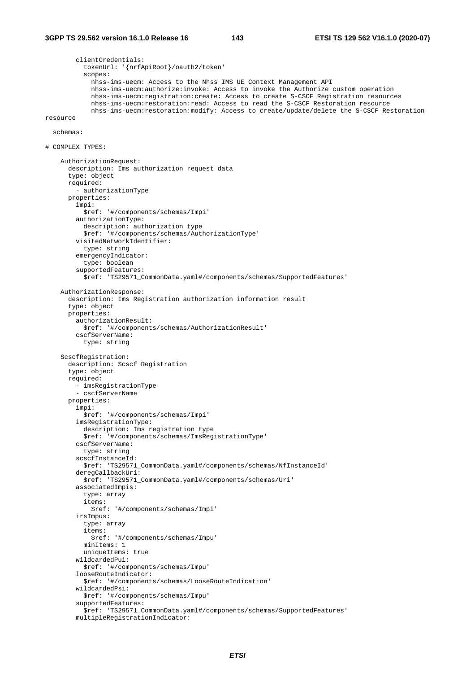```
 clientCredentials: 
           tokenUrl: '{nrfApiRoot}/oauth2/token' 
           scopes: 
              nhss-ims-uecm: Access to the Nhss IMS UE Context Management API 
              nhss-ims-uecm:authorize:invoke: Access to invoke the Authorize custom operation 
              nhss-ims-uecm:registration:create: Access to create S-CSCF Registration resources 
              nhss-ims-uecm:restoration:read: Access to read the S-CSCF Restoration resource 
             nhss-ims-uecm:restoration:modify: Access to create/update/delete the S-CSCF Restoration 
resource 
   schemas: 
# COMPLEX TYPES: 
     AuthorizationRequest: 
       description: Ims authorization request data 
       type: object 
       required: 
         - authorizationType 
       properties: 
         impi: 
           $ref: '#/components/schemas/Impi' 
         authorizationType: 
           description: authorization type 
           $ref: '#/components/schemas/AuthorizationType' 
         visitedNetworkIdentifier: 
           type: string 
         emergencyIndicator: 
           type: boolean 
         supportedFeatures: 
           $ref: 'TS29571_CommonData.yaml#/components/schemas/SupportedFeatures' 
     AuthorizationResponse: 
       description: Ims Registration authorization information result 
       type: object 
       properties: 
         authorizationResult: 
           $ref: '#/components/schemas/AuthorizationResult' 
         cscfServerName: 
           type: string 
     ScscfRegistration: 
       description: Scscf Registration 
       type: object 
       required: 
         - imsRegistrationType 
         - cscfServerName 
       properties: 
         impi: 
           $ref: '#/components/schemas/Impi' 
         imsRegistrationType: 
           description: Ims registration type 
            $ref: '#/components/schemas/ImsRegistrationType' 
         cscfServerName: 
           type: string 
         scscfInstanceId: 
           $ref: 'TS29571_CommonData.yaml#/components/schemas/NfInstanceId' 
         deregCallbackUri: 
           $ref: 'TS29571_CommonData.yaml#/components/schemas/Uri' 
         associatedImpis: 
           type: array 
           items: 
             $ref: '#/components/schemas/Impi' 
         irsImpus: 
           type: array 
           items: 
              $ref: '#/components/schemas/Impu' 
           minItems: 1 
           uniqueItems: true 
         wildcardedPui: 
           $ref: '#/components/schemas/Impu' 
         looseRouteIndicator: 
           $ref: '#/components/schemas/LooseRouteIndication' 
         wildcardedPsi: 
           $ref: '#/components/schemas/Impu' 
         supportedFeatures: 
           $ref: 'TS29571_CommonData.yaml#/components/schemas/SupportedFeatures'
```

```
 multipleRegistrationIndicator:
```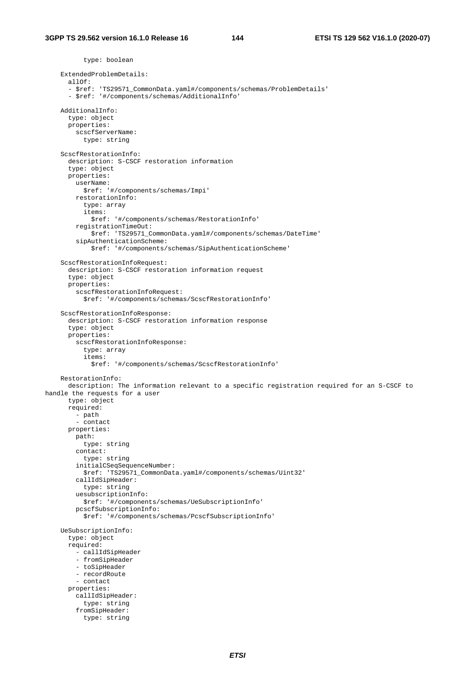type: boolean ExtendedProblemDetails: allOf: - \$ref: 'TS29571\_CommonData.yaml#/components/schemas/ProblemDetails' - \$ref: '#/components/schemas/AdditionalInfo' AdditionalInfo: type: object properties: scscfServerName: type: string ScscfRestorationInfo: description: S-CSCF restoration information type: object properties: userName: \$ref: '#/components/schemas/Impi' restorationInfo: type: array items: \$ref: '#/components/schemas/RestorationInfo' registrationTimeOut: \$ref: 'TS29571\_CommonData.yaml#/components/schemas/DateTime' sipAuthenticationScheme: \$ref: '#/components/schemas/SipAuthenticationScheme' ScscfRestorationInfoRequest: description: S-CSCF restoration information request type: object properties: scscfRestorationInfoRequest: \$ref: '#/components/schemas/ScscfRestorationInfo' ScscfRestorationInfoResponse: description: S-CSCF restoration information response type: object properties: scscfRestorationInfoResponse: type: array items: \$ref: '#/components/schemas/ScscfRestorationInfo' RestorationInfo: description: The information relevant to a specific registration required for an S-CSCF to handle the requests for a user type: object required: - path - contact properties: path: type: string contact: type: string initialCSeqSequenceNumber: \$ref: 'TS29571\_CommonData.yaml#/components/schemas/Uint32' callIdSipHeader: type: string uesubscriptionInfo: \$ref: '#/components/schemas/UeSubscriptionInfo' pcscfSubscriptionInfo: \$ref: '#/components/schemas/PcscfSubscriptionInfo' UeSubscriptionInfo: type: object required: - callIdSipHeader - fromSipHeader - toSipHeader - recordRoute - contact properties: callIdSipHeader: type: string fromSipHeader: type: string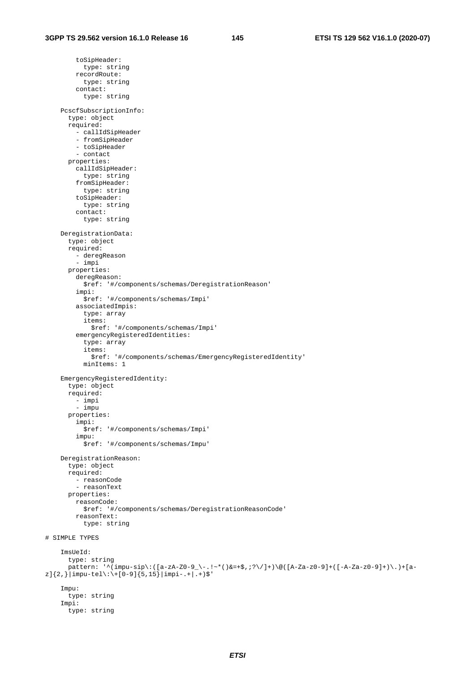toSipHeader: type: string recordRoute: type: string contact: type: string PcscfSubscriptionInfo: type: object required: - callIdSipHeader - fromSipHeader - toSipHeader - contact properties: callIdSipHeader: type: string fromSipHeader: type: string toSipHeader: type: string contact: type: string DeregistrationData: type: object required: - deregReason - impi properties: deregReason: \$ref: '#/components/schemas/DeregistrationReason' impi: \$ref: '#/components/schemas/Impi' associatedImpis: type: array items: \$ref: '#/components/schemas/Impi' emergencyRegisteredIdentities: type: array items: \$ref: '#/components/schemas/EmergencyRegisteredIdentity' minItems: 1 EmergencyRegisteredIdentity: type: object required: - impi - impu properties: impi: \$ref: '#/components/schemas/Impi' impu: \$ref: '#/components/schemas/Impu' DeregistrationReason: type: object required: - reasonCode - reasonText properties: reasonCode: \$ref: '#/components/schemas/DeregistrationReasonCode' reasonText: type: string # SIMPLE TYPES ImsUeId: type: string pattern: '^(impu-sip\:([a-zA-Z0-9\_\-.!~\*()&=+\$,;?\/]+)\@([A-Za-z0-9]+([-A-Za-z0-9]+)\.)+[a $z$ ]{2,}|impu-tel\:\+[0-9]{5,15}|impi-.+|.+)\$' Impu: type: string Impi: type: string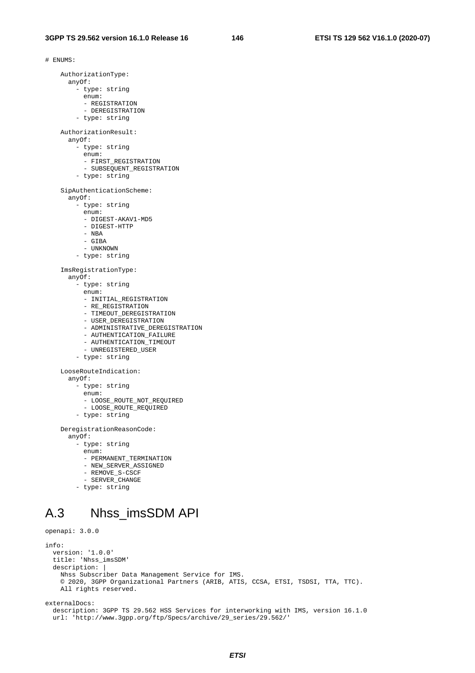# ENUMS: AuthorizationType: anyOf: - type: string enum: - REGISTRATION - DEREGISTRATION - type: string AuthorizationResult: anyOf: - type: string enum: - FIRST\_REGISTRATION - SUBSEQUENT\_REGISTRATION - type: string SipAuthenticationScheme: anyOf: - type: string enum: - DIGEST-AKAV1-MD5 - DIGEST-HTTP - NBA - GIBA - UNKNOWN - type: string ImsRegistrationType: anyOf: - type: string enum: - INITIAL\_REGISTRATION - RE\_REGISTRATION - TIMEOUT\_DEREGISTRATION - USER\_DEREGISTRATION - ADMINISTRATIVE\_DEREGISTRATION - AUTHENTICATION\_FAILURE - AUTHENTICATION\_TIMEOUT - UNREGISTERED\_USER - type: string LooseRouteIndication: anyOf: - type: string enum: - LOOSE\_ROUTE\_NOT\_REQUIRED - LOOSE\_ROUTE\_REQUIRED - type: string DeregistrationReasonCode: anyOf: - type: string enum: - PERMANENT\_TERMINATION - NEW\_SERVER\_ASSIGNED - REMOVE\_S-CSCF - SERVER\_CHANGE

- type: string

## A.3 Nhss\_imsSDM API

```
openapi: 3.0.0 
info: 
   version: '1.0.0' 
   title: 'Nhss_imsSDM' 
  description:
     Nhss Subscriber Data Management Service for IMS. 
     © 2020, 3GPP Organizational Partners (ARIB, ATIS, CCSA, ETSI, TSDSI, TTA, TTC). 
     All rights reserved.
```
externalDocs:

 description: 3GPP TS 29.562 HSS Services for interworking with IMS, version 16.1.0 url: 'http://www.3gpp.org/ftp/Specs/archive/29\_series/29.562/'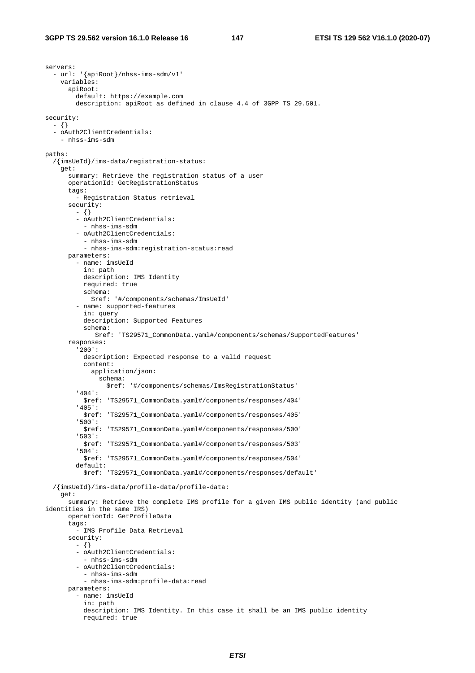servers: - url: '{apiRoot}/nhss-ims-sdm/v1' variables: apiRoot: default: https://example.com description: apiRoot as defined in clause 4.4 of 3GPP TS 29.501. security: - {} - oAuth2ClientCredentials: - nhss-ims-sdm paths: /{imsUeId}/ims-data/registration-status: get: summary: Retrieve the registration status of a user operationId: GetRegistrationStatus tags: - Registration Status retrieval security: - {} - oAuth2ClientCredentials: - nhss-ims-sdm - oAuth2ClientCredentials: - nhss-ims-sdm - nhss-ims-sdm:registration-status:read parameters: - name: imsUeId in: path description: IMS Identity required: true schema: \$ref: '#/components/schemas/ImsUeId' - name: supported-features in: query description: Supported Features schema: \$ref: 'TS29571\_CommonData.yaml#/components/schemas/SupportedFeatures' responses: '200': description: Expected response to a valid request content: application/json: schema: \$ref: '#/components/schemas/ImsRegistrationStatus' '404': \$ref: 'TS29571\_CommonData.yaml#/components/responses/404' '405': \$ref: 'TS29571\_CommonData.yaml#/components/responses/405' '500': \$ref: 'TS29571\_CommonData.yaml#/components/responses/500' '503': \$ref: 'TS29571\_CommonData.yaml#/components/responses/503' '504': \$ref: 'TS29571\_CommonData.yaml#/components/responses/504' default: \$ref: 'TS29571\_CommonData.yaml#/components/responses/default' /{imsUeId}/ims-data/profile-data/profile-data: get: summary: Retrieve the complete IMS profile for a given IMS public identity (and public identities in the same IRS) operationId: GetProfileData tags: - IMS Profile Data Retrieval security:  $- \{ \}$  - oAuth2ClientCredentials: - nhss-ims-sdm - oAuth2ClientCredentials: - nhss-ims-sdm - nhss-ims-sdm:profile-data:read parameters: - name: imsUeId in: path description: IMS Identity. In this case it shall be an IMS public identity required: true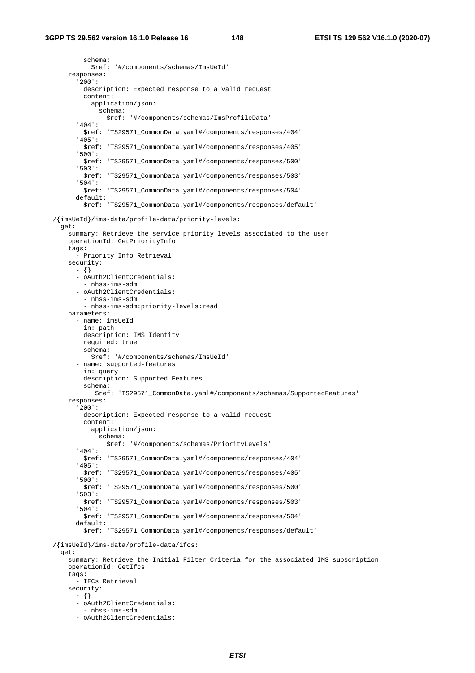schema: \$ref: '#/components/schemas/ImsUeId' responses: '200': description: Expected response to a valid request content: application/json: schema: \$ref: '#/components/schemas/ImsProfileData' '404': \$ref: 'TS29571\_CommonData.yaml#/components/responses/404' '405': \$ref: 'TS29571\_CommonData.yaml#/components/responses/405' '500': \$ref: 'TS29571\_CommonData.yaml#/components/responses/500' '503': \$ref: 'TS29571\_CommonData.yaml#/components/responses/503' '504': \$ref: 'TS29571\_CommonData.yaml#/components/responses/504' default: \$ref: 'TS29571\_CommonData.yaml#/components/responses/default' /{imsUeId}/ims-data/profile-data/priority-levels: get: summary: Retrieve the service priority levels associated to the user operationId: GetPriorityInfo tags: - Priority Info Retrieval security: - {} - oAuth2ClientCredentials: - nhss-ims-sdm - oAuth2ClientCredentials: - nhss-ims-sdm - nhss-ims-sdm:priority-levels:read parameters: - name: imsUeId in: path description: IMS Identity required: true schema: \$ref: '#/components/schemas/ImsUeId' - name: supported-features in: query description: Supported Features schema: \$ref: 'TS29571\_CommonData.yaml#/components/schemas/SupportedFeatures' responses: '200': description: Expected response to a valid request content: application/json: schema: \$ref: '#/components/schemas/PriorityLevels' '404': \$ref: 'TS29571\_CommonData.yaml#/components/responses/404' '405': \$ref: 'TS29571\_CommonData.yaml#/components/responses/405' '500': \$ref: 'TS29571\_CommonData.yaml#/components/responses/500' '503': \$ref: 'TS29571\_CommonData.yaml#/components/responses/503' '504': \$ref: 'TS29571\_CommonData.yaml#/components/responses/504' default: \$ref: 'TS29571\_CommonData.yaml#/components/responses/default' /{imsUeId}/ims-data/profile-data/ifcs: get: summary: Retrieve the Initial Filter Criteria for the associated IMS subscription operationId: GetIfcs tags: - IFCs Retrieval security: - {} - oAuth2ClientCredentials: - nhss-ims-sdm - oAuth2ClientCredentials: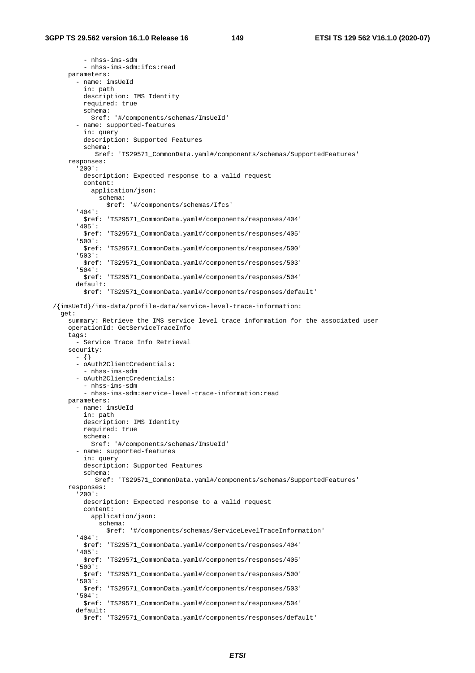- nhss-ims-sdm - nhss-ims-sdm:ifcs:read parameters: - name: imsUeId in: path description: IMS Identity required: true schema: \$ref: '#/components/schemas/ImsUeId' - name: supported-features in: query description: Supported Features schema: \$ref: 'TS29571\_CommonData.yaml#/components/schemas/SupportedFeatures' responses: '200': description: Expected response to a valid request content: application/json: schema: \$ref: '#/components/schemas/Ifcs' '404': \$ref: 'TS29571\_CommonData.yaml#/components/responses/404' '405': \$ref: 'TS29571\_CommonData.yaml#/components/responses/405' '500': \$ref: 'TS29571\_CommonData.yaml#/components/responses/500' '503': \$ref: 'TS29571\_CommonData.yaml#/components/responses/503' '504': \$ref: 'TS29571\_CommonData.yaml#/components/responses/504' default: \$ref: 'TS29571\_CommonData.yaml#/components/responses/default' /{imsUeId}/ims-data/profile-data/service-level-trace-information: get: summary: Retrieve the IMS service level trace information for the associated user operationId: GetServiceTraceInfo tags: - Service Trace Info Retrieval security: - {} - oAuth2ClientCredentials: - nhss-ims-sdm - oAuth2ClientCredentials: - nhss-ims-sdm - nhss-ims-sdm:service-level-trace-information:read parameters: - name: imsUeId in: path description: IMS Identity required: true schema: \$ref: '#/components/schemas/ImsUeId' - name: supported-features in: query description: Supported Features schema: \$ref: 'TS29571\_CommonData.yaml#/components/schemas/SupportedFeatures' responses: '200': description: Expected response to a valid request content: application/json: schema: \$ref: '#/components/schemas/ServiceLevelTraceInformation' '404': \$ref: 'TS29571\_CommonData.yaml#/components/responses/404' '405': \$ref: 'TS29571\_CommonData.yaml#/components/responses/405' '500': \$ref: 'TS29571\_CommonData.yaml#/components/responses/500' '503': \$ref: 'TS29571\_CommonData.yaml#/components/responses/503' '504': \$ref: 'TS29571\_CommonData.yaml#/components/responses/504' default: \$ref: 'TS29571\_CommonData.yaml#/components/responses/default'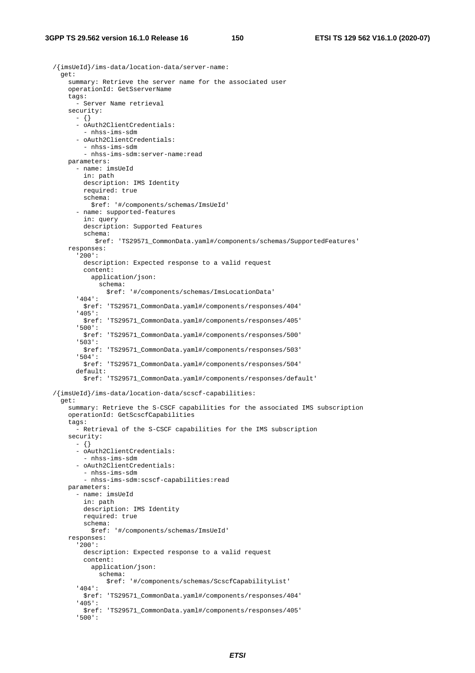/{imsUeId}/ims-data/location-data/server-name: get: summary: Retrieve the server name for the associated user operationId: GetSserverName tags: - Server Name retrieval security: - {} - oAuth2ClientCredentials: - nhss-ims-sdm - oAuth2ClientCredentials: - nhss-ims-sdm - nhss-ims-sdm:server-name:read parameters: - name: imsUeId in: path description: IMS Identity required: true schema: \$ref: '#/components/schemas/ImsUeId' - name: supported-features in: query description: Supported Features schema: \$ref: 'TS29571\_CommonData.yaml#/components/schemas/SupportedFeatures' responses: '200': description: Expected response to a valid request content: application/json: schema: \$ref: '#/components/schemas/ImsLocationData' '404': \$ref: 'TS29571\_CommonData.yaml#/components/responses/404' '405': \$ref: 'TS29571\_CommonData.yaml#/components/responses/405' '500': \$ref: 'TS29571\_CommonData.yaml#/components/responses/500' '503': \$ref: 'TS29571\_CommonData.yaml#/components/responses/503' '504': \$ref: 'TS29571\_CommonData.yaml#/components/responses/504' default: \$ref: 'TS29571\_CommonData.yaml#/components/responses/default' /{imsUeId}/ims-data/location-data/scscf-capabilities: get: summary: Retrieve the S-CSCF capabilities for the associated IMS subscription operationId: GetScscfCapabilities tags: - Retrieval of the S-CSCF capabilities for the IMS subscription security: - {} - oAuth2ClientCredentials: - nhss-ims-sdm - oAuth2ClientCredentials: - nhss-ims-sdm - nhss-ims-sdm:scscf-capabilities:read parameters: - name: imsUeId in: path description: IMS Identity required: true schema: \$ref: '#/components/schemas/ImsUeId' responses: '200': description: Expected response to a valid request content: application/json: schema: \$ref: '#/components/schemas/ScscfCapabilityList' '404': \$ref: 'TS29571\_CommonData.yaml#/components/responses/404' '405': \$ref: 'TS29571\_CommonData.yaml#/components/responses/405' '500':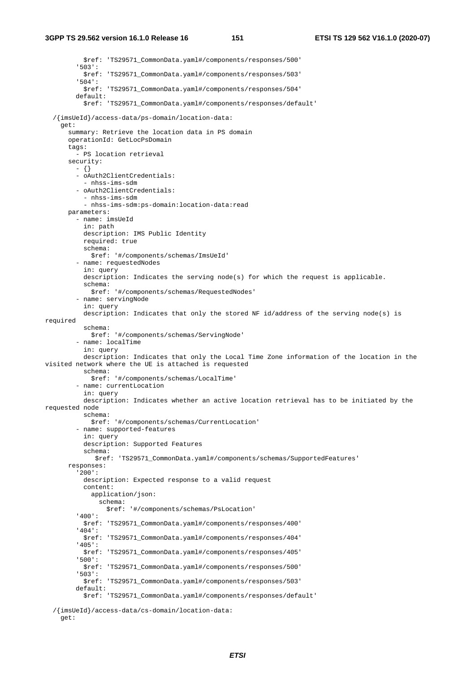\$ref: 'TS29571\_CommonData.yaml#/components/responses/500' '503': \$ref: 'TS29571\_CommonData.yaml#/components/responses/503' '504': \$ref: 'TS29571\_CommonData.yaml#/components/responses/504' default: \$ref: 'TS29571\_CommonData.yaml#/components/responses/default' /{imsUeId}/access-data/ps-domain/location-data: get: summary: Retrieve the location data in PS domain operationId: GetLocPsDomain tags: - PS location retrieval security:  $- \{ \}$  - oAuth2ClientCredentials: - nhss-ims-sdm - oAuth2ClientCredentials: - nhss-ims-sdm - nhss-ims-sdm:ps-domain:location-data:read parameters: - name: imsUeId in: path description: IMS Public Identity required: true schema: \$ref: '#/components/schemas/ImsUeId' - name: requestedNodes in: query description: Indicates the serving node(s) for which the request is applicable. schema: \$ref: '#/components/schemas/RequestedNodes' - name: servingNode in: query description: Indicates that only the stored NF id/address of the serving node(s) is required schema: \$ref: '#/components/schemas/ServingNode' - name: localTime in: query description: Indicates that only the Local Time Zone information of the location in the visited network where the UE is attached is requested schema: \$ref: '#/components/schemas/LocalTime' - name: currentLocation in: query description: Indicates whether an active location retrieval has to be initiated by the requested node schema: \$ref: '#/components/schemas/CurrentLocation' - name: supported-features in: query description: Supported Features schema: \$ref: 'TS29571\_CommonData.yaml#/components/schemas/SupportedFeatures' responses: '200': description: Expected response to a valid request content: application/json: schema: \$ref: '#/components/schemas/PsLocation' '400': \$ref: 'TS29571\_CommonData.yaml#/components/responses/400' '404': \$ref: 'TS29571\_CommonData.yaml#/components/responses/404' '405': \$ref: 'TS29571\_CommonData.yaml#/components/responses/405' '500': \$ref: 'TS29571\_CommonData.yaml#/components/responses/500' '503': \$ref: 'TS29571\_CommonData.yaml#/components/responses/503' default: \$ref: 'TS29571\_CommonData.yaml#/components/responses/default'

/{imsUeId}/access-data/cs-domain/location-data:

```
 get:
```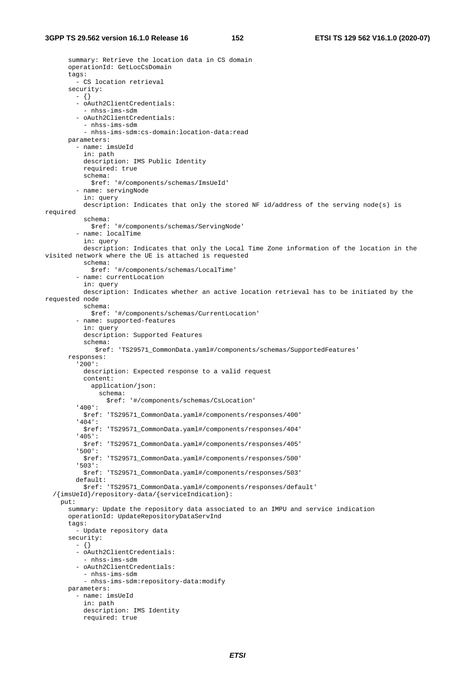summary: Retrieve the location data in CS domain operationId: GetLocCsDomain tags: - CS location retrieval security: - {} - oAuth2ClientCredentials: - nhss-ims-sdm - oAuth2ClientCredentials: - nhss-ims-sdm - nhss-ims-sdm:cs-domain:location-data:read parameters: - name: imsUeId in: path description: IMS Public Identity required: true schema: \$ref: '#/components/schemas/ImsUeId' - name: servingNode in: query description: Indicates that only the stored NF id/address of the serving node(s) is required schema: \$ref: '#/components/schemas/ServingNode' - name: localTime in: query description: Indicates that only the Local Time Zone information of the location in the visited network where the UE is attached is requested schema: \$ref: '#/components/schemas/LocalTime' - name: currentLocation in: query description: Indicates whether an active location retrieval has to be initiated by the requested node schema: \$ref: '#/components/schemas/CurrentLocation' - name: supported-features in: query description: Supported Features schema: \$ref: 'TS29571\_CommonData.yaml#/components/schemas/SupportedFeatures' responses: '200': description: Expected response to a valid request content: application/json: schema: \$ref: '#/components/schemas/CsLocation' '400': \$ref: 'TS29571\_CommonData.yaml#/components/responses/400' '404': \$ref: 'TS29571\_CommonData.yaml#/components/responses/404' '405': \$ref: 'TS29571\_CommonData.yaml#/components/responses/405' '500': \$ref: 'TS29571\_CommonData.yaml#/components/responses/500' '503': \$ref: 'TS29571\_CommonData.yaml#/components/responses/503' default: \$ref: 'TS29571\_CommonData.yaml#/components/responses/default' /{imsUeId}/repository-data/{serviceIndication}: put: summary: Update the repository data associated to an IMPU and service indication operationId: UpdateRepositoryDataServInd tags: - Update repository data security:  $- \{ \}$  - oAuth2ClientCredentials: - nhss-ims-sdm - oAuth2ClientCredentials: - nhss-ims-sdm - nhss-ims-sdm:repository-data:modify parameters: - name: imsUeId in: path description: IMS Identity required: true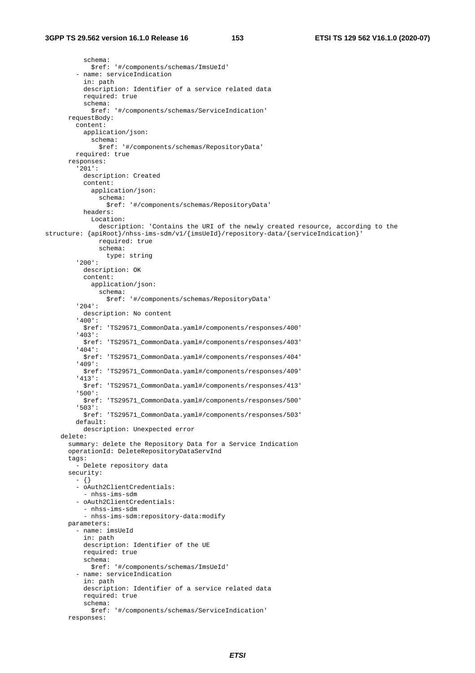schema: \$ref: '#/components/schemas/ImsUeId' - name: serviceIndication in: path description: Identifier of a service related data required: true schema: \$ref: '#/components/schemas/ServiceIndication' requestBody: content: application/json: schema: \$ref: '#/components/schemas/RepositoryData' required: true responses: '201': description: Created content: application/json: schema: \$ref: '#/components/schemas/RepositoryData' headers: Location: description: 'Contains the URI of the newly created resource, according to the structure: {apiRoot}/nhss-ims-sdm/v1/{imsUeId}/repository-data/{serviceIndication}' required: true schema: type: string '200': description: OK content: application/json: schema: \$ref: '#/components/schemas/RepositoryData' '204': description: No content '400': \$ref: 'TS29571\_CommonData.yaml#/components/responses/400' '403': \$ref: 'TS29571\_CommonData.yaml#/components/responses/403' '404': \$ref: 'TS29571\_CommonData.yaml#/components/responses/404' '409': \$ref: 'TS29571\_CommonData.yaml#/components/responses/409' '413': \$ref: 'TS29571\_CommonData.yaml#/components/responses/413' '500': \$ref: 'TS29571\_CommonData.yaml#/components/responses/500' '503': \$ref: 'TS29571\_CommonData.yaml#/components/responses/503' default: description: Unexpected error delete: summary: delete the Repository Data for a Service Indication operationId: DeleteRepositoryDataServInd tags: - Delete repository data security: - {} - oAuth2ClientCredentials: - nhss-ims-sdm - oAuth2ClientCredentials: - nhss-ims-sdm - nhss-ims-sdm:repository-data:modify parameters: - name: imsUeId in: path description: Identifier of the UE required: true schema: \$ref: '#/components/schemas/ImsUeId' - name: serviceIndication in: path description: Identifier of a service related data required: true schema: \$ref: '#/components/schemas/ServiceIndication' responses: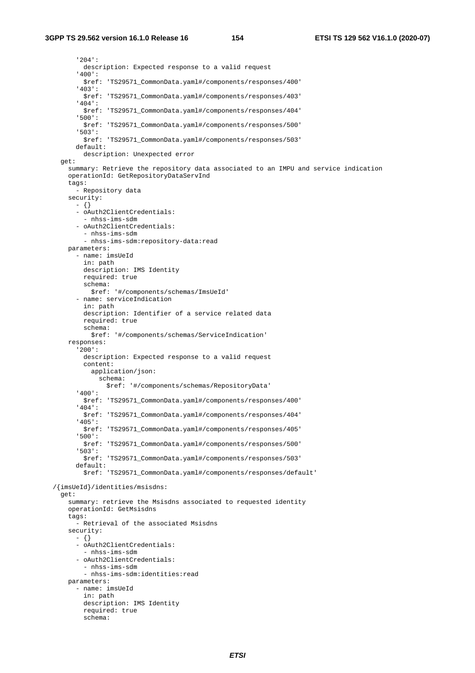'204': description: Expected response to a valid request '400': \$ref: 'TS29571\_CommonData.yaml#/components/responses/400' '403': \$ref: 'TS29571\_CommonData.yaml#/components/responses/403' '404': \$ref: 'TS29571\_CommonData.yaml#/components/responses/404' '500': \$ref: 'TS29571\_CommonData.yaml#/components/responses/500' '503': \$ref: 'TS29571\_CommonData.yaml#/components/responses/503' default: description: Unexpected error get: summary: Retrieve the repository data associated to an IMPU and service indication operationId: GetRepositoryDataServInd tags: - Repository data security:  $- \{ \}$  - oAuth2ClientCredentials: - nhss-ims-sdm - oAuth2ClientCredentials: - nhss-ims-sdm - nhss-ims-sdm:repository-data:read parameters: - name: imsUeId in: path description: IMS Identity required: true schema: \$ref: '#/components/schemas/ImsUeId' - name: serviceIndication in: path description: Identifier of a service related data required: true schema: \$ref: '#/components/schemas/ServiceIndication' responses: '200': description: Expected response to a valid request content: application/json: schema: \$ref: '#/components/schemas/RepositoryData' '400': \$ref: 'TS29571\_CommonData.yaml#/components/responses/400' '404': \$ref: 'TS29571\_CommonData.yaml#/components/responses/404' '405': \$ref: 'TS29571\_CommonData.yaml#/components/responses/405' '500': \$ref: 'TS29571\_CommonData.yaml#/components/responses/500' '503': \$ref: 'TS29571\_CommonData.yaml#/components/responses/503' default: \$ref: 'TS29571\_CommonData.yaml#/components/responses/default' /{imsUeId}/identities/msisdns: get: summary: retrieve the Msisdns associated to requested identity operationId: GetMsisdns tags: - Retrieval of the associated Msisdns security: - {} - oAuth2ClientCredentials: - nhss-ims-sdm - oAuth2ClientCredentials: - nhss-ims-sdm - nhss-ims-sdm:identities:read parameters: - name: imsUeId in: path description: IMS Identity required: true schema: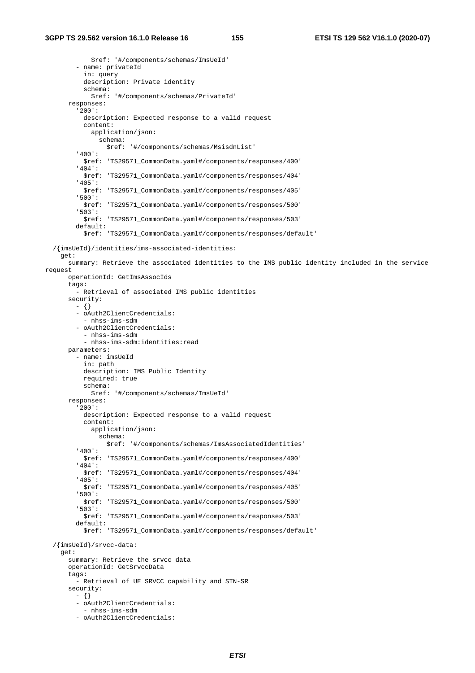\$ref: '#/components/schemas/ImsUeId' - name: privateId in: query description: Private identity schema: \$ref: '#/components/schemas/PrivateId' responses: '200': description: Expected response to a valid request content: application/json: schema: \$ref: '#/components/schemas/MsisdnList' '400': \$ref: 'TS29571\_CommonData.yaml#/components/responses/400' '404': \$ref: 'TS29571\_CommonData.yaml#/components/responses/404' '405': \$ref: 'TS29571\_CommonData.yaml#/components/responses/405' '500': \$ref: 'TS29571\_CommonData.yaml#/components/responses/500' '503': \$ref: 'TS29571\_CommonData.yaml#/components/responses/503' default: \$ref: 'TS29571\_CommonData.yaml#/components/responses/default' /{imsUeId}/identities/ims-associated-identities: get: summary: Retrieve the associated identities to the IMS public identity included in the service request operationId: GetImsAssocIds tags: - Retrieval of associated IMS public identities security: - {} - oAuth2ClientCredentials: - nhss-ims-sdm - oAuth2ClientCredentials: - nhss-ims-sdm - nhss-ims-sdm:identities:read parameters: - name: imsUeId in: path description: IMS Public Identity required: true schema: \$ref: '#/components/schemas/ImsUeId' responses: '200': description: Expected response to a valid request content: application/json: schema: \$ref: '#/components/schemas/ImsAssociatedIdentities' '400': \$ref: 'TS29571\_CommonData.yaml#/components/responses/400' '404': \$ref: 'TS29571\_CommonData.yaml#/components/responses/404' '405': \$ref: 'TS29571\_CommonData.yaml#/components/responses/405' '500': \$ref: 'TS29571\_CommonData.yaml#/components/responses/500' '503': \$ref: 'TS29571\_CommonData.yaml#/components/responses/503' default: \$ref: 'TS29571\_CommonData.yaml#/components/responses/default' /{imsUeId}/srvcc-data: get: summary: Retrieve the srvcc data operationId: GetSrvccData tags: - Retrieval of UE SRVCC capability and STN-SR security: - {} - oAuth2ClientCredentials: - nhss-ims-sdm - oAuth2ClientCredentials: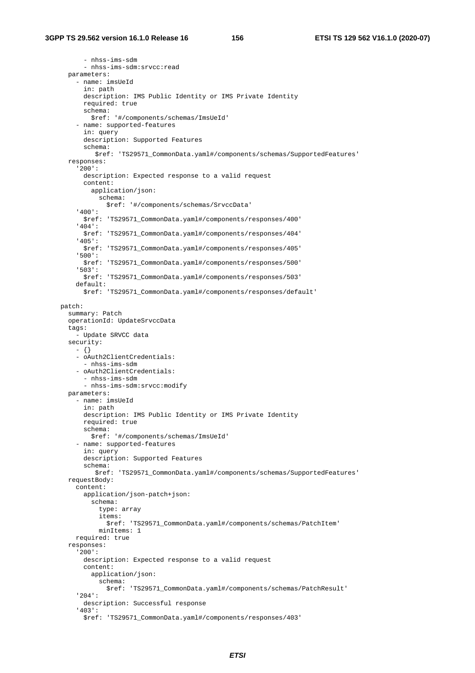- nhss-ims-sdm - nhss-ims-sdm:srvcc:read parameters: - name: imsUeId in: path description: IMS Public Identity or IMS Private Identity required: true schema: \$ref: '#/components/schemas/ImsUeId' - name: supported-features in: query description: Supported Features schema: \$ref: 'TS29571\_CommonData.yaml#/components/schemas/SupportedFeatures' responses: '200': description: Expected response to a valid request content: application/json: schema: \$ref: '#/components/schemas/SrvccData' '400': \$ref: 'TS29571\_CommonData.yaml#/components/responses/400' '404': \$ref: 'TS29571\_CommonData.yaml#/components/responses/404' '405': \$ref: 'TS29571\_CommonData.yaml#/components/responses/405' '500': \$ref: 'TS29571\_CommonData.yaml#/components/responses/500' '503': \$ref: 'TS29571\_CommonData.yaml#/components/responses/503' default: \$ref: 'TS29571\_CommonData.yaml#/components/responses/default' patch: summary: Patch operationId: UpdateSrvccData tags: - Update SRVCC data security: - {} - oAuth2ClientCredentials: - nhss-ims-sdm - oAuth2ClientCredentials: - nhss-ims-sdm - nhss-ims-sdm:srvcc:modify parameters: - name: imsUeId in: path description: IMS Public Identity or IMS Private Identity required: true schema: \$ref: '#/components/schemas/ImsUeId' - name: supported-features in: query description: Supported Features schema: \$ref: 'TS29571\_CommonData.yaml#/components/schemas/SupportedFeatures' requestBody: content: application/json-patch+json: schema: type: array items: \$ref: 'TS29571\_CommonData.yaml#/components/schemas/PatchItem' minItems: 1 required: true responses: '200': description: Expected response to a valid request content: application/json: schema: \$ref: 'TS29571\_CommonData.yaml#/components/schemas/PatchResult' '204': description: Successful response '403': \$ref: 'TS29571\_CommonData.yaml#/components/responses/403'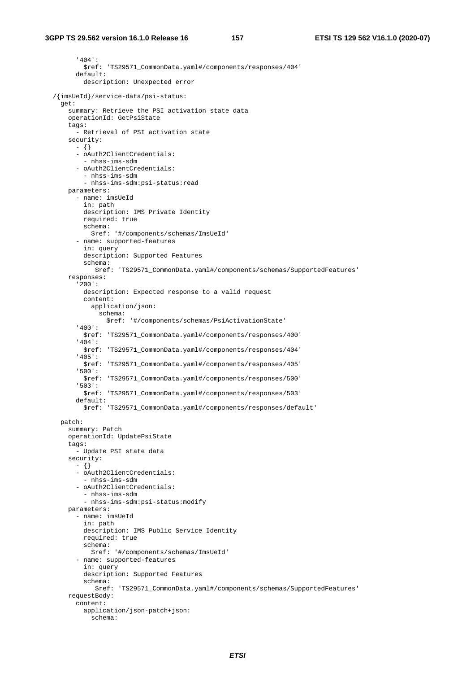'404':

 \$ref: 'TS29571\_CommonData.yaml#/components/responses/404' default: description: Unexpected error /{imsUeId}/service-data/psi-status: get: summary: Retrieve the PSI activation state data operationId: GetPsiState tags: - Retrieval of PSI activation state security: - {} - oAuth2ClientCredentials: - nhss-ims-sdm - oAuth2ClientCredentials: - nhss-ims-sdm - nhss-ims-sdm:psi-status:read parameters: - name: imsUeId in: path description: IMS Private Identity required: true schema: \$ref: '#/components/schemas/ImsUeId' - name: supported-features in: query description: Supported Features schema: \$ref: 'TS29571\_CommonData.yaml#/components/schemas/SupportedFeatures' responses: '200': description: Expected response to a valid request content: application/json: schema: \$ref: '#/components/schemas/PsiActivationState' '400': \$ref: 'TS29571\_CommonData.yaml#/components/responses/400' '404': \$ref: 'TS29571\_CommonData.yaml#/components/responses/404' '405': \$ref: 'TS29571\_CommonData.yaml#/components/responses/405' '500': \$ref: 'TS29571\_CommonData.yaml#/components/responses/500' '503': \$ref: 'TS29571\_CommonData.yaml#/components/responses/503' default: \$ref: 'TS29571\_CommonData.yaml#/components/responses/default' patch: summary: Patch operationId: UpdatePsiState tags: - Update PSI state data security: - {} - oAuth2ClientCredentials: - nhss-ims-sdm - oAuth2ClientCredentials: - nhss-ims-sdm - nhss-ims-sdm:psi-status:modify parameters: - name: imsUeId in: path description: IMS Public Service Identity required: true schema: \$ref: '#/components/schemas/ImsUeId' - name: supported-features in: query description: Supported Features schema: \$ref: 'TS29571\_CommonData.yaml#/components/schemas/SupportedFeatures' requestBody: content: application/json-patch+json: schema: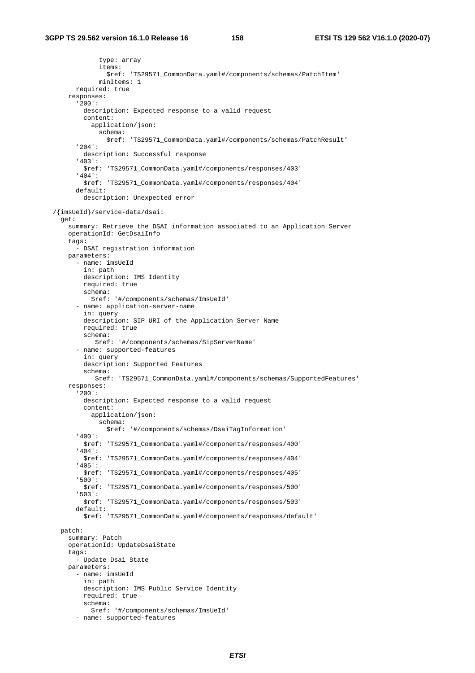```
 type: array 
              items: 
                $ref: 'TS29571_CommonData.yaml#/components/schemas/PatchItem' 
             minItems: 1 
       required: true 
     responses: 
       '200': 
        description: Expected response to a valid request
         content: 
           application/json: 
             schema: 
                $ref: 'TS29571_CommonData.yaml#/components/schemas/PatchResult' 
       '204': 
         description: Successful response 
       '403': 
         $ref: 'TS29571_CommonData.yaml#/components/responses/403' 
       '404': 
         $ref: 'TS29571_CommonData.yaml#/components/responses/404' 
       default: 
         description: Unexpected error 
 /{imsUeId}/service-data/dsai: 
  get: 
    summary: Retrieve the DSAI information associated to an Application Server 
     operationId: GetDsaiInfo 
     tags: 
       - DSAI registration information 
    parameters: 
       - name: imsUeId 
         in: path 
         description: IMS Identity 
        required: true 
         schema: 
           $ref: '#/components/schemas/ImsUeId' 
       - name: application-server-name 
         in: query 
         description: SIP URI of the Application Server Name 
         required: true 
         schema: 
            $ref: '#/components/schemas/SipServerName' 
       - name: supported-features 
         in: query 
         description: Supported Features 
         schema: 
            $ref: 'TS29571_CommonData.yaml#/components/schemas/SupportedFeatures' 
     responses: 
       '200': 
         description: Expected response to a valid request 
         content: 
           application/json: 
             schema: 
                $ref: '#/components/schemas/DsaiTagInformation' 
       '400': 
         $ref: 'TS29571_CommonData.yaml#/components/responses/400' 
       '404': 
         $ref: 'TS29571_CommonData.yaml#/components/responses/404' 
       '405': 
         $ref: 'TS29571_CommonData.yaml#/components/responses/405' 
       '500': 
         $ref: 'TS29571_CommonData.yaml#/components/responses/500' 
       '503': 
         $ref: 'TS29571_CommonData.yaml#/components/responses/503' 
       default: 
         $ref: 'TS29571_CommonData.yaml#/components/responses/default' 
  patch: 
    summary: Patch 
    operationId: UpdateDsaiState 
    tags: 
       - Update Dsai State 
    parameters: 
       - name: imsUeId 
        in: path 
         description: IMS Public Service Identity 
         required: true 
         schema: 
           $ref: '#/components/schemas/ImsUeId' 
       - name: supported-features
```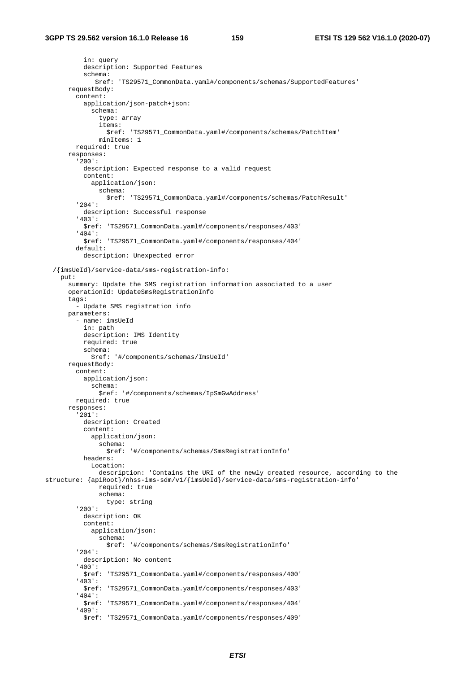in: query description: Supported Features schema: \$ref: 'TS29571\_CommonData.yaml#/components/schemas/SupportedFeatures' requestBody: content: application/json-patch+json: schema: type: array items: \$ref: 'TS29571\_CommonData.yaml#/components/schemas/PatchItem' minItems: 1 required: true responses: '200': description: Expected response to a valid request content: application/json: schema: \$ref: 'TS29571\_CommonData.yaml#/components/schemas/PatchResult' '204': description: Successful response '403': \$ref: 'TS29571\_CommonData.yaml#/components/responses/403' '404': \$ref: 'TS29571\_CommonData.yaml#/components/responses/404' default: description: Unexpected error /{imsUeId}/service-data/sms-registration-info: put: summary: Update the SMS registration information associated to a user operationId: UpdateSmsRegistrationInfo tags: - Update SMS registration info parameters: - name: imsUeId in: path description: IMS Identity required: true schema: \$ref: '#/components/schemas/ImsUeId' requestBody: content: application/json: schema: \$ref: '#/components/schemas/IpSmGwAddress' required: true responses: '201': description: Created content: application/json: schema: \$ref: '#/components/schemas/SmsRegistrationInfo' headers: Location: description: 'Contains the URI of the newly created resource, according to the structure: {apiRoot}/nhss-ims-sdm/v1/{imsUeId}/service-data/sms-registration-info' required: true schema: type: string '200': description: OK content: application/json: schema: \$ref: '#/components/schemas/SmsRegistrationInfo' '204': description: No content '400': \$ref: 'TS29571\_CommonData.yaml#/components/responses/400' '403': \$ref: 'TS29571\_CommonData.yaml#/components/responses/403' '404': \$ref: 'TS29571\_CommonData.yaml#/components/responses/404' '409': \$ref: 'TS29571\_CommonData.yaml#/components/responses/409'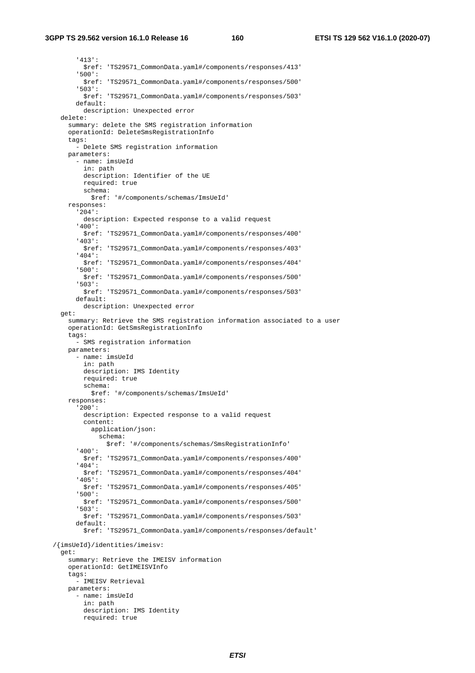## **3GPP TS 29.562 version 16.1.0 Release 16 160 ETSI TS 129 562 V16.1.0 (2020-07)**

 '413': \$ref: 'TS29571\_CommonData.yaml#/components/responses/413' '500': \$ref: 'TS29571\_CommonData.yaml#/components/responses/500' '503': \$ref: 'TS29571\_CommonData.yaml#/components/responses/503' default: description: Unexpected error delete: summary: delete the SMS registration information operationId: DeleteSmsRegistrationInfo tags: - Delete SMS registration information parameters: - name: imsUeId in: path description: Identifier of the UE required: true schema: \$ref: '#/components/schemas/ImsUeId' responses: '204': description: Expected response to a valid request '400': \$ref: 'TS29571\_CommonData.yaml#/components/responses/400' '403': \$ref: 'TS29571\_CommonData.yaml#/components/responses/403' '404': \$ref: 'TS29571\_CommonData.yaml#/components/responses/404' '500': \$ref: 'TS29571\_CommonData.yaml#/components/responses/500' '503': \$ref: 'TS29571\_CommonData.yaml#/components/responses/503' default: description: Unexpected error get: summary: Retrieve the SMS registration information associated to a user operationId: GetSmsRegistrationInfo tags: - SMS registration information parameters: - name: imsUeId in: path description: IMS Identity required: true schema: \$ref: '#/components/schemas/ImsUeId' responses: '200': description: Expected response to a valid request content: application/json: schema: \$ref: '#/components/schemas/SmsRegistrationInfo' '400': \$ref: 'TS29571\_CommonData.yaml#/components/responses/400' '404': \$ref: 'TS29571\_CommonData.yaml#/components/responses/404' '405': \$ref: 'TS29571\_CommonData.yaml#/components/responses/405' '500': \$ref: 'TS29571\_CommonData.yaml#/components/responses/500' '503': \$ref: 'TS29571\_CommonData.yaml#/components/responses/503' default: \$ref: 'TS29571\_CommonData.yaml#/components/responses/default' /{imsUeId}/identities/imeisv: get: summary: Retrieve the IMEISV information operationId: GetIMEISVInfo tags: - IMEISV Retrieval parameters: - name: imsUeId in: path description: IMS Identity required: true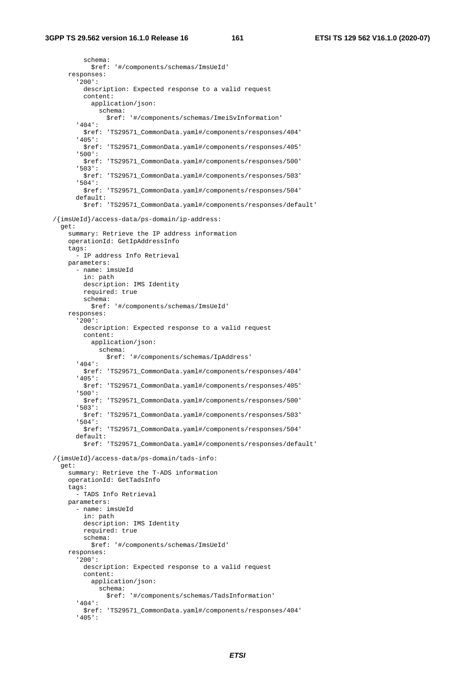schema: \$ref: '#/components/schemas/ImsUeId' responses: '200': description: Expected response to a valid request content: application/json: schema: \$ref: '#/components/schemas/ImeiSvInformation' '404': \$ref: 'TS29571\_CommonData.yaml#/components/responses/404' '405': \$ref: 'TS29571\_CommonData.yaml#/components/responses/405' '500': \$ref: 'TS29571\_CommonData.yaml#/components/responses/500' '503': \$ref: 'TS29571\_CommonData.yaml#/components/responses/503' '504': \$ref: 'TS29571\_CommonData.yaml#/components/responses/504' default: \$ref: 'TS29571\_CommonData.yaml#/components/responses/default' /{imsUeId}/access-data/ps-domain/ip-address: get: summary: Retrieve the IP address information operationId: GetIpAddressInfo tags: - IP address Info Retrieval parameters: - name: imsUeId in: path description: IMS Identity required: true schema: \$ref: '#/components/schemas/ImsUeId' responses: '200': description: Expected response to a valid request content: application/json: schema: \$ref: '#/components/schemas/IpAddress' '404': \$ref: 'TS29571\_CommonData.yaml#/components/responses/404' '405': \$ref: 'TS29571\_CommonData.yaml#/components/responses/405' '500': \$ref: 'TS29571\_CommonData.yaml#/components/responses/500' '503': \$ref: 'TS29571\_CommonData.yaml#/components/responses/503' '504': \$ref: 'TS29571\_CommonData.yaml#/components/responses/504' default: \$ref: 'TS29571\_CommonData.yaml#/components/responses/default' /{imsUeId}/access-data/ps-domain/tads-info: get: summary: Retrieve the T-ADS information operationId: GetTadsInfo tags: - TADS Info Retrieval parameters: - name: imsUeId in: path description: IMS Identity required: true schema: \$ref: '#/components/schemas/ImsUeId' responses: '200': description: Expected response to a valid request content: application/json: schema: \$ref: '#/components/schemas/TadsInformation' '404': \$ref: 'TS29571\_CommonData.yaml#/components/responses/404' '405':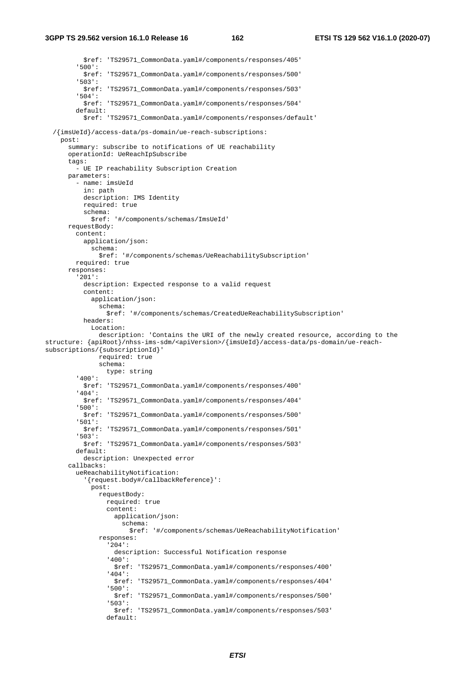\$ref: 'TS29571\_CommonData.yaml#/components/responses/405' '500': \$ref: 'TS29571\_CommonData.yaml#/components/responses/500' '503': \$ref: 'TS29571\_CommonData.yaml#/components/responses/503' '504': \$ref: 'TS29571\_CommonData.yaml#/components/responses/504' default: \$ref: 'TS29571\_CommonData.yaml#/components/responses/default' /{imsUeId}/access-data/ps-domain/ue-reach-subscriptions: post: summary: subscribe to notifications of UE reachability operationId: UeReachIpSubscribe tags: - UE IP reachability Subscription Creation parameters: - name: imsUeId in: path description: IMS Identity required: true schema: \$ref: '#/components/schemas/ImsUeId' requestBody: content: application/json: schema: \$ref: '#/components/schemas/UeReachabilitySubscription' required: true responses: '201': description: Expected response to a valid request content: application/json: schema: \$ref: '#/components/schemas/CreatedUeReachabilitySubscription' headers: Location: description: 'Contains the URI of the newly created resource, according to the structure: {apiRoot}/nhss-ims-sdm/<apiVersion>/{imsUeId}/access-data/ps-domain/ue-reachsubscriptions/{subscriptionId}' required: true schema: type: string '400': \$ref: 'TS29571\_CommonData.yaml#/components/responses/400' '404': \$ref: 'TS29571\_CommonData.yaml#/components/responses/404' '500': \$ref: 'TS29571\_CommonData.yaml#/components/responses/500' '501': \$ref: 'TS29571\_CommonData.yaml#/components/responses/501' '503': \$ref: 'TS29571\_CommonData.yaml#/components/responses/503' default: description: Unexpected error callbacks: ueReachabilityNotification: '{request.body#/callbackReference}': post: requestBody: required: true content: application/json: schema: \$ref: '#/components/schemas/UeReachabilityNotification' responses: '204': description: Successful Notification response '400': \$ref: 'TS29571\_CommonData.yaml#/components/responses/400' '404': \$ref: 'TS29571\_CommonData.yaml#/components/responses/404' '500': \$ref: 'TS29571\_CommonData.yaml#/components/responses/500' '503': \$ref: 'TS29571\_CommonData.yaml#/components/responses/503' default: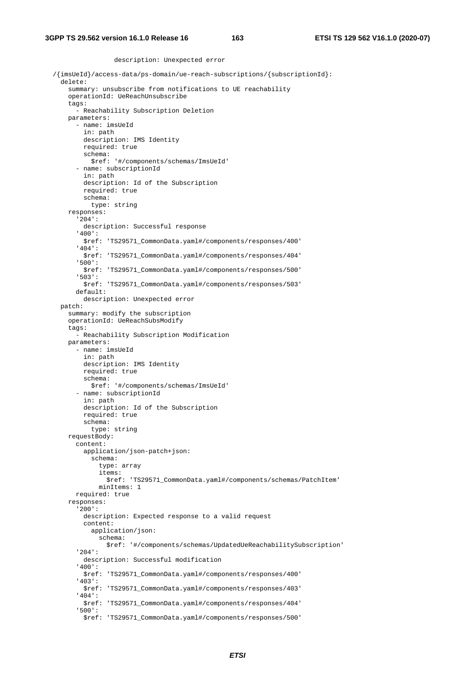description: Unexpected error

```
{\rm //}\{ \verb|imsUeld| /access-data/ps-domain /ue-reach-subscripts / \{subscript} \}. delete: 
     summary: unsubscribe from notifications to UE reachability 
     operationId: UeReachUnsubscribe 
     tags: 
       - Reachability Subscription Deletion 
     parameters: 
       - name: imsUeId 
         in: path 
         description: IMS Identity 
         required: true 
         schema: 
           $ref: '#/components/schemas/ImsUeId' 
       - name: subscriptionId 
         in: path 
         description: Id of the Subscription 
         required: true 
         schema: 
           type: string 
     responses: 
       '204': 
         description: Successful response 
       '400': 
         $ref: 'TS29571_CommonData.yaml#/components/responses/400' 
       '404': 
         $ref: 'TS29571_CommonData.yaml#/components/responses/404' 
       '500': 
         $ref: 'TS29571_CommonData.yaml#/components/responses/500' 
       '503': 
         $ref: 'TS29571_CommonData.yaml#/components/responses/503' 
       default: 
         description: Unexpected error 
  patch: 
     summary: modify the subscription 
     operationId: UeReachSubsModify 
     tags: 
       - Reachability Subscription Modification 
     parameters: 
       - name: imsUeId 
         in: path 
         description: IMS Identity 
         required: true 
         schema: 
           $ref: '#/components/schemas/ImsUeId' 
       - name: subscriptionId 
         in: path 
         description: Id of the Subscription 
         required: true 
         schema: 
           type: string 
     requestBody: 
       content: 
         application/json-patch+json: 
           schema: 
              type: array 
              items: 
                $ref: 'TS29571_CommonData.yaml#/components/schemas/PatchItem' 
             minItems: 1 
       required: true 
     responses: 
       '200': 
         description: Expected response to a valid request 
         content: 
           application/json: 
              schema: 
                $ref: '#/components/schemas/UpdatedUeReachabilitySubscription' 
       '204': 
         description: Successful modification 
       '400': 
         $ref: 'TS29571_CommonData.yaml#/components/responses/400' 
       '403': 
         $ref: 'TS29571_CommonData.yaml#/components/responses/403' 
       '404': 
         $ref: 'TS29571_CommonData.yaml#/components/responses/404' 
       '500': 
         $ref: 'TS29571_CommonData.yaml#/components/responses/500'
```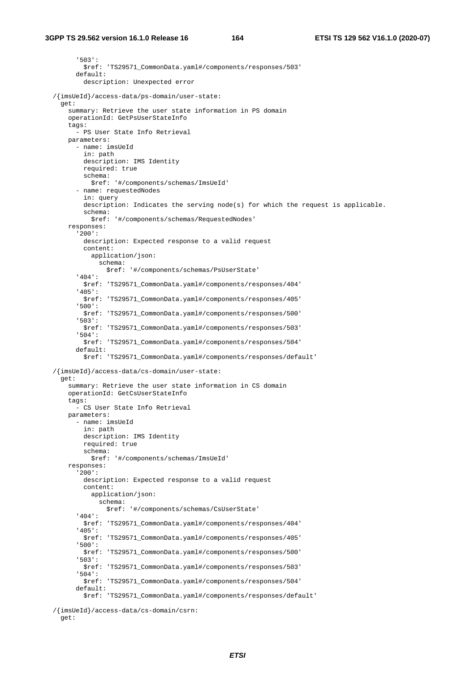'503': \$ref: 'TS29571\_CommonData.yaml#/components/responses/503' default: description: Unexpected error /{imsUeId}/access-data/ps-domain/user-state: get: summary: Retrieve the user state information in PS domain operationId: GetPsUserStateInfo tags: - PS User State Info Retrieval parameters: - name: imsUeId in: path description: IMS Identity required: true schema: \$ref: '#/components/schemas/ImsUeId' - name: requestedNodes in: query description: Indicates the serving node(s) for which the request is applicable. schema: \$ref: '#/components/schemas/RequestedNodes' responses: '200': description: Expected response to a valid request content: application/json: schema: \$ref: '#/components/schemas/PsUserState' '404': \$ref: 'TS29571\_CommonData.yaml#/components/responses/404' '405': \$ref: 'TS29571\_CommonData.yaml#/components/responses/405' '500': \$ref: 'TS29571\_CommonData.yaml#/components/responses/500' '503': \$ref: 'TS29571\_CommonData.yaml#/components/responses/503' '504': \$ref: 'TS29571\_CommonData.yaml#/components/responses/504' default: \$ref: 'TS29571\_CommonData.yaml#/components/responses/default' /{imsUeId}/access-data/cs-domain/user-state: get: summary: Retrieve the user state information in CS domain operationId: GetCsUserStateInfo tags: - CS User State Info Retrieval parameters: - name: imsUeId in: path description: IMS Identity required: true schema: \$ref: '#/components/schemas/ImsUeId' responses: '200': description: Expected response to a valid request content: application/json: schema: \$ref: '#/components/schemas/CsUserState' '404': \$ref: 'TS29571\_CommonData.yaml#/components/responses/404' '405': \$ref: 'TS29571\_CommonData.yaml#/components/responses/405' '500': \$ref: 'TS29571\_CommonData.yaml#/components/responses/500' '503': \$ref: 'TS29571\_CommonData.yaml#/components/responses/503' '504': \$ref: 'TS29571\_CommonData.yaml#/components/responses/504' default: \$ref: 'TS29571\_CommonData.yaml#/components/responses/default'

/{imsUeId}/access-data/cs-domain/csrn:

get: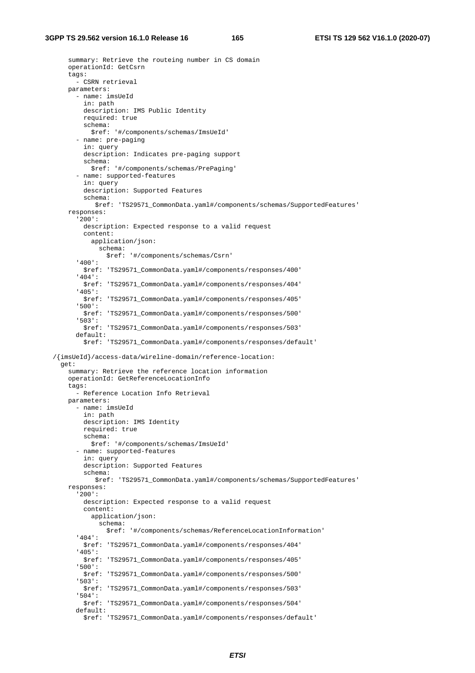summary: Retrieve the routeing number in CS domain operationId: GetCsrn tags: - CSRN retrieval parameters: - name: imsUeId in: path description: IMS Public Identity required: true schema: \$ref: '#/components/schemas/ImsUeId' - name: pre-paging in: query description: Indicates pre-paging support schema: \$ref: '#/components/schemas/PrePaging' - name: supported-features in: query description: Supported Features schema: \$ref: 'TS29571\_CommonData.yaml#/components/schemas/SupportedFeatures' responses: '200': description: Expected response to a valid request content: application/json: schema: \$ref: '#/components/schemas/Csrn' '400': \$ref: 'TS29571\_CommonData.yaml#/components/responses/400' '404': \$ref: 'TS29571\_CommonData.yaml#/components/responses/404' '405': \$ref: 'TS29571\_CommonData.yaml#/components/responses/405' '500': \$ref: 'TS29571\_CommonData.yaml#/components/responses/500' '503': \$ref: 'TS29571\_CommonData.yaml#/components/responses/503' default: \$ref: 'TS29571\_CommonData.yaml#/components/responses/default' /{imsUeId}/access-data/wireline-domain/reference-location: get: summary: Retrieve the reference location information operationId: GetReferenceLocationInfo tags: - Reference Location Info Retrieval parameters: - name: imsUeId in: path description: IMS Identity required: true schema: \$ref: '#/components/schemas/ImsUeId' - name: supported-features in: query description: Supported Features schema: \$ref: 'TS29571\_CommonData.yaml#/components/schemas/SupportedFeatures' responses: '200': description: Expected response to a valid request content: application/json: schema: \$ref: '#/components/schemas/ReferenceLocationInformation' '404': \$ref: 'TS29571\_CommonData.yaml#/components/responses/404' '405': \$ref: 'TS29571\_CommonData.yaml#/components/responses/405' '500': \$ref: 'TS29571\_CommonData.yaml#/components/responses/500' '503': \$ref: 'TS29571\_CommonData.yaml#/components/responses/503' '504': \$ref: 'TS29571\_CommonData.yaml#/components/responses/504' default: \$ref: 'TS29571\_CommonData.yaml#/components/responses/default'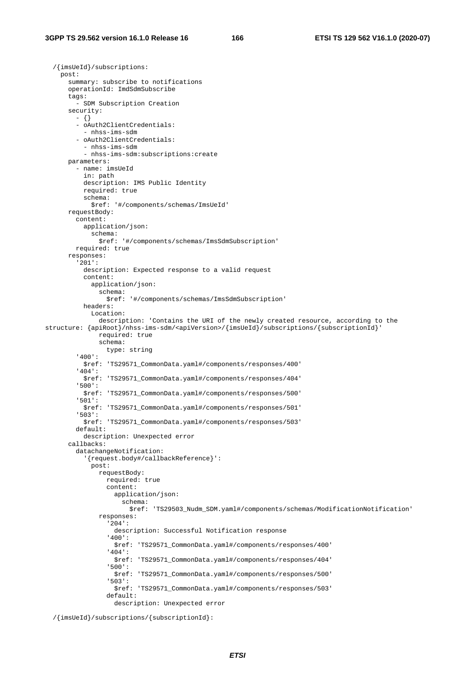/{imsUeId}/subscriptions:

 post: summary: subscribe to notifications operationId: ImdSdmSubscribe tags: - SDM Subscription Creation security: - {} - oAuth2ClientCredentials: - nhss-ims-sdm - oAuth2ClientCredentials: - nhss-ims-sdm - nhss-ims-sdm:subscriptions:create parameters: - name: imsUeId in: path description: IMS Public Identity required: true schema: \$ref: '#/components/schemas/ImsUeId' requestBody: content: application/json: schema: \$ref: '#/components/schemas/ImsSdmSubscription' required: true responses: '201': description: Expected response to a valid request content: application/json: schema: \$ref: '#/components/schemas/ImsSdmSubscription' headers: Location: description: 'Contains the URI of the newly created resource, according to the structure: {apiRoot}/nhss-ims-sdm/<apiVersion>/{imsUeId}/subscriptions/{subscriptionId}' required: true schema: type: string '400': \$ref: 'TS29571\_CommonData.yaml#/components/responses/400' '404': \$ref: 'TS29571\_CommonData.yaml#/components/responses/404' '500': \$ref: 'TS29571\_CommonData.yaml#/components/responses/500' '501': \$ref: 'TS29571\_CommonData.yaml#/components/responses/501' '503': \$ref: 'TS29571\_CommonData.yaml#/components/responses/503' default: description: Unexpected error callbacks: datachangeNotification: '{request.body#/callbackReference}': post: requestBody: required: true content: application/json: schema: \$ref: 'TS29503\_Nudm\_SDM.yaml#/components/schemas/ModificationNotification' responses: '204': description: Successful Notification response '400': \$ref: 'TS29571\_CommonData.yaml#/components/responses/400' '404': \$ref: 'TS29571\_CommonData.yaml#/components/responses/404' '500': \$ref: 'TS29571\_CommonData.yaml#/components/responses/500' '503': \$ref: 'TS29571\_CommonData.yaml#/components/responses/503' default: description: Unexpected error

/{imsUeId}/subscriptions/{subscriptionId}: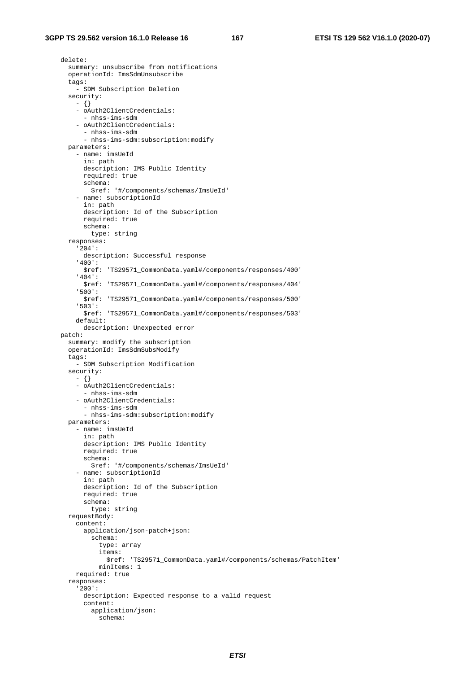delete: summary: unsubscribe from notifications operationId: ImsSdmUnsubscribe tags: - SDM Subscription Deletion security:  $-$  {} - oAuth2ClientCredentials: - nhss-ims-sdm - oAuth2ClientCredentials: - nhss-ims-sdm - nhss-ims-sdm:subscription:modify parameters: - name: imsUeId in: path description: IMS Public Identity required: true schema: \$ref: '#/components/schemas/ImsUeId' - name: subscriptionId in: path description: Id of the Subscription required: true schema: type: string responses: '204': description: Successful response '400': \$ref: 'TS29571\_CommonData.yaml#/components/responses/400' '404': \$ref: 'TS29571\_CommonData.yaml#/components/responses/404' '500': \$ref: 'TS29571\_CommonData.yaml#/components/responses/500' '503': \$ref: 'TS29571\_CommonData.yaml#/components/responses/503' default: description: Unexpected error patch: summary: modify the subscription operationId: ImsSdmSubsModify tags: - SDM Subscription Modification security: - {} - oAuth2ClientCredentials: - nhss-ims-sdm - oAuth2ClientCredentials: - nhss-ims-sdm - nhss-ims-sdm:subscription:modify parameters: - name: imsUeId in: path description: IMS Public Identity required: true schema: \$ref: '#/components/schemas/ImsUeId' - name: subscriptionId in: path description: Id of the Subscription required: true schema: type: string requestBody: content: application/json-patch+json: schema: type: array items: \$ref: 'TS29571\_CommonData.yaml#/components/schemas/PatchItem' minItems: 1 required: true responses: '200': description: Expected response to a valid request content: application/json: schema: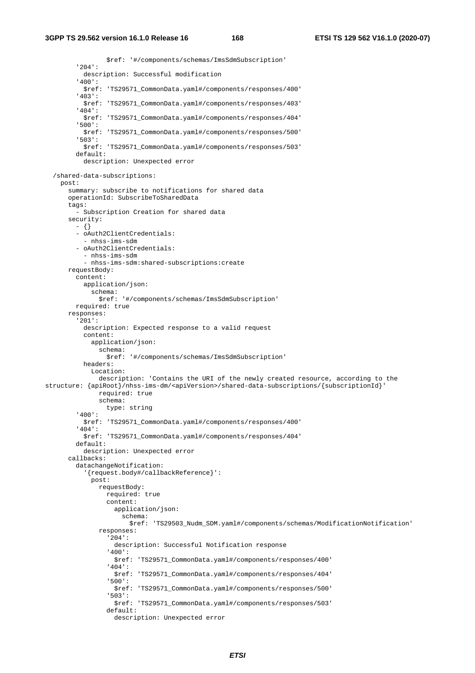\$ref: '#/components/schemas/ImsSdmSubscription' '204': description: Successful modification '400': \$ref: 'TS29571\_CommonData.yaml#/components/responses/400' '403': \$ref: 'TS29571\_CommonData.yaml#/components/responses/403' '404': \$ref: 'TS29571\_CommonData.yaml#/components/responses/404' '500': \$ref: 'TS29571\_CommonData.yaml#/components/responses/500' '503': \$ref: 'TS29571\_CommonData.yaml#/components/responses/503' default: description: Unexpected error /shared-data-subscriptions: post: summary: subscribe to notifications for shared data operationId: SubscribeToSharedData tags: - Subscription Creation for shared data security: - {} - oAuth2ClientCredentials: - nhss-ims-sdm - oAuth2ClientCredentials: - nhss-ims-sdm - nhss-ims-sdm:shared-subscriptions:create requestBody: content: application/json: schema: \$ref: '#/components/schemas/ImsSdmSubscription' required: true responses: '201': description: Expected response to a valid request content: application/json: schema: \$ref: '#/components/schemas/ImsSdmSubscription' headers: Location: description: 'Contains the URI of the newly created resource, according to the structure: {apiRoot}/nhss-ims-dm/<apiVersion>/shared-data-subscriptions/{subscriptionId}' required: true schema: type: string '400': \$ref: 'TS29571\_CommonData.yaml#/components/responses/400'  $404$  : \$ref: 'TS29571\_CommonData.yaml#/components/responses/404' default: description: Unexpected error callbacks: datachangeNotification: '{request.body#/callbackReference}': post: requestBody: required: true content: application/json: schema: \$ref: 'TS29503\_Nudm\_SDM.yaml#/components/schemas/ModificationNotification' responses: '204': description: Successful Notification response '400': \$ref: 'TS29571\_CommonData.yaml#/components/responses/400' '404': \$ref: 'TS29571\_CommonData.yaml#/components/responses/404' '500': \$ref: 'TS29571\_CommonData.yaml#/components/responses/500' '503': \$ref: 'TS29571\_CommonData.yaml#/components/responses/503' default: description: Unexpected error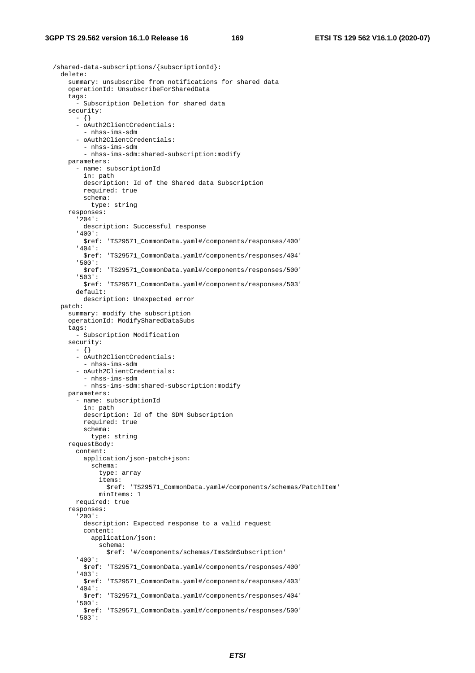/shared-data-subscriptions/{subscriptionId}: delete: summary: unsubscribe from notifications for shared data operationId: UnsubscribeForSharedData tags: - Subscription Deletion for shared data security: - {} - oAuth2ClientCredentials: - nhss-ims-sdm - oAuth2ClientCredentials: - nhss-ims-sdm - nhss-ims-sdm:shared-subscription:modify parameters: - name: subscriptionId in: path description: Id of the Shared data Subscription required: true schema: type: string responses: '204': description: Successful response '400': \$ref: 'TS29571\_CommonData.yaml#/components/responses/400' '404': \$ref: 'TS29571\_CommonData.yaml#/components/responses/404' '500': \$ref: 'TS29571\_CommonData.yaml#/components/responses/500' '503': \$ref: 'TS29571\_CommonData.yaml#/components/responses/503' default: description: Unexpected error patch: summary: modify the subscription operationId: ModifySharedDataSubs tags: - Subscription Modification security: - {} - oAuth2ClientCredentials: - nhss-ims-sdm - oAuth2ClientCredentials: - nhss-ims-sdm - nhss-ims-sdm:shared-subscription:modify parameters: - name: subscriptionId in: path description: Id of the SDM Subscription required: true schema: type: string requestBody: content: application/json-patch+json: schema: type: array items: \$ref: 'TS29571\_CommonData.yaml#/components/schemas/PatchItem' minItems: 1 required: true responses: '200': description: Expected response to a valid request content: application/json: schema: \$ref: '#/components/schemas/ImsSdmSubscription' '400': \$ref: 'TS29571\_CommonData.yaml#/components/responses/400' '403': \$ref: 'TS29571\_CommonData.yaml#/components/responses/403' '404': \$ref: 'TS29571\_CommonData.yaml#/components/responses/404' '500': \$ref: 'TS29571\_CommonData.yaml#/components/responses/500' '503':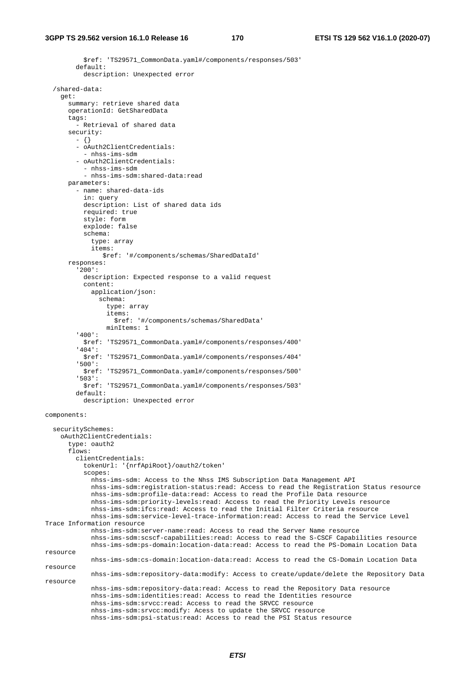```
 $ref: 'TS29571_CommonData.yaml#/components/responses/503' 
         default: 
           description: Unexpected error 
   /shared-data: 
     get: 
       summary: retrieve shared data 
       operationId: GetSharedData 
       tags: 
         - Retrieval of shared data 
       security: 
         - {} 
         - oAuth2ClientCredentials: 
           - nhss-ims-sdm 
          - oAuth2ClientCredentials: 
           - nhss-ims-sdm 
          - nhss-ims-sdm:shared-data:read
       parameters: 
          - name: shared-data-ids 
           in: query 
           description: List of shared data ids 
           required: true 
           style: form 
           explode: false 
           schema: 
             type: array 
             items: 
                 $ref: '#/components/schemas/SharedDataId' 
       responses: 
          '200': 
           description: Expected response to a valid request 
           content: 
             application/json: 
                schema: 
                  type: array 
                  items: 
                    $ref: '#/components/schemas/SharedData' 
                  minItems: 1 
         '400': 
           $ref: 'TS29571_CommonData.yaml#/components/responses/400' 
          '404': 
           $ref: 'TS29571_CommonData.yaml#/components/responses/404' 
          '500': 
           $ref: 'TS29571_CommonData.yaml#/components/responses/500' 
         '503': 
           $ref: 'TS29571_CommonData.yaml#/components/responses/503' 
         default: 
           description: Unexpected error 
components: 
   securitySchemes: 
     oAuth2ClientCredentials: 
       type: oauth2 
       flows: 
         clientCredentials: 
           tokenUrl: '{nrfApiRoot}/oauth2/token' 
           scopes: 
             nhss-ims-sdm: Access to the Nhss IMS Subscription Data Management API 
             nhss-ims-sdm:registration-status:read: Access to read the Registration Status resource 
             nhss-ims-sdm:profile-data:read: Access to read the Profile Data resource 
             nhss-ims-sdm:priority-levels:read: Access to read the Priority Levels resource 
             nhss-ims-sdm:ifcs:read: Access to read the Initial Filter Criteria resource 
             nhss-ims-sdm:service-level-trace-information:read: Access to read the Service Level 
Trace Information resource 
             nhss-ims-sdm:server-name:read: Access to read the Server Name resource 
             nhss-ims-sdm:scscf-capabilities:read: Access to read the S-CSCF Capabilities resource 
             nhss-ims-sdm:ps-domain:location-data:read: Access to read the PS-Domain Location Data 
resource 
             nhss-ims-sdm:cs-domain:location-data:read: Access to read the CS-Domain Location Data 
resource 
             nhss-ims-sdm:repository-data:modify: Access to create/update/delete the Repository Data 
resource 
             nhss-ims-sdm:repository-data:read: Access to read the Repository Data resource 
             nhss-ims-sdm:identities:read: Access to read the Identities resource 
             nhss-ims-sdm:srvcc:read: Access to read the SRVCC resource 
             nhss-ims-sdm:srvcc:modify: Acess to update the SRVCC resource 
             nhss-ims-sdm:psi-status:read: Access to read the PSI Status resource
```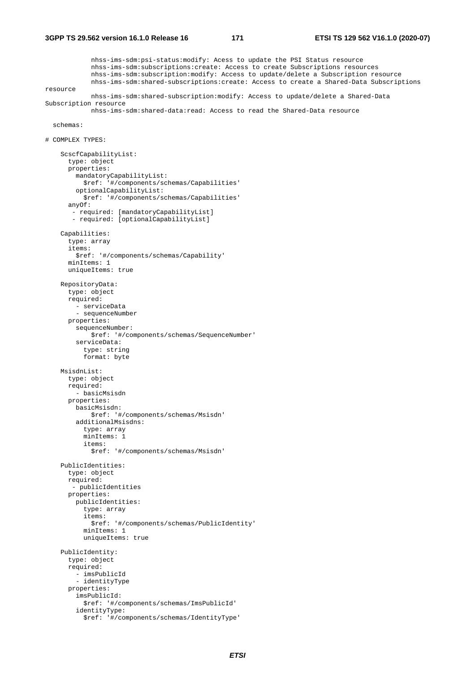nhss-ims-sdm:psi-status:modify: Acess to update the PSI Status resource nhss-ims-sdm:subscriptions:create: Access to create Subscriptions resources nhss-ims-sdm:subscription:modify: Access to update/delete a Subscription resource nhss-ims-sdm:shared-subscriptions:create: Access to create a Shared-Data Subscriptions resource nhss-ims-sdm:shared-subscription:modify: Access to update/delete a Shared-Data Subscription resource nhss-ims-sdm:shared-data:read: Access to read the Shared-Data resource schemas: # COMPLEX TYPES: ScscfCapabilityList: type: object properties: mandatoryCapabilityList: \$ref: '#/components/schemas/Capabilities' optionalCapabilityList: \$ref: '#/components/schemas/Capabilities' anyOf: - required: [mandatoryCapabilityList] - required: [optionalCapabilityList] Capabilities: type: array items: \$ref: '#/components/schemas/Capability' minItems: 1 uniqueItems: true RepositoryData: type: object required: - serviceData - sequenceNumber properties: sequenceNumber: \$ref: '#/components/schemas/SequenceNumber' serviceData: type: string format: byte MsisdnList: type: object required: - basicMsisdn properties: basicMsisdn: \$ref: '#/components/schemas/Msisdn' additionalMsisdns: type: array minItems: 1 items: \$ref: '#/components/schemas/Msisdn' PublicIdentities: type: object required: - publicIdentities properties: publicIdentities: type: array items: \$ref: '#/components/schemas/PublicIdentity' minItems: 1 uniqueItems: true PublicIdentity: type: object required: - imsPublicId - identityType properties: imsPublicId: \$ref: '#/components/schemas/ImsPublicId' identityType: \$ref: '#/components/schemas/IdentityType'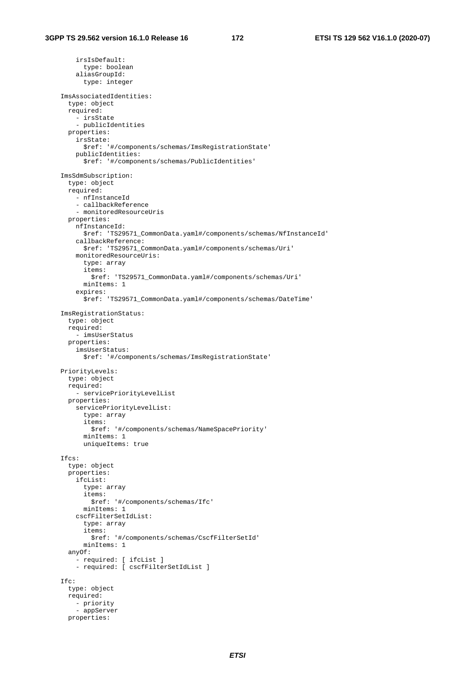irsIsDefault: type: boolean aliasGroupId: type: integer ImsAssociatedIdentities: type: object required: - irsState - publicIdentities properties: irsState: \$ref: '#/components/schemas/ImsRegistrationState' publicIdentities: \$ref: '#/components/schemas/PublicIdentities' ImsSdmSubscription: type: object required: - nfInstanceId - callbackReference - monitoredResourceUris properties: nfInstanceId: \$ref: 'TS29571\_CommonData.yaml#/components/schemas/NfInstanceId' callbackReference: \$ref: 'TS29571\_CommonData.yaml#/components/schemas/Uri' monitoredResourceUris: type: array items: \$ref: 'TS29571\_CommonData.yaml#/components/schemas/Uri' minItems: 1 expires: \$ref: 'TS29571\_CommonData.yaml#/components/schemas/DateTime' ImsRegistrationStatus: type: object required: - imsUserStatus properties: imsUserStatus: \$ref: '#/components/schemas/ImsRegistrationState' PriorityLevels: type: object required: - servicePriorityLevelList properties: servicePriorityLevelList: type: array items: \$ref: '#/components/schemas/NameSpacePriority' minItems: 1 uniqueItems: true Ifcs: type: object properties: ifcList: type: array items: \$ref: '#/components/schemas/Ifc' minItems: 1 cscfFilterSetIdList: type: array items: \$ref: '#/components/schemas/CscfFilterSetId' minItems: 1 anyOf: - required: [ ifcList ] - required: [ cscfFilterSetIdList ] Ifc: type: object required: - priority - appServer properties: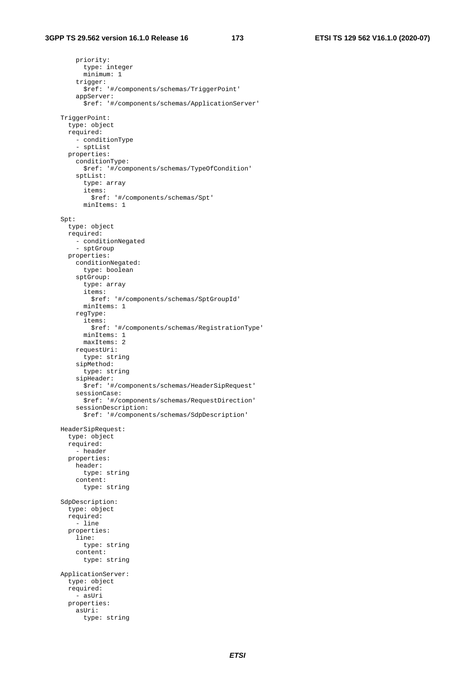priority: type: integer minimum: 1 trigger: \$ref: '#/components/schemas/TriggerPoint' appServer: \$ref: '#/components/schemas/ApplicationServer' TriggerPoint: type: object required: - conditionType - sptList properties: conditionType: \$ref: '#/components/schemas/TypeOfCondition' sptList: type: array items: \$ref: '#/components/schemas/Spt' minItems: 1 Spt: type: object required: - conditionNegated - sptGroup properties: conditionNegated: type: boolean sptGroup: type: array items: \$ref: '#/components/schemas/SptGroupId' minItems: 1 regType: items: \$ref: '#/components/schemas/RegistrationType' minItems: 1 maxItems: 2 requestUri: type: string sipMethod: type: string sipHeader: \$ref: '#/components/schemas/HeaderSipRequest' sessionCase: \$ref: '#/components/schemas/RequestDirection' sessionDescription: \$ref: '#/components/schemas/SdpDescription' HeaderSipRequest: type: object required: - header properties: header: type: string content: type: string SdpDescription: type: object required: - line properties: line: type: string content: type: string ApplicationServer: type: object required: - asUri properties: asUri: type: string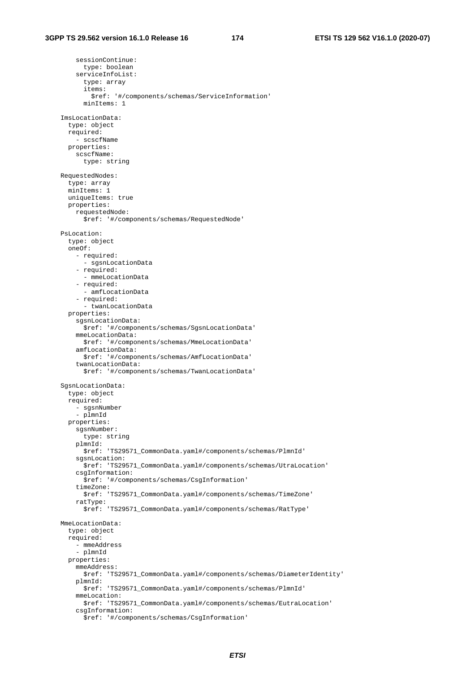sessionContinue: type: boolean serviceInfoList: type: array items: \$ref: '#/components/schemas/ServiceInformation' minItems: 1 ImsLocationData: type: object required: - scscfName properties: scscfName: type: string RequestedNodes: type: array minItems: 1 uniqueItems: true properties: requestedNode: \$ref: '#/components/schemas/RequestedNode' PsLocation: type: object oneOf: - required: - sgsnLocationData - required: - mmeLocationData - required: - amfLocationData - required: - twanLocationData properties: sgsnLocationData: \$ref: '#/components/schemas/SgsnLocationData' mmeLocationData: \$ref: '#/components/schemas/MmeLocationData' amfLocationData: \$ref: '#/components/schemas/AmfLocationData' twanLocationData: \$ref: '#/components/schemas/TwanLocationData' SgsnLocationData: type: object required: - sgsnNumber - plmnId properties: sgsnNumber: type: string plmnId: \$ref: 'TS29571\_CommonData.yaml#/components/schemas/PlmnId' sgsnLocation: \$ref: 'TS29571\_CommonData.yaml#/components/schemas/UtraLocation' csgInformation: \$ref: '#/components/schemas/CsgInformation' timeZone: \$ref: 'TS29571\_CommonData.yaml#/components/schemas/TimeZone' ratType: \$ref: 'TS29571\_CommonData.yaml#/components/schemas/RatType' MmeLocationData: type: object required: - mmeAddress - plmnId properties: mmeAddress: \$ref: 'TS29571\_CommonData.yaml#/components/schemas/DiameterIdentity' plmnId: \$ref: 'TS29571\_CommonData.yaml#/components/schemas/PlmnId' mmeLocation: \$ref: 'TS29571\_CommonData.yaml#/components/schemas/EutraLocation' csgInformation: \$ref: '#/components/schemas/CsgInformation'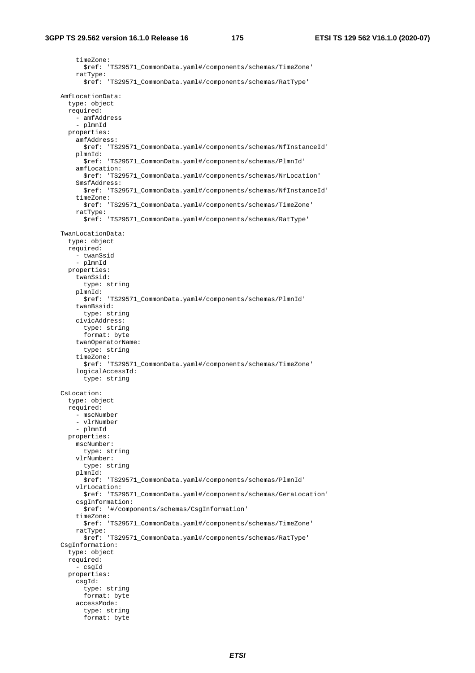timeZone: \$ref: 'TS29571\_CommonData.yaml#/components/schemas/TimeZone' ratType: \$ref: 'TS29571\_CommonData.yaml#/components/schemas/RatType' AmfLocationData: type: object required: - amfAddress - plmnId properties: amfAddress: \$ref: 'TS29571\_CommonData.yaml#/components/schemas/NfInstanceId' plmnId: \$ref: 'TS29571\_CommonData.yaml#/components/schemas/PlmnId' amfLocation: \$ref: 'TS29571\_CommonData.yaml#/components/schemas/NrLocation' SmsfAddress: \$ref: 'TS29571\_CommonData.yaml#/components/schemas/NfInstanceId' timeZone: \$ref: 'TS29571\_CommonData.yaml#/components/schemas/TimeZone' ratType: \$ref: 'TS29571\_CommonData.yaml#/components/schemas/RatType' TwanLocationData: type: object required: - twanSsid - plmnId properties: twanSsid: type: string plmnId: \$ref: 'TS29571\_CommonData.yaml#/components/schemas/PlmnId' twanBssid: type: string civicAddress: type: string format: byte twanOperatorName: type: string timeZone: \$ref: 'TS29571\_CommonData.yaml#/components/schemas/TimeZone' logicalAccessId: type: string CsLocation: type: object required: - mscNumber - vlrNumber - plmnId properties: mscNumber: type: string vlrNumber: type: string plmnId: \$ref: 'TS29571\_CommonData.yaml#/components/schemas/PlmnId' vlrLocation: \$ref: 'TS29571\_CommonData.yaml#/components/schemas/GeraLocation' csgInformation: \$ref: '#/components/schemas/CsgInformation' timeZone: \$ref: 'TS29571\_CommonData.yaml#/components/schemas/TimeZone' ratType: \$ref: 'TS29571\_CommonData.yaml#/components/schemas/RatType' CsgInformation: type: object required: - csgId properties: csgId: type: string format: byte accessMode: type: string format: byte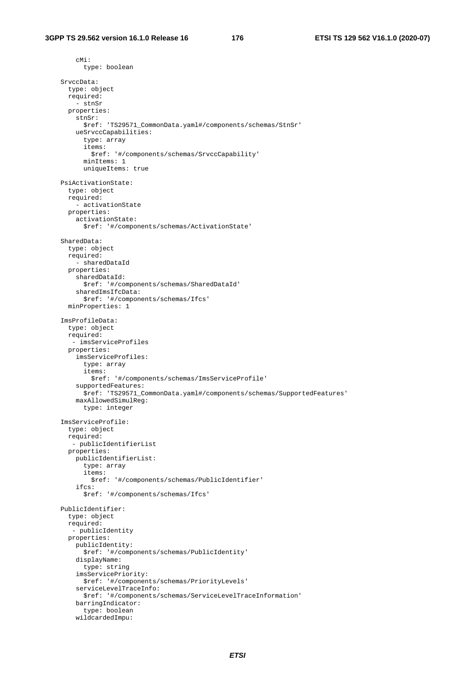cMi:

 type: boolean SrvccData: type: object required: - stnSr properties: stnSr: \$ref: 'TS29571\_CommonData.yaml#/components/schemas/StnSr' ueSrvccCapabilities: type: array items: \$ref: '#/components/schemas/SrvccCapability' minItems: 1 uniqueItems: true PsiActivationState: type: object required: - activationState properties: activationState: \$ref: '#/components/schemas/ActivationState' SharedData: type: object required: - sharedDataId properties: sharedDataId: \$ref: '#/components/schemas/SharedDataId' sharedImsIfcData: \$ref: '#/components/schemas/Ifcs' minProperties: 1 ImsProfileData: type: object required: - imsServiceProfiles properties: imsServiceProfiles: type: array items: \$ref: '#/components/schemas/ImsServiceProfile' supportedFeatures: \$ref: 'TS29571\_CommonData.yaml#/components/schemas/SupportedFeatures' maxAllowedSimulReg: type: integer ImsServiceProfile: type: object required: - publicIdentifierList properties: publicIdentifierList: type: array items: \$ref: '#/components/schemas/PublicIdentifier' ifcs: \$ref: '#/components/schemas/Ifcs' PublicIdentifier: type: object required: - publicIdentity properties: publicIdentity: \$ref: '#/components/schemas/PublicIdentity' displayName: type: string imsServicePriority: \$ref: '#/components/schemas/PriorityLevels' serviceLevelTraceInfo: \$ref: '#/components/schemas/ServiceLevelTraceInformation' barringIndicator: type: boolean wildcardedImpu: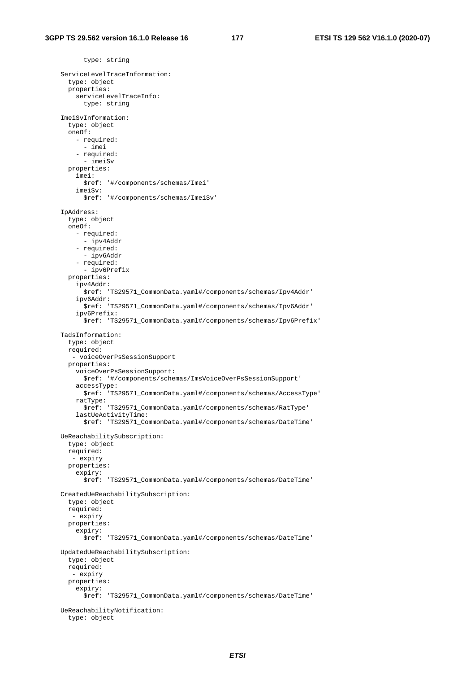type: string ServiceLevelTraceInformation: type: object properties: serviceLevelTraceInfo: type: string ImeiSvInformation: type: object oneOf: - required: - imei - required: - imeiSv properties: imei: \$ref: '#/components/schemas/Imei' imeiSv: \$ref: '#/components/schemas/ImeiSv' IpAddress: type: object oneOf: - required: - ipv4Addr - required: - ipv6Addr - required: - ipv6Prefix properties: ipv4Addr: \$ref: 'TS29571\_CommonData.yaml#/components/schemas/Ipv4Addr' ipv6Addr: \$ref: 'TS29571\_CommonData.yaml#/components/schemas/Ipv6Addr' ipv6Prefix: \$ref: 'TS29571\_CommonData.yaml#/components/schemas/Ipv6Prefix' TadsInformation: type: object required: - voiceOverPsSessionSupport properties: voiceOverPsSessionSupport: \$ref: '#/components/schemas/ImsVoiceOverPsSessionSupport' accessType: \$ref: 'TS29571\_CommonData.yaml#/components/schemas/AccessType' ratType: \$ref: 'TS29571\_CommonData.yaml#/components/schemas/RatType' lastUeActivityTime: \$ref: 'TS29571\_CommonData.yaml#/components/schemas/DateTime' UeReachabilitySubscription: type: object required: - expiry properties: expiry: \$ref: 'TS29571\_CommonData.yaml#/components/schemas/DateTime' CreatedUeReachabilitySubscription: type: object required: - expiry properties: expiry: \$ref: 'TS29571\_CommonData.yaml#/components/schemas/DateTime' UpdatedUeReachabilitySubscription: type: object required: - expiry properties: expiry: \$ref: 'TS29571\_CommonData.yaml#/components/schemas/DateTime' UeReachabilityNotification: type: object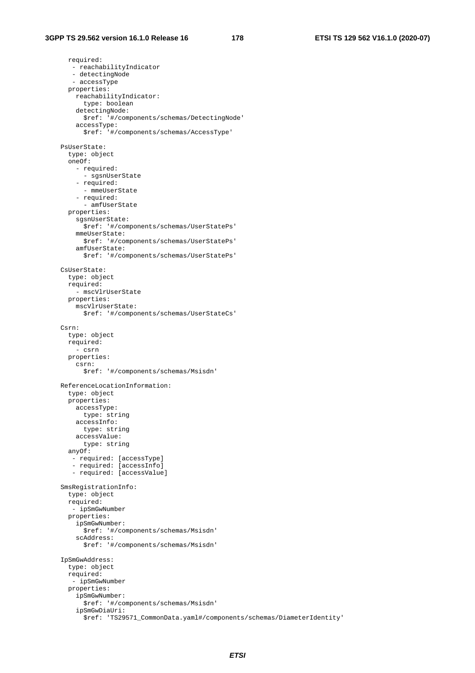required: - reachabilityIndicator - detectingNode - accessType properties: reachabilityIndicator: type: boolean detectingNode: \$ref: '#/components/schemas/DetectingNode' accessType: \$ref: '#/components/schemas/AccessType' PsUserState: type: object oneOf: - required: - sgsnUserState - required: - mmeUserState - required: - amfUserState properties: sgsnUserState: \$ref: '#/components/schemas/UserStatePs' mmeUserState: \$ref: '#/components/schemas/UserStatePs' amfUserState: \$ref: '#/components/schemas/UserStatePs' CsUserState: type: object required: - mscVlrUserState properties: mscVlrUserState: \$ref: '#/components/schemas/UserStateCs' Csrn: type: object required: - csrn properties: csrn: \$ref: '#/components/schemas/Msisdn' ReferenceLocationInformation: type: object properties: accessType: type: string accessInfo: type: string accessValue: type: string anyOf: - required: [accessType] - required: [accessInfo] - required: [accessValue] SmsRegistrationInfo: type: object required: - ipSmGwNumber properties: ipSmGwNumber: \$ref: '#/components/schemas/Msisdn' scAddress: \$ref: '#/components/schemas/Msisdn' IpSmGwAddress: type: object required: - ipSmGwNumber properties: ipSmGwNumber: \$ref: '#/components/schemas/Msisdn' ipSmGwDiaUri: \$ref: 'TS29571\_CommonData.yaml#/components/schemas/DiameterIdentity'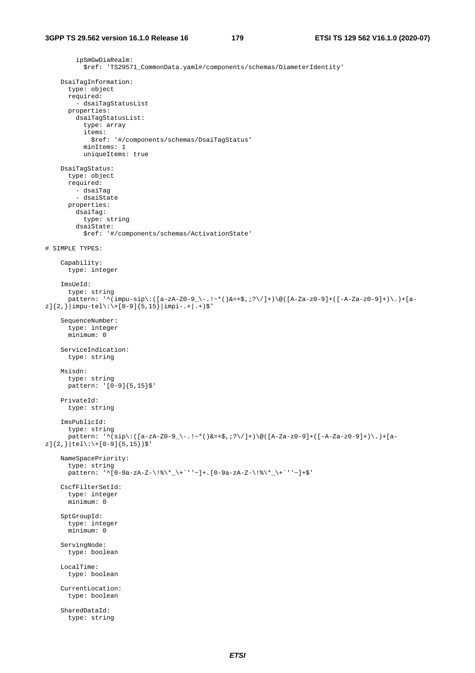ipSmGwDiaRealm: \$ref: 'TS29571\_CommonData.yaml#/components/schemas/DiameterIdentity' DsaiTagInformation: type: object required: - dsaiTagStatusList properties: dsaiTagStatusList: type: array items: \$ref: '#/components/schemas/DsaiTagStatus' minItems: 1 uniqueItems: true DsaiTagStatus: type: object required: - dsaiTag - dsaiState properties: dsaiTag: type: string dsaiState: \$ref: '#/components/schemas/ActivationState' # SIMPLE TYPES: Capability: type: integer ImsUeId: type: string pattern: '^(impu-sip\:([a-zA-Z0-9\_\-.!~\*()&=+\$,;?\/]+)\@([A-Za-z0-9]+([-A-Za-z0-9]+)\.)+[a $z$ ] ${2,}$ |impu-tel\:\+[0-9] ${5,15}$ |impi-.+|.+)\$' SequenceNumber: type: integer minimum: 0 ServiceIndication: type: string Msisdn: type: string pattern: '[0-9]{5,15}\$' PrivateId: type: string ImsPublicId: type: string pattern:  $'\(sip\)([a-zA-Z0-9]\-(1-s*(\delta z+\xi,z)\)(1+\delta)([A-Za-z0-9]+([A-Za-z0-9]+\delta)\))$  $z$ ]{2,}|tel\:\+[0-9]{5,15})\$' NameSpacePriority: type: string pattern: '^[0-9a-zA-Z-\!%\\*\_\+`''~]+.[0-9a-zA-Z-\!%\\*\_\+`''~]+\$' CscfFilterSetId: type: integer minimum: 0 SptGroupId: type: integer minimum: 0 ServingNode: type: boolean LocalTime: type: boolean CurrentLocation: type: boolean SharedDataId: type: string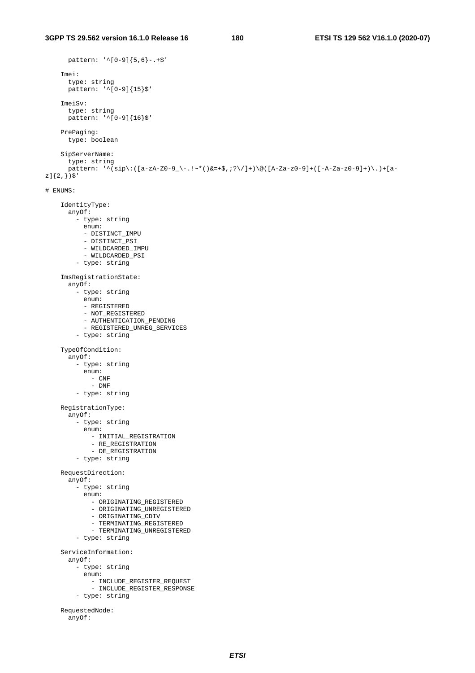```
 pattern: '^[0-9]{5,6}-.+$' 
     Imei: 
       type: string 
       pattern: '^[0-9]{15}$' 
     ImeiSv: 
       type: string 
      pattern: '<sup>^[</sup>0-9]{16}$'
     PrePaging: 
       type: boolean 
     SipServerName: 
        type: string 
       pattern: \binom{n}{\text{sign}}:([a-zA-Z0-9]-\ldots\cdot\cdot\cdot)(\&=+\frac{2}{3},?^{2}/\}\) ([A-Za-z0-9]+([-A-Za-z0-9]+)\.)+[a-
z]\{2, \})$'# ENUMS: 
     IdentityType: 
        anyOf: 
          - type: string 
            enum: 
            - DISTINCT_IMPU 
            - DISTINCT_PSI 
            - WILDCARDED_IMPU 
            - WILDCARDED_PSI 
          - type: string 
     ImsRegistrationState: 
        anyOf: 
         -<br>- type: string
            enum: 
            - REGISTERED 
            - NOT_REGISTERED 
           - AUTHENTICATION PENDING
            - REGISTERED_UNREG_SERVICES 
          - type: string 
     TypeOfCondition: 
        anyOf: 
          - type: string 
            enum: 
              - CNF 
               - DNF 
          - type: string 
     RegistrationType: 
        anyOf: 
          - type: string 
            enum: 
              - INITIAL_REGISTRATION 
               - RE_REGISTRATION 
              - DE_REGISTRATION
          - type: string 
     RequestDirection: 
        anyOf: 
          - type: string 
            enum: 
              - ORIGINATING_REGISTERED 
               - ORIGINATING_UNREGISTERED 
              - ORIGINATING_CDIV
             - TERMINATING_REGISTERED
              - TERMINATING_UNREGISTERED
          - type: string 
     ServiceInformation: 
        anyOf: 
          - type: string 
            enum: 
              - INCLUDE_REGISTER_REQUEST 
               - INCLUDE_REGISTER_RESPONSE 
          - type: string 
     RequestedNode: 
        anyOf:
```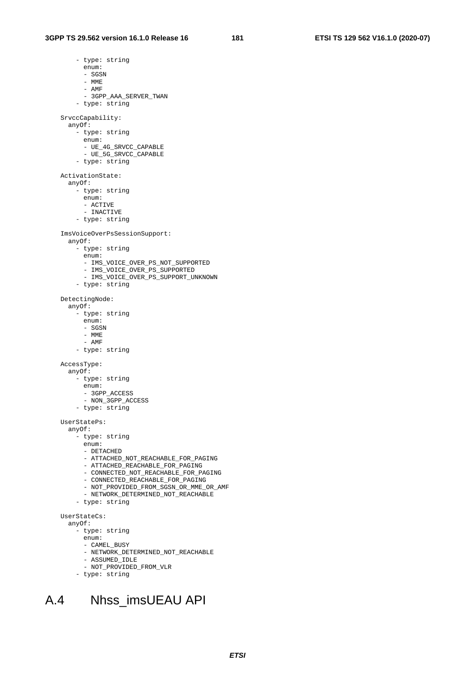- type: string enum: - SGSN - MME - AMF - 3GPP\_AAA\_SERVER\_TWAN - type: string SrvccCapability: anyOf: - type: string enum: - UE\_4G\_SRVCC\_CAPABLE - UE\_5G\_SRVCC\_CAPABLE - type: string ActivationState: anyOf: - type: string enum: - ACTIVE - INACTIVE - type: string ImsVoiceOverPsSessionSupport: anyOf: - type: string enum: - IMS\_VOICE\_OVER\_PS\_NOT\_SUPPORTED - IMS\_VOICE\_OVER\_PS\_SUPPORTED - IMS\_VOICE\_OVER\_PS\_SUPPORT\_UNKNOWN - type: string DetectingNode: anyOf: - type: string enum: - SGSN - MME - AMF - type: string AccessType: anyOf: - type: string enum: - 3GPP\_ACCESS - NON\_3GPP\_ACCESS - type: string UserStatePs: anyOf: - type: string enum: - DETACHED - ATTACHED\_NOT\_REACHABLE\_FOR\_PAGING - ATTACHED\_REACHABLE\_FOR\_PAGING - CONNECTED\_NOT\_REACHABLE\_FOR\_PAGING - CONNECTED\_REACHABLE\_FOR\_PAGING - NOT\_PROVIDED\_FROM\_SGSN\_OR\_MME\_OR\_AMF - NETWORK\_DETERMINED\_NOT\_REACHABLE - type: string UserStateCs: anyOf: - type: string enum: - CAMEL\_BUSY - NETWORK\_DETERMINED\_NOT\_REACHABLE - ASSUMED\_IDLE - NOT\_PROVIDED\_FROM\_VLR



### A.4 Nhss\_imsUEAU API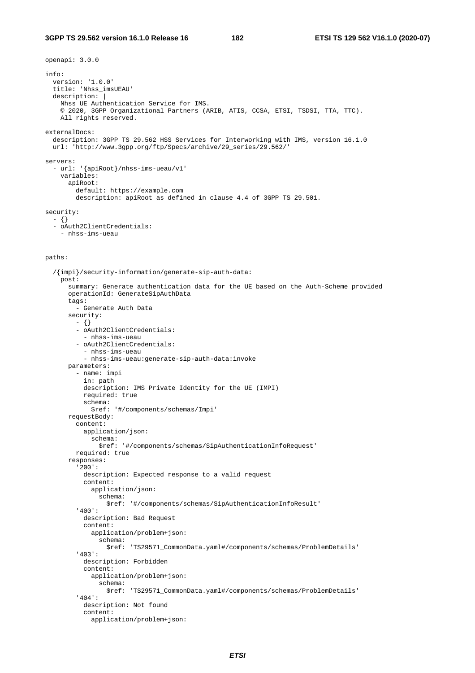#### **3GPP TS 29.562 version 16.1.0 Release 16 182 ETSI TS 129 562 V16.1.0 (2020-07)**

```
openapi: 3.0.0 
info: 
   version: '1.0.0' 
   title: 'Nhss_imsUEAU' 
   description: | 
     Nhss UE Authentication Service for IMS. 
     © 2020, 3GPP Organizational Partners (ARIB, ATIS, CCSA, ETSI, TSDSI, TTA, TTC). 
     All rights reserved. 
externalDocs: 
   description: 3GPP TS 29.562 HSS Services for Interworking with IMS, version 16.1.0 
   url: 'http://www.3gpp.org/ftp/Specs/archive/29_series/29.562/' 
servers: 
   - url: '{apiRoot}/nhss-ims-ueau/v1' 
     variables: 
       apiRoot: 
         default: https://example.com 
         description: apiRoot as defined in clause 4.4 of 3GPP TS 29.501. 
security: 
  - {} 
   - oAuth2ClientCredentials:
```

```
 - nhss-ims-ueau
```
#### paths:

```
 /{impi}/security-information/generate-sip-auth-data: 
   post: 
     summary: Generate authentication data for the UE based on the Auth-Scheme provided 
     operationId: GenerateSipAuthData 
     tags: 
       - Generate Auth Data 
     security: 
       - {} 
       - oAuth2ClientCredentials: 
         - nhss-ims-ueau 
       - oAuth2ClientCredentials: 
         - nhss-ims-ueau 
         - nhss-ims-ueau:generate-sip-auth-data:invoke 
     parameters: 
       - name: impi 
         in: path 
         description: IMS Private Identity for the UE (IMPI) 
         required: true 
         schema: 
           $ref: '#/components/schemas/Impi' 
     requestBody: 
       content: 
         application/json: 
           schema: 
              $ref: '#/components/schemas/SipAuthenticationInfoRequest' 
       required: true 
     responses: 
       '200': 
         description: Expected response to a valid request 
         content: 
           application/json: 
             schema: 
                $ref: '#/components/schemas/SipAuthenticationInfoResult' 
       '400': 
         description: Bad Request 
         content: 
           application/problem+json: 
              schema: 
                $ref: 'TS29571_CommonData.yaml#/components/schemas/ProblemDetails' 
       '403': 
         description: Forbidden 
         content: 
           application/problem+json: 
              schema: 
                $ref: 'TS29571_CommonData.yaml#/components/schemas/ProblemDetails' 
       '404': 
         description: Not found 
         content: 
           application/problem+json:
```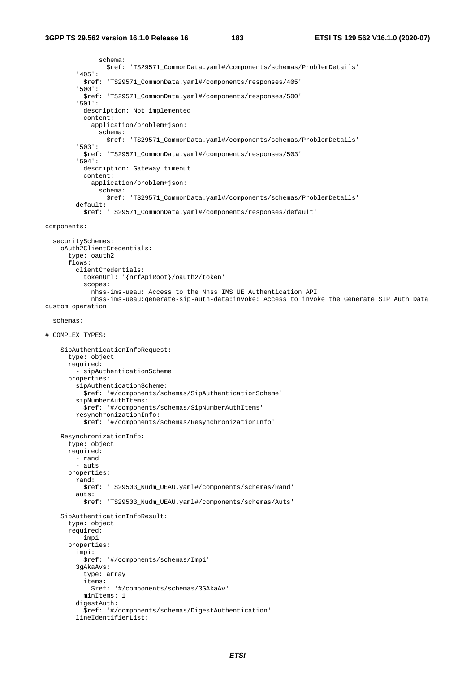```
 schema: 
                  $ref: 'TS29571_CommonData.yaml#/components/schemas/ProblemDetails' 
          '405': 
           $ref: 'TS29571_CommonData.yaml#/components/responses/405' 
          '500': 
            $ref: 'TS29571_CommonData.yaml#/components/responses/500' 
          '501': 
           description: Not implemented 
           content: 
              application/problem+json: 
               schema: 
                  $ref: 'TS29571_CommonData.yaml#/components/schemas/ProblemDetails' 
          '503': 
           $ref: 'TS29571_CommonData.yaml#/components/responses/503' 
          '504': 
           description: Gateway timeout 
            content: 
              application/problem+json: 
                schema: 
                  $ref: 'TS29571_CommonData.yaml#/components/schemas/ProblemDetails' 
         default: 
            $ref: 'TS29571_CommonData.yaml#/components/responses/default' 
components: 
   securitySchemes: 
     oAuth2ClientCredentials: 
       type: oauth2 
       flows: 
         clientCredentials: 
           tokenUrl: '{nrfApiRoot}/oauth2/token' 
            scopes: 
              nhss-ims-ueau: Access to the Nhss IMS UE Authentication API 
             nhss-ims-ueau:generate-sip-auth-data:invoke: Access to invoke the Generate SIP Auth Data 
custom operation 
   schemas: 
# COMPLEX TYPES: 
     SipAuthenticationInfoRequest: 
       type: object 
       required: 
         - sipAuthenticationScheme 
       properties: 
         sipAuthenticationScheme: 
           $ref: '#/components/schemas/SipAuthenticationScheme' 
         sipNumberAuthItems: 
           $ref: '#/components/schemas/SipNumberAuthItems' 
         resynchronizationInfo: 
           $ref: '#/components/schemas/ResynchronizationInfo' 
     ResynchronizationInfo: 
       type: object 
       required: 
         - rand 
        - auts
       properties: 
         rand: 
           $ref: 'TS29503_Nudm_UEAU.yaml#/components/schemas/Rand' 
         auts: 
            $ref: 'TS29503_Nudm_UEAU.yaml#/components/schemas/Auts' 
     SipAuthenticationInfoResult: 
       type: object 
       required: 
          - impi 
       properties: 
         impi: 
           $ref: '#/components/schemas/Impi' 
          3gAkaAvs: 
           type: array 
            items: 
              $ref: '#/components/schemas/3GAkaAv' 
           minItems: 1 
         digestAuth: 
            $ref: '#/components/schemas/DigestAuthentication' 
         lineIdentifierList:
```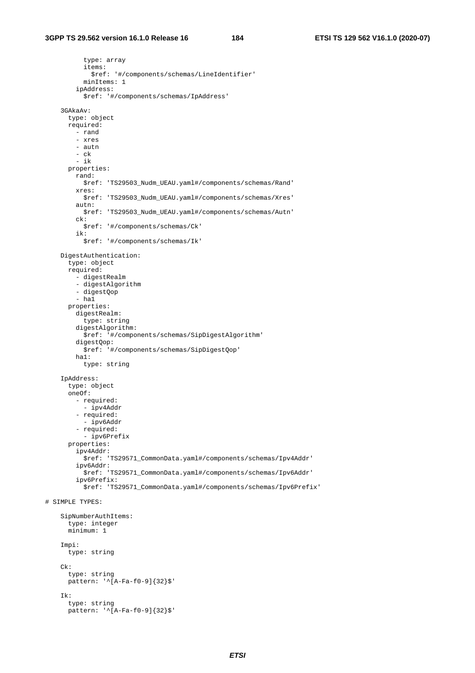type: array items: \$ref: '#/components/schemas/LineIdentifier' minItems: 1 ipAddress: \$ref: '#/components/schemas/IpAddress' 3GAkaAv: type: object required: - rand - xres - autn - ck - ik properties: rand: \$ref: 'TS29503\_Nudm\_UEAU.yaml#/components/schemas/Rand' xres: \$ref: 'TS29503\_Nudm\_UEAU.yaml#/components/schemas/Xres' autn: \$ref: 'TS29503\_Nudm\_UEAU.yaml#/components/schemas/Autn' ck: \$ref: '#/components/schemas/Ck' ik: \$ref: '#/components/schemas/Ik' DigestAuthentication: type: object required: - digestRealm - digestAlgorithm - digestQop  $-$  hal properties: digestRealm: type: string digestAlgorithm: \$ref: '#/components/schemas/SipDigestAlgorithm' digestQop: \$ref: '#/components/schemas/SipDigestQop' ha1: type: string IpAddress: type: object oneOf: - required: - ipv4Addr - required: - ipv6Addr - required: - ipv6Prefix properties: ipv4Addr: .<br>\$ref: 'TS29571\_CommonData.yaml#/components/schemas/Ipv4Addr' ipv6Addr: \$ref: 'TS29571\_CommonData.yaml#/components/schemas/Ipv6Addr' ipv6Prefix: \$ref: 'TS29571\_CommonData.yaml#/components/schemas/Ipv6Prefix' # SIMPLE TYPES: SipNumberAuthItems: type: integer minimum: 1 Impi: type: string Ck: type: string pattern: '^[A-Fa-f0-9]{32}\$' Ik: type: string  $pattern: '^[A-Fa-f0-9]{32}$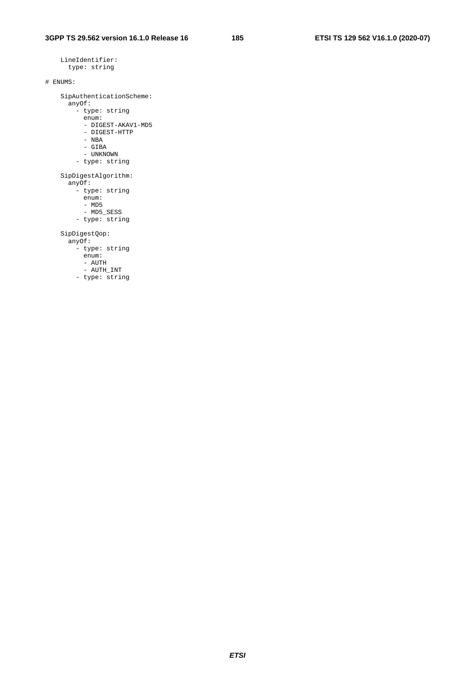```
 LineIdentifier: 
      type: string 
# ENUMS: 
     SipAuthenticationScheme: 
       anyOf: 
         - type: string 
          enum: 
           - DIGEST-AKAV1-MD5 
           - DIGEST-HTTP 
 - NBA 
 - GIBA 
           - UNKNOWN 
         - type: string 
     SipDigestAlgorithm: 
       anyOf: 
         - type: string 
          enum: 
           - MD5 
          - MD5_SESS 
         - type: string 
     SipDigestQop: 
       anyOf: 
         - type: string 
          enum: 
          - AUTH 
           - AUTH_INT 
         - type: string
```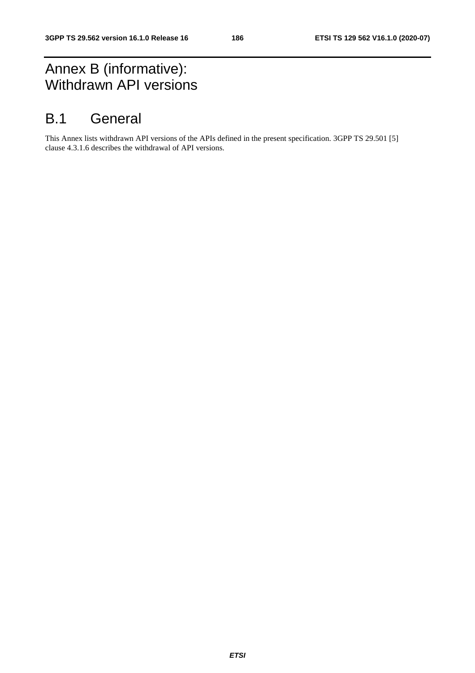## Annex B (informative): Withdrawn API versions

### B.1 General

This Annex lists withdrawn API versions of the APIs defined in the present specification. 3GPP TS 29.501 [5] clause 4.3.1.6 describes the withdrawal of API versions.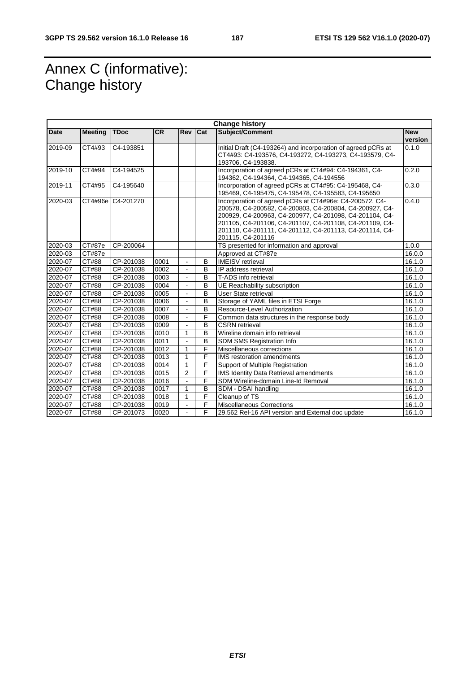## Annex C (informative): Change history

|         |                |             |      |                |     | <b>Change history</b>                                                                                                                                                                                                                                                                                                    |                       |
|---------|----------------|-------------|------|----------------|-----|--------------------------------------------------------------------------------------------------------------------------------------------------------------------------------------------------------------------------------------------------------------------------------------------------------------------------|-----------------------|
| Date    | <b>Meeting</b> | <b>TDoc</b> | CR   | Rev            | Cat | Subject/Comment                                                                                                                                                                                                                                                                                                          | <b>New</b><br>version |
| 2019-09 | CT4#93         | C4-193851   |      |                |     | Initial Draft (C4-193264) and incorporation of agreed pCRs at<br>CT4#93: C4-193576, C4-193272, C4-193273, C4-193579, C4-<br>193706, C4-193838.                                                                                                                                                                           | 0.1.0                 |
| 2019-10 | CT4#94         | C4-194525   |      |                |     | Incorporation of agreed pCRs at CT4#94: C4-194361, C4-<br>194362, C4-194364, C4-194365, C4-194556                                                                                                                                                                                                                        | 0.2.0                 |
| 2019-11 | CT4#95         | C4-195640   |      |                |     | Incorporation of agreed pCRs at CT4#95: C4-195468, C4-<br>195469, C4-195475, C4-195478, C4-195583, C4-195650                                                                                                                                                                                                             | 0.3.0                 |
| 2020-03 | CT4#96e        | C4-201270   |      |                |     | Incorporation of agreed pCRs at CT4#96e: C4-200572, C4-<br>200578, C4-200582, C4-200803, C4-200804, C4-200927, C4-<br>200929, C4-200963, C4-200977, C4-201098, C4-201104, C4-<br>201105, C4-201106, C4-201107, C4-201108, C4-201109, C4-<br>201110, C4-201111, C4-201112, C4-201113, C4-201114, C4-<br>201115, C4-201116 | 0.4.0                 |
| 2020-03 | CT#87e         | CP-200064   |      |                |     | TS presented for information and approval                                                                                                                                                                                                                                                                                | 1.0.0                 |
| 2020-03 | CT#87e         |             |      |                |     | Approved at CT#87e                                                                                                                                                                                                                                                                                                       | 16.0.0                |
| 2020-07 | CT#88          | CP-201038   | 0001 | $\sim$         | B   | <b>IMEISV</b> retrieval                                                                                                                                                                                                                                                                                                  | 16.1.0                |
| 2020-07 | CT#88          | CP-201038   | 0002 | $\sim$         | B   | IP address retrieval                                                                                                                                                                                                                                                                                                     | 16.1.0                |
| 2020-07 | CT#88          | CP-201038   | 0003 |                | B   | T-ADS info retrieval                                                                                                                                                                                                                                                                                                     | 16.1.0                |
| 2020-07 | CT#88          | CP-201038   | 0004 | ÷.             | B   | UE Reachability subscription                                                                                                                                                                                                                                                                                             | 16.1.0                |
| 2020-07 | CT#88          | CP-201038   | 0005 |                | B   | User State retrieval                                                                                                                                                                                                                                                                                                     | 16.1.0                |
| 2020-07 | CT#88          | CP-201038   | 0006 |                | B   | Storage of YAML files in ETSI Forge                                                                                                                                                                                                                                                                                      | 16.1.0                |
| 2020-07 | CT#88          | CP-201038   | 0007 |                | B   | Resource-Level Authorization                                                                                                                                                                                                                                                                                             | 16.1.0                |
| 2020-07 | CT#88          | CP-201038   | 0008 | ÷.             | F   | Common data structures in the response body                                                                                                                                                                                                                                                                              | 16.1.0                |
| 2020-07 | CT#88          | CP-201038   | 0009 | $\blacksquare$ | B   | <b>CSRN</b> retrieval                                                                                                                                                                                                                                                                                                    | 16.1.0                |
| 2020-07 | CT#88          | CP-201038   | 0010 | $\mathbf{1}$   | B   | Wireline domain info retrieval                                                                                                                                                                                                                                                                                           | 16.1.0                |
| 2020-07 | CT#88          | CP-201038   | 0011 | L.             | B   | <b>SDM SMS Registration Info</b>                                                                                                                                                                                                                                                                                         | 16.1.0                |
| 2020-07 | CT#88          | CP-201038   | 0012 | $\mathbf{1}$   | F   | Miscellaneous corrections                                                                                                                                                                                                                                                                                                | 16.1.0                |
| 2020-07 | CT#88          | CP-201038   | 0013 | $\mathbf{1}$   | F   | <b>IMS</b> restoration amendments                                                                                                                                                                                                                                                                                        | 16.1.0                |
| 2020-07 | CT#88          | CP-201038   | 0014 | $\mathbf{1}$   | F   | Support of Multiple Registration                                                                                                                                                                                                                                                                                         | 16.1.0                |
| 2020-07 | <b>CT#88</b>   | CP-201038   | 0015 | 2              | F   | <b>IMS Identity Data Retrieval amendments</b>                                                                                                                                                                                                                                                                            | 16.1.0                |
| 2020-07 | CT#88          | CP-201038   | 0016 | L.             | F   | SDM Wireline-domain Line-Id Removal                                                                                                                                                                                                                                                                                      | 16.1.0                |
| 2020-07 | CT#88          | CP-201038   | 0017 | $\mathbf{1}$   | B   | SDM - DSAI handling                                                                                                                                                                                                                                                                                                      | 16.1.0                |
| 2020-07 | CT#88          | CP-201038   | 0018 | $\mathbf{1}$   | F   | Cleanup of TS                                                                                                                                                                                                                                                                                                            | 16.1.0                |
| 2020-07 | CT#88          | CP-201038   | 0019 |                | F   | <b>Miscellaneous Corrections</b>                                                                                                                                                                                                                                                                                         | 16.1.0                |
| 2020-07 | CT#88          | CP-201073   | 0020 |                | F   | 29.562 Rel-16 API version and External doc update                                                                                                                                                                                                                                                                        | 16.1.0                |